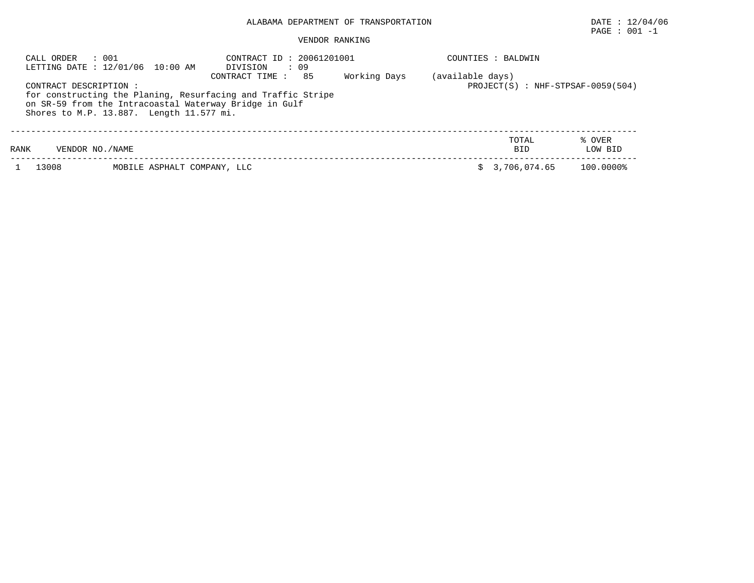## ALABAMA DEPARTMENT OF TRANSPORTATION DATE : 12/04/06

# $\texttt{PAGE}$  : 001 -1

## VENDOR RANKING

| : 001<br>CALL ORDER<br>LETTING DATE : 12/01/06 10:00 AM                                                                                                                                     | CONTRACT ID: 20061201001<br>DIVISION<br>: 09                          | COUNTIES : BALDWIN                       |  |
|---------------------------------------------------------------------------------------------------------------------------------------------------------------------------------------------|-----------------------------------------------------------------------|------------------------------------------|--|
| CONTRACT DESCRIPTION:<br>for constructing the Planing, Resurfacing and Traffic Stripe<br>on SR-59 from the Intracoastal Waterway Bridge in Gulf<br>Shores to M.P. 13.887. Length 11.577 mi. | (available days)<br>Working Days<br>PROJECT(S) : NHF-STPSAF-0059(504) |                                          |  |
| RANK<br>VENDOR NO. / NAME                                                                                                                                                                   |                                                                       | TOTAL<br>% OVER<br>LOW BID<br><b>BID</b> |  |
| 13008                                                                                                                                                                                       | MOBILE ASPHALT COMPANY, LLC                                           | 100.0000%<br>3,706,074.65                |  |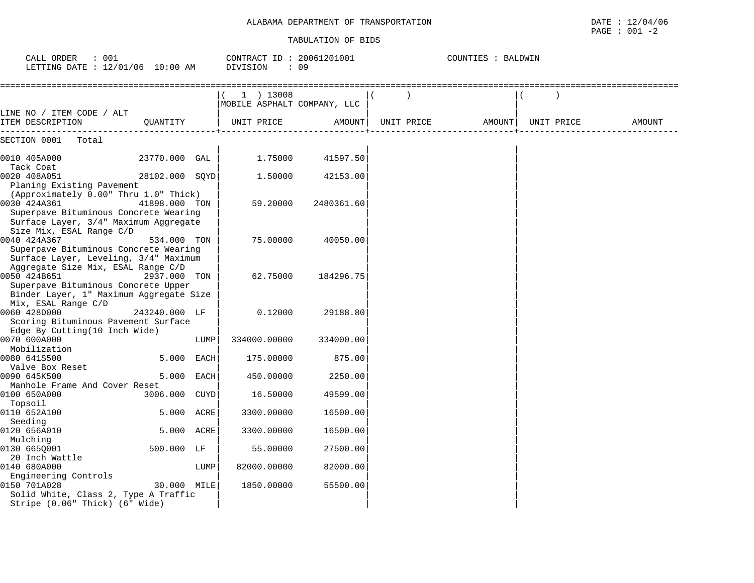| TRANSPORTATION<br>DEPARTMENT OF<br>ALABAMA | 12/04/06<br>DATE<br>ᅩᅀ       |
|--------------------------------------------|------------------------------|
|                                            | 001<br>PAGE<br>$\sim$ $\sim$ |

| CALL ORDER : 001<br>LETTING DATE : 12/01/06 10:00 AM                                                       | CONTRACT ID: 20061201001<br>DIVISION<br>$\cdot$ 09 |      | COUNTIES : BALDWIN                           |                      |  |                   |            |        |
|------------------------------------------------------------------------------------------------------------|----------------------------------------------------|------|----------------------------------------------|----------------------|--|-------------------|------------|--------|
|                                                                                                            |                                                    |      | $(1)$ 13008<br>  MOBILE ASPHALT COMPANY, LLC |                      |  |                   |            |        |
| LINE NO / ITEM CODE / ALT<br>ITEM DESCRIPTION    QUANTITY      UNIT PRICE                                  |                                                    |      |                                              | AMOUNT               |  | UNIT PRICE AMOUNT | UNIT PRICE | AMOUNT |
| SECTION 0001 Total                                                                                         |                                                    |      |                                              |                      |  |                   |            |        |
| 0010 405A000 23770.000 GAL<br>Tack Coat                                                                    |                                                    |      | 1.75000                                      | 41597.50             |  |                   |            |        |
| 0020 408A051<br>Planing Existing Pavement                                                                  | 28102.000 SQYD                                     |      | 1,50000                                      | 42153.00             |  |                   |            |        |
| (Approximately 0.00" Thru 1.0" Thick)<br>0030 424A361                                                      | 41898.000 TON                                      |      | 59.20000                                     | 2480361.60           |  |                   |            |        |
| Superpave Bituminous Concrete Wearing<br>Surface Layer, 3/4" Maximum Aggregate<br>Size Mix, ESAL Range C/D |                                                    |      |                                              |                      |  |                   |            |        |
| 0040 424A367<br>Superpave Bituminous Concrete Wearing                                                      | 534.000 TON                                        |      | 75.00000                                     | 40050.00             |  |                   |            |        |
| Surface Layer, Leveling, 3/4" Maximum<br>Aggregate Size Mix, ESAL Range C/D                                |                                                    |      |                                              |                      |  |                   |            |        |
| 0050 424B651<br>Superpave Bituminous Concrete Upper<br>Binder Layer, 1" Maximum Aggregate Size             | 2937.000 TON                                       |      | 62.75000                                     | 184296.75            |  |                   |            |        |
| Mix, ESAL Range C/D<br>0060 428D000<br>Scoring Bituminous Pavement Surface                                 | 243240.000 LF                                      |      | 0.12000                                      | 29188.80             |  |                   |            |        |
| Edge By Cutting(10 Inch Wide)<br>0070 600A000<br>Mobilization                                              |                                                    | LUMP | 334000.00000                                 | 334000.00            |  |                   |            |        |
| 0080 641S500<br>Valve Box Reset                                                                            | 5.000 EACH                                         |      | 175.00000                                    | 875.00               |  |                   |            |        |
| 0090 645K500<br>Manhole Frame And Cover Reset                                                              | 5.000 EACH                                         |      | 450.00000                                    | 2250.00              |  |                   |            |        |
| 0100 650A000<br>Topsoil                                                                                    | 3006.000 CUYD                                      |      | 16.50000                                     | 49599.00             |  |                   |            |        |
| 0110 652A100<br>Seeding                                                                                    | 5.000 ACRE                                         |      | 3300.00000                                   | 16500.00             |  |                   |            |        |
| 0120 656A010<br>Mulching                                                                                   | 5.000 ACRE                                         |      | 3300.00000                                   | 16500.00             |  |                   |            |        |
| 0130 6650001<br>20 Inch Wattle<br>0140 680A000                                                             | 500.000 LF                                         | LUMP | 55.00000<br>82000.00000                      | 27500.00<br>82000.00 |  |                   |            |        |
| Engineering Controls<br>0150 701A028                                                                       | 30.000 MILE                                        |      | 1850.00000                                   | 55500.00             |  |                   |            |        |
| Solid White, Class 2, Type A Traffic<br>Stripe (0.06" Thick) (6" Wide)                                     |                                                    |      |                                              |                      |  |                   |            |        |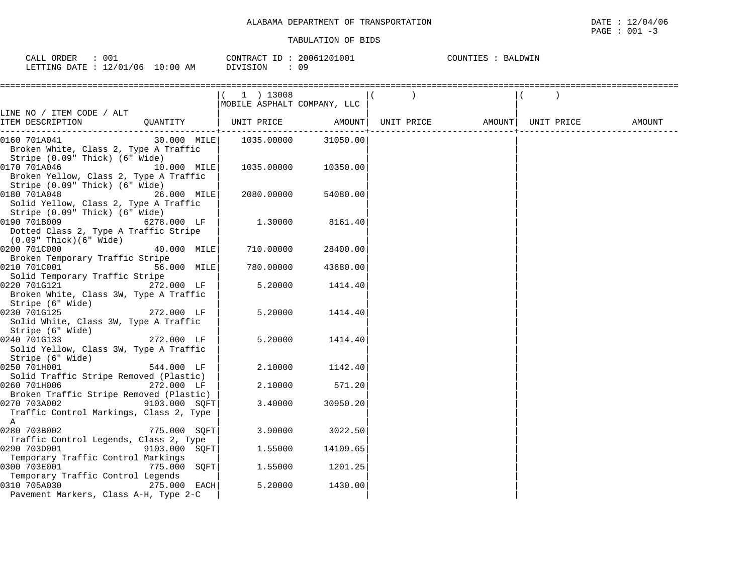$\texttt{PAGE}$  : 001 -3

| 001<br>ORDER<br>CALL .                             |            | CONTRACT ID: | 20061201001 | BALDWIN<br>COUNTIES |
|----------------------------------------------------|------------|--------------|-------------|---------------------|
| $\therefore$ 12/01/06 $\therefore$<br>LETTING DATE | $10:00$ AM | DIVISION     | 09          |                     |

|                                         |               | $(1)$ 13008                  |          |                                |        |
|-----------------------------------------|---------------|------------------------------|----------|--------------------------------|--------|
|                                         |               | MOBILE ASPHALT COMPANY, LLC  |          |                                |        |
| LINE NO / ITEM CODE / ALT               |               |                              |          |                                |        |
| ITEM DESCRIPTION                        |               | QUANTITY   UNIT PRICE AMOUNT |          | UNIT PRICE AMOUNT   UNIT PRICE | AMOUNT |
| 0160 701A041                            | 30.000 MILE   | 1035.00000                   | 31050.00 |                                |        |
| Broken White, Class 2, Type A Traffic   |               |                              |          |                                |        |
| Stripe (0.09" Thick) (6" Wide)          |               |                              |          |                                |        |
| 0170 701A046                            | $10.000$ MILE | 1035.00000                   | 10350.00 |                                |        |
| Broken Yellow, Class 2, Type A Traffic  |               |                              |          |                                |        |
| Stripe (0.09" Thick) (6" Wide)          |               |                              |          |                                |        |
| 0180 701A048                            | 26.000 MILE   | 2080.00000                   | 54080.00 |                                |        |
| Solid Yellow, Class 2, Type A Traffic   |               |                              |          |                                |        |
| Stripe (0.09" Thick) (6" Wide)          |               |                              |          |                                |        |
| 0190 701B009                            | 6278.000 LF   | 1.30000                      | 8161.40  |                                |        |
| Dotted Class 2, Type A Traffic Stripe   |               |                              |          |                                |        |
| (0.09" Thick)(6" Wide)                  |               |                              |          |                                |        |
| 0200 701C000                            | 40.000 MILE   | 710.00000                    | 28400.00 |                                |        |
| Broken Temporary Traffic Stripe         |               |                              |          |                                |        |
| 0210 701C001                            | 56.000 MILE   | 780.00000                    | 43680.00 |                                |        |
| Solid Temporary Traffic Stripe          |               |                              |          |                                |        |
| 0220 701G121                            | 272.000 LF    | 5.20000                      | 1414.40  |                                |        |
| Broken White, Class 3W, Type A Traffic  |               |                              |          |                                |        |
| Stripe (6" Wide)                        |               |                              |          |                                |        |
| 0230 701G125                            | 272.000 LF    | 5.20000                      | 1414.40  |                                |        |
| Solid White, Class 3W, Type A Traffic   |               |                              |          |                                |        |
| Stripe (6" Wide)                        |               |                              |          |                                |        |
| 0240 701G133                            | 272.000 LF    | 5.20000                      | 1414.40  |                                |        |
| Solid Yellow, Class 3W, Type A Traffic  |               |                              |          |                                |        |
| Stripe (6" Wide)                        |               |                              |          |                                |        |
| 0250 701H001                            | 544.000 LF    | 2.10000                      | 1142.40  |                                |        |
| Solid Traffic Stripe Removed (Plastic)  |               |                              |          |                                |        |
| 0260 701H006                            | 272.000 LF    | 2.10000                      | 571.20   |                                |        |
| Broken Traffic Stripe Removed (Plastic) |               |                              |          |                                |        |
| 0270 703A002                            | 9103.000 SQFT | 3.40000                      | 30950.20 |                                |        |
| Traffic Control Markings, Class 2, Type |               |                              |          |                                |        |
| A                                       |               |                              |          |                                |        |
| 0280 703B002                            | 775.000 SOFT  | 3.90000                      | 3022.50  |                                |        |
| Traffic Control Legends, Class 2, Type  |               |                              |          |                                |        |
| 0290 703D001                            | 9103.000 SQFT | 1.55000                      | 14109.65 |                                |        |
| Temporary Traffic Control Markings      |               |                              |          |                                |        |
| 0300 703E001                            | 775.000 SOFT  | 1.55000                      | 1201.25  |                                |        |
| Temporary Traffic Control Legends       |               |                              |          |                                |        |
| 0310 705A030                            | 275.000 EACH  | 5.20000                      | 1430.00  |                                |        |
| Pavement Markers, Class A-H, Type 2-C   |               |                              |          |                                |        |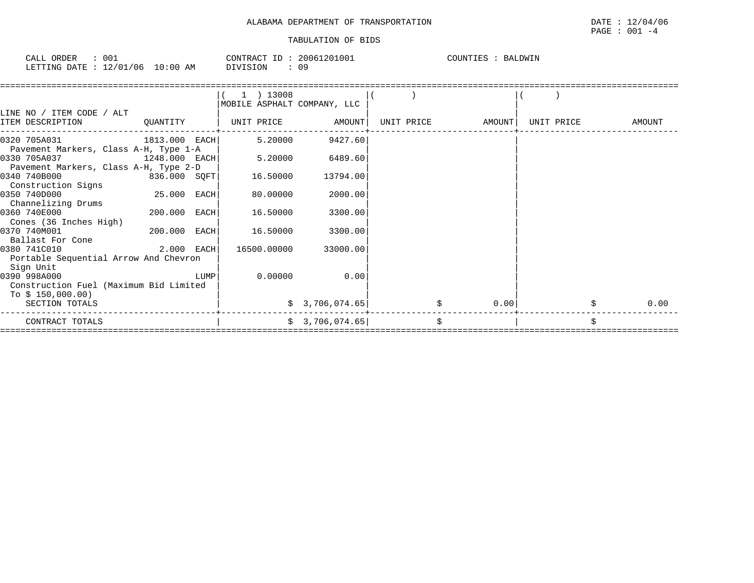| ORDER<br>CALI   | 001                     |             | CONTRACT<br>ID | 20061201001 | COUNTIES<br>$\sim$ $\sim$ $\sim$ $\sim$ $\sim$ $\sim$ $\sim$<br>'DMTV<br>$\mathsf{R}$ |
|-----------------|-------------------------|-------------|----------------|-------------|---------------------------------------------------------------------------------------|
| LETTING<br>DATE | /06<br>12/01<br>— ⊥ ∠ / | 10:00<br>ΆM | DIVISION       |             |                                                                                       |

|                                        |                |      | $(1)$ 13008                 |                 |            |        |            |        |
|----------------------------------------|----------------|------|-----------------------------|-----------------|------------|--------|------------|--------|
|                                        |                |      | MOBILE ASPHALT COMPANY, LLC |                 |            |        |            |        |
| LINE NO / ITEM CODE / ALT              |                |      |                             |                 |            |        |            |        |
| ITEM DESCRIPTION                       | QUANTITY       |      | UNIT PRICE AMOUNT           |                 | UNIT PRICE | AMOUNT | UNIT PRICE | AMOUNT |
| 0320 705A031<br>1813.000 EACH          |                |      | 5.20000                     | 9427.60         |            |        |            |        |
| Pavement Markers, Class A-H, Type 1-A  |                |      |                             |                 |            |        |            |        |
| 0330 705A037<br>$1248.000$ EACH        |                |      | 5.20000                     | 6489.60         |            |        |            |        |
| Pavement Markers, Class A-H, Type 2-D  |                |      |                             |                 |            |        |            |        |
| 0340 740B000<br>836.000 SQFT           |                |      | 16.50000                    | 13794.00        |            |        |            |        |
| Construction Signs                     |                |      |                             |                 |            |        |            |        |
| 0350 740D000                           | 25.000 EACH    |      | 80.00000                    | 2000.00         |            |        |            |        |
| Channelizing Drums                     |                |      |                             |                 |            |        |            |        |
| 0360 740E000                           | 200.000 EACH   |      | 16.50000                    | 3300.00         |            |        |            |        |
| Cones (36 Inches High)                 |                |      |                             |                 |            |        |            |        |
| 0370 740M001                           | $200.000$ EACH |      | 16.50000                    | 3300.00         |            |        |            |        |
| Ballast For Cone                       |                |      |                             |                 |            |        |            |        |
| 0380 741C010                           | $2.000$ EACH   |      | 16500.00000                 | 33000.00        |            |        |            |        |
| Portable Sequential Arrow And Chevron  |                |      |                             |                 |            |        |            |        |
| Sign Unit                              |                |      |                             |                 |            |        |            |        |
| 0390 998A000                           |                | LUMP | 0.00000                     | 0.00            |            |        |            |        |
| Construction Fuel (Maximum Bid Limited |                |      |                             |                 |            |        |            |        |
| To \$ 150,000.00)                      |                |      |                             |                 |            |        |            |        |
| SECTION TOTALS                         |                |      |                             | \$3,706,074.65] | \$         | 0.00   |            | 0.00   |
| CONTRACT TOTALS                        |                |      |                             | \$3,706,074.65] | \$         |        | \$         |        |
|                                        |                |      |                             |                 |            |        |            |        |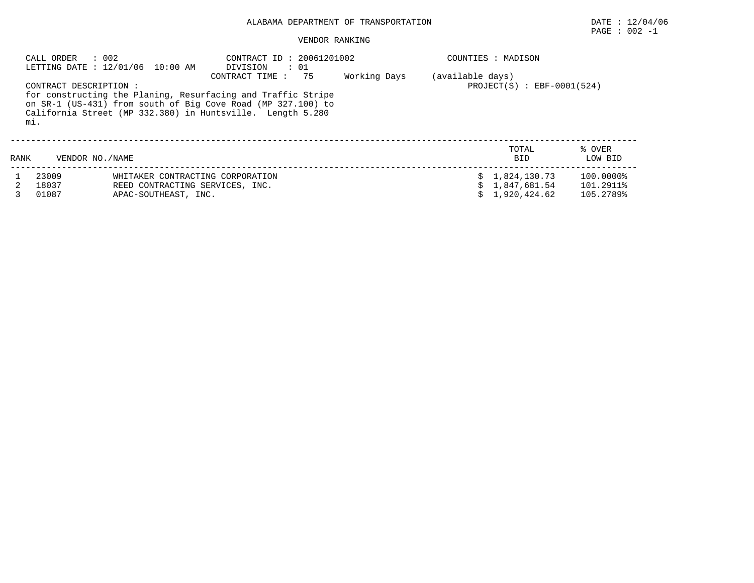## ALABAMA DEPARTMENT OF TRANSPORTATION DATE : 12/04/06

#### VENDOR RANKING

|                                                                                                                                                                                                                                                                                                    | : 002<br>CALL ORDER     | LETTING DATE : 12/01/06 10:00 AM                                                            | COUNTIES : MADISON |  |  |                                                  |                                     |
|----------------------------------------------------------------------------------------------------------------------------------------------------------------------------------------------------------------------------------------------------------------------------------------------------|-------------------------|---------------------------------------------------------------------------------------------|--------------------|--|--|--------------------------------------------------|-------------------------------------|
| DIVISION<br>$\therefore$ 01<br>75<br>Working Days<br>CONTRACT TIME:<br>CONTRACT DESCRIPTION :<br>for constructing the Planing, Resurfacing and Traffic Stripe<br>on SR-1 (US-431) from south of Big Cove Road (MP 327.100) to<br>California Street (MP 332.380) in Huntsville. Length 5.280<br>mi. |                         |                                                                                             |                    |  |  | (available days)<br>$PROJECT(S)$ : EBF-0001(524) |                                     |
| RANK                                                                                                                                                                                                                                                                                               | VENDOR NO. / NAME       |                                                                                             |                    |  |  | TOTAL<br>BID                                     | % OVER<br>LOW BID                   |
|                                                                                                                                                                                                                                                                                                    | 23009<br>18037<br>01087 | WHITAKER CONTRACTING CORPORATION<br>REED CONTRACTING SERVICES, INC.<br>APAC-SOUTHEAST, INC. |                    |  |  | 1,824,130.73<br>1,847,681.54<br>1,920,424.62     | 100.0000%<br>101.2911%<br>105.2789% |

 $\texttt{PAGE}$  : 002 -1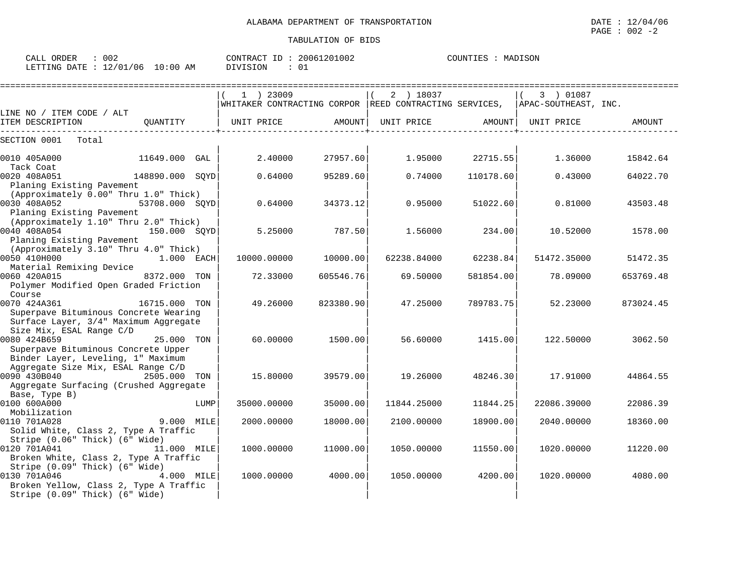| 002<br>CALL ORDER                | CONTRACT ID: 20061201002 | MADISON<br>COUNTIES : |
|----------------------------------|--------------------------|-----------------------|
| LETTING DATE : 12/01/06 10:00 AM | DIVISION                 |                       |

|                                                                                                                            |                |      | 1 ) 23009<br>WHITAKER CONTRACTING CORPOR REED CONTRACTING SERVICES, |           | 2 ) 18037   |           | 3 ) 01087<br>APAC-SOUTHEAST, INC. |           |
|----------------------------------------------------------------------------------------------------------------------------|----------------|------|---------------------------------------------------------------------|-----------|-------------|-----------|-----------------------------------|-----------|
| LINE NO / ITEM CODE / ALT                                                                                                  |                |      |                                                                     |           |             |           |                                   |           |
| ITEM DESCRIPTION                                                                                                           | OUANTITY       |      | UNIT PRICE                                                          | AMOUNT    | UNIT PRICE  | AMOUNT    | UNIT PRICE                        | AMOUNT    |
| SECTION 0001<br>Total                                                                                                      |                |      |                                                                     |           |             |           |                                   |           |
| 0010 405A000<br>Tack Coat                                                                                                  | 11649.000      | GAL  | 2.40000                                                             | 27957.60  | 1.95000     | 22715.55  | 1.36000                           | 15842.64  |
| 0020 408A051<br>148890.000 SOYD<br>Planing Existing Pavement                                                               |                |      | 0.64000                                                             | 95289.60  | 0.74000     | 110178.60 | 0.43000                           | 64022.70  |
| (Approximately 0.00" Thru 1.0" Thick)<br>0030 408A052                                                                      | 53708.000 SQYD |      | 0.64000                                                             | 34373.12  | 0.95000     | 51022.60  | 0.81000                           | 43503.48  |
| Planing Existing Pavement<br>(Approximately 1.10" Thru 2.0" Thick)                                                         |                |      |                                                                     |           |             |           |                                   |           |
| 0040 408A054<br>Planing Existing Pavement                                                                                  | 150.000 SOYD   |      | 5.25000                                                             | 787.50    | 1.56000     | 234.00    | 10.52000                          | 1578.00   |
| (Approximately 3.10" Thru 4.0" Thick)<br>0050 410H000                                                                      | $1.000$ EACH   |      | 10000.00000                                                         | 10000.00  | 62238.84000 | 62238.84  | 51472.35000                       | 51472.35  |
| Material Remixing Device<br>0060 420A015                                                                                   | 8372.000 TON   |      | 72.33000                                                            | 605546.76 | 69.50000    | 581854.00 | 78.09000                          | 653769.48 |
| Polymer Modified Open Graded Friction<br>Course                                                                            |                |      |                                                                     |           |             |           |                                   |           |
| 0070 424A361<br>Superpave Bituminous Concrete Wearing<br>Surface Layer, 3/4" Maximum Aggregate<br>Size Mix, ESAL Range C/D | 16715.000 TON  |      | 49.26000                                                            | 823380.90 | 47.25000    | 789783.75 | 52.23000                          | 873024.45 |
| 0080 424B659<br>Superpave Bituminous Concrete Upper                                                                        | 25.000 TON     |      | 60.00000                                                            | 1500.00   | 56.60000    | 1415.00   | 122.50000                         | 3062.50   |
| Binder Layer, Leveling, 1" Maximum<br>Aggregate Size Mix, ESAL Range C/D                                                   |                |      |                                                                     |           |             |           |                                   |           |
| 0090 430B040<br>Aggregate Surfacing (Crushed Aggregate                                                                     | 2505.000 TON   |      | 15,80000                                                            | 39579.00  | 19.26000    | 48246.30  | 17.91000                          | 44864.55  |
| Base, Type B)<br>0100 600A000<br>Mobilization                                                                              |                | LUMP | 35000.00000                                                         | 35000.00  | 11844.25000 | 11844.25  | 22086.39000                       | 22086.39  |
| 0110 701A028<br>Solid White, Class 2, Type A Traffic                                                                       | 9.000 MILE     |      | 2000.00000                                                          | 18000.00  | 2100.00000  | 18900.00  | 2040.00000                        | 18360.00  |
| Stripe (0.06" Thick) (6" Wide)<br>0120 701A041<br>Broken White, Class 2, Type A Traffic<br>Stripe (0.09" Thick) (6" Wide)  | 11.000 MILE    |      | 1000.00000                                                          | 11000.00  | 1050.00000  | 11550.00  | 1020.00000                        | 11220.00  |
| 0130 701A046<br>Broken Yellow, Class 2, Type A Traffic<br>Stripe (0.09" Thick) (6" Wide)                                   | 4.000 MILE     |      | 1000.00000                                                          | 4000.00   | 1050.00000  | 4200.00   | 1020.00000                        | 4080.00   |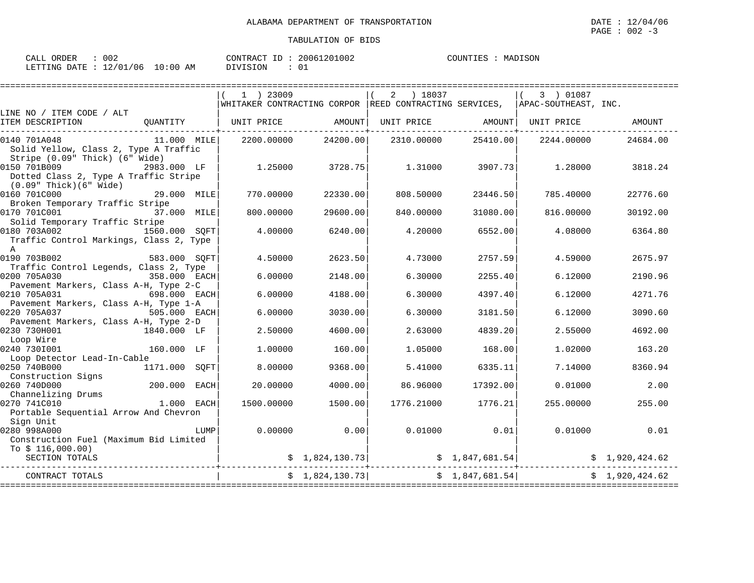| - 002<br>CALL ORDER             |          | CONTRACT ID: 20061201002 | COUNTIES : MADISON |
|---------------------------------|----------|--------------------------|--------------------|
| LETTING DATE: 12/01/06 10:00 AM | DIVISION |                          |                    |

|                                                                                                |               |             | 1 ) 23009  |                 | ) 18037<br>2 |                     | 3 ) 01087                                                                                                                                                      |                |
|------------------------------------------------------------------------------------------------|---------------|-------------|------------|-----------------|--------------|---------------------|----------------------------------------------------------------------------------------------------------------------------------------------------------------|----------------|
|                                                                                                |               |             |            |                 |              |                     | WHITAKER CONTRACTING CORPOR REED CONTRACTING SERVICES, APAC-SOUTHEAST, INC.                                                                                    |                |
| LINE NO / ITEM CODE / ALT<br>ITEM DESCRIPTION                                                  | QUANTITY      |             | UNIT PRICE | AMOUNT          | UNIT PRICE   | AMOUNT   UNIT PRICE |                                                                                                                                                                | AMOUNT         |
| 0140 701A048<br>Solid Yellow, Class 2, Type A Traffic                                          | 11.000 MILE   |             | 2200.00000 | 24200.00        | 2310.00000   | 25410.00            | 2244.00000                                                                                                                                                     | 24684.00       |
| Stripe (0.09" Thick) (6" Wide)<br>0150 701B009<br>Dotted Class 2, Type A Traffic Stripe        | 2983.000 LF   |             | 1.25000    | 3728.75         | 1.31000      | 3907.73             | 1.28000                                                                                                                                                        | 3818.24        |
| (0.09" Thick)(6" Wide)<br>0160 701C000<br>29.000 MILE<br>Broken Temporary Traffic Stripe       |               |             | 770.00000  | 22330.00        | 808.50000    | 23446.50            | 785.40000                                                                                                                                                      | 22776.60       |
| 0170 701C001<br>Solid Temporary Traffic Stripe                                                 | 37.000 MILE   |             | 800.00000  | 29600.00        | 840.00000    | 31080.00            | 816.00000                                                                                                                                                      | 30192.00       |
| 0180 703A002<br>Traffic Control Markings, Class 2, Type<br>A                                   | 1560.000 SOFT |             | 4.00000    | 6240.00         | 4.20000      | 6552.00             | 4.08000                                                                                                                                                        | 6364.80        |
| 0190 703B002<br>583.000 SOFT                                                                   |               |             | 4.50000    | 2623.50         | 4.73000      | 2757.59             | 4.59000                                                                                                                                                        | 2675.97        |
| Traffic Control Legends, Class 2, Type<br>0200 705A030                                         | 358.000 EACH  |             | 6.00000    | 2148.00         | 6.30000      | 2255.40             | 6.12000                                                                                                                                                        | 2190.96        |
| Pavement Markers, Class A-H, Type 2-C<br>0210 705A031<br>Pavement Markers, Class A-H, Type 1-A | 698.000 EACH  |             | 6.00000    | 4188.00         | 6.30000      | 4397.40             | 6.12000                                                                                                                                                        | 4271.76        |
| 0220 705A037<br>Pavement Markers, Class A-H, Type 2-D                                          | 505.000 EACH  |             | 6.00000    | 3030.00         | 6.30000      | 3181.50             | 6.12000                                                                                                                                                        | 3090.60        |
| 0230 730H001<br>1840.000 LF<br>Loop Wire                                                       |               |             | 2.50000    | 4600.00         | 2.63000      | 4839.20             | 2.55000                                                                                                                                                        | 4692.00        |
| 0240 7301001<br>Loop Detector Lead-In-Cable                                                    | 160.000 LF    |             | 1,00000    | 160.00          | 1.05000      | 168.00              | 1,02000                                                                                                                                                        | 163.20         |
| 0250 740B000<br>Construction Signs                                                             | 1171.000      | SOFT        | 8,00000    | 9368.00         | 5.41000      | 6335.11             | 7.14000                                                                                                                                                        | 8360.94        |
| 0260 740D000<br>Channelizing Drums                                                             | 200.000       | <b>EACH</b> | 20,00000   | 4000.00         | 86.96000     | 17392.00            | 0.01000                                                                                                                                                        | 2.00           |
| 0270 741C010<br>Portable Sequential Arrow And Chevron                                          | $1.000$ EACH  |             | 1500.00000 | 1500.00         | 1776.21000   | 1776.21             | 255.00000                                                                                                                                                      | 255.00         |
| Sign Unit<br>0280 998A000<br>Construction Fuel (Maximum Bid Limited                            |               | LUMP        | 0.00000    | 0.00            | 0.01000      | 0.01                | 0.01000                                                                                                                                                        | 0.01           |
| To $$116,000.00)$<br>SECTION TOTALS                                                            |               |             |            |                 |              |                     | $\begin{array}{cccc} \xi & 1,824,130.73 \end{array}$ $\begin{array}{cccc} \xi & 1,847,681.54 \end{array}$ $\begin{array}{cccc} \xi & 1,920,424.62 \end{array}$ |                |
| CONTRACT TOTALS                                                                                |               |             |            | \$1,824,130.73] |              | \$1,847,681.54]     |                                                                                                                                                                | \$1,920,424.62 |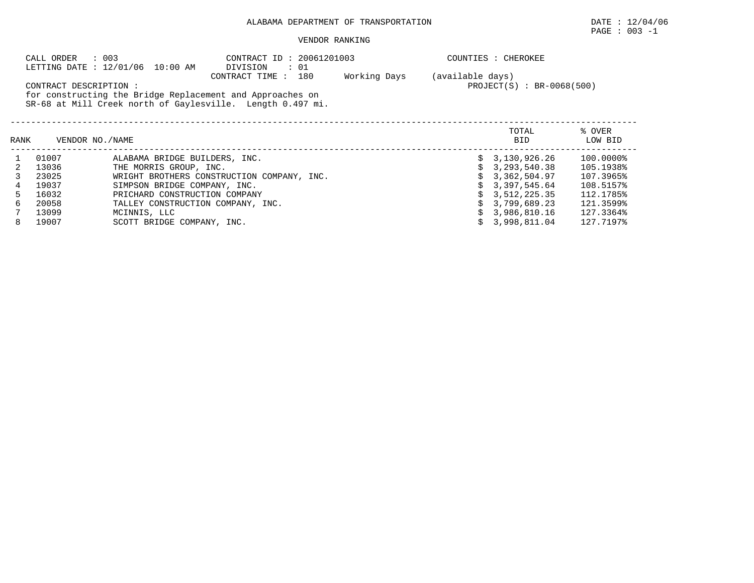## ALABAMA DEPARTMENT OF TRANSPORTATION DATE : 12/04/06

# $\texttt{PAGE}$  : 003 -1

## VENDOR RANKING

|      | CALL ORDER             | : 003<br>LETTING DATE : 12/01/06 10:00 AM | CONTRACT ID: 20061201003<br>: 01<br>DIVISION               |              |                  | COUNTIES : CHEROKEE         |           |
|------|------------------------|-------------------------------------------|------------------------------------------------------------|--------------|------------------|-----------------------------|-----------|
|      |                        |                                           | CONTRACT TIME:<br>180                                      | Working Days | (available days) |                             |           |
|      | CONTRACT DESCRIPTION : |                                           |                                                            |              |                  | $PROJECT(S) : BR-0068(500)$ |           |
|      |                        |                                           | for constructing the Bridge Replacement and Approaches on  |              |                  |                             |           |
|      |                        |                                           | SR-68 at Mill Creek north of Gaylesville. Length 0.497 mi. |              |                  |                             |           |
|      |                        |                                           |                                                            |              |                  |                             |           |
|      |                        |                                           |                                                            |              |                  | TOTAL                       | % OVER    |
| RANK | VENDOR NO./NAME        |                                           |                                                            |              |                  | BID                         | LOW BID   |
|      | 01007                  | ALABAMA BRIDGE BUILDERS, INC.             |                                                            |              |                  | \$3,130,926.26              | 100.0000% |
|      | 13036                  | THE MORRIS GROUP, INC.                    |                                                            |              |                  | 3,293,540.38                | 105.1938% |
|      | 23025                  |                                           | WRIGHT BROTHERS CONSTRUCTION COMPANY, INC.                 |              |                  | 3,362,504.97                | 107.3965% |
|      | 19037                  | SIMPSON BRIDGE COMPANY, INC.              |                                                            |              |                  | 3,397,545.64                | 108.5157% |
| 5.   | 16032                  | PRICHARD CONSTRUCTION COMPANY             |                                                            |              |                  | 3,512,225.35                | 112.1785% |
| 6    | 20058                  | TALLEY CONSTRUCTION COMPANY, INC.         |                                                            |              |                  | 3,799,689.23                | 121.3599% |
|      | 13099                  | MCINNIS, LLC                              |                                                            |              |                  | 3,986,810.16                | 127.3364% |
|      | 19007                  | SCOTT BRIDGE COMPANY, INC.                |                                                            |              |                  | 3,998,811.04                | 127.7197% |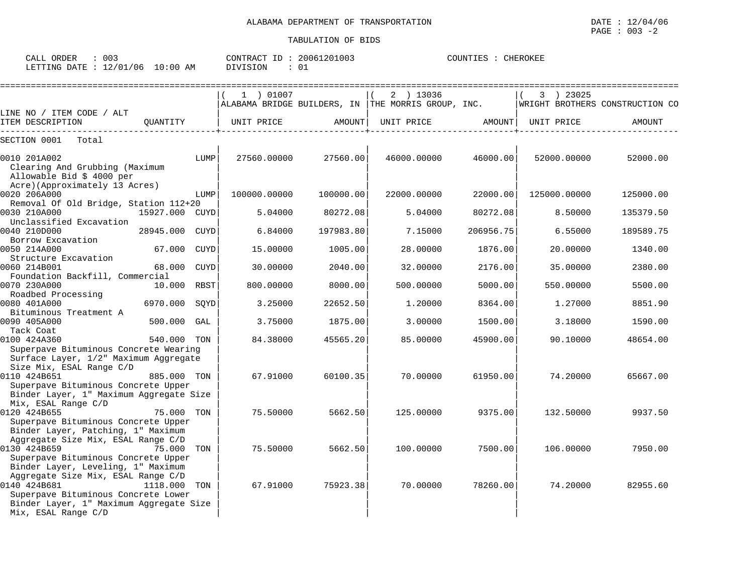| CALL<br>ORDER | 003      |             | CONTRACT<br>$-$ | 20061201003 | COUNTIES | CHEROKEE |
|---------------|----------|-------------|-----------------|-------------|----------|----------|
| LETTING DATE  | 12/01/06 | 10:00<br>AM | DIVISION        | 01          |          |          |

| :=================                                                                                                                        | =================== |           |                                                                                    | ========================== |              | ====================== |
|-------------------------------------------------------------------------------------------------------------------------------------------|---------------------|-----------|------------------------------------------------------------------------------------|----------------------------|--------------|------------------------|
|                                                                                                                                           | 1 ) 01007           |           | 2 ) 13036                                                                          |                            | 3 ) 23025    |                        |
| LINE NO / ITEM CODE / ALT                                                                                                                 |                     |           | ALABAMA BRIDGE BUILDERS, IN THE MORRIS GROUP, INC. WRIGHT BROTHERS CONSTRUCTION CO |                            |              |                        |
| QUANTITY<br>ITEM DESCRIPTION                                                                                                              | UNIT PRICE          | AMOUNT    | UNIT PRICE AMOUNT                                                                  |                            | UNIT PRICE   | AMOUNT                 |
| SECTION 0001 Total                                                                                                                        |                     |           |                                                                                    |                            |              |                        |
| 0010 201A002<br>LUMP<br>Clearing And Grubbing (Maximum<br>Allowable Bid \$ 4000 per                                                       | 27560.00000         | 27560.00  | 46000.00000                                                                        | 46000.00                   | 52000.00000  | 52000.00               |
| Acre)(Approximately 13 Acres)<br>0020 206A000<br>LUMP                                                                                     | 100000.00000        | 100000.00 | 22000.00000                                                                        | 22000.00                   | 125000.00000 | 125000.00              |
| Removal Of Old Bridge, Station 112+20                                                                                                     |                     |           |                                                                                    |                            |              |                        |
| 0030 210A000<br>15927.000 CUYD<br>Unclassified Excavation                                                                                 | 5.04000             | 80272.08  | 5.04000                                                                            | 80272.08                   | 8.50000      | 135379.50              |
| 0040 210D000<br>28945.000 CUYD<br>Borrow Excavation                                                                                       | 6.84000             | 197983.80 | 7.15000                                                                            | 206956.75                  | 6.55000      | 189589.75              |
| 0050 214A000<br>67.000 CUYD<br>Structure Excavation                                                                                       | 15,00000            | 1005.00   | 28,00000                                                                           | 1876.00                    | 20.00000     | 1340.00                |
| 68.000<br>0060 214B001<br>CUYD                                                                                                            | 30.00000            | 2040.00   | 32.00000                                                                           | 2176.00                    | 35.00000     | 2380.00                |
| Foundation Backfill, Commercial                                                                                                           |                     |           |                                                                                    |                            |              |                        |
| 0070 230A000<br>10.000 RBST<br>Roadbed Processing                                                                                         | 800,00000           | 8000.00   | 500.00000                                                                          | 5000.00                    | 550.00000    | 5500.00                |
| 0080 401A000<br>6970.000 SQYD                                                                                                             | 3.25000             | 22652.50  | 1,20000                                                                            | 8364.00                    | 1,27000      | 8851.90                |
| Bituminous Treatment A                                                                                                                    |                     |           |                                                                                    |                            |              |                        |
| 0090 405A000<br>500.000 GAL                                                                                                               | 3.75000             | 1875.00   | 3.00000                                                                            | 1500.00                    | 3.18000      | 1590.00                |
| Tack Coat                                                                                                                                 |                     |           |                                                                                    |                            |              |                        |
| 0100 424A360<br>540.000 TON<br>Superpave Bituminous Concrete Wearing<br>Surface Layer, 1/2" Maximum Aggregate<br>Size Mix, ESAL Range C/D | 84.38000            | 45565.20  | 85.00000                                                                           | 45900.00                   | 90.10000     | 48654.00               |
| 0110 424B651<br>885.000 TON<br>Superpave Bituminous Concrete Upper                                                                        | 67.91000            | 60100.35  | 70.00000                                                                           | 61950.00                   | 74.20000     | 65667.00               |
| Binder Layer, 1" Maximum Aggregate Size<br>Mix, ESAL Range C/D                                                                            |                     |           |                                                                                    |                            |              |                        |
| 0120 424B655<br>75.000 TON<br>Superpave Bituminous Concrete Upper                                                                         | 75.50000            | 5662.50   | 125,00000                                                                          | 9375.00                    | 132.50000    | 9937.50                |
| Binder Layer, Patching, 1" Maximum                                                                                                        |                     |           |                                                                                    |                            |              |                        |
| Aggregate Size Mix, ESAL Range C/D<br>0130 424B659<br>75.000<br>TON                                                                       | 75.50000            | 5662.50   | 100.00000                                                                          | 7500.00                    | 106.00000    | 7950.00                |
| Superpave Bituminous Concrete Upper<br>Binder Layer, Leveling, 1" Maximum                                                                 |                     |           |                                                                                    |                            |              |                        |
| Aggregate Size Mix, ESAL Range C/D                                                                                                        |                     |           |                                                                                    |                            |              |                        |
| 0140 424B681<br>1118.000 TON<br>Superpave Bituminous Concrete Lower<br>Binder Layer, 1" Maximum Aggregate Size<br>Mix, ESAL Range C/D     | 67.91000            | 75923.38  | 70.00000                                                                           | 78260.00                   | 74.20000     | 82955.60               |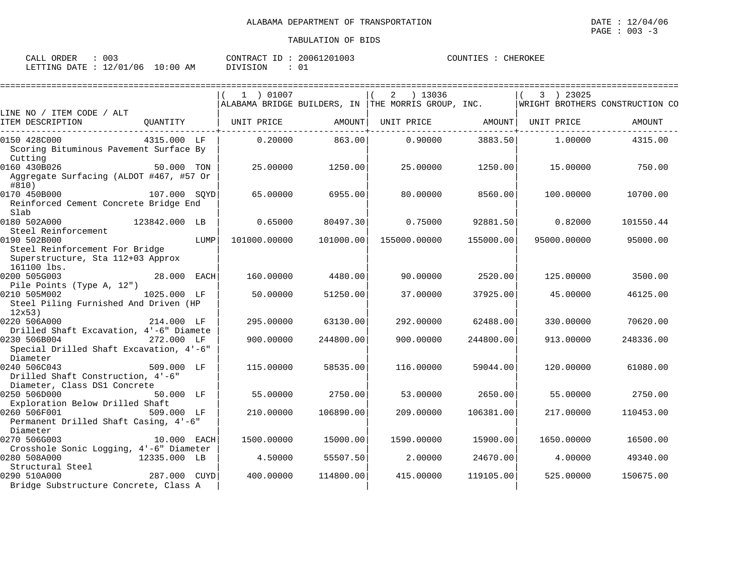| 003<br>ORDER<br>CALL     |            | 20061201003<br>CONTRACT ID: | COUNTIES<br>CHEROKEE |
|--------------------------|------------|-----------------------------|----------------------|
| 12/01/06<br>LETTING DATE | $10:00$ AM | ∟0<br>DIVISION              |                      |

|                                                                                     |               |      | 1 ) 01007    |            | 2 ) 13036<br>$\mid$ ALABAMA BRIDGE BUILDERS, IN $\mid$ THE MORRIS GROUP, INC. |           | 3 ) 23025   | WRIGHT BROTHERS CONSTRUCTION CO |
|-------------------------------------------------------------------------------------|---------------|------|--------------|------------|-------------------------------------------------------------------------------|-----------|-------------|---------------------------------|
| LINE NO / ITEM CODE / ALT<br>ITEM DESCRIPTION                                       | OUANTITY      |      | UNIT PRICE   | AMOUNT     | UNIT PRICE AMOUNT                                                             |           | UNIT PRICE  | AMOUNT                          |
| 0150 428C000                                                                        | 4315.000 LF   |      | 0.20000      | 863.00     | 0.90000                                                                       | 3883.50   | 1.00000     | 4315.00                         |
| Scoring Bituminous Pavement Surface By<br>Cutting                                   |               |      |              |            |                                                                               |           |             |                                 |
| 0160 430B026<br>Aggregate Surfacing (ALDOT #467, #57 Or<br>#810)                    | 50.000 TON    |      | 25,00000     | 1250.00    | 25.00000                                                                      | 1250.00   | 15.00000    | 750.00                          |
| 0170 450B000<br>Reinforced Cement Concrete Bridge End<br>Slab                       | 107.000 SOYD  |      | 65.00000     | 6955.00    | 80.00000                                                                      | 8560.00   | 100.00000   | 10700.00                        |
| 0180 502A000<br>Steel Reinforcement                                                 | 123842.000 LB |      | 0.65000      | 80497.30   | 0.75000                                                                       | 92881.50  | 0.82000     | 101550.44                       |
| 0190 502B000<br>Steel Reinforcement For Bridge<br>Superstructure, Sta 112+03 Approx |               | LUMP | 101000.00000 | 101000.001 | 155000.00000                                                                  | 155000.00 | 95000.00000 | 95000.00                        |
| 161100 lbs.<br>0200 505G003                                                         | 28.000 EACH   |      | 160.00000    | 4480.00    | 90.00000                                                                      | 2520.00   | 125.00000   | 3500.00                         |
| Pile Points (Type A, 12")                                                           |               |      |              |            |                                                                               |           |             |                                 |
| 0210 505M002<br>Steel Piling Furnished And Driven (HP<br>12x53                      | 1025.000 LF   |      | 50.00000     | 51250.00   | 37.00000                                                                      | 37925.00  | 45.00000    | 46125.00                        |
| 0220 506A000                                                                        | 214.000 LF    |      | 295.00000    | 63130.00   | 292.00000                                                                     | 62488.00  | 330.00000   | 70620.00                        |
| Drilled Shaft Excavation, 4'-6" Diamete                                             |               |      |              |            |                                                                               |           |             |                                 |
| 0230 506B004<br>Special Drilled Shaft Excavation, 4'-6"<br>Diameter                 | 272.000 LF    |      | 900.00000    | 244800.00  | 900,00000                                                                     | 244800.00 | 913,00000   | 248336.00                       |
| 0240 506C043<br>Drilled Shaft Construction, 4'-6"<br>Diameter, Class DS1 Concrete   | 509.000 LF    |      | 115,00000    | 58535.00   | 116.00000                                                                     | 59044.00  | 120.00000   | 61080.00                        |
| 0250 506D000<br>Exploration Below Drilled Shaft                                     | 50.000 LF     |      | 55.00000     | 2750.00    | 53.00000                                                                      | 2650.00   | 55.00000    | 2750.00                         |
| 0260 506F001<br>Permanent Drilled Shaft Casing, 4'-6"<br>Diameter                   | 509.000 LF    |      | 210,00000    | 106890.00  | 209,00000                                                                     | 106381.00 | 217.00000   | 110453.00                       |
| 0270 506G003                                                                        | 10.000 EACH   |      | 1500.00000   | 15000.00   | 1590.00000                                                                    | 15900.00  | 1650.00000  | 16500.00                        |
| Crosshole Sonic Logging, 4'-6" Diameter<br>0280 508A000<br>Structural Steel         | 12335.000 LB  |      | 4.50000      | 55507.50   | 2.00000                                                                       | 24670.00  | 4.00000     | 49340.00                        |
| 0290 510A000<br>Bridge Substructure Concrete, Class A                               | 287.000 CUYD  |      | 400.00000    | 114800.00  | 415.00000                                                                     | 119105.00 | 525,00000   | 150675.00                       |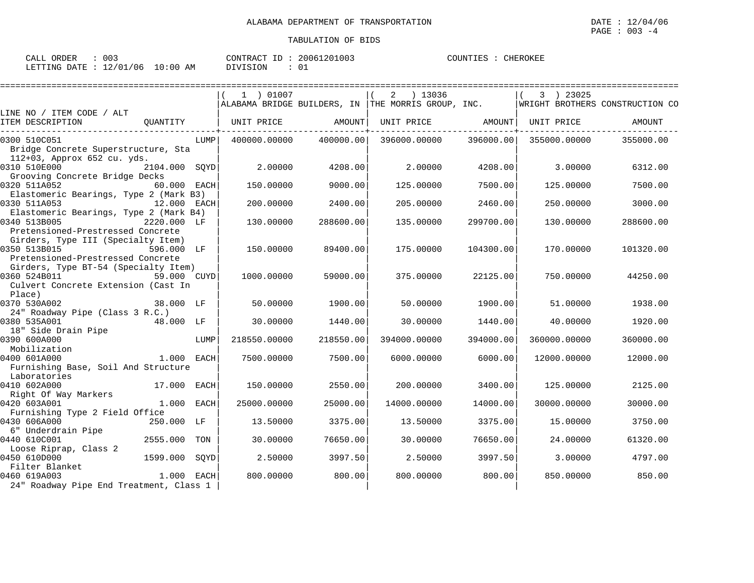| ORDER<br>CALL | 003      |             | CONTRACT | TD. | 20061201003 | COUNTIES | CHEROKEE |
|---------------|----------|-------------|----------|-----|-------------|----------|----------|
| LETTING DATE  | 12/01/06 | 10:00<br>AΜ | DIVISION |     | ັບ          |          |          |

|                                                                                          |               |      | 1 ) 01007    |           | 2 ) 13036<br>$\mid$ ALABAMA BRIDGE BUILDERS, IN $\mid$ THE MORRIS GROUP, INC. |           | 3 ) 23025    | WRIGHT BROTHERS CONSTRUCTION CO |
|------------------------------------------------------------------------------------------|---------------|------|--------------|-----------|-------------------------------------------------------------------------------|-----------|--------------|---------------------------------|
| LINE NO / ITEM CODE / ALT                                                                |               |      |              |           |                                                                               |           |              |                                 |
| ITEM DESCRIPTION                                                                         | OUANTITY      |      | UNIT PRICE   | AMOUNT    | UNIT PRICE AMOUNT                                                             |           | UNIT PRICE   | AMOUNT                          |
| 0300 510C051<br>Bridge Concrete Superstructure, Sta                                      |               | LUMP | 400000.00000 | 400000.00 | 396000.00000                                                                  | 396000.00 | 355000.00000 | 355000.00                       |
| 112+03, Approx 652 cu. yds.                                                              |               |      |              |           |                                                                               |           |              |                                 |
| 0310 510E000                                                                             | 2104.000 SQYD |      | 2.00000      | 4208.00   | 2.00000                                                                       | 4208.00   | 3.00000      | 6312.00                         |
| Grooving Concrete Bridge Decks<br>0320 511A052<br>Elastomeric Bearings, Type 2 (Mark B3) | 60.000 EACH   |      | 150.00000    | 9000.00   | 125.00000                                                                     | 7500.00   | 125.00000    | 7500.00                         |
| 0330 511A053                                                                             | 12.000 EACH   |      | 200.00000    | 2400.00   | 205.00000                                                                     | 2460.00   | 250.00000    | 3000.00                         |
| Elastomeric Bearings, Type 2 (Mark B4)                                                   |               |      |              |           |                                                                               |           |              |                                 |
| 0340 513B005                                                                             | 2220.000 LF   |      | 130.00000    | 288600.00 | 135.00000                                                                     | 299700.00 | 130.00000    | 288600.00                       |
| Pretensioned-Prestressed Concrete                                                        |               |      |              |           |                                                                               |           |              |                                 |
| Girders, Type III (Specialty Item)                                                       |               |      |              |           |                                                                               |           |              |                                 |
| 0350 513B015<br>596.000 LF                                                               |               |      | 150.00000    | 89400.00  | 175.00000                                                                     | 104300.00 | 170.00000    | 101320.00                       |
| Pretensioned-Prestressed Concrete                                                        |               |      |              |           |                                                                               |           |              |                                 |
| Girders, Type BT-54 (Specialty Item)<br>0360 524B011                                     | 59.000 CUYD   |      | 1000.00000   | 59000.00  | 375,00000                                                                     | 22125.00  | 750.00000    | 44250.00                        |
| Culvert Concrete Extension (Cast In<br>Place)                                            |               |      |              |           |                                                                               |           |              |                                 |
| 0370 530A002                                                                             |               |      | 50.00000     | 1900.00   | 50.00000                                                                      | 1900.00   | 51,00000     | 1938.00                         |
| 24" Roadway Pipe (Class 3 R.C.)                                                          |               |      |              |           |                                                                               |           |              |                                 |
| 0380 535A001                                                                             | 48.000 LF     |      | 30.00000     | 1440.00   | 30.00000                                                                      | 1440.00   | 40.00000     | 1920.00                         |
| 18" Side Drain Pipe                                                                      |               |      |              |           |                                                                               |           |              |                                 |
| 0390 600A000                                                                             |               | LUMP | 218550.00000 | 218550.00 | 394000.00000                                                                  | 394000.00 | 360000.00000 | 360000.00                       |
| Mobilization                                                                             |               |      |              |           |                                                                               |           |              |                                 |
| 1.000 EACH<br>0400 601A000                                                               |               |      | 7500.00000   | 7500.00   | 6000.00000                                                                    | 6000.00   | 12000.00000  | 12000.00                        |
| Furnishing Base, Soil And Structure                                                      |               |      |              |           |                                                                               |           |              |                                 |
| Laboratories                                                                             | 17.000 EACH   |      |              |           |                                                                               |           |              |                                 |
| 0410 602A000                                                                             |               |      | 150.00000    | 2550.00   | 200,00000                                                                     | 3400.00   | 125.00000    | 2125.00                         |
| Right Of Way Markers<br>0420 603A001                                                     | 1.000 EACH    |      | 25000.00000  | 25000.00  | 14000.00000                                                                   | 14000.00  | 30000.00000  | 30000.00                        |
| Furnishing Type 2 Field Office                                                           |               |      |              |           |                                                                               |           |              |                                 |
| 0430 606A000                                                                             | 250.000 LF    |      | 13.50000     | 3375.00   | 13.50000                                                                      | 3375.00   | 15.00000     | 3750.00                         |
| 6" Underdrain Pipe                                                                       |               |      |              |           |                                                                               |           |              |                                 |
| 0440 610C001                                                                             | 2555.000 TON  |      | 30.00000     | 76650.00  | 30.00000                                                                      | 76650.00  | 24.00000     | 61320.00                        |
| Loose Riprap, Class 2                                                                    |               |      |              |           |                                                                               |           |              |                                 |
| 0450 610D000                                                                             | 1599.000 SQYD |      | 2.50000      | 3997.50   | 2.50000                                                                       | 3997.50   | 3.00000      | 4797.00                         |
| Filter Blanket                                                                           |               |      |              |           |                                                                               |           |              |                                 |
| 0460 619A003                                                                             | 1.000 EACH    |      | 800,00000    | 800.00    | 800,00000                                                                     | 800.00    | 850.00000    | 850.00                          |
| 24" Roadway Pipe End Treatment, Class 1                                                  |               |      |              |           |                                                                               |           |              |                                 |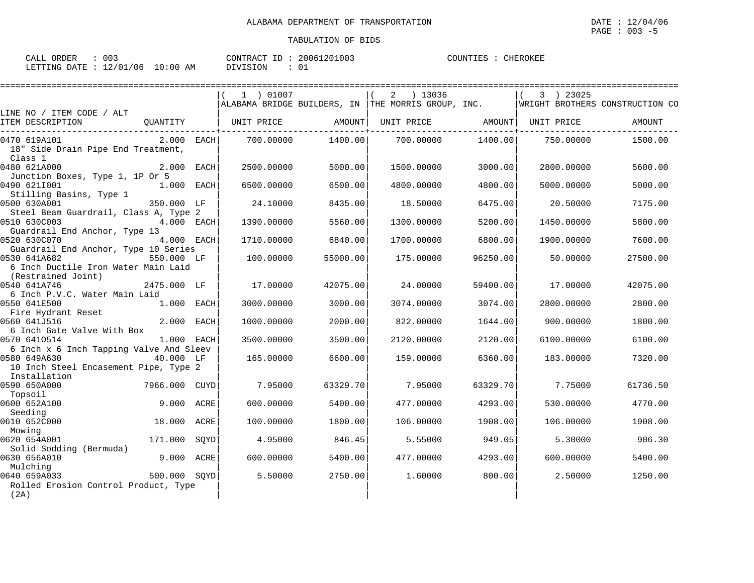| CALL ORDER                       | 003 |          | CONTRACT ID: 20061201003 | COUNTIES : | CHEROKEE |
|----------------------------------|-----|----------|--------------------------|------------|----------|
| LETTING DATE : 12/01/06 10:00 AM |     | DIVISION |                          |            |          |

|                                         |               | 1 ) 01007  |          |                                                                                    |          | 3 ) 23025  |          |
|-----------------------------------------|---------------|------------|----------|------------------------------------------------------------------------------------|----------|------------|----------|
|                                         |               |            |          | ALABAMA BRIDGE BUILDERS, IN THE MORRIS GROUP, INC. WRIGHT BROTHERS CONSTRUCTION CO |          |            |          |
| LINE NO / ITEM CODE / ALT               |               |            |          |                                                                                    |          |            |          |
| ITEM DESCRIPTION                        | OUANTITY      |            |          | UNIT PRICE AMOUNT  UNIT PRICE AMOUNT                                               |          | UNIT PRICE | AMOUNT   |
| 0470 619A101                            | $2.000$ EACH  | 700.00000  | 1400.00  | 700.00000                                                                          | 1400.00  | 750.00000  | 1500.00  |
| 18" Side Drain Pipe End Treatment,      |               |            |          |                                                                                    |          |            |          |
| Class 1                                 |               |            |          |                                                                                    |          |            |          |
| 0480 621A000                            | $2.000$ EACH  | 2500.00000 | 5000.00  | 1500.00000                                                                         | 3000.00  | 2800,00000 | 5600.00  |
| Junction Boxes, Type 1, 1P Or 5         |               |            |          |                                                                                    |          |            |          |
| 0490 6211001                            | $1.000$ EACH  | 6500.00000 | 6500.00  | 4800,00000                                                                         | 4800.00  | 5000.00000 | 5000.00  |
| Stilling Basins, Type 1                 |               |            |          |                                                                                    |          |            |          |
| 0500 630A001                            | 350.000 LF    | 24.10000   | 8435.00  | 18.50000                                                                           | 6475.00  | 20.50000   | 7175.00  |
| Steel Beam Guardrail, Class A, Type 2   |               |            |          |                                                                                    |          |            |          |
| 0510 630C003                            | 4.000 EACH    | 1390.00000 | 5560.00  | 1300.00000                                                                         | 5200.00  | 1450.00000 | 5800.00  |
| Guardrail End Anchor, Type 13           |               |            |          |                                                                                    |          |            |          |
| 0520 630C070                            | 4.000 EACH    | 1710.00000 | 6840.00  | 1700.00000                                                                         | 6800.00  | 1900.00000 | 7600.00  |
| Guardrail End Anchor, Type 10 Series    |               |            |          |                                                                                    |          |            |          |
| 0530 641A682                            | 550.000 LF    | 100,00000  | 55000.00 | 175.00000                                                                          | 96250.00 | 50.00000   | 27500.00 |
| 6 Inch Ductile Iron Water Main Laid     |               |            |          |                                                                                    |          |            |          |
| (Restrained Joint)<br>0540 641A746      |               | 17.00000   |          | 24.00000                                                                           |          | 17.00000   |          |
| 6 Inch P.V.C. Water Main Laid           | 2475.000 LF   |            | 42075.00 |                                                                                    | 59400.00 |            | 42075.00 |
| 0550 641E500                            | 1.000 EACH    | 3000.00000 | 3000.00  | 3074.00000                                                                         | 3074.00  | 2800.00000 | 2800.00  |
| Fire Hydrant Reset                      |               |            |          |                                                                                    |          |            |          |
| 0560 641J516                            | 2.000 EACH    | 1000.00000 | 2000.00  | 822,00000                                                                          | 1644.00  | 900.00000  | 1800.00  |
| 6 Inch Gate Valve With Box              |               |            |          |                                                                                    |          |            |          |
| 0570 6410514                            | $1.000$ EACH  | 3500.00000 | 3500.00  | 2120.00000                                                                         | 2120.00  | 6100.00000 | 6100.00  |
| 6 Inch x 6 Inch Tapping Valve And Sleev |               |            |          |                                                                                    |          |            |          |
| 0580 649A630                            | 40.000 LF     | 165.00000  | 6600.00  | 159.00000                                                                          | 6360.00  | 183.00000  | 7320.00  |
| 10 Inch Steel Encasement Pipe, Type 2   |               |            |          |                                                                                    |          |            |          |
| Installation                            |               |            |          |                                                                                    |          |            |          |
| 0590 650A000                            | 7966.000 CUYD | 7.95000    | 63329.70 | 7.95000                                                                            | 63329.70 | 7.75000    | 61736.50 |
| Topsoil                                 |               |            |          |                                                                                    |          |            |          |
| 0600 652A100                            | 9.000 ACRE    | 600,00000  | 5400.00  | 477.00000                                                                          | 4293.00  | 530.00000  | 4770.00  |
| Seeding                                 |               |            |          |                                                                                    |          |            |          |
| 0610 652C000                            | 18.000 ACRE   | 100.00000  | 1800.00  | 106.00000                                                                          | 1908.00  | 106.00000  | 1908.00  |
| Mowing                                  |               |            |          |                                                                                    |          |            |          |
| 0620 654A001                            | 171.000 SQYD  | 4.95000    | 846.45   | 5.55000                                                                            | 949.05   | 5.30000    | 906.30   |
| Solid Sodding (Bermuda)                 |               |            |          |                                                                                    |          |            |          |
| 0630 656A010                            | 9.000 ACRE    | 600,00000  | 5400.00  | 477.00000                                                                          | 4293.00  | 600,00000  | 5400.00  |
| Mulching                                |               |            |          |                                                                                    |          |            |          |
| 0640 659A033                            | 500.000 SOYD  | 5.50000    | 2750.00  | 1,60000                                                                            | 800.00   | 2.50000    | 1250.00  |
| Rolled Erosion Control Product, Type    |               |            |          |                                                                                    |          |            |          |
| (2A)                                    |               |            |          |                                                                                    |          |            |          |

OKEE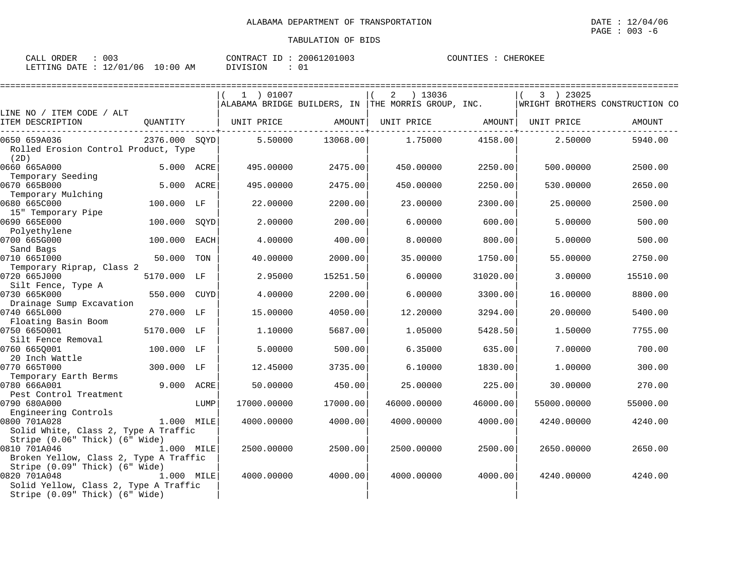| 003<br>ORDER<br>CALL     |             | 20061201003<br>CONTRACT<br>ID | COUNTIES<br>CHEROKEE |
|--------------------------|-------------|-------------------------------|----------------------|
| 12/01/06<br>LETTING DATE | 10:00<br>ΆM | <b>DIVISION</b>               |                      |

|                                                                                         |               |             | 1 ) 01007   |          | 2<br>) 13036                                       |          | 3 ) 23025   |                                 |
|-----------------------------------------------------------------------------------------|---------------|-------------|-------------|----------|----------------------------------------------------|----------|-------------|---------------------------------|
|                                                                                         |               |             |             |          | ALABAMA BRIDGE BUILDERS, IN THE MORRIS GROUP, INC. |          |             | WRIGHT BROTHERS CONSTRUCTION CO |
| LINE NO / ITEM CODE / ALT<br>ITEM DESCRIPTION                                           | QUANTITY      |             | UNIT PRICE  | AMOUNT   | UNIT PRICE                                         | AMOUNT   | UNIT PRICE  | AMOUNT                          |
| 0650 659A036                                                                            | 2376.000 SQYD |             | 5.50000     | 13068.00 | 1.75000                                            | 4158.00  | 2.50000     | 5940.00                         |
| Rolled Erosion Control Product, Type<br>(2D)                                            |               |             |             |          |                                                    |          |             |                                 |
| 0660 665A000<br>Temporary Seeding                                                       | 5.000 ACRE    |             | 495.00000   | 2475.00  | 450.00000                                          | 2250.00  | 500.00000   | 2500.00                         |
| 0670 665B000<br>Temporary Mulching                                                      | 5.000 ACRE    |             | 495.00000   | 2475.00  | 450.00000                                          | 2250.00  | 530.00000   | 2650.00                         |
| 0680 665C000                                                                            | 100.000 LF    |             | 22.00000    | 2200.00  | 23.00000                                           | 2300.00  | 25,00000    | 2500.00                         |
| 15" Temporary Pipe<br>0690 665E000                                                      | 100.000       | SOYD        | 2.00000     | 200.00   | 6.00000                                            | 600.00   | 5,00000     | 500.00                          |
| Polyethylene<br>0700 665G000                                                            | 100.000       | <b>EACH</b> | 4.00000     | 400.00   | 8,00000                                            | 800.00   | 5.00000     | 500.00                          |
| Sand Bags<br>0710 6651000                                                               | 50.000        | TON         | 40.00000    | 2000.00  | 35.00000                                           | 1750.00  | 55.00000    | 2750.00                         |
| Temporary Riprap, Class 2<br>0720 665J000                                               | 5170.000 LF   |             | 2.95000     | 15251.50 | 6.00000                                            | 31020.00 | 3.00000     | 15510.00                        |
| Silt Fence, Type A<br>0730 665K000                                                      | 550.000       | CUYD        | 4.00000     | 2200.00  | 6.00000                                            | 3300.00  | 16.00000    | 8800.00                         |
| Drainage Sump Excavation                                                                |               |             |             |          |                                                    |          |             |                                 |
| 0740 665L000<br>Floating Basin Boom                                                     | 270.000 LF    |             | 15,00000    | 4050.00  | 12.20000                                           | 3294.00  | 20,00000    | 5400.00                         |
| 0750 6650001<br>Silt Fence Removal                                                      | 5170.000 LF   |             | 1,10000     | 5687.00  | 1.05000                                            | 5428.50  | 1.50000     | 7755.00                         |
| 0760 6650001                                                                            | 100.000 LF    |             | 5.00000     | 500.00   | 6.35000                                            | 635.00   | 7.00000     | 700.00                          |
| 20 Inch Wattle<br>0770 665T000                                                          | 300.000 LF    |             | 12.45000    | 3735.00  | 6.10000                                            | 1830.00  | 1,00000     | 300.00                          |
| Temporary Earth Berms<br>0780 666A001                                                   | 9.000 ACRE    |             | 50.00000    | 450.00   | 25.00000                                           | 225.00   | 30.00000    | 270.00                          |
| Pest Control Treatment<br>0790 680A000                                                  |               | LUMP        | 17000.00000 | 17000.00 | 46000.00000                                        | 46000.00 | 55000.00000 | 55000.00                        |
| Engineering Controls<br>0800 701A028                                                    | 1.000 MILE    |             | 4000.00000  | 4000.00  | 4000.00000                                         | 4000.00  | 4240.00000  | 4240.00                         |
| Solid White, Class 2, Type A Traffic<br>Stripe (0.06" Thick) (6" Wide)                  |               |             |             |          |                                                    |          |             |                                 |
| 0810 701A046<br>Broken Yellow, Class 2, Type A Traffic                                  | 1.000 MILE    |             | 2500.00000  | 2500.00  | 2500.00000                                         | 2500.00  | 2650.00000  | 2650.00                         |
| Stripe (0.09" Thick) (6" Wide)<br>0820 701A048<br>Solid Yellow, Class 2, Type A Traffic | 1.000 MILE    |             | 4000.00000  | 4000.00  | 4000.00000                                         | 4000.001 | 4240.00000  | 4240.00                         |
| Stripe (0.09" Thick) (6" Wide)                                                          |               |             |             |          |                                                    |          |             |                                 |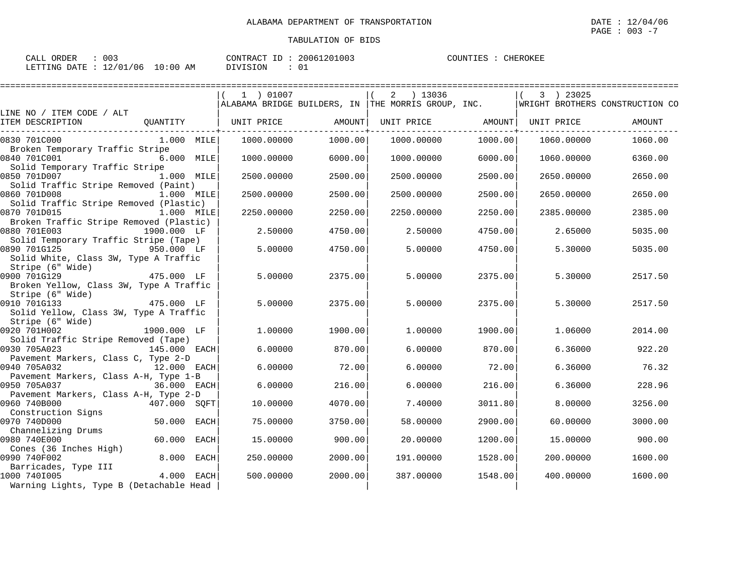| $\therefore$ 003<br>CALL ORDER  |  |          | CONTRACT ID: 20061201003 | COUNTIES : CHEROKEE |  |
|---------------------------------|--|----------|--------------------------|---------------------|--|
| LETTING DATE: 12/01/06 10:00 AM |  | DIVISION |                          |                     |  |

|                                                       |              | 1 ) 01007  |         | 2 ) 13036                                                        |         | 3 ) 23025           |                                 |
|-------------------------------------------------------|--------------|------------|---------|------------------------------------------------------------------|---------|---------------------|---------------------------------|
|                                                       |              |            |         | $\mid$ ALABAMA BRIDGE BUILDERS, IN $\mid$ THE MORRIS GROUP, INC. |         |                     | WRIGHT BROTHERS CONSTRUCTION CO |
| LINE NO / ITEM CODE / ALT<br>ITEM DESCRIPTION         | OUANTITY     | UNIT PRICE | AMOUNT  | UNIT PRICE                                                       |         | AMOUNT   UNIT PRICE | AMOUNT                          |
| 0830 701C000                                          | $1.000$ MILE | 1000.00000 | 1000.00 | 1000.00000                                                       | 1000.00 | 1060.00000          | 1060.00                         |
| Broken Temporary Traffic Stripe                       |              |            |         |                                                                  |         |                     |                                 |
| 0840 701C001                                          | 6.000 MILE   | 1000.00000 | 6000.00 | 1000.00000                                                       | 6000.00 | 1060.00000          | 6360.00                         |
| Solid Temporary Traffic Stripe                        |              |            |         |                                                                  |         |                     |                                 |
| 0850 701D007                                          | 1.000 MILE   | 2500.00000 | 2500.00 | 2500.00000                                                       | 2500.00 | 2650.00000          | 2650.00                         |
| Solid Traffic Stripe Removed (Paint)                  |              |            |         |                                                                  |         |                     |                                 |
| 0860 701D008                                          | 1.000 MILE   | 2500.00000 | 2500.00 | 2500.00000                                                       | 2500.00 | 2650.00000          | 2650.00                         |
| Solid Traffic Stripe Removed (Plastic)                |              |            |         |                                                                  |         |                     |                                 |
| 0870 701D015                                          | $1.000$ MILE | 2250.00000 | 2250.00 | 2250.00000                                                       | 2250.00 | 2385.00000          | 2385.00                         |
| Broken Traffic Stripe Removed (Plastic)               |              |            |         |                                                                  |         |                     |                                 |
| 0880 701E003                                          | 1900.000 LF  | 2.50000    | 4750.00 | 2.50000                                                          | 4750.00 | 2.65000             | 5035.00                         |
| Solid Temporary Traffic Stripe (Tape)<br>0890 701G125 | 950.000 LF   | 5.00000    | 4750.00 | 5.00000                                                          |         | 5.30000             | 5035.00                         |
|                                                       |              |            |         |                                                                  | 4750.00 |                     |                                 |
| Solid White, Class 3W, Type A Traffic                 |              |            |         |                                                                  |         |                     |                                 |
| Stripe (6" Wide)<br>0900 701G129                      |              | 5.00000    | 2375.00 | 5,00000                                                          | 2375.00 |                     | 2517.50                         |
|                                                       | 475.000 LF   |            |         |                                                                  |         | 5.30000             |                                 |
| Broken Yellow, Class 3W, Type A Traffic               |              |            |         |                                                                  |         |                     |                                 |
| Stripe (6" Wide)<br>0910 701G133                      | $475.000$ LF | 5.00000    | 2375.00 | 5.00000                                                          | 2375.00 | 5.30000             | 2517.50                         |
| Solid Yellow, Class 3W, Type A Traffic                |              |            |         |                                                                  |         |                     |                                 |
| Stripe (6" Wide)                                      |              |            |         |                                                                  |         |                     |                                 |
| 0920 701H002                                          | 1900.000 LF  | 1,00000    | 1900.00 | 1,00000                                                          | 1900.00 | 1,06000             | 2014.00                         |
| Solid Traffic Stripe Removed (Tape)                   |              |            |         |                                                                  |         |                     |                                 |
| 0930 705A023                                          | 145.000 EACH | 6.00000    | 870.00  | 6.00000                                                          | 870.00  | 6.36000             | 922.20                          |
| Pavement Markers, Class C, Type 2-D                   |              |            |         |                                                                  |         |                     |                                 |
| 0940 705A032                                          | 12.000 EACH  | 6.00000    | 72.00   | 6.00000                                                          | 72.00   | 6.36000             | 76.32                           |
| Pavement Markers, Class A-H, Type 1-B                 |              |            |         |                                                                  |         |                     |                                 |
| 0950 705A037                                          | 36.000 EACH  | 6,00000    | 216.00  | 6.00000                                                          | 216.00  | 6.36000             | 228.96                          |
| Pavement Markers, Class A-H, Type 2-D                 |              |            |         |                                                                  |         |                     |                                 |
| 0960 740B000                                          | 407.000 SOFT | 10.00000   | 4070.00 | 7.40000                                                          | 3011.80 | 8,00000             | 3256.00                         |
| Construction Signs                                    |              |            |         |                                                                  |         |                     |                                 |
| 0970 740D000                                          | 50.000 EACH  | 75.00000   | 3750.00 | 58.00000                                                         | 2900.00 | 60.00000            | 3000.00                         |
| Channelizing Drums                                    |              |            |         |                                                                  |         |                     |                                 |
| 0980 740E000                                          | 60.000 EACH  | 15.00000   | 900.00  | 20.00000                                                         | 1200.00 | 15.00000            | 900.00                          |
| Cones (36 Inches High)                                |              |            |         |                                                                  |         |                     |                                 |
| 0990 740F002                                          | 8.000 EACH   | 250.00000  | 2000.00 | 191.00000                                                        | 1528.00 | 200.00000           | 1600.00                         |
| Barricades, Type III                                  |              |            |         |                                                                  |         |                     |                                 |
| 1000 7401005                                          | 4.000 EACH   | 500.00000  | 2000.00 | 387.00000                                                        | 1548.00 | 400.00000           | 1600.00                         |
| Warning Lights, Type B (Detachable Head               |              |            |         |                                                                  |         |                     |                                 |
|                                                       |              |            |         |                                                                  |         |                     |                                 |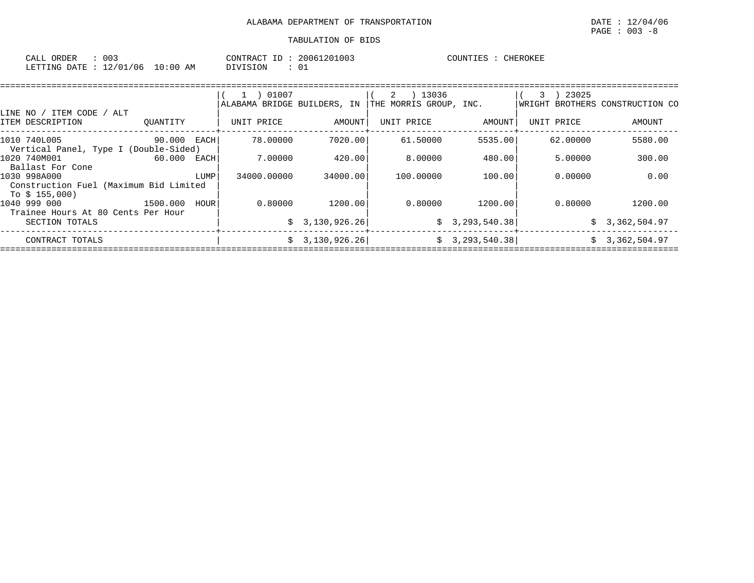| 003<br>CALL<br>ORDER     |             | CONTRACT<br>ID | 20061201003 | COUNTIES | CHEROKEE |
|--------------------------|-------------|----------------|-------------|----------|----------|
| 12/01/06<br>LETTING DATE | 10:00<br>AM | DIVISION       |             |          |          |

|                                                                           |             |      | 01007<br>$\perp$ )<br>ALABAMA BRIDGE BUILDERS, IN |                | 2<br>) 13036<br>THE MORRIS GROUP, INC. |                 | 23025<br>3 | WRIGHT BROTHERS CONSTRUCTION CO |
|---------------------------------------------------------------------------|-------------|------|---------------------------------------------------|----------------|----------------------------------------|-----------------|------------|---------------------------------|
| LINE NO / ITEM CODE / ALT<br>ITEM DESCRIPTION                             | OUANTITY    |      | UNIT PRICE                                        | AMOUNT         | UNIT PRICE                             | AMOUNT          | UNIT PRICE | AMOUNT                          |
| 1010 740L005                                                              | 90.000 EACH |      | 78.00000                                          | 7020.001       | 61.50000                               | 5535.00         | 62.00000   | 5580.00                         |
| Vertical Panel, Type I (Double-Sided)<br>1020 740M001<br>Ballast For Cone | 60.000 EACH |      | 7.00000                                           | 420.00         | 8,00000                                | 480.00          | 5.00000    | 300.00                          |
| 1030 998A000<br>Construction Fuel (Maximum Bid Limited<br>To \$ 155,000)  |             | LUMP | 34000.00000                                       | 34000.00       | 100,00000                              | 100.00          | 0.00000    | 0.00                            |
| 1040 999 000<br>Trainee Hours At 80 Cents Per Hour                        | 1500.000    | HOUR | 0.80000                                           | 1200.00        | 0.80000                                | 1200.00         | 0.80000    | 1200.00                         |
| SECTION TOTALS                                                            |             |      |                                                   | \$3,130,926.26 |                                        | \$3,293,540.38] |            | \$3,362,504.97                  |
| CONTRACT TOTALS                                                           |             |      |                                                   | \$3,130,926.26 |                                        | \$3,293,540.38] |            | \$3,362,504.97                  |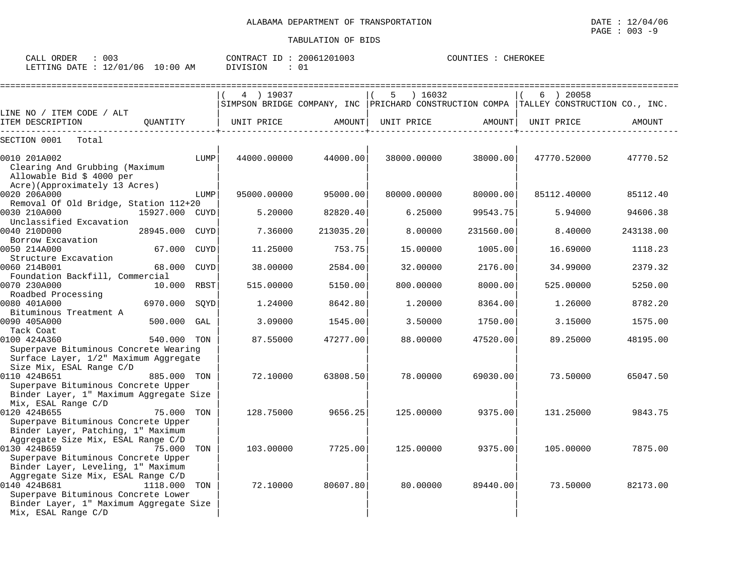| ORDER<br>CALL | 003      |             | CONTRACT<br>ID | 20061201003 | COUNTIES | <b>CHEROKEE</b> |
|---------------|----------|-------------|----------------|-------------|----------|-----------------|
| LETTING DATE  | 12/01/06 | 10:00<br>ΆM | DIVISION       | ັບ⊥         |          |                 |

|                                                                                |                |      | 4 ) 19037   |           | 16032<br>5  |           | $6$ ) 20058                                                                           |           |
|--------------------------------------------------------------------------------|----------------|------|-------------|-----------|-------------|-----------|---------------------------------------------------------------------------------------|-----------|
|                                                                                |                |      |             |           |             |           | SIMPSON BRIDGE COMPANY, INC PRICHARD CONSTRUCTION COMPA TALLEY CONSTRUCTION CO., INC. |           |
| LINE NO / ITEM CODE / ALT<br>ITEM DESCRIPTION                                  | OUANTITY       |      | UNIT PRICE  | AMOUNT    | UNIT PRICE  | AMOUNT    | UNIT PRICE                                                                            | AMOUNT    |
| . _ _ _ _ _ _ _ _ _ _ _ _                                                      |                |      |             |           |             |           |                                                                                       |           |
| SECTION 0001<br>Total                                                          |                |      |             |           |             |           |                                                                                       |           |
|                                                                                |                |      |             |           |             |           |                                                                                       |           |
| 0010 201A002                                                                   |                | LUMP | 44000.00000 | 44000.00  | 38000.00000 | 38000.00  | 47770.52000                                                                           | 47770.52  |
| Clearing And Grubbing (Maximum<br>Allowable Bid \$ 4000 per                    |                |      |             |           |             |           |                                                                                       |           |
| Acre) (Approximately 13 Acres)                                                 |                |      |             |           |             |           |                                                                                       |           |
| 0020 206A000                                                                   |                | LUMP | 95000.00000 | 95000.00  | 80000.00000 | 80000.00  | 85112.40000                                                                           | 85112.40  |
| Removal Of Old Bridge, Station 112+20                                          |                |      |             |           |             |           |                                                                                       |           |
| 0030 210A000                                                                   | 15927.000 CUYD |      | 5.20000     | 82820.40  | 6.25000     | 99543.75  | 5.94000                                                                               | 94606.38  |
| Unclassified Excavation                                                        |                |      |             |           |             |           |                                                                                       |           |
| 0040 210D000                                                                   | 28945.000      | CUYD | 7.36000     | 213035.20 | 8.00000     | 231560.00 | 8.40000                                                                               | 243138.00 |
| Borrow Excavation                                                              |                |      |             |           |             |           |                                                                                       |           |
| 0050 214A000                                                                   | 67.000         | CUYD | 11.25000    | 753.75    | 15,00000    | 1005.00   | 16.69000                                                                              | 1118.23   |
| Structure Excavation                                                           |                |      |             |           |             |           |                                                                                       |           |
| 0060 214B001                                                                   | 68.000         | CUYD | 38.00000    | 2584.00   | 32.00000    | 2176.00   | 34.99000                                                                              | 2379.32   |
| Foundation Backfill, Commercial<br>0070 230A000                                |                |      |             |           |             |           |                                                                                       |           |
| Roadbed Processing                                                             | 10.000 RBST    |      | 515.00000   | 5150.00   | 800.00000   | 8000.00   | 525.00000                                                                             | 5250.00   |
| 0080 401A000                                                                   | 6970.000       | SQYD | 1.24000     | 8642.80   | 1,20000     | 8364.00   | 1.26000                                                                               | 8782.20   |
| Bituminous Treatment A                                                         |                |      |             |           |             |           |                                                                                       |           |
| 0090 405A000                                                                   | 500.000        | GAL  | 3.09000     | 1545.00   | 3.50000     | 1750.00   | 3.15000                                                                               | 1575.00   |
| Tack Coat                                                                      |                |      |             |           |             |           |                                                                                       |           |
| 0100 424A360                                                                   | 540.000 TON    |      | 87.55000    | 47277.00  | 88.00000    | 47520.00  | 89.25000                                                                              | 48195.00  |
| Superpave Bituminous Concrete Wearing                                          |                |      |             |           |             |           |                                                                                       |           |
| Surface Layer, 1/2" Maximum Aggregate                                          |                |      |             |           |             |           |                                                                                       |           |
| Size Mix, ESAL Range C/D                                                       |                |      |             |           |             |           |                                                                                       |           |
| 0110 424B651                                                                   | 885.000 TON    |      | 72.10000    | 63808.50  | 78.00000    | 69030.00  | 73.50000                                                                              | 65047.50  |
| Superpave Bituminous Concrete Upper<br>Binder Layer, 1" Maximum Aggregate Size |                |      |             |           |             |           |                                                                                       |           |
| Mix, ESAL Range C/D                                                            |                |      |             |           |             |           |                                                                                       |           |
| 0120 424B655                                                                   | 75.000 TON     |      | 128.75000   | 9656.25   | 125,00000   | 9375.00   | 131.25000                                                                             | 9843.75   |
| Superpave Bituminous Concrete Upper                                            |                |      |             |           |             |           |                                                                                       |           |
| Binder Layer, Patching, 1" Maximum                                             |                |      |             |           |             |           |                                                                                       |           |
| Aggregate Size Mix, ESAL Range C/D                                             |                |      |             |           |             |           |                                                                                       |           |
| 0130 424B659                                                                   | 75.000         | TON  | 103.00000   | 7725.00   | 125.00000   | 9375.00   | 105,00000                                                                             | 7875.00   |
| Superpave Bituminous Concrete Upper                                            |                |      |             |           |             |           |                                                                                       |           |
| Binder Layer, Leveling, 1" Maximum                                             |                |      |             |           |             |           |                                                                                       |           |
| Aggregate Size Mix, ESAL Range C/D                                             |                |      |             |           |             |           |                                                                                       |           |
| 0140 424B681                                                                   | 1118.000       | TON  | 72.10000    | 80607.80  | 80.00000    | 89440.00  | 73.50000                                                                              | 82173.00  |
| Superpave Bituminous Concrete Lower<br>Binder Layer, 1" Maximum Aggregate Size |                |      |             |           |             |           |                                                                                       |           |
| Mix, ESAL Range C/D                                                            |                |      |             |           |             |           |                                                                                       |           |
|                                                                                |                |      |             |           |             |           |                                                                                       |           |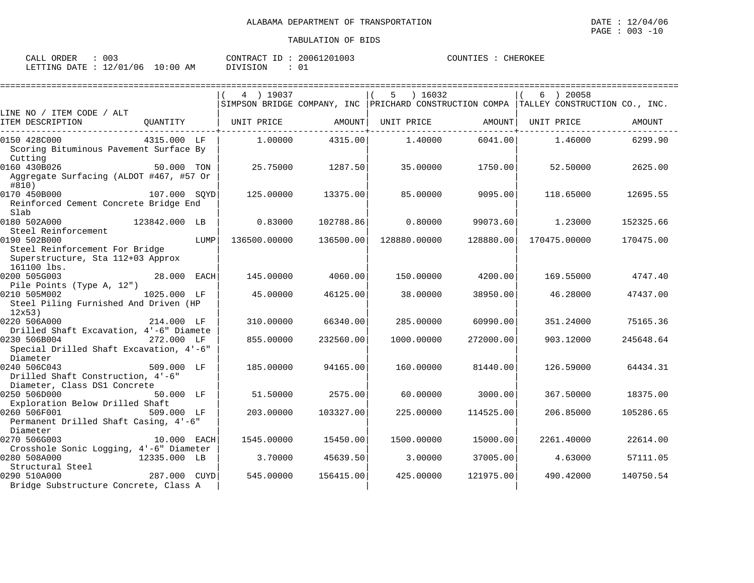| 003<br>$7\Delta$ t.t<br>ORDER<br>لمسلمات      |             | 201003<br>$\sim$<br>20061<br>CONTRACT<br>--- | <b>CHEROKEE</b><br>COUNTIES<br>TIES |
|-----------------------------------------------|-------------|----------------------------------------------|-------------------------------------|
| /06<br>1.2107<br>LETTING<br>DATE<br>ັບ⊥<br>∸∸ | 10:00<br>ΆM | DIVISION                                     |                                     |

|                                                          |               |      | 4 ) 19037    |           | ) 16032<br>5 |           | 6 ) 20058                                                                             |           |
|----------------------------------------------------------|---------------|------|--------------|-----------|--------------|-----------|---------------------------------------------------------------------------------------|-----------|
|                                                          |               |      |              |           |              |           | SIMPSON BRIDGE COMPANY, INC PRICHARD CONSTRUCTION COMPA TALLEY CONSTRUCTION CO., INC. |           |
| LINE NO / ITEM CODE / ALT<br>ITEM DESCRIPTION            | OUANTITY      |      | UNIT PRICE   |           |              |           | UNIT PRICE                                                                            |           |
|                                                          |               |      |              | AMOUNT    | UNIT PRICE   | AMOUNT    |                                                                                       | AMOUNT    |
| 0150 428C000                                             | 4315.000 LF   |      | 1,00000      | 4315.00   | 1.40000      | 6041.00   | 1.46000                                                                               | 6299.90   |
| Scoring Bituminous Pavement Surface By                   |               |      |              |           |              |           |                                                                                       |           |
| Cutting                                                  |               |      |              |           |              |           |                                                                                       |           |
| 0160 430B026<br>Aggregate Surfacing (ALDOT #467, #57 Or  | 50.000 TON    |      | 25.75000     | 1287.50   | 35.00000     | 1750.00   | 52.50000                                                                              | 2625.00   |
| #810)                                                    |               |      |              |           |              |           |                                                                                       |           |
| 0170 450B000                                             | 107.000 SOYD  |      | 125.00000    | 13375.00  | 85.00000     | 9095.00   | 118.65000                                                                             | 12695.55  |
| Reinforced Cement Concrete Bridge End                    |               |      |              |           |              |           |                                                                                       |           |
| Slab                                                     |               |      |              |           |              |           |                                                                                       |           |
| 0180 502A000                                             | 123842.000 LB |      | 0.83000      | 102788.86 | 0.80000      | 99073.60  | 1.23000                                                                               | 152325.66 |
| Steel Reinforcement                                      |               |      |              |           |              |           |                                                                                       |           |
| 0190 502B000                                             |               | LUMP | 136500.00000 | 136500.00 | 128880.00000 | 128880.00 | 170475.00000                                                                          | 170475.00 |
| Steel Reinforcement For Bridge                           |               |      |              |           |              |           |                                                                                       |           |
| Superstructure, Sta 112+03 Approx                        |               |      |              |           |              |           |                                                                                       |           |
| 161100 lbs.                                              |               |      |              |           |              |           |                                                                                       |           |
| 0200 505G003                                             | 28.000 EACH   |      | 145.00000    | 4060.00   | 150.00000    | 4200.00   | 169.55000                                                                             | 4747.40   |
| Pile Points (Type A, 12")<br>0210 505M002<br>1025.000 LF |               |      | 45.00000     | 46125.00  | 38,00000     | 38950.00  | 46.28000                                                                              | 47437.00  |
| Steel Piling Furnished And Driven (HP                    |               |      |              |           |              |           |                                                                                       |           |
| 12x53                                                    |               |      |              |           |              |           |                                                                                       |           |
| 0220 506A000                                             | 214.000 LF    |      | 310,00000    | 66340.00  | 285.00000    | 60990.00  | 351.24000                                                                             | 75165.36  |
| Drilled Shaft Excavation, 4'-6" Diamete                  |               |      |              |           |              |           |                                                                                       |           |
| 0230 506B004                                             | 272.000 LF    |      | 855.00000    | 232560.00 | 1000.00000   | 272000.00 | 903.12000                                                                             | 245648.64 |
| Special Drilled Shaft Excavation, 4'-6"                  |               |      |              |           |              |           |                                                                                       |           |
| Diameter                                                 |               |      |              |           |              |           |                                                                                       |           |
| 0240 506C043                                             | 509.000 LF    |      | 185.00000    | 94165.00  | 160.00000    | 81440.00  | 126.59000                                                                             | 64434.31  |
| Drilled Shaft Construction, 4'-6"                        |               |      |              |           |              |           |                                                                                       |           |
| Diameter, Class DS1 Concrete                             |               |      |              |           |              |           |                                                                                       |           |
| 0250 506D000                                             | 50.000 LF     |      | 51.50000     | 2575.00   | 60.00000     | 3000.00   | 367.50000                                                                             | 18375.00  |
| Exploration Below Drilled Shaft                          |               |      | 203,00000    |           | 225,00000    |           | 206.85000                                                                             |           |
| 0260 506F001<br>Permanent Drilled Shaft Casing, 4'-6"    | 509.000 LF    |      |              | 103327.00 |              | 114525.00 |                                                                                       | 105286.65 |
| Diameter                                                 |               |      |              |           |              |           |                                                                                       |           |
| 0270 506G003                                             | 10.000 EACH   |      | 1545.00000   | 15450.00  | 1500.00000   | 15000.00  | 2261.40000                                                                            | 22614.00  |
| Crosshole Sonic Logging, 4'-6" Diameter                  |               |      |              |           |              |           |                                                                                       |           |
| 0280 508A000                                             | 12335.000 LB  |      | 3.70000      | 45639.50  | 3.00000      | 37005.00  | 4.63000                                                                               | 57111.05  |
| Structural Steel                                         |               |      |              |           |              |           |                                                                                       |           |
| 0290 510A000                                             | 287.000 CUYD  |      | 545.00000    | 156415.00 | 425.00000    | 121975.00 | 490.42000                                                                             | 140750.54 |
| Bridge Substructure Concrete, Class A                    |               |      |              |           |              |           |                                                                                       |           |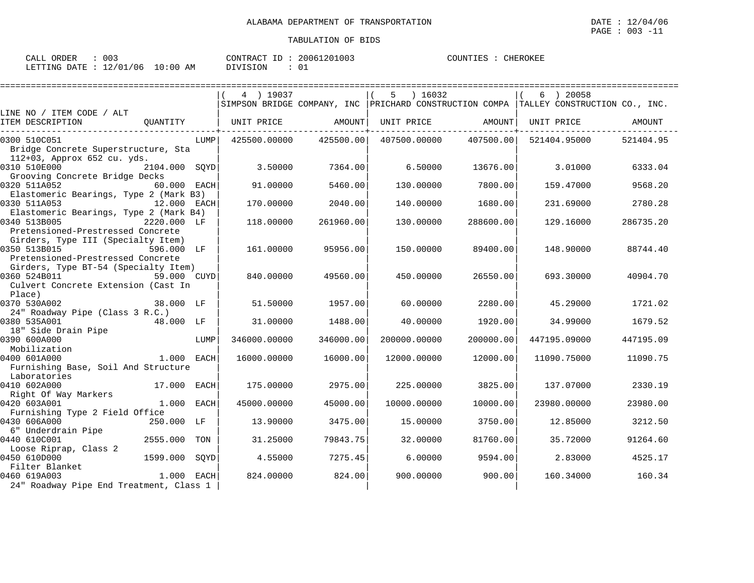| 003<br>CALL ORDER                | CONTRACT ID: 20061201003 |        | COUNTIES :<br>CHEROKEE |
|----------------------------------|--------------------------|--------|------------------------|
| LETTING DATE : 12/01/06 10:00 AM | DIVISION                 | $\cap$ |                        |

|                                                                                         |               | 4 ) 19037         |           | 5 ) 16032    |            | $6 \rightarrow 20058$                                                                 |           |
|-----------------------------------------------------------------------------------------|---------------|-------------------|-----------|--------------|------------|---------------------------------------------------------------------------------------|-----------|
|                                                                                         |               |                   |           |              |            | SIMPSON BRIDGE COMPANY, INC PRICHARD CONSTRUCTION COMPA TALLEY CONSTRUCTION CO., INC. |           |
| LINE NO / ITEM CODE / ALT                                                               |               |                   |           |              |            |                                                                                       |           |
| ITEM DESCRIPTION<br>OUANTITY                                                            |               | UNIT PRICE AMOUNT |           | UNIT PRICE   | AMOUNT     | UNIT PRICE                                                                            | AMOUNT    |
| 0300 510C051                                                                            | LUMP          | 425500.00000      | 425500.00 | 407500.00000 | 407500.00  | 521404.95000                                                                          | 521404.95 |
| Bridge Concrete Superstructure, Sta<br>112+03, Approx 652 cu. yds.                      |               |                   |           |              |            |                                                                                       |           |
| 0310 510E000<br>Grooving Concrete Bridge Decks                                          | 2104.000 SQYD | 3.50000           | 7364.00   | 6.50000      | 13676.00   | 3.01000                                                                               | 6333.04   |
| 0320 511A052<br>Elastomeric Bearings, Type 2 (Mark B3)                                  | 60.000 EACH   | 91.00000          | 5460.00   | 130.00000    | 7800.00    | 159.47000                                                                             | 9568.20   |
| 0330 511A053<br>Elastomeric Bearings, Type 2 (Mark B4)                                  | 12.000 EACH   | 170.00000         | 2040.00   | 140.00000    | 1680.00    | 231.69000                                                                             | 2780.28   |
| 0340 513B005<br>Pretensioned-Prestressed Concrete                                       | 2220.000 LF   | 118,00000         | 261960.00 | 130.00000    | 288600.00  | 129.16000                                                                             | 286735.20 |
| Girders, Type III (Specialty Item)<br>0350 513B015<br>Pretensioned-Prestressed Concrete | 596.000 LF    | 161.00000         | 95956.00  | 150.00000    | 89400.00   | 148.90000                                                                             | 88744.40  |
| Girders, Type BT-54 (Specialty Item)<br>0360 524B011                                    | 59.000 CUYD   | 840.00000         | 49560.00  | 450.00000    | 26550.00   | 693.30000                                                                             | 40904.70  |
| Culvert Concrete Extension (Cast In<br>Place)                                           |               |                   |           |              |            |                                                                                       |           |
| 0370 530A002<br><b>38.000 LF</b><br>24" Roadway Pipe (Class 3 R.C.)                     |               | 51.50000          | 1957.00   | 60.00000     | 2280.00    | 45.29000                                                                              | 1721.02   |
| 0380 535A001<br>18" Side Drain Pipe                                                     | 48.000 LF     | 31,00000          | 1488.00   | 40.00000     | 1920.00    | 34.99000                                                                              | 1679.52   |
| 0390 600A000<br>Mobilization                                                            | LUMP          | 346000.00000      | 346000.00 | 200000.00000 | 200000.001 | 447195.09000                                                                          | 447195.09 |
| 0400 601A000<br>1.000 EACH<br>Furnishing Base, Soil And Structure                       |               | 16000.00000       | 16000.00  | 12000.00000  | 12000.00   | 11090.75000                                                                           | 11090.75  |
| Laboratories                                                                            |               |                   |           |              |            |                                                                                       |           |
| 0410 602A000<br>Right Of Way Markers                                                    | 17.000 EACH   | 175.00000         | 2975.00   | 225,00000    | 3825.00    | 137.07000                                                                             | 2330.19   |
| $1.000$ EACH<br>0420 603A001                                                            |               | 45000.00000       | 45000.00  | 10000.00000  | 10000.00   | 23980.00000                                                                           | 23980.00  |
| Furnishing Type 2 Field Office<br>0430 606A000                                          | 250.000 LF    | 13,90000          | 3475.00   | 15,00000     | 3750.00    | 12.85000                                                                              | 3212.50   |
| 6" Underdrain Pipe<br>0440 610C001                                                      | 2555.000 TON  | 31.25000          | 79843.75  | 32.00000     | 81760.00   | 35.72000                                                                              | 91264.60  |
| Loose Riprap, Class 2<br>0450 610D000                                                   | 1599.000 SQYD | 4.55000           | 7275.45   | 6.00000      | 9594.00    | 2.83000                                                                               | 4525.17   |
| Filter Blanket<br>0460 619A003<br>24" Roadway Pipe End Treatment, Class 1               | $1.000$ EACH  | 824.00000         | 824.00    | 900.00000    | 900.00     | 160.34000                                                                             | 160.34    |
|                                                                                         |               |                   |           |              |            |                                                                                       |           |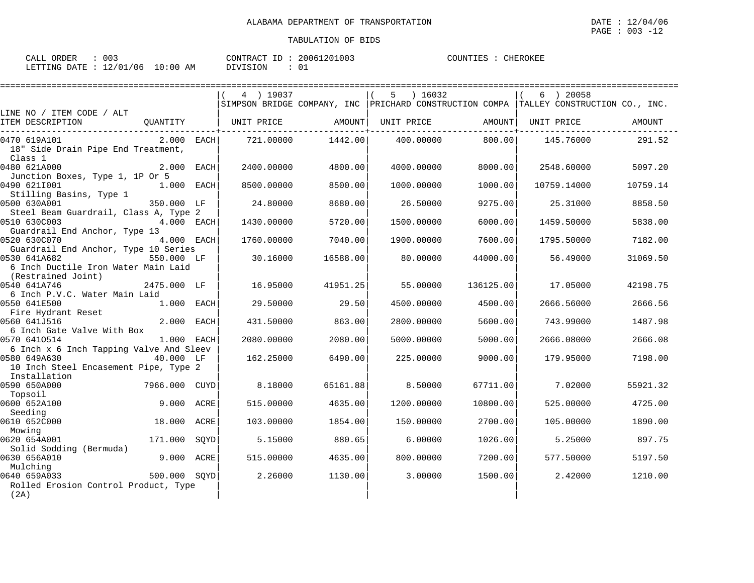| ORDER<br>CALL  | 003      |            | CONTRACT ID | 20061201003 | COUNTIES<br><b>CHEROKEE</b> |
|----------------|----------|------------|-------------|-------------|-----------------------------|
| LETTING DATE : | 12/01/06 | $10:00$ AM | DIVISION    |             |                             |

|                                                         |               |             | 4 ) 19037  |          | ) 16032<br>5 |           | 6 ) 20058                                                                             |          |
|---------------------------------------------------------|---------------|-------------|------------|----------|--------------|-----------|---------------------------------------------------------------------------------------|----------|
|                                                         |               |             |            |          |              |           | SIMPSON BRIDGE COMPANY, INC PRICHARD CONSTRUCTION COMPA TALLEY CONSTRUCTION CO., INC. |          |
| LINE NO / ITEM CODE / ALT                               |               |             |            |          |              |           |                                                                                       |          |
| ITEM DESCRIPTION                                        | OUANTITY      |             | UNIT PRICE | AMOUNT   | UNIT PRICE   | AMOUNT    | UNIT PRICE                                                                            | AMOUNT   |
| 0470 619A101                                            | $2.000$ EACH  |             | 721.00000  | 1442.00  | 400,00000    | 800.00    | 145.76000                                                                             | 291.52   |
| 18" Side Drain Pipe End Treatment,                      |               |             |            |          |              |           |                                                                                       |          |
| Class 1                                                 |               |             |            |          |              |           |                                                                                       |          |
| 0480 621A000                                            | 2.000 EACH    |             | 2400.00000 | 4800.00  | 4000.00000   | 8000.001  | 2548.60000                                                                            | 5097.20  |
| Junction Boxes, Type 1, 1P Or 5                         |               |             |            |          |              |           |                                                                                       |          |
| 0490 6211001                                            | 1.000 EACH    |             | 8500.00000 | 8500.00  | 1000.00000   | 1000.00   | 10759.14000                                                                           | 10759.14 |
| Stilling Basins, Type 1                                 |               |             |            |          |              |           |                                                                                       |          |
| 0500 630A001                                            | 350.000 LF    |             | 24.80000   | 8680.00  | 26.50000     | 9275.00   | 25.31000                                                                              | 8858.50  |
| Steel Beam Guardrail, Class A, Type 2<br>0510 630C003   | 4.000 EACH    |             | 1430.00000 | 5720.00  | 1500.00000   | 6000.00   | 1459.50000                                                                            | 5838.00  |
| Guardrail End Anchor, Type 13                           |               |             |            |          |              |           |                                                                                       |          |
| 0520 630C070                                            | 4.000 EACH    |             | 1760.00000 | 7040.00  | 1900.00000   | 7600.00   | 1795.50000                                                                            | 7182.00  |
| Guardrail End Anchor, Type 10 Series                    |               |             |            |          |              |           |                                                                                       |          |
| 0530 641A682                                            | 550.000 LF    |             | 30.16000   | 16588.00 | 80.00000     | 44000.00  | 56.49000                                                                              | 31069.50 |
| 6 Inch Ductile Iron Water Main Laid                     |               |             |            |          |              |           |                                                                                       |          |
| (Restrained Joint)                                      |               |             |            |          |              |           |                                                                                       |          |
| 0540 641A746                                            | 2475.000 LF   |             | 16.95000   | 41951.25 | 55.00000     | 136125.00 | 17.05000                                                                              | 42198.75 |
| 6 Inch P.V.C. Water Main Laid                           |               |             |            |          |              |           |                                                                                       |          |
| 0550 641E500                                            | 1.000 EACH    |             | 29.50000   | 29.50    | 4500.00000   | 4500.00   | 2666.56000                                                                            | 2666.56  |
| Fire Hydrant Reset                                      |               |             |            |          |              |           |                                                                                       |          |
| 0560 641J516                                            | 2.000         | <b>EACH</b> | 431.50000  | 863.00   | 2800.00000   | 5600.00   | 743.99000                                                                             | 1487.98  |
| 6 Inch Gate Valve With Box                              |               |             |            |          |              |           |                                                                                       |          |
| 0570 6410514                                            | 1.000 EACH    |             | 2080.00000 | 2080.00  | 5000.00000   | 5000.00   | 2666.08000                                                                            | 2666.08  |
| 6 Inch x 6 Inch Tapping Valve And Sleev<br>0580 649A630 | 40.000 LF     |             |            | 6490.00  |              |           |                                                                                       |          |
| 10 Inch Steel Encasement Pipe, Type 2                   |               |             | 162.25000  |          | 225.00000    | 9000.00   | 179.95000                                                                             | 7198.00  |
| Installation                                            |               |             |            |          |              |           |                                                                                       |          |
| 0590 650A000                                            | 7966.000 CUYD |             | 8.18000    | 65161.88 | 8.50000      | 67711.00  | 7.02000                                                                               | 55921.32 |
| Topsoil                                                 |               |             |            |          |              |           |                                                                                       |          |
| 0600 652A100                                            | 9.000 ACRE    |             | 515,00000  | 4635.00  | 1200.00000   | 10800.00  | 525.00000                                                                             | 4725.00  |
| Seeding                                                 |               |             |            |          |              |           |                                                                                       |          |
| 0610 652C000                                            | 18.000 ACRE   |             | 103.00000  | 1854.00  | 150.00000    | 2700.00   | 105,00000                                                                             | 1890.00  |
| Mowing                                                  |               |             |            |          |              |           |                                                                                       |          |
| 0620 654A001                                            | 171.000       | SOYD        | 5.15000    | 880.65   | 6.00000      | 1026.00   | 5.25000                                                                               | 897.75   |
| Solid Sodding (Bermuda)                                 |               |             |            |          |              |           |                                                                                       |          |
| 0630 656A010                                            | 9.000 ACRE    |             | 515,00000  | 4635.00  | 800,00000    | 7200.00   | 577.50000                                                                             | 5197.50  |
| Mulching                                                |               |             |            |          |              |           |                                                                                       |          |
| 0640 659A033                                            | 500.000 SOYD  |             | 2.26000    | 1130.00  | 3.00000      | 1500.00   | 2.42000                                                                               | 1210.00  |
| Rolled Erosion Control Product, Type                    |               |             |            |          |              |           |                                                                                       |          |
| (2A)                                                    |               |             |            |          |              |           |                                                                                       |          |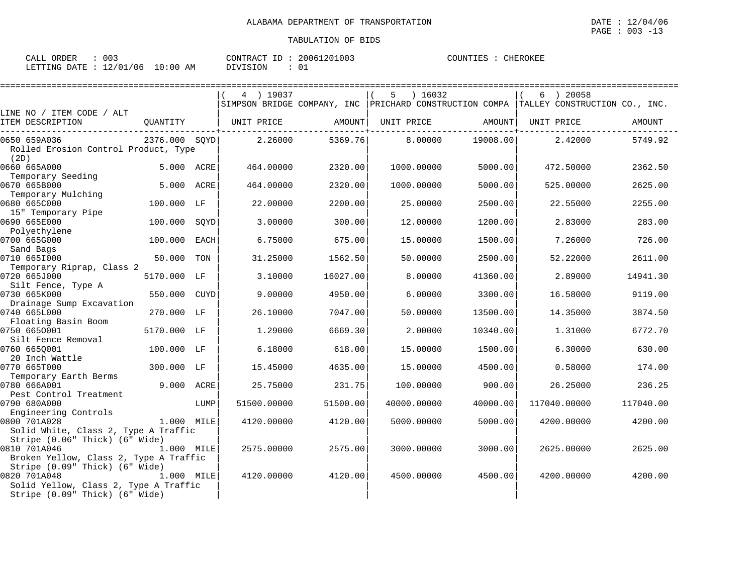| ORDER<br>$\bigcap \mathcal{R}$<br>ىلىلى | 003                                   | 20061201003<br>.<br>CONTRAC<br>$-\Gamma$ | COUNTIES<br>CHEROKEE |
|-----------------------------------------|---------------------------------------|------------------------------------------|----------------------|
| LETTING<br><b>DATE</b>                  | 106<br>:00<br>$\pm 2/01$<br>ΑM<br>TO. | DIVISION                                 |                      |

|                                                                                                                                  |               |             | 4 ) 19037   |          | ) 16032<br>5 |          | ) 20058<br>6                                                                              |           |
|----------------------------------------------------------------------------------------------------------------------------------|---------------|-------------|-------------|----------|--------------|----------|-------------------------------------------------------------------------------------------|-----------|
|                                                                                                                                  |               |             |             |          |              |          | SIMPSON BRIDGE COMPANY, INC   PRICHARD CONSTRUCTION COMPA   TALLEY CONSTRUCTION CO., INC. |           |
| LINE NO / ITEM CODE / ALT<br>ITEM DESCRIPTION                                                                                    | OUANTITY      |             | UNIT PRICE  | AMOUNT   | UNIT PRICE   | AMOUNT   | UNIT PRICE                                                                                | AMOUNT    |
| 0650 659A036<br>Rolled Erosion Control Product, Type<br>(2D)                                                                     | 2376.000 SOYD |             | 2.26000     | 5369.76  | 8,00000      | 19008.00 | 2.42000                                                                                   | 5749.92   |
| 0660 665A000<br>Temporary Seeding                                                                                                | 5.000 ACRE    |             | 464.00000   | 2320.00  | 1000.00000   | 5000.00  | 472.50000                                                                                 | 2362.50   |
| 0670 665B000<br>Temporary Mulching                                                                                               | 5.000 ACRE    |             | 464.00000   | 2320.00  | 1000.00000   | 5000.00  | 525.00000                                                                                 | 2625.00   |
| 0680 665C000                                                                                                                     | 100.000 LF    |             | 22.00000    | 2200.00  | 25.00000     | 2500.00  | 22.55000                                                                                  | 2255.00   |
| 15" Temporary Pipe<br>0690 665E000                                                                                               | 100.000       | SQYD        | 3.00000     | 300.00   | 12.00000     | 1200.00  | 2.83000                                                                                   | 283.00    |
| Polyethylene<br>0700 665G000                                                                                                     | 100.000       | <b>EACH</b> | 6.75000     | 675.00   | 15.00000     | 1500.00  | 7.26000                                                                                   | 726.00    |
| Sand Bags<br>0710 6651000                                                                                                        | 50.000        | TON         | 31.25000    | 1562.50  | 50.00000     | 2500.00  | 52.22000                                                                                  | 2611.00   |
| Temporary Riprap, Class 2<br>0720 665J000                                                                                        | 5170.000 LF   |             | 3.10000     | 16027.00 | 8.00000      | 41360.00 | 2.89000                                                                                   | 14941.30  |
| Silt Fence, Type A<br>0730 665K000                                                                                               | 550.000       | <b>CUYD</b> | 9.00000     | 4950.00  | 6.00000      | 3300.00  | 16.58000                                                                                  | 9119.00   |
| Drainage Sump Excavation<br>0740 665L000                                                                                         | 270.000 LF    |             | 26.10000    | 7047.00  | 50.00000     | 13500.00 | 14.35000                                                                                  | 3874.50   |
| Floating Basin Boom<br>0750 6650001                                                                                              | 5170.000 LF   |             | 1.29000     | 6669.30  | 2.00000      | 10340.00 | 1.31000                                                                                   | 6772.70   |
| Silt Fence Removal<br>0760 6650001                                                                                               | 100.000 LF    |             | 6.18000     | 618.00   | 15.00000     | 1500.00  | 6.30000                                                                                   | 630.00    |
| 20 Inch Wattle<br>0770 665T000                                                                                                   | 300.000 LF    |             | 15.45000    | 4635.00  | 15,00000     | 4500.00  | 0.58000                                                                                   | 174.00    |
| Temporary Earth Berms<br>0780 666A001                                                                                            | 9.000         | ACRE        | 25.75000    | 231.75   | 100.00000    | 900.00   | 26.25000                                                                                  | 236.25    |
| Pest Control Treatment<br>0790 680A000                                                                                           |               | LUMP        | 51500.00000 | 51500.00 | 40000.00000  | 40000.00 | 117040.00000                                                                              | 117040.00 |
| Engineering Controls<br>0800 701A028                                                                                             | 1.000 MILE    |             | 4120.00000  | 4120.00  | 5000.00000   | 5000.00  | 4200.00000                                                                                | 4200.00   |
| Solid White, Class 2, Type A Traffic<br>Stripe (0.06" Thick) (6" Wide)<br>0810 701A046<br>Broken Yellow, Class 2, Type A Traffic | 1.000 MILE    |             | 2575.00000  | 2575.00  | 3000.00000   | 3000.00  | 2625,00000                                                                                | 2625.00   |
| Stripe (0.09" Thick) (6" Wide)<br>0820 701A048<br>Solid Yellow, Class 2, Type A Traffic<br>Stripe (0.09" Thick) (6" Wide)        | 1.000 MILE    |             | 4120.00000  | 4120.00  | 4500.00000   | 4500.00  | 4200.00000                                                                                | 4200.00   |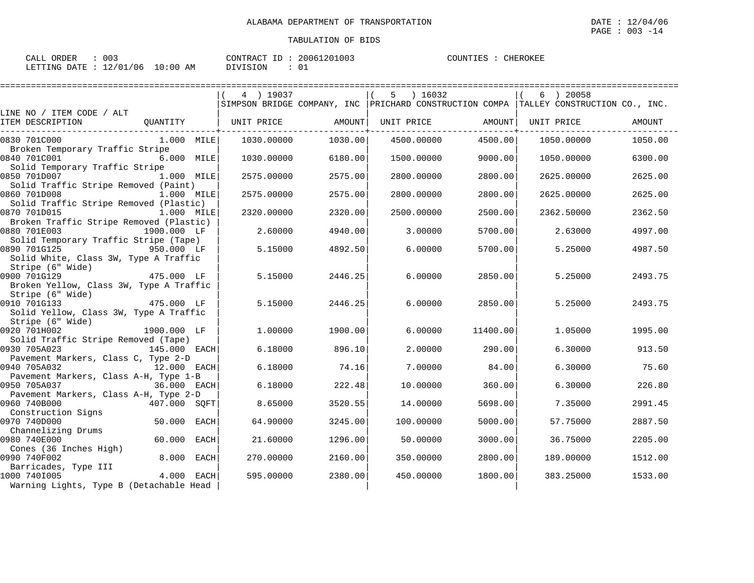| 003<br>CALL ORDER         |            | CONTRACT ID<br>$\mathbb{R}$ | 20061201003 | COUNTIES<br>CHEROKEE |
|---------------------------|------------|-----------------------------|-------------|----------------------|
| LETTING DATE : 12/01/06 1 | $10:00$ AM | DIVISION                    |             |                      |

|                                                                                                   |                    | 4 ) 19037  |         | $5 \t) 16032$                                                                             |          | $6$ ) 20058 |         |
|---------------------------------------------------------------------------------------------------|--------------------|------------|---------|-------------------------------------------------------------------------------------------|----------|-------------|---------|
| LINE NO / ITEM CODE / ALT                                                                         |                    |            |         | SIMPSON BRIDGE COMPANY, INC   PRICHARD CONSTRUCTION COMPA   TALLEY CONSTRUCTION CO., INC. |          |             |         |
| ITEM DESCRIPTION                                                                                  | OUANTITY           | UNIT PRICE | AMOUNT  | UNIT PRICE                                                                                | AMOUNT   | UNIT PRICE  | AMOUNT  |
| 0830 701C000                                                                                      | 1.000 MILE         | 1030.00000 | 1030.00 | 4500.00000                                                                                | 4500.00  | 1050.00000  | 1050.00 |
| Broken Temporary Traffic Stripe<br>0840 701C001                                                   | 6.000 MILE         | 1030.00000 | 6180.00 | 1500.00000                                                                                | 9000.00  | 1050.00000  | 6300.00 |
| Solid Temporary Traffic Stripe<br>0850 701D007                                                    | 1.000 MILE         | 2575.00000 | 2575.00 | 2800.00000                                                                                | 2800.00  | 2625.00000  | 2625.00 |
| Solid Traffic Stripe Removed (Paint)<br>0860 701D008                                              | 1.000 MILE         | 2575.00000 | 2575.00 | 2800.00000                                                                                | 2800.00  | 2625.00000  | 2625.00 |
| Solid Traffic Stripe Removed (Plastic)<br>0870 701D015<br>Broken Traffic Stripe Removed (Plastic) | 1.000 MILE         | 2320.00000 | 2320.00 | 2500.00000                                                                                | 2500.00  | 2362.50000  | 2362.50 |
| 0880 701E003<br>Solid Temporary Traffic Stripe (Tape)                                             | 1900.000 LF        | 2.60000    | 4940.00 | 3.00000                                                                                   | 5700.00  | 2.63000     | 4997.00 |
| 0890 701G125<br>Solid White, Class 3W, Type A Traffic                                             | 950.000 LF         | 5.15000    | 4892.50 | 6,00000                                                                                   | 5700.00  | 5.25000     | 4987.50 |
| Stripe (6" Wide)<br>0900 701G129<br>Broken Yellow, Class 3W, Type A Traffic                       | 475.000 LF         | 5.15000    | 2446.25 | 6,00000                                                                                   | 2850.00  | 5.25000     | 2493.75 |
| Stripe (6" Wide)<br>0910 701G133<br>Solid Yellow, Class 3W, Type A Traffic                        | -- ,<br>475.000 LF | 5.15000    | 2446.25 | 6,00000                                                                                   | 2850.00  | 5.25000     | 2493.75 |
| Stripe (6" Wide)<br>0920 701H002<br>Solid Traffic Stripe Removed (Tape)                           | 1900.000 LF        | 1,00000    | 1900.00 | 6,00000                                                                                   | 11400.00 | 1.05000     | 1995.00 |
| 0930 705A023<br>Pavement Markers, Class C, Type 2-D                                               | 145.000 EACH       | 6.18000    | 896.10  | 2,00000                                                                                   | 290.00   | 6.30000     | 913.50  |
| 0940 705A032<br>Pavement Markers, Class A-H, Type 1-B                                             | 12.000 EACH        | 6.18000    | 74.16   | 7.00000                                                                                   | 84.00    | 6.30000     | 75.60   |
| 0950 705A037                                                                                      | 36.000 EACH        | 6.18000    | 222.48  | 10.00000                                                                                  | 360.00   | 6.30000     | 226.80  |
| Pavement Markers, Class A-H, Type 2-D<br>0960 740B000                                             | 407.000 SQFT       | 8.65000    | 3520.55 | 14.00000                                                                                  | 5698.00  | 7.35000     | 2991.45 |
| Construction Signs<br>0970 740D000                                                                | 50.000 EACH        | 64.90000   | 3245.00 | 100.00000                                                                                 | 5000.00  | 57.75000    | 2887.50 |
| Channelizing Drums<br>0980 740E000                                                                | 60.000<br>EACH     | 21.60000   | 1296.00 | 50.00000                                                                                  | 3000.00  | 36.75000    | 2205.00 |
| Cones (36 Inches High)<br>0990 740F002                                                            | 8.000 EACH         | 270.00000  | 2160.00 | 350.00000                                                                                 | 2800.00  | 189.00000   | 1512.00 |
| Barricades, Type III<br>1000 7401005<br>Warning Lights, Type B (Detachable Head                   | 4.000 EACH         | 595.00000  | 2380.00 | 450.00000                                                                                 | 1800.00  | 383.25000   | 1533.00 |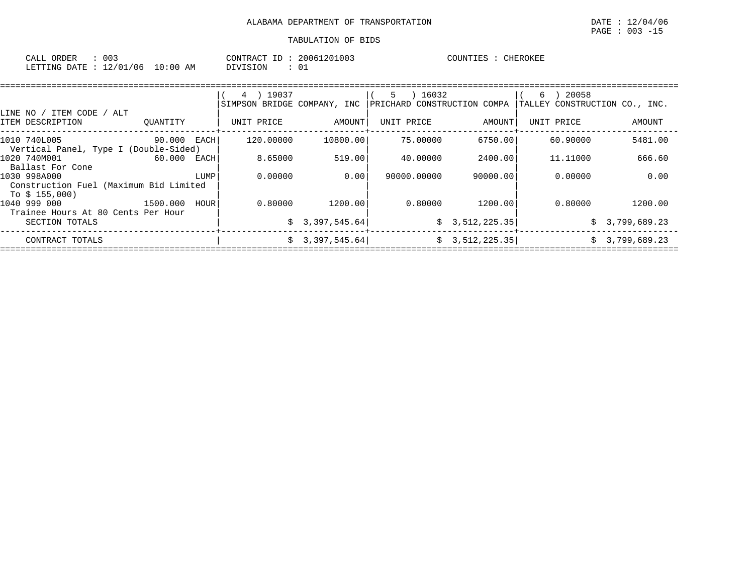| 003<br>CALL ORDER                |          | CONTRACT ID: 20061201003 | COUNTIES : 0<br>CHEROKEE |
|----------------------------------|----------|--------------------------|--------------------------|
| LETTING DATE : 12/01/06 10:00 AM | DIVISION |                          |                          |

|                                                                         |             |      | 4 ) 19037<br>SIMPSON BRIDGE COMPANY, INC |                 | 5 ) 16032<br>PRICHARD CONSTRUCTION COMPA |                | 20058<br>6<br>TALLEY CONSTRUCTION CO., INC. |                |
|-------------------------------------------------------------------------|-------------|------|------------------------------------------|-----------------|------------------------------------------|----------------|---------------------------------------------|----------------|
| LINE NO / ITEM CODE / ALT<br>ITEM DESCRIPTION                           | OUANTITY    |      | UNIT PRICE                               | AMOUNT          | UNIT PRICE                               | AMOUNT         | UNIT PRICE                                  | AMOUNT         |
| 1010 740L005<br>Vertical Panel, Type I (Double-Sided)                   | 90.000 EACH |      | 120.00000                                | 10800.00        | 75.00000                                 | 6750.00        | 60.90000                                    | 5481.00        |
| 1020 740M001<br>Ballast For Cone                                        | 60.000 EACH |      | 8.65000                                  | 519.00          | 40.00000                                 | 2400.00        | 11,11000                                    | 666.60         |
| 1030 998A000<br>Construction Fuel (Maximum Bid Limited<br>To $$155,000$ |             | LUMP | 0.00000                                  | 0.001           | 90000.00000                              | 90000.00       | 0.00000                                     | 0.00           |
| 1040 999 000<br>1500.000<br>Trainee Hours At 80 Cents Per Hour          |             | HOUR | 0.80000                                  | 1200.00         | 0.80000                                  | 1200.001       | 0.80000                                     | 1200.00        |
| SECTION TOTALS                                                          |             |      |                                          | \$3,397,545.64  |                                          | \$3,512,225.35 |                                             | \$3,799,689.23 |
| CONTRACT TOTALS                                                         |             |      |                                          | \$3,397,545.64] |                                          | \$3,512,225.35 |                                             | \$3,799,689.23 |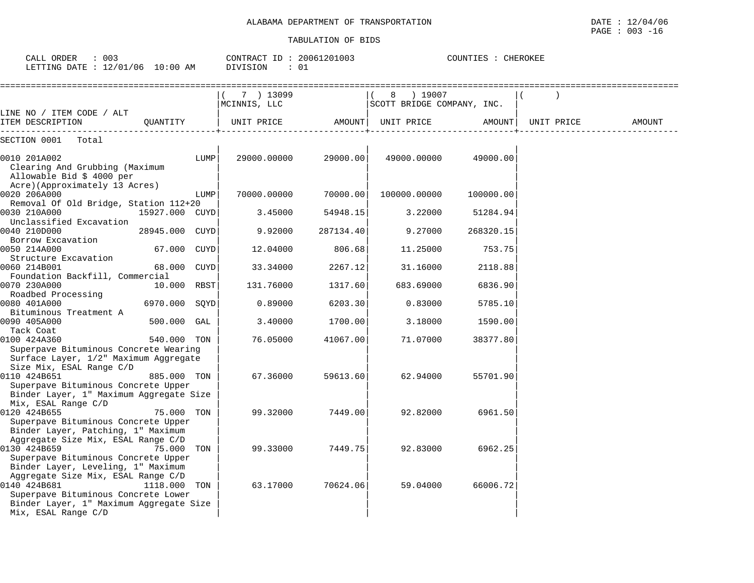| CALL ORDER<br>$\therefore$ 003<br>LETTING DATE : 12/01/06 10:00 AM                                                                                                                                |                |      | CONTRACT ID: 20061201003<br>COUNTIES : CHEROKEE<br>DIVISION<br>: 01 |           |                                         |           |            |        |  |
|---------------------------------------------------------------------------------------------------------------------------------------------------------------------------------------------------|----------------|------|---------------------------------------------------------------------|-----------|-----------------------------------------|-----------|------------|--------|--|
|                                                                                                                                                                                                   |                |      | 7 ) 13099<br>MCINNIS, LLC                                           |           | 8 ) 19007<br>SCOTT BRIDGE COMPANY, INC. |           |            |        |  |
| LINE NO / ITEM CODE / ALT<br>ITEM DESCRIPTION                                                                                                                                                     | OUANTITY       |      | UNIT PRICE                                                          |           | AMOUNT  UNIT PRICE                      | AMOUNT    | UNIT PRICE | AMOUNT |  |
| SECTION 0001<br>Total                                                                                                                                                                             |                |      |                                                                     |           |                                         |           |            |        |  |
| 0010 201A002<br>Clearing And Grubbing (Maximum<br>Allowable Bid \$ 4000 per<br>Acre)(Approximately 13 Acres)                                                                                      |                | LUMP | 29000.00000                                                         | 29000.00  | 49000.00000                             | 49000.00  |            |        |  |
| 0020 206A000                                                                                                                                                                                      |                | LUMP | 70000.00000                                                         | 70000.00  | 100000.00000                            | 100000.00 |            |        |  |
| Removal Of Old Bridge, Station 112+20                                                                                                                                                             |                |      |                                                                     |           |                                         |           |            |        |  |
| 0030 210A000                                                                                                                                                                                      | 15927.000 CUYD |      | 3.45000                                                             | 54948.15  | 3.22000                                 | 51284.94  |            |        |  |
| Unclassified Excavation                                                                                                                                                                           |                |      |                                                                     |           |                                         |           |            |        |  |
| 0040 210D000<br>Borrow Excavation                                                                                                                                                                 | 28945.000 CUYD |      | 9.92000                                                             | 287134.40 | 9.27000                                 | 268320.15 |            |        |  |
| 0050 214A000                                                                                                                                                                                      | 67.000 CUYD    |      | 12.04000                                                            | 806.68    | 11.25000                                | 753.75    |            |        |  |
| Structure Excavation                                                                                                                                                                              |                |      |                                                                     |           |                                         |           |            |        |  |
| 0060 214B001                                                                                                                                                                                      | 68.000 CUYD    |      | 33.34000                                                            | 2267.12   | 31.16000                                | 2118.88   |            |        |  |
| Foundation Backfill, Commercial                                                                                                                                                                   |                |      |                                                                     |           |                                         |           |            |        |  |
| 0070 230A000                                                                                                                                                                                      | 10.000 RBST    |      | 131.76000                                                           | 1317.60   | 683.69000                               | 6836.90   |            |        |  |
| Roadbed Processing                                                                                                                                                                                |                |      |                                                                     |           |                                         |           |            |        |  |
| 0080 401A000                                                                                                                                                                                      | 6970.000 SOYD  |      | 0.89000                                                             | 6203.30   | 0.83000                                 | 5785.10   |            |        |  |
| Bituminous Treatment A                                                                                                                                                                            |                |      |                                                                     |           |                                         |           |            |        |  |
| 0090 405A000<br>Tack Coat                                                                                                                                                                         | 500.000 GAL    |      | 3.40000                                                             | 1700.00   | 3.18000                                 | 1590.00   |            |        |  |
| 0100 424A360                                                                                                                                                                                      | 540.000 TON    |      | 76.05000                                                            | 41067.00  | 71.07000                                | 38377.80  |            |        |  |
| Superpave Bituminous Concrete Wearing<br>Surface Layer, 1/2" Maximum Aggregate<br>Size Mix, ESAL Range C/D                                                                                        |                |      |                                                                     |           |                                         |           |            |        |  |
| 0110 424B651                                                                                                                                                                                      | 885.000 TON    |      | 67.36000                                                            | 59613.60  | 62.94000                                | 55701.90  |            |        |  |
| Superpave Bituminous Concrete Upper<br>Binder Layer, 1" Maximum Aggregate Size<br>Mix, ESAL Range C/D                                                                                             |                |      |                                                                     |           |                                         |           |            |        |  |
| 0120 424B655<br>Superpave Bituminous Concrete Upper<br>Binder Layer, Patching, 1" Maximum                                                                                                         | 75.000 TON     |      | 99.32000                                                            | 7449.00   | 92.82000                                | 6961.50   |            |        |  |
| Aggregate Size Mix, ESAL Range C/D<br>0130 424B659<br>Superpave Bituminous Concrete Upper                                                                                                         | 75.000 TON     |      | 99.33000                                                            | 7449.75   | 92.83000                                | 6962.25   |            |        |  |
| Binder Layer, Leveling, 1" Maximum<br>Aggregate Size Mix, ESAL Range C/D<br>0140 424B681<br>Superpave Bituminous Concrete Lower<br>Binder Layer, 1" Maximum Aggregate Size<br>Mix, ESAL Range C/D | 1118.000 TON   |      | 63.17000                                                            | 70624.06  | 59.04000                                | 66006.72  |            |        |  |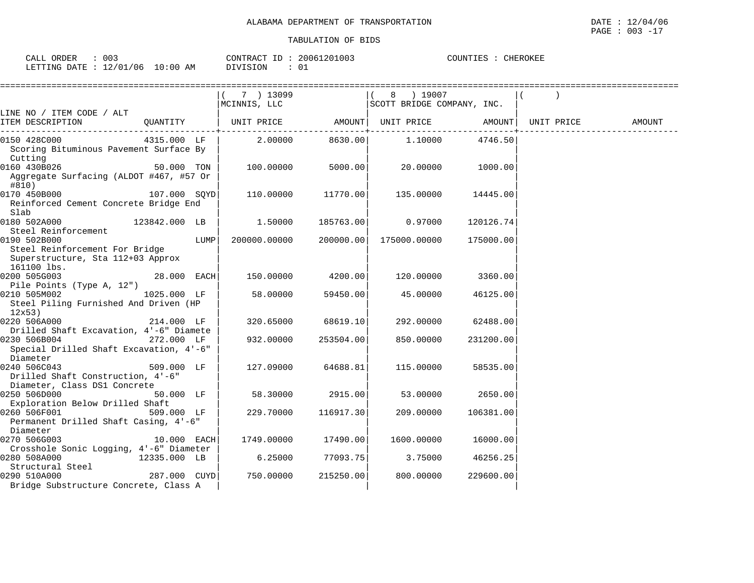| 003<br>ORDER<br>CALL |                           | CONTRACT ID     | 20061201003 | COUNTIES<br>CHEROKEE |
|----------------------|---------------------------|-----------------|-------------|----------------------|
| LETTING DATE         | :: $12/01/06$ 10:00<br>ΆM | <b>DIVISION</b> |             |                      |

| ======================                                                              |               |      |                                                         |                    |                           |           |            |        |
|-------------------------------------------------------------------------------------|---------------|------|---------------------------------------------------------|--------------------|---------------------------|-----------|------------|--------|
|                                                                                     |               |      | 7 ) 13099<br> MCINNIS, LLC   SCOTT BRIDGE COMPANY, INC. |                    | 8 ) 19007                 |           |            |        |
| LINE NO / ITEM CODE / ALT<br>ITEM DESCRIPTION                                       |               |      | QUANTITY   UNIT PRICE AMOUNT  UNIT PRICE AMOUNT         |                    |                           |           | UNIT PRICE | AMOUNT |
|                                                                                     |               |      |                                                         |                    |                           |           |            |        |
| 0150 428C000<br>Scoring Bituminous Pavement Surface By<br>Cutting                   | 4315.000 LF   |      |                                                         |                    | $2.00000$ 8630.00 1.10000 | 4746.50   |            |        |
| 0160 430B026<br>Aggregate Surfacing (ALDOT #467, #57 Or<br>#810)                    | 50.000 TON    |      | 100.00000                                               | 5000.00            | 20.00000                  | 1000.00   |            |        |
| $0170$ 450B000 $107.000$ SQYD<br>Reinforced Cement Concrete Bridge End<br>Slab      |               |      |                                                         | 110.00000 11770.00 | 135.00000                 | 14445.00  |            |        |
| 0180 502A000<br>Steel Reinforcement                                                 | 123842.000 LB |      | 1.50000                                                 | 185763.00          | 0.97000                   | 120126.74 |            |        |
| 0190 502B000<br>Steel Reinforcement For Bridge<br>Superstructure, Sta 112+03 Approx |               | LUMP | 200000.00000                                            | 200000.00          | 175000.00000              | 175000.00 |            |        |
| 161100 lbs.<br>0200 505G003<br>Pile Points (Type A, 12")                            | 28.000 EACH   |      |                                                         | 150.00000 4200.00  | 120.00000                 | 3360.00   |            |        |
| 0210 505M002<br>Steel Piling Furnished And Driven (HP<br>12x53                      | 1025.000 LF   |      | 58.00000                                                | 59450.00           | 45.00000                  | 46125.00  |            |        |
| 0220 506A000<br>Drilled Shaft Excavation, 4'-6" Diamete                             | 214.000 LF    |      | 320.65000                                               | 68619.10           | 292.00000                 | 62488.00  |            |        |
| 0230 506B004<br>Special Drilled Shaft Excavation, 4'-6"<br>Diameter                 | 272.000 LF    |      | 932.00000                                               | 253504.00          | 850.00000                 | 231200.00 |            |        |
| 0240 506C043<br>Drilled Shaft Construction, 4'-6"<br>Diameter, Class DS1 Concrete   | 509.000 LF    |      | 127.09000                                               | 64688.81           | 115.00000                 | 58535.00  |            |        |
| 0250 506D000<br>Exploration Below Drilled Shaft                                     | $50.000$ LF   |      | 58.30000                                                | 2915.00            | 53.00000                  | 2650.00   |            |        |
| 0260 506F001<br>Permanent Drilled Shaft Casing, 4'-6"<br>Diameter                   | 509.000 LF    |      | 229.70000                                               | 116917.30          | 209.00000                 | 106381.00 |            |        |
| 0270 506G003<br>Crosshole Sonic Logging, 4'-6" Diameter                             | $10.000$ EACH |      | 1749.00000 17490.00                                     |                    | 1600.00000                | 16000.00  |            |        |
| 0280 508A000<br>Structural Steel                                                    | 12335.000 LB  |      |                                                         | 6.25000 77093.75   | 3.75000                   | 46256.25  |            |        |
| 287.000 CUYD<br>0290 510A000<br>Bridge Substructure Concrete, Class A               |               |      | 750.00000                                               | 215250.00          | 800.00000                 | 229600.00 |            |        |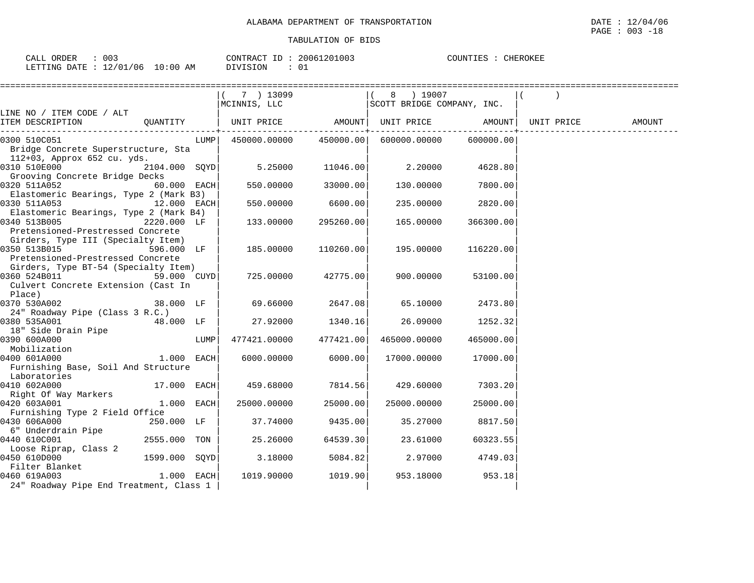| 003<br>CALL ORDER                | CONTRACT ID: | 20061201003 | COUNTIES<br>CHEROKEE |
|----------------------------------|--------------|-------------|----------------------|
| LETTING DATE : 12/01/06 10:00 AM | DIVISION     | 01          |                      |

|                                                 |               |      | 7 ) 13099<br>MCINNIS, LLC                      |                    | ( 8 ) 19007<br>SCOTT BRIDGE COMPANY, INC. |           |            |        |
|-------------------------------------------------|---------------|------|------------------------------------------------|--------------------|-------------------------------------------|-----------|------------|--------|
| LINE NO / ITEM CODE / ALT                       |               |      |                                                |                    |                                           |           |            |        |
| ITEM DESCRIPTION<br>--------------------------- |               |      |                                                |                    |                                           |           | UNIT PRICE | AMOUNT |
| 0300 510C051                                    |               |      | $LUMP$ 450000.00000 450000.00                  |                    | 600000.00000 600000.00                    |           |            |        |
| Bridge Concrete Superstructure, Sta             |               |      |                                                |                    |                                           |           |            |        |
| 112+03, Approx 652 cu. yds.                     |               |      |                                                |                    |                                           |           |            |        |
| 0310 510E000                                    |               |      | $2104.000$ SQYD $5.25000$ $11046.00$ $2.20000$ |                    |                                           | 4628.80   |            |        |
| Grooving Concrete Bridge Decks                  |               |      |                                                |                    |                                           |           |            |        |
| 0320 511A052                                    | $60.000$ EACH |      | 550.00000                                      | 33000.00           | 130.00000                                 | 7800.00   |            |        |
| Elastomeric Bearings, Type 2 (Mark B3)          |               |      |                                                |                    |                                           |           |            |        |
| 0330 511A053<br>$12.000$ EACH                   |               |      | 550.00000                                      | 6600.00            | 235.00000                                 | 2820.00   |            |        |
| Elastomeric Bearings, Type 2 (Mark B4)          |               |      |                                                |                    |                                           |           |            |        |
| 0340 513B005                                    | 2220.000 LF   |      | 133.00000                                      | 295260.00          | 165.00000                                 | 366300.00 |            |        |
| Pretensioned-Prestressed Concrete               |               |      |                                                |                    |                                           |           |            |        |
| Girders, Type III (Specialty Item)              |               |      |                                                |                    |                                           |           |            |        |
| 0350 513B015                                    | 596.000 LF    |      | 185.00000                                      | 110260.00          | 195.00000                                 | 116220.00 |            |        |
| Pretensioned-Prestressed Concrete               |               |      |                                                |                    |                                           |           |            |        |
| Girders, Type BT-54 (Specialty Item)            |               |      |                                                |                    |                                           |           |            |        |
| 0360 524B011                                    | 59.000 CUYD   |      |                                                | 725.00000 42775.00 | 900.00000                                 | 53100.00  |            |        |
| Culvert Concrete Extension (Cast In<br>Place)   |               |      |                                                |                    |                                           |           |            |        |
| 0370 530A002 38.000 LF                          |               |      | 69.66000                                       | 2647.08            | 65.10000                                  | 2473.80   |            |        |
| 24" Roadway Pipe (Class 3 R.C.)                 |               |      |                                                |                    |                                           |           |            |        |
| 0380 535A001                                    | 48.000 LF     |      |                                                | 27.92000 1340.16   | 26.09000                                  | 1252.32   |            |        |
| 18" Side Drain Pipe                             |               |      |                                                |                    |                                           |           |            |        |
| 0390 600A000                                    |               | LUMP | 477421.00000                                   | 477421.00          | 465000.00000                              | 465000.00 |            |        |
| Mobilization<br>1.000 EACH<br>1.000 EACH        |               |      |                                                |                    |                                           |           |            |        |
| 0400 601A000                                    |               |      |                                                | 6000.00000 6000.00 | 17000.00000                               | 17000.00  |            |        |
| Furnishing Base, Soil And Structure             |               |      |                                                |                    |                                           |           |            |        |
| Laboratories                                    |               |      |                                                |                    |                                           |           |            |        |
| 0410 602A000                                    | $17.000$ EACH |      | 459.68000 7814.56                              |                    | 429.60000                                 | 7303.20   |            |        |
| Right Of Way Markers                            |               |      |                                                |                    |                                           |           |            |        |
| 0420 603A001                                    | $1.000$ EACH  |      | 25000.00000                                    | 25000.00           | 25000.00000                               | 25000.00  |            |        |
| Furnishing Type 2 Field Office                  |               |      |                                                |                    |                                           |           |            |        |
| 0430 606A000                                    | 250.000 LF    |      | 37.74000                                       | 9435.00            | 35.27000                                  | 8817.50   |            |        |
| 6" Underdrain Pipe                              |               |      |                                                |                    |                                           |           |            |        |
| 0440 610C001                                    | 2555.000 TON  |      | 25.26000                                       | 64539.30           | 23.61000                                  | 60323.55  |            |        |
| Loose Riprap, Class 2                           |               |      |                                                |                    |                                           |           |            |        |
| 0450 610D000                                    | 1599.000 SOYD |      | 3.18000                                        | 5084.82            | 2.97000                                   | 4749.03   |            |        |
| Filter Blanket                                  |               |      |                                                |                    |                                           |           |            |        |
| 0460 619A003                                    | $1.000$ EACH  |      |                                                | 1019.90000 1019.90 | 953.18000                                 | 953.18    |            |        |
| 24" Roadway Pipe End Treatment, Class 1         |               |      |                                                |                    |                                           |           |            |        |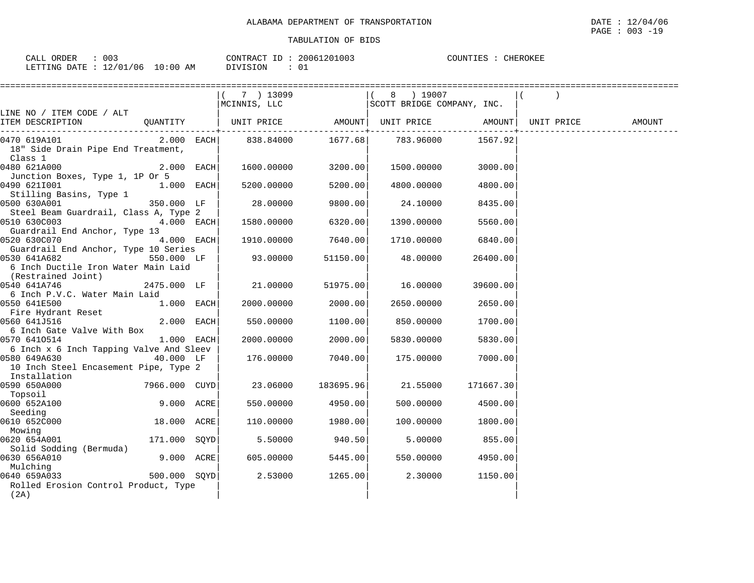| 003<br>DER<br>اللطاب<br>$\overline{\phantom{a}}$        | סידיזו∩י<br>יחר י<br>$\sim$                    | ⊥ப | 003<br>2006 | $TNTT$ .<br>$\cap$ TIN. | ┐⌒ァ↗ ΕΤ |
|---------------------------------------------------------|------------------------------------------------|----|-------------|-------------------------|---------|
| $\sim$<br>LETTING<br>ιΑͲϜ<br>$\sqrt{2}$<br>06.<br>, , , | AΜ<br>⊤∩ນ<br>፡ 0 ቦ<br>$\mathcal{L}$<br>$\cdot$ |    | ∟0          |                         |         |

|                                               |               | ========================                                                                                                                                                               |          |                  |                    |        |
|-----------------------------------------------|---------------|----------------------------------------------------------------------------------------------------------------------------------------------------------------------------------------|----------|------------------|--------------------|--------|
|                                               |               | $(7)$ 13099                                                                                                                                                                            |          | 8 ) 19007        |                    |        |
|                                               |               | $\begin{array}{ccc}\n\begin{array}{ccc}\n\vee & \vee & \vee & \vee & \vee & \vee & \vee \\ \mathsf{MCINNIS}, & \mathsf{LLC} & & & \end{array}\n\end{array}$ SCOTT BRIDGE COMPANY, INC. |          |                  |                    |        |
| LINE NO / ITEM CODE / ALT                     |               |                                                                                                                                                                                        |          |                  |                    |        |
| ITEM DESCRIPTION                              |               | QUANTITY   UNIT PRICE     AMOUNT  UNIT PRICE     AMOUNT  UNIT PRICE                                                                                                                    |          |                  |                    | AMOUNT |
| 0470 619A101                                  |               | $2.000$ EACH $ $ 838.84000 1677.68 783.96000                                                                                                                                           |          |                  | 1567.92            |        |
| 18" Side Drain Pipe End Treatment,<br>Class 1 |               |                                                                                                                                                                                        |          |                  |                    |        |
| 0480 621A000                                  | $2.000$ EACH  | 1600.00000                                                                                                                                                                             | 3200.00  | 1500.00000       | 3000.00            |        |
| Junction Boxes, Type 1, 1P Or 5               |               |                                                                                                                                                                                        |          |                  |                    |        |
| 0490 6211001                                  | $1.000$ EACH  | 5200.00000                                                                                                                                                                             | 5200.00  | 4800.00000       | 4800.00            |        |
| Stilling Basins, Type 1                       |               |                                                                                                                                                                                        |          |                  |                    |        |
| 0500 630A001                                  | 350.000 LF    | 28.00000                                                                                                                                                                               | 9800.00  | 24.10000 8435.00 |                    |        |
| Steel Beam Guardrail, Class A, Type 2         |               |                                                                                                                                                                                        |          |                  |                    |        |
| 0510 630C003                                  | $4.000$ EACH  | 1580.00000                                                                                                                                                                             | 6320.00  | 1390.00000       | 5560.00            |        |
| Guardrail End Anchor, Type 13                 |               |                                                                                                                                                                                        |          |                  |                    |        |
| 0520 630C070                                  | $4.000$ EACH  | 1910.00000                                                                                                                                                                             | 7640.00  | 1710.00000       | 6840.00            |        |
| Guardrail End Anchor, Type 10 Series          |               |                                                                                                                                                                                        |          |                  |                    |        |
| 0530 641A682                                  | 550.000 LF    | 93.00000                                                                                                                                                                               | 51150.00 | 48.00000         | 26400.00           |        |
| 6 Inch Ductile Iron Water Main Laid           |               |                                                                                                                                                                                        |          |                  |                    |        |
| (Restrained Joint)                            |               |                                                                                                                                                                                        |          |                  |                    |        |
| 0540 641A746                                  | 2475.000 LF   | 21,00000                                                                                                                                                                               | 51975.00 | 16.00000         | 39600.00           |        |
| 6 Inch P.V.C. Water Main Laid                 |               |                                                                                                                                                                                        |          |                  |                    |        |
| 0550 641E500                                  | $1.000$ EACH  | 2000.00000                                                                                                                                                                             | 2000.00  |                  | 2650.00000 2650.00 |        |
| Fire Hydrant Reset                            |               |                                                                                                                                                                                        |          |                  |                    |        |
| 0560 641J516                                  | $2.000$ EACH  | 550.00000                                                                                                                                                                              | 1100.00  | 850.00000        | 1700.00            |        |
| 6 Inch Gate Valve With Box                    |               |                                                                                                                                                                                        |          |                  |                    |        |
| 0570 6410514                                  | $1.000$ EACH  | 2000.00000                                                                                                                                                                             | 2000.00  | 5830.00000       | 5830.00            |        |
| 6 Inch x 6 Inch Tapping Valve And Sleev       |               |                                                                                                                                                                                        |          |                  |                    |        |
| 0580 649A630                                  | 40.000 LF     | 176.00000                                                                                                                                                                              | 7040.00  | 175.00000        | 7000.00            |        |
| 10 Inch Steel Encasement Pipe, Type 2         |               |                                                                                                                                                                                        |          |                  |                    |        |
| Installation                                  |               |                                                                                                                                                                                        |          |                  |                    |        |
|                                               | 7966.000 CUYD | 23.06000 183695.96                                                                                                                                                                     |          | 21.55000         | 171667.30          |        |
| Topsoil                                       |               |                                                                                                                                                                                        |          |                  |                    |        |
| 0600 652A100                                  | 9.000 ACRE    | 550.00000                                                                                                                                                                              | 4950.00  |                  | 500.00000 4500.00  |        |
| Seeding                                       |               |                                                                                                                                                                                        |          |                  |                    |        |
| 0610 652C000                                  | 18.000 ACRE   | 110.00000                                                                                                                                                                              | 1980.00  | 100.00000        | 1800.00            |        |
| Mowing<br>0620 654A001                        | 171.000 SOYD  |                                                                                                                                                                                        | 940.50   | 5.00000          | 855.00             |        |
| Solid Sodding (Bermuda)                       |               | 5.50000                                                                                                                                                                                |          |                  |                    |        |
| 0630 656A010                                  | 9.000 ACRE    | 605.00000                                                                                                                                                                              | 5445.00  | 550.00000        | 4950.00            |        |
| Mulching                                      |               |                                                                                                                                                                                        |          |                  |                    |        |
| 0640 659A033                                  | 500.000 SOYD  | 2.53000                                                                                                                                                                                | 1265.00  | 2.30000          | 1150.00            |        |
| Rolled Erosion Control Product, Type          |               |                                                                                                                                                                                        |          |                  |                    |        |
| (2A)                                          |               |                                                                                                                                                                                        |          |                  |                    |        |
|                                               |               |                                                                                                                                                                                        |          |                  |                    |        |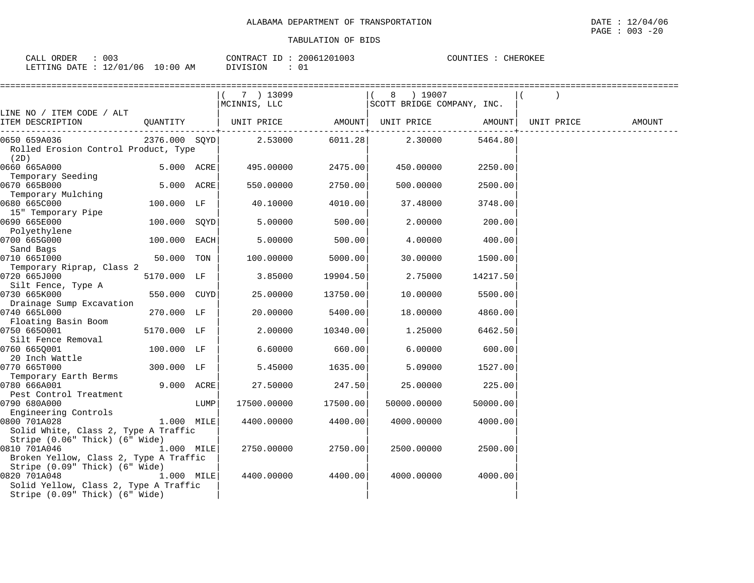| 003<br>ORDER<br>וזגר<br>ىلىلەر                          |                 | 1.1002<br>2006<br>CONTRA<br>. U U | TIEROKEE<br>רתודורי<br>上西之 |
|---------------------------------------------------------|-----------------|-----------------------------------|----------------------------|
| .ETTTIM<br>. ነ∆ ጥም<br>$\sim$<br>' N F<br>ШB<br>- -<br>ີ | ΑM<br>. U ÷ U U | <b>TON</b><br>ັບ⊥                 |                            |

|                                                      |              |      | 7 ) 13099                                                                                                  |                            | ( 8 ) 19007                |          |            |        |
|------------------------------------------------------|--------------|------|------------------------------------------------------------------------------------------------------------|----------------------------|----------------------------|----------|------------|--------|
|                                                      |              |      | MCINNIS, LLC                                                                                               |                            | SCOTT BRIDGE COMPANY, INC. |          |            |        |
| LINE NO / ITEM CODE / ALT                            |              |      |                                                                                                            |                            |                            |          |            |        |
| ITEM DESCRIPTION                                     |              |      | QUANTITY   UNIT PRICE AMOUNT  UNIT PRICE AMOUNT                                                            | -------------------------- |                            |          | UNIT PRICE | AMOUNT |
| 0650 659A036                                         |              |      | $2376.000 \quad \text{SQYD} \vert \qquad \qquad 2.53000 \qquad \qquad 6011.28 \vert \qquad \qquad 2.30000$ |                            |                            | 5464.80  |            |        |
| Rolled Erosion Control Product, Type<br>(2D)         |              |      |                                                                                                            |                            |                            |          |            |        |
| 0660 665A000<br>Temporary Seeding                    | 5.000 ACRE   |      | 495.00000                                                                                                  | 2475.00                    | 450.00000                  | 2250.00  |            |        |
| 0670 665B000                                         | 5.000 ACRE   |      | 550.00000                                                                                                  | 2750.00                    | 500.00000                  | 2500.00  |            |        |
| Temporary Mulching<br>0680 665C000                   | 100.000 LF   |      | 40.10000                                                                                                   | 4010.00                    | 37.48000                   | 3748.00  |            |        |
| 15" Temporary Pipe<br>0690 665E000                   | 100.000 SQYD |      | 5.00000                                                                                                    | 500.00                     | 2.00000                    | 200.00   |            |        |
| Polyethylene<br>0700 665G000                         | 100.000 EACH |      | 5.00000                                                                                                    | 500.00                     | 4.00000                    | 400.00   |            |        |
| Sand Bags                                            |              |      |                                                                                                            |                            |                            |          |            |        |
| 0710 6651000                                         | 50.000 TON   |      | 100.00000                                                                                                  | 5000.00                    | 30.00000                   | 1500.00  |            |        |
| Temporary Riprap, Class 2<br>0720 665J000            | 5170.000 LF  |      | 3.85000                                                                                                    | 19904.50                   | 2.75000                    | 14217.50 |            |        |
| Silt Fence, Type A<br>0730 665K000                   | 550.000 CUYD |      | 25.00000                                                                                                   | 13750.00                   | 10.00000                   | 5500.00  |            |        |
| Drainage Sump Excavation                             |              |      |                                                                                                            |                            |                            |          |            |        |
| 0740 665L000<br>Floating Basin Boom                  | 270.000 LF   |      | 20.00000                                                                                                   | 5400.00                    | 18.00000                   | 4860.00  |            |        |
| 0750 6650001                                         | 5170.000 LF  |      | 2.00000                                                                                                    | 10340.00                   | 1.25000                    | 6462.50  |            |        |
| Silt Fence Removal                                   |              |      |                                                                                                            |                            |                            |          |            |        |
| 0760 665Q001                                         | 100.000 LF   |      | 6.60000                                                                                                    | 660.00                     | 6.00000                    | 600.00   |            |        |
| 20 Inch Wattle<br>0770 665T000                       | 300.000 LF   |      | 5.45000                                                                                                    | 1635.00                    | 5.09000                    | 1527.00  |            |        |
| Temporary Earth Berms                                |              |      |                                                                                                            |                            |                            |          |            |        |
| 0780 666A001                                         | 9.000 ACRE   |      | 27.50000                                                                                                   | 247.50                     | 25.00000                   | 225.00   |            |        |
| Pest Control Treatment                               |              |      |                                                                                                            |                            |                            |          |            |        |
| 0790 680A000                                         |              | LUMP | 17500.00000                                                                                                | 17500.00                   | 50000.00000                | 50000.00 |            |        |
| Engineering Controls                                 |              |      |                                                                                                            |                            |                            |          |            |        |
| 0800 701A028<br>Solid White, Class 2, Type A Traffic | 1.000 MILE   |      | 4400.00000                                                                                                 | 4400.00                    | 4000.00000                 | 4000.00  |            |        |
| Stripe $(0.06"$ Thick) $(6"$ Wide)                   |              |      |                                                                                                            |                            |                            |          |            |        |
| 0810 701A046<br>1.000 MILE                           |              |      | 2750.00000                                                                                                 | 2750.00                    | 2500.00000                 | 2500.00  |            |        |
| Broken Yellow, Class 2, Type A Traffic               |              |      |                                                                                                            |                            |                            |          |            |        |
| Stripe (0.09" Thick) (6" Wide)                       |              |      |                                                                                                            |                            |                            |          |            |        |
| 0820 701A048                                         | $1.000$ MILE |      | 4400.00000                                                                                                 | 4400.00                    | 4000.00000                 | 4000.00  |            |        |
| Solid Yellow, Class 2, Type A Traffic                |              |      |                                                                                                            |                            |                            |          |            |        |
| Stripe (0.09" Thick) (6" Wide)                       |              |      |                                                                                                            |                            |                            |          |            |        |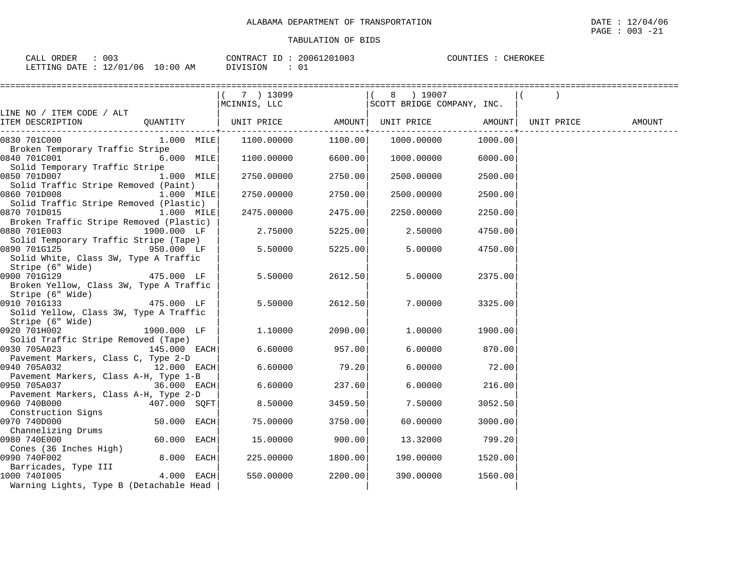CALL ORDER : 003 CONTRACT ID : 20061201003 COUNTIES : CHEROKEE LETTING DATE : 12/01/06 10:00 AM DIVISION : 01

|                                                       |              | ========================== |                               |                            |         |            |        |
|-------------------------------------------------------|--------------|----------------------------|-------------------------------|----------------------------|---------|------------|--------|
|                                                       |              | 7 ) 13099                  |                               | 8 ) 19007                  |         |            |        |
|                                                       |              | MCINNIS, LLC               |                               | SCOTT BRIDGE COMPANY, INC. |         |            |        |
| LINE NO / ITEM CODE / ALT                             |              |                            |                               |                            |         |            |        |
| ITEM DESCRIPTION                                      | QUANTITY     | UNIT PRICE AMOUNT          |                               | UNIT PRICE AMOUNT          |         | UNIT PRICE | AMOUNT |
| 0830 701C000                                          | $1.000$ MILE | 1100.00000                 | ----------------+-<br>1100.00 | 1000.00000                 | 1000.00 |            |        |
| Broken Temporary Traffic Stripe                       |              |                            |                               |                            |         |            |        |
| 0840 701C001                                          | 6.000 MILE   | 1100.00000                 | 6600.00                       | 1000.00000                 | 6000.00 |            |        |
| Solid Temporary Traffic Stripe                        |              |                            |                               |                            |         |            |        |
| 0850 701D007                                          | 1.000 MILE   | 2750.00000                 | 2750.00                       | 2500.00000                 | 2500.00 |            |        |
| Solid Traffic Stripe Removed (Paint)                  |              |                            |                               |                            |         |            |        |
| 0860 701D008                                          | 1.000 MILE   | 2750.00000                 | 2750.00                       | 2500.00000                 | 2500.00 |            |        |
| Solid Traffic Stripe Removed (Plastic)                |              |                            |                               |                            |         |            |        |
| 0870 701D015                                          | 1.000 MILE   | 2475.00000                 | 2475.00                       | 2250.00000                 | 2250.00 |            |        |
| Broken Traffic Stripe Removed (Plastic)               |              |                            |                               |                            |         |            |        |
| 0880 701E003                                          | 1900.000 LF  | 2.75000                    | 5225.00                       | 2.50000                    | 4750.00 |            |        |
| Solid Temporary Traffic Stripe (Tape)                 |              |                            |                               |                            |         |            |        |
| 0890 701G125<br><b>950.000 LF</b>                     |              | 5.50000                    | 5225.00                       | 5.00000                    | 4750.00 |            |        |
| Solid White, Class 3W, Type A Traffic                 |              |                            |                               |                            |         |            |        |
| Stripe (6" Wide)                                      |              |                            |                               |                            |         |            |        |
| 0900 701G129                                          | 475.000 LF   | 5.50000                    | 2612.50                       | 5.00000                    | 2375.00 |            |        |
| Broken Yellow, Class 3W, Type A Traffic               |              |                            |                               |                            |         |            |        |
| Stripe (6" Wide)                                      |              |                            |                               |                            |         |            |        |
| 0910 701G133<br>$475.000$ LF                          |              | 5.50000                    | 2612.50                       | 7.00000                    | 3325.00 |            |        |
| Solid Yellow, Class 3W, Type A Traffic                |              |                            |                               |                            |         |            |        |
| Stripe (6" Wide)                                      |              |                            |                               |                            |         |            |        |
| 0920 701H002                                          | 1900.000 LF  | 1,10000                    | 2090.00                       | 1.00000                    | 1900.00 |            |        |
| Solid Traffic Stripe Removed (Tape)                   |              |                            |                               |                            |         |            |        |
| 0930 705A023<br>145.000 EACH                          |              | 6.60000                    | 957.00                        | 6.00000                    | 870.00  |            |        |
| Pavement Markers, Class C, Type 2-D<br>0940 705A032   | 12.000 EACH  | 6.60000                    | 79.20                         | 6.00000                    | 72.00   |            |        |
|                                                       |              |                            |                               |                            |         |            |        |
| Pavement Markers, Class A-H, Type 1-B<br>0950 705A037 | 36.000 EACH  | 6.60000                    | 237.60                        | 6.00000                    | 216.00  |            |        |
| Pavement Markers, Class A-H, Type 2-D                 |              |                            |                               |                            |         |            |        |
| 0960 740B000                                          | 407.000 SQFT | 8.50000                    | 3459.50                       | 7.50000                    | 3052.50 |            |        |
| Construction Signs                                    |              |                            |                               |                            |         |            |        |
| 0970 740D000                                          | 50.000 EACH  | 75.00000                   | 3750.00                       | 60.00000                   | 3000.00 |            |        |
| Channelizing Drums                                    |              |                            |                               |                            |         |            |        |
| 0980 740E000                                          | 60.000 EACH  | 15.00000                   | 900.00                        | 13.32000                   | 799.20  |            |        |
| Cones (36 Inches High)                                |              |                            |                               |                            |         |            |        |
| 0990 740F002                                          | 8.000 EACH   | 225.00000                  | 1800.00                       | 190.00000                  | 1520.00 |            |        |
| Barricades, Type III                                  |              |                            |                               |                            |         |            |        |
| 1000 7401005                                          | 4.000 EACH   | 550.00000                  | 2200.00                       | 390.00000                  | 1560.00 |            |        |
| Warning Lights, Type B (Detachable Head               |              |                            |                               |                            |         |            |        |
|                                                       |              |                            |                               |                            |         |            |        |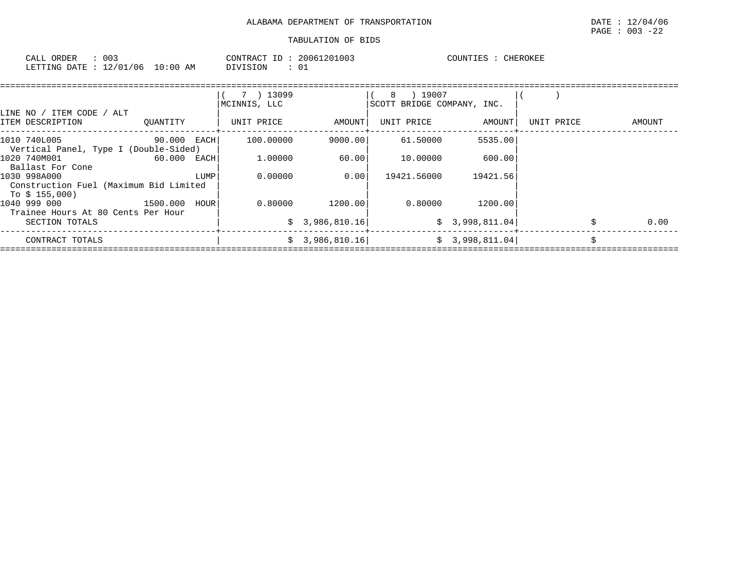| 003<br>ORDER<br>∵⊺∆ר<br>للتذهب                                                             |                 | חידונמ<br>$\sqrt{2}$<br>--<br>≀ ∆ ש | 201003<br>ንበበ6 | CHEROKEE<br>$\bigcap$ $\bigcap$ $\bigcap$ $\bigcap$ $\bigcap$ $\bigcap$ $\bigcap$ $\bigcap$ |
|--------------------------------------------------------------------------------------------|-----------------|-------------------------------------|----------------|---------------------------------------------------------------------------------------------|
| 06<br>$^{\circ}$ $\cap$ $\overline{\phantom{0}}$<br>LETTING<br>$\sim$<br>DATE<br>ັບ<br>- 4 | ΑM<br>: ( ) ( ) | 'ON                                 | $\sim$<br>ັບ⊥  |                                                                                             |

|                                                                          |             |      | 7 ) 13099<br>MCINNIS, LLC |                 | ) 19007<br>8<br>SCOTT BRIDGE COMPANY, INC. |                 |            |            |
|--------------------------------------------------------------------------|-------------|------|---------------------------|-----------------|--------------------------------------------|-----------------|------------|------------|
| LINE NO / ITEM CODE / ALT<br>ITEM DESCRIPTION                            | OUANTITY    |      | UNIT PRICE                | AMOUNT          | UNIT PRICE                                 | AMOUNT          | UNIT PRICE | AMOUNT     |
| 1010 740L005<br>Vertical Panel, Type I (Double-Sided)                    | 90.000 EACH |      | 100.00000                 | 9000.001        | 61.50000                                   | 5535.00         |            |            |
| 1020 740M001<br>Ballast For Cone                                         | 60.000 EACH |      | 1,00000                   | 60.00           | 10.00000                                   | 600.00          |            |            |
| 1030 998A000<br>Construction Fuel (Maximum Bid Limited<br>To \$ 155,000) |             | LUMP | 0.00000                   | 0.001           | 19421.56000                                | 19421.56        |            |            |
| 1040 999 000<br>1500.000<br>Trainee Hours At 80 Cents Per Hour           |             | HOUR | 0.80000                   | 1200.00         | 0.80000                                    | 1200.00         |            |            |
| SECTION TOTALS                                                           |             |      |                           | \$3,986,810.16] |                                            | \$3,998,811.04] |            | \$<br>0.00 |
| CONTRACT TOTALS                                                          |             |      |                           | \$3,986,810.16  |                                            | \$3,998,811.04  |            |            |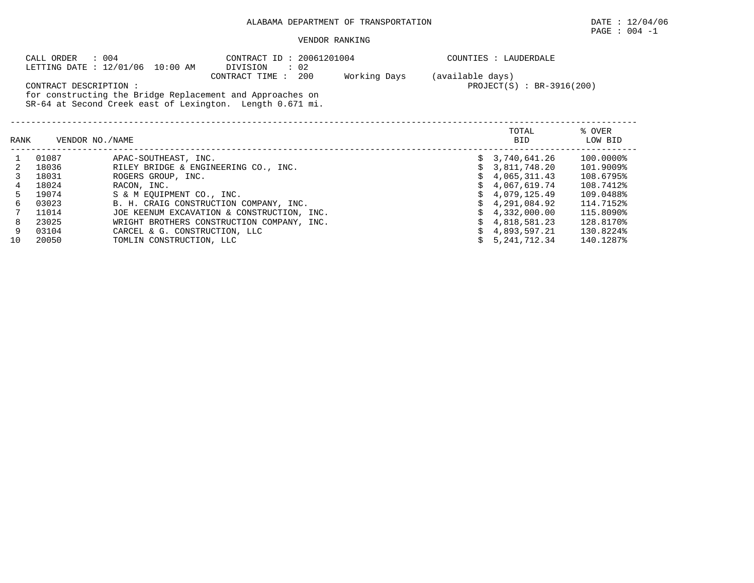## ALABAMA DEPARTMENT OF TRANSPORTATION DATE : 12/04/06

 $\texttt{PAGE}$  :  $004$  -1

## VENDOR RANKING

|      | CALL ORDER            | : 004                                                                                                                                                      | CONTRACT ID: 20061201004                   |                               | COUNTIES : LAUDERDALE       |                   |  |  |
|------|-----------------------|------------------------------------------------------------------------------------------------------------------------------------------------------------|--------------------------------------------|-------------------------------|-----------------------------|-------------------|--|--|
|      | CONTRACT DESCRIPTION: | LETTING DATE : 12/01/06 10:00 AM<br>for constructing the Bridge Replacement and Approaches on<br>SR-64 at Second Creek east of Lexington. Length 0.671 mi. | DIVISION<br>: 02<br>CONTRACT TIME : 200    | Working Days (available days) | $PROJECT(S) : BR-3916(200)$ |                   |  |  |
| RANK |                       | VENDOR NO./NAME                                                                                                                                            |                                            |                               | TOTAL<br><b>BID</b>         | % OVER<br>LOW BID |  |  |
|      | 01087                 | APAC-SOUTHEAST, INC.                                                                                                                                       |                                            |                               | 3,740,641.26                | $100.0000\%$      |  |  |
|      | 18036                 | RILEY BRIDGE & ENGINEERING CO., INC.                                                                                                                       |                                            |                               | 3,811,748.20                | 101.9009%         |  |  |
|      | 18031                 | ROGERS GROUP, INC.                                                                                                                                         |                                            |                               | 4,065,311.43                | 108.6795%         |  |  |
| 4    | 18024                 | RACON, INC.                                                                                                                                                |                                            |                               | 4,067,619.74                | 108.7412%         |  |  |
| 5    | 19074                 | S & M EOUIPMENT CO., INC.                                                                                                                                  |                                            |                               | 4,079,125.49                | 109.0488%         |  |  |
| 6    | 03023                 |                                                                                                                                                            | B. H. CRAIG CONSTRUCTION COMPANY, INC.     |                               | 4,291,084.92                | 114.7152%         |  |  |
|      | 11014                 |                                                                                                                                                            | JOE KEENUM EXCAVATION & CONSTRUCTION, INC. |                               | 4,332,000.00                | 115.8090%         |  |  |
| 8    | 23025                 |                                                                                                                                                            | WRIGHT BROTHERS CONSTRUCTION COMPANY, INC. |                               | 4,818,581.23                | 128.8170%         |  |  |
| 9    | 03104                 | CARCEL & G. CONSTRUCTION, LLC                                                                                                                              |                                            |                               | 4,893,597.21                | 130.8224%         |  |  |
| 10   | 20050                 | TOMLIN CONSTRUCTION, LLC                                                                                                                                   |                                            |                               | 5, 241, 712.34              | 140.1287%         |  |  |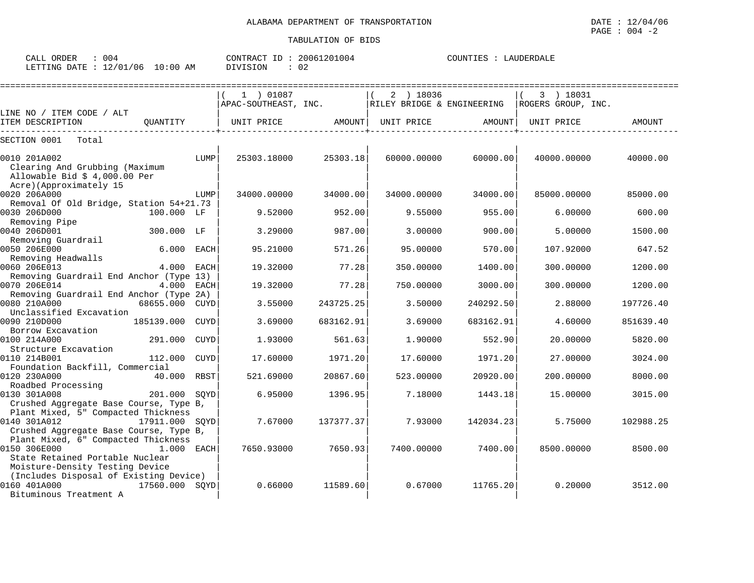| : 004<br>CALL ORDER              |          | CONTRACT ID: 20061201004 | COUNTIES : LAUDERDALE |
|----------------------------------|----------|--------------------------|-----------------------|
| LETTING DATE : 12/01/06 10:00 AM | DIVISION | 02                       |                       |

|                                                                                               |                |             | 1 ) 01087            |           | 2 ) 18036                  |           | 3 ) 18031          |           |
|-----------------------------------------------------------------------------------------------|----------------|-------------|----------------------|-----------|----------------------------|-----------|--------------------|-----------|
|                                                                                               |                |             | APAC-SOUTHEAST, INC. |           | RILEY BRIDGE & ENGINEERING |           | ROGERS GROUP, INC. |           |
| LINE NO / ITEM CODE / ALT                                                                     |                |             |                      |           |                            |           |                    |           |
| ITEM DESCRIPTION                                                                              | QUANTITY       |             | UNIT PRICE           | AMOUNT    | UNIT PRICE                 | AMOUNT    | UNIT PRICE         | AMOUNT    |
| SECTION 0001<br>Total                                                                         |                |             |                      |           |                            |           |                    |           |
| 0010 201A002<br>Clearing And Grubbing (Maximum<br>Allowable Bid $$4,000.00$ Per               |                | LUMP        | 25303.18000          | 25303.18  | 60000.00000                | 60000.00  | 40000.00000        | 40000.00  |
| Acre)(Approximately 15<br>0020 206A000                                                        |                | LUMP        | 34000.00000          | 34000.00  | 34000.00000                | 34000.00  | 85000.00000        | 85000.00  |
| Removal Of Old Bridge, Station 54+21.73<br>0030 206D000                                       | 100.000 LF     |             | 9.52000              | 952.00    | 9.55000                    | 955.00    | 6.00000            | 600.00    |
| Removing Pipe<br>0040 206D001<br>Removing Guardrail                                           | 300.000 LF     |             | 3.29000              | 987.00    | 3.00000                    | 900.00    | 5.00000            | 1500.00   |
| 0050 206E000<br>Removing Headwalls                                                            | 6.000          | EACH        | 95.21000             | 571.26    | 95.00000                   | 570.00    | 107.92000          | 647.52    |
| 0060 206E013<br>Removing Guardrail End Anchor (Type 13)                                       | 4.000          | EACH        | 19.32000             | 77.28     | 350.00000                  | 1400.00   | 300,00000          | 1200.00   |
| 0070 206E014<br>Removing Guardrail End Anchor (Type 2A)                                       | 4.000 EACH     |             | 19.32000             | 77.28     | 750.00000                  | 3000.00   | 300.00000          | 1200.00   |
| 0080 210A000<br>Unclassified Excavation                                                       | 68655.000      | CUYD        | 3.55000              | 243725.25 | 3.50000                    | 240292.50 | 2.88000            | 197726.40 |
| 0090 210D000<br>Borrow Excavation                                                             | 185139.000     | CUYD        | 3.69000              | 683162.91 | 3.69000                    | 683162.91 | 4.60000            | 851639.40 |
| 0100 214A000<br>Structure Excavation                                                          | 291.000        | CUYD        | 1.93000              | 561.63    | 1.90000                    | 552.90    | 20,00000           | 5820.00   |
| 0110 214B001<br>Foundation Backfill, Commercial                                               | 112,000        | <b>CUYD</b> | 17.60000             | 1971.20   | 17.60000                   | 1971.20   | 27.00000           | 3024.00   |
| 0120 230A000<br>Roadbed Processing                                                            | 40.000 RBST    |             | 521.69000            | 20867.60  | 523.00000                  | 20920.00  | 200,00000          | 8000.00   |
| 0130 301A008<br>Crushed Aggregate Base Course, Type B,<br>Plant Mixed, 5" Compacted Thickness | 201.000        | SOYD        | 6.95000              | 1396.95   | 7.18000                    | 1443.18   | 15.00000           | 3015.00   |
| 0140 301A012<br>Crushed Aggregate Base Course, Type B,<br>Plant Mixed, 6" Compacted Thickness | 17911.000 SQYD |             | 7.67000              | 137377.37 | 7.93000                    | 142034.23 | 5.75000            | 102988.25 |
| 0150 306E000<br>State Retained Portable Nuclear<br>Moisture-Density Testing Device            | 1.000 EACH     |             | 7650.93000           | 7650.93   | 7400.00000                 | 7400.00   | 8500.00000         | 8500.00   |
| (Includes Disposal of Existing Device)<br>0160 401A000<br>Bituminous Treatment A              | 17560.000 SOYD |             | 0.66000              | 11589.60  | 0.67000                    | 11765.20  | 0.20000            | 3512.00   |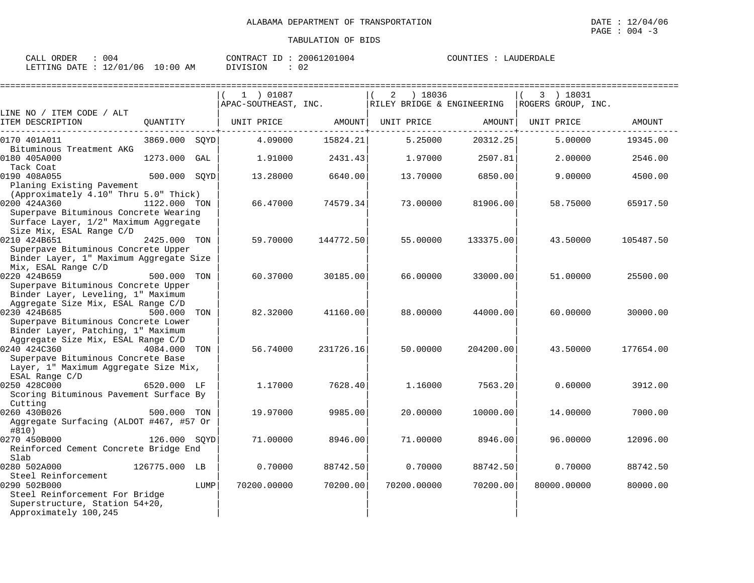| 004<br>CALL ORDER                |          | CONTRACT ID: 20061201004 | COUNTIES : LAUDERDALE |
|----------------------------------|----------|--------------------------|-----------------------|
| LETTING DATE : 12/01/06 10:00 AM | DIVISION | $\cap$<br>∪∠             |                       |

|                                         |               |      |                      |           |                            |           |                    | ==================== |
|-----------------------------------------|---------------|------|----------------------|-----------|----------------------------|-----------|--------------------|----------------------|
|                                         |               |      | 1 ) 01087            |           | 2<br>) 18036               |           | 3 ) 18031          |                      |
|                                         |               |      | APAC-SOUTHEAST, INC. |           | RILEY BRIDGE & ENGINEERING |           | ROGERS GROUP, INC. |                      |
| LINE NO / ITEM CODE / ALT               |               |      |                      |           |                            |           |                    |                      |
| ITEM DESCRIPTION                        | QUANTITY      |      | UNIT PRICE           | AMOUNT    | UNIT PRICE                 | AMOUNT    | UNIT PRICE         | AMOUNT               |
| 0170 401A011                            | 3869.000 SOYD |      | 4.09000              | 15824.21  | 5.25000                    | 20312.25  | 5.00000            | 19345.00             |
| Bituminous Treatment AKG                |               |      |                      |           |                            |           |                    |                      |
| 0180 405A000<br>Tack Coat               | 1273.000      | GAL  | 1.91000              | 2431.43   | 1.97000                    | 2507.81   | 2,00000            | 2546.00              |
| 0190 408A055                            | 500.000       | SOYD | 13.28000             | 6640.00   | 13.70000                   | 6850.00   | 9.00000            | 4500.00              |
| Planing Existing Pavement               |               |      |                      |           |                            |           |                    |                      |
| (Approximately 4.10" Thru 5.0" Thick)   |               |      |                      |           |                            |           |                    |                      |
| 0200 424A360                            | 1122.000 TON  |      | 66.47000             | 74579.34  | 73.00000                   | 81906.00  | 58.75000           | 65917.50             |
| Superpave Bituminous Concrete Wearing   |               |      |                      |           |                            |           |                    |                      |
| Surface Layer, 1/2" Maximum Aggregate   |               |      |                      |           |                            |           |                    |                      |
| Size Mix, ESAL Range C/D                |               |      |                      |           |                            |           |                    |                      |
| 0210 424B651                            | 2425.000 TON  |      | 59.70000             | 144772.50 | 55.00000                   | 133375.00 | 43.50000           | 105487.50            |
| Superpave Bituminous Concrete Upper     |               |      |                      |           |                            |           |                    |                      |
| Binder Layer, 1" Maximum Aggregate Size |               |      |                      |           |                            |           |                    |                      |
| Mix, ESAL Range C/D                     |               |      |                      |           |                            |           |                    |                      |
| 0220 424B659                            | 500.000       | TON  | 60.37000             | 30185.00  | 66.00000                   | 33000.00  | 51.00000           | 25500.00             |
| Superpave Bituminous Concrete Upper     |               |      |                      |           |                            |           |                    |                      |
| Binder Layer, Leveling, 1" Maximum      |               |      |                      |           |                            |           |                    |                      |
| Aggregate Size Mix, ESAL Range C/D      |               |      |                      |           |                            |           |                    |                      |
| 0230 424B685                            | 500.000       | TON  | 82.32000             | 41160.00  | 88,00000                   | 44000.00  | 60.00000           | 30000.00             |
| Superpave Bituminous Concrete Lower     |               |      |                      |           |                            |           |                    |                      |
| Binder Layer, Patching, 1" Maximum      |               |      |                      |           |                            |           |                    |                      |
| Aggregate Size Mix, ESAL Range C/D      |               |      |                      |           |                            |           |                    |                      |
| 0240 424C360                            | 4084.000      | TON  | 56.74000             | 231726.16 | 50.00000                   | 204200.00 | 43.50000           | 177654.00            |
| Superpave Bituminous Concrete Base      |               |      |                      |           |                            |           |                    |                      |
| Layer, 1" Maximum Aggregate Size Mix,   |               |      |                      |           |                            |           |                    |                      |
| ESAL Range C/D                          |               |      |                      |           |                            |           |                    |                      |
| 0250 428C000                            | 6520.000 LF   |      | 1.17000              | 7628.40   | 1.16000                    | 7563.20   | 0.60000            | 3912.00              |
| Scoring Bituminous Pavement Surface By  |               |      |                      |           |                            |           |                    |                      |
| Cutting                                 |               |      |                      |           |                            |           |                    |                      |
| 0260 430B026                            | 500.000 TON   |      | 19,97000             | 9985.00   | 20.00000                   | 10000.00  | 14.00000           | 7000.00              |
| Aggregate Surfacing (ALDOT #467, #57 Or |               |      |                      |           |                            |           |                    |                      |
| #810)                                   |               |      |                      |           |                            |           |                    |                      |
| 0270 450B000                            | 126.000 SOYD  |      | 71,00000             | 8946.00   | 71.00000                   | 8946.00   | 96.00000           | 12096.00             |
| Reinforced Cement Concrete Bridge End   |               |      |                      |           |                            |           |                    |                      |
| Slab                                    |               |      |                      |           |                            |           |                    |                      |
| 0280 502A000                            | 126775.000 LB |      | 0.70000              | 88742.50  | 0.70000                    | 88742.50  | 0.70000            | 88742.50             |
| Steel Reinforcement                     |               |      |                      |           |                            |           |                    |                      |
| 0290 502B000                            |               | LUMP | 70200.00000          | 70200.00  | 70200.00000                | 70200.00  | 80000.00000        | 80000.00             |
| Steel Reinforcement For Bridge          |               |      |                      |           |                            |           |                    |                      |
| Superstructure, Station 54+20,          |               |      |                      |           |                            |           |                    |                      |
| Approximately 100,245                   |               |      |                      |           |                            |           |                    |                      |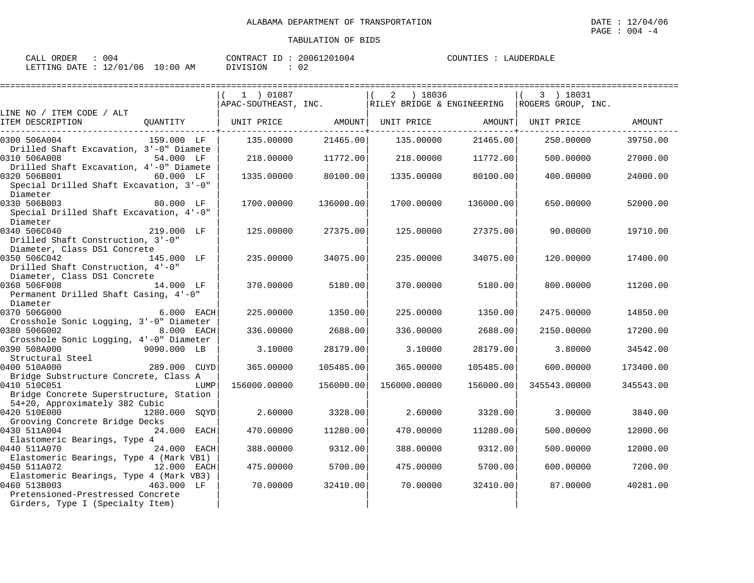| ORDER<br>CALL | 004      |            | CONTRACT ID: | 20061201004 | COUNTIES | LAUDERDALE |
|---------------|----------|------------|--------------|-------------|----------|------------|
| LETTING DATE  | 12/01/06 | $10:00$ AM | DIVISION     | 02          |          |            |

|                                                                   |              | 1 ) 01087                                        |           | 2 ) 18036    |           | 3 ) 18031                                                                      |           |
|-------------------------------------------------------------------|--------------|--------------------------------------------------|-----------|--------------|-----------|--------------------------------------------------------------------------------|-----------|
| LINE NO / ITEM CODE / ALT                                         |              |                                                  |           |              |           | $ $ APAC-SOUTHEAST, INC. $ $ RILEY BRIDGE & ENGINEERING $ $ ROGERS GROUP, INC. |           |
| ITEM DESCRIPTION                                                  |              | QUANTITY   UNIT PRICE         AMOUNT  UNIT PRICE |           |              | AMOUNT    | UNIT PRICE                                                                     | AMOUNT    |
| 0300 506A004                                                      | 159.000 LF   | 135.00000                                        | 21465.00  | 135.00000    | 21465.00  | 250.00000                                                                      | 39750.00  |
| Drilled Shaft Excavation, 3'-0" Diamete<br>0310 506A008           | 54.000 LF    | 218.00000                                        | 11772.00  | 218.00000    | 11772.00  | 500.00000                                                                      | 27000.00  |
| Drilled Shaft Excavation, 4'-0" Diamete<br>0320 506B001           | 60.000 LF    | 1335.00000                                       | 80100.00  | 1335.00000   | 80100.00  | 400.00000                                                                      | 24000.00  |
| Special Drilled Shaft Excavation, 3'-0"<br>Diameter               |              |                                                  |           |              |           |                                                                                |           |
| 0330 506B003<br>Special Drilled Shaft Excavation, 4'-0"           | 80.000 LF    | 1700.00000                                       | 136000.00 | 1700.00000   | 136000.00 | 650.00000                                                                      | 52000.00  |
| Diameter<br>0340 506C040                                          | 219.000 LF   | 125.00000                                        | 27375.00  | 125.00000    | 27375.00  | 90.00000                                                                       | 19710.00  |
| Drilled Shaft Construction, 3'-0"                                 |              |                                                  |           |              |           |                                                                                |           |
| Diameter, Class DS1 Concrete<br>0350 506C042                      | 145.000 LF   | 235.00000                                        | 34075.00  | 235.00000    | 34075.00  | 120.00000                                                                      | 17400.00  |
| Drilled Shaft Construction, 4'-0"<br>Diameter, Class DS1 Concrete |              |                                                  |           |              |           |                                                                                |           |
| 0360 506F008<br>Permanent Drilled Shaft Casing, 4'-0"             | 14.000 LF    | 370.00000                                        | 5180.00   | 370.00000    | 5180.00   | 800.00000                                                                      | 11200.00  |
| Diameter                                                          |              |                                                  |           |              |           |                                                                                |           |
| 0370 506G000                                                      | $6.000$ EACH | 225,00000                                        | 1350.00   | 225,00000    | 1350.00   | 2475.00000                                                                     | 14850.00  |
| Crosshole Sonic Logging, 3'-0" Diameter                           |              |                                                  |           |              |           |                                                                                |           |
| 0380 506G002                                                      | 8.000 EACH   | 336.00000                                        | 2688.00   | 336.00000    | 2688.00   | 2150.00000                                                                     | 17200.00  |
| Crosshole Sonic Logging, 4'-0" Diameter                           |              |                                                  |           |              |           |                                                                                |           |
| 0390 508A000                                                      | 9090.000 LB  | 3.10000                                          | 28179.00  | 3.10000      | 28179.00  | 3.80000                                                                        | 34542.00  |
| Structural Steel<br>0400 510A000                                  |              |                                                  |           |              |           |                                                                                |           |
| Bridge Substructure Concrete, Class A                             | 289.000 CUYD | 365.00000                                        | 105485.00 | 365.00000    | 105485.00 | 600.00000                                                                      | 173400.00 |
| 0410 510C051                                                      | LUMP         | 156000.00000                                     | 156000.00 | 156000.00000 | 156000.00 | 345543.00000                                                                   | 345543.00 |
| Bridge Concrete Superstructure, Station                           |              |                                                  |           |              |           |                                                                                |           |
| 54+20, Approximately 382 Cubic                                    |              |                                                  |           |              |           |                                                                                |           |
| 0420 510E000 1280.000 SQYD<br>Grooving Concrete Bridge Decks      |              | 2.60000                                          | 3328.00   | 2.60000      | 3328.00   | 3,00000                                                                        | 3840.00   |
| 0430 511A004                                                      | 24.000 EACH  | 470.00000                                        | 11280.00  | 470.00000    | 11280.00  | 500.00000                                                                      | 12000.00  |
| Elastomeric Bearings, Type 4<br>0440 511A070                      | 24.000 EACH  | 388.00000                                        | 9312.00   | 388.00000    | 9312.00   | 500.00000                                                                      | 12000.00  |
| Elastomeric Bearings, Type 4 (Mark VB1)                           |              |                                                  |           |              |           |                                                                                |           |
| 0450 511A072                                                      | 12.000 EACH  | 475.00000                                        | 5700.00   | 475.00000    | 5700.00   | 600.00000                                                                      | 7200.00   |
| Elastomeric Bearings, Type 4 (Mark VB3)                           |              |                                                  |           |              |           |                                                                                |           |
| 0460 513B003                                                      | 463.000 LF   | 70.00000                                         | 32410.00  | 70,00000     | 32410.00  | 87.00000                                                                       | 40281.00  |
| Pretensioned-Prestressed Concrete                                 |              |                                                  |           |              |           |                                                                                |           |
| Girders, Type I (Specialty Item)                                  |              |                                                  |           |              |           |                                                                                |           |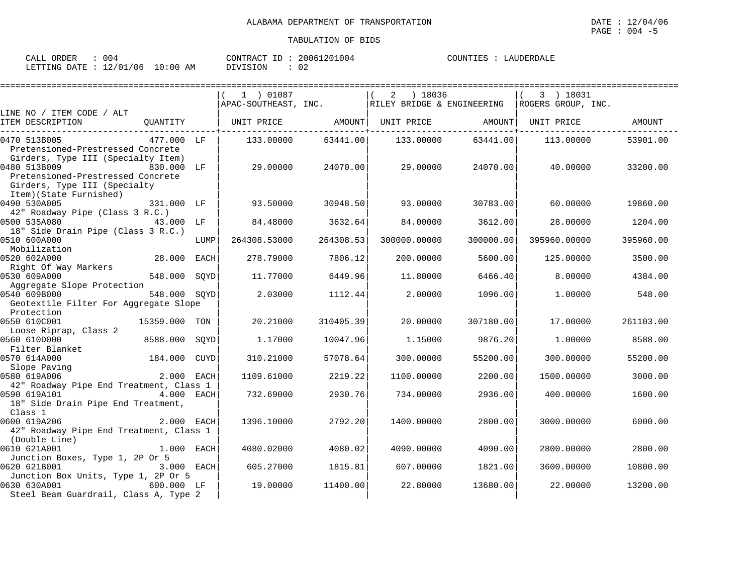| 004<br>CALL ORDER                | CONTRACT ID: 20061201004 |    | COUNTIES : LAUDERDALE |
|----------------------------------|--------------------------|----|-----------------------|
| LETTING DATE : 12/01/06 10:00 AM | DIVISION                 | 02 |                       |

|                                                                                                                       |              | 1 ) 01087<br>APAC-SOUTHEAST, INC.                |           |              |           | 3 ) 18031<br>RILEY BRIDGE & ENGINEERING ROGERS GROUP, INC. |           |
|-----------------------------------------------------------------------------------------------------------------------|--------------|--------------------------------------------------|-----------|--------------|-----------|------------------------------------------------------------|-----------|
| LINE NO / ITEM CODE / ALT                                                                                             |              |                                                  |           |              |           |                                                            |           |
| ITEM DESCRIPTION                                                                                                      |              | QUANTITY   UNIT PRICE AMOUNT   UNIT PRICE AMOUNT |           |              |           | UNIT PRICE                                                 | AMOUNT    |
| 0470 513B005<br>477.000 LF                                                                                            |              | 133.00000                                        | 63441.00  | 133.00000    | 63441.00  | 113.00000                                                  | 53901.00  |
| Pretensioned-Prestressed Concrete<br>Girders, Type III (Specialty Item)                                               |              |                                                  |           |              |           |                                                            |           |
| 0480 513B009<br>830.000 LF<br>Pretensioned-Prestressed Concrete<br>Girders, Type III (Specialty                       |              | 29.00000                                         | 24070.00  | 29.00000     | 24070.00  | 40.00000                                                   | 33200.00  |
| Item)(State Furnished)<br>0490 530A005<br>331.000 LF                                                                  |              | 93.50000                                         | 30948.50  | 93.00000     | 30783.00  | 60.00000                                                   | 19860.00  |
| 42" Roadway Pipe (Class 3 R.C.)                                                                                       |              |                                                  |           |              |           |                                                            |           |
| 0500 535A080<br>43.000 LF                                                                                             |              | 84.48000                                         | 3632.64   | 84.00000     | 3612.00   | 28,00000                                                   | 1204.00   |
| 18" Side Drain Pipe (Class 3 R.C.)<br>0510 600A000                                                                    | LUMP         | 264308.53000                                     | 264308.53 | 300000.00000 | 300000.00 | 395960.00000                                               | 395960.00 |
| Mobilization                                                                                                          |              |                                                  |           |              |           |                                                            |           |
| 28.000 EACH<br>0520 602A000                                                                                           |              | 278.79000                                        | 7806.12   | 200.00000    | 5600.00   | 125.00000                                                  | 3500.00   |
| Right Of Way Markers                                                                                                  |              |                                                  |           |              |           |                                                            |           |
| 0530 609A000<br>548.000 SOYD                                                                                          |              | 11,77000                                         | 6449.96   | 11,80000     | 6466.40   | 8,00000                                                    | 4384.00   |
| Aggregate Slope Protection<br>0540 609B000<br>548.000 SOYD                                                            |              | 2.03000                                          | 1112.44   | 2.00000      | 1096.00   | 1,00000                                                    | 548.00    |
| Geotextile Filter For Aggregate Slope                                                                                 |              |                                                  |           |              |           |                                                            |           |
| Protection                                                                                                            |              |                                                  |           |              |           |                                                            |           |
| 0550 610C001<br>15359.000 TON                                                                                         |              | 20.21000                                         | 310405.39 | 20,00000     | 307180.00 | 17.00000                                                   | 261103.00 |
| Loose Riprap, Class 2                                                                                                 |              |                                                  |           |              |           |                                                            |           |
| 0560 610D000<br>8588.000 SOYD                                                                                         |              | 1.17000                                          | 10047.96  | 1.15000      | 9876.20   | 1,00000                                                    | 8588.00   |
| Filter Blanket<br>184.000 CUYD                                                                                        |              |                                                  |           |              |           |                                                            |           |
| 0570 614A000                                                                                                          |              | 310.21000                                        | 57078.64  | 300.00000    | 55200.00  | 300.00000                                                  | 55200.00  |
| $Slope \nParting$<br>$Slope \nParting$<br>$Slope \nParting$<br>$Slope \nParting$<br>$Slope \nParting$<br>0580 619A006 |              | 1109.61000                                       | 2219.22   | 1100.00000   | 2200.00   | 1500.00000                                                 | 3000.00   |
| 42" Roadway Pipe End Treatment, Class 1                                                                               |              |                                                  |           |              |           |                                                            |           |
| 0590 619A101<br>$4.000$ EACH                                                                                          |              | 732.69000                                        | 2930.76   | 734.00000    | 2936.00   | 400.00000                                                  | 1600.00   |
| 18" Side Drain Pipe End Treatment,                                                                                    |              |                                                  |           |              |           |                                                            |           |
| Class 1                                                                                                               |              |                                                  |           |              |           |                                                            |           |
| 0600 619A206<br>2.000 EACH                                                                                            |              | 1396.10000                                       | 2792.20   | 1400.00000   | 2800.00   | 3000.00000                                                 | 6000.00   |
| 42" Roadway Pipe End Treatment, Class 1                                                                               |              |                                                  |           |              |           |                                                            |           |
| (Double Line)                                                                                                         |              |                                                  |           |              |           |                                                            |           |
| 0610 621A001                                                                                                          | $1.000$ EACH | 4080.02000                                       | 4080.02   | 4090.00000   | 4090.00   | 2800.00000                                                 | 2800.00   |
| Junction Boxes, Type 1, 2P Or 5                                                                                       |              |                                                  |           |              |           |                                                            |           |
| 0620 621B001                                                                                                          | 3.000 EACH   | 605.27000                                        | 1815.81   | 607,00000    | 1821.00   | 3600.00000                                                 | 10800.00  |
| Junction Box Units, Type 1, 2P Or 5<br>0630 630A001<br>600.000 LF                                                     |              | 19,00000                                         | 11400.00  | 22.80000     | 13680.00  | 22.00000                                                   | 13200.00  |
| Steel Beam Guardrail, Class A, Type 2                                                                                 |              |                                                  |           |              |           |                                                            |           |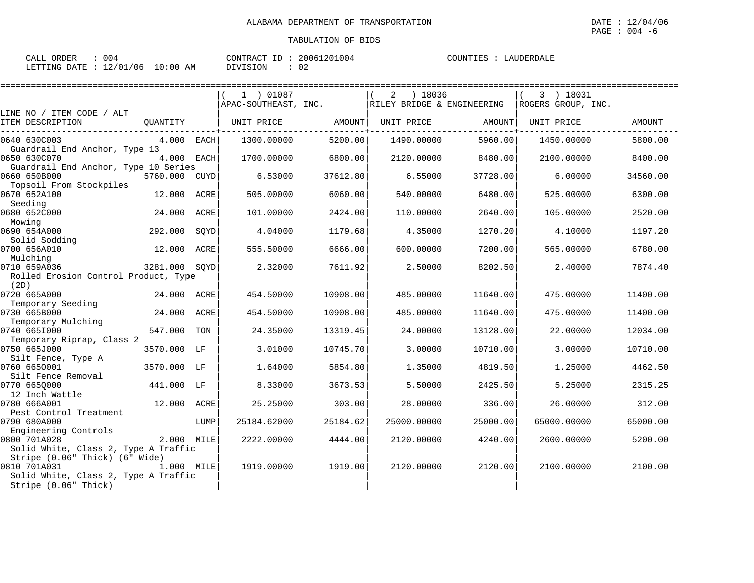| ORDER<br>CALL | 004      |            | CONTRACT ID: | 20061201004 | LAUDERDALE<br>COUNTIES |
|---------------|----------|------------|--------------|-------------|------------------------|
| LETTING DATE  | 12/01/06 | $10:00$ AM | DIVISION     | 02          |                        |

|                                                                                        |               |      | 1 ) 01087            |          | ) 18036<br>2               |          | 3 ) 18031          |          |
|----------------------------------------------------------------------------------------|---------------|------|----------------------|----------|----------------------------|----------|--------------------|----------|
|                                                                                        |               |      | APAC-SOUTHEAST, INC. |          | RILEY BRIDGE & ENGINEERING |          | ROGERS GROUP, INC. |          |
| LINE NO / ITEM CODE / ALT<br>ITEM DESCRIPTION                                          | QUANTITY      |      | UNIT PRICE           | AMOUNT   | UNIT PRICE                 | AMOUNT   | UNIT PRICE         | AMOUNT   |
| 0640 630C003<br>Guardrail End Anchor, Type 13                                          | 4.000 EACH    |      | 1300.00000           | 5200.00  | 1490.00000                 | 5960.00  | 1450.00000         | 5800.00  |
| 0650 630C070<br>Guardrail End Anchor, Type 10 Series                                   | 4.000 EACH    |      | 1700.00000           | 6800.00  | 2120.00000                 | 8480.00  | 2100.00000         | 8400.00  |
| 0660 650B000<br>Topsoil From Stockpiles                                                | 5760.000 CUYD |      | 6.53000              | 37612.80 | 6.55000                    | 37728.00 | 6,00000            | 34560.00 |
| 0670 652A100<br>Seeding                                                                | 12.000        | ACRE | 505.00000            | 6060.00  | 540.00000                  | 6480.00  | 525.00000          | 6300.00  |
| 0680 652C000<br>Mowing                                                                 | 24.000        | ACRE | 101.00000            | 2424.00  | 110.00000                  | 2640.00  | 105.00000          | 2520.00  |
| 0690 654A000<br>Solid Sodding                                                          | 292.000       | SOYD | 4.04000              | 1179.68  | 4.35000                    | 1270.20  | 4.10000            | 1197.20  |
| 0700 656A010<br>Mulching                                                               | 12.000        | ACRE | 555.50000            | 6666.00  | 600.00000                  | 7200.00  | 565.00000          | 6780.00  |
| 0710 659A036<br>Rolled Erosion Control Product, Type<br>(2D)                           | 3281.000 SOYD |      | 2.32000              | 7611.92  | 2.50000                    | 8202.50  | 2.40000            | 7874.40  |
| 0720 665A000<br>Temporary Seeding                                                      | 24.000 ACRE   |      | 454.50000            | 10908.00 | 485.00000                  | 11640.00 | 475.00000          | 11400.00 |
| 0730 665B000<br>Temporary Mulching                                                     | 24.000        | ACRE | 454.50000            | 10908.00 | 485.00000                  | 11640.00 | 475.00000          | 11400.00 |
| 0740 6651000<br>Temporary Riprap, Class 2                                              | 547.000       | TON  | 24.35000             | 13319.45 | 24.00000                   | 13128.00 | 22.00000           | 12034.00 |
| 0750 665J000<br>Silt Fence, Type A                                                     | 3570.000 LF   |      | 3.01000              | 10745.70 | 3.00000                    | 10710.00 | 3.00000            | 10710.00 |
| 0760 6650001<br>Silt Fence Removal                                                     | 3570.000 LF   |      | 1.64000              | 5854.80  | 1.35000                    | 4819.50  | 1.25000            | 4462.50  |
| 0770 6650000<br>12 Inch Wattle                                                         | 441.000 LF    |      | 8.33000              | 3673.53  | 5.50000                    | 2425.50  | 5.25000            | 2315.25  |
| 0780 666A001<br>Pest Control Treatment                                                 | 12.000 ACRE   |      | 25.25000             | 303.00   | 28.00000                   | 336.00   | 26.00000           | 312.00   |
| 0790 680A000<br>Engineering Controls                                                   |               | LUMP | 25184.62000          | 25184.62 | 25000.00000                | 25000.00 | 65000.00000        | 65000.00 |
| 0800 701A028<br>Solid White, Class 2, Type A Traffic<br>Stripe (0.06" Thick) (6" Wide) | 2.000 MILE    |      | 2222.00000           | 4444.00  | 2120.00000                 | 4240.00  | 2600.00000         | 5200.00  |
| 0810 701A031<br>Solid White, Class 2, Type A Traffic<br>Stripe (0.06" Thick)           | 1.000 MILE    |      | 1919.00000           | 1919.00  | 2120.00000                 | 2120.00  | 2100.00000         | 2100.00  |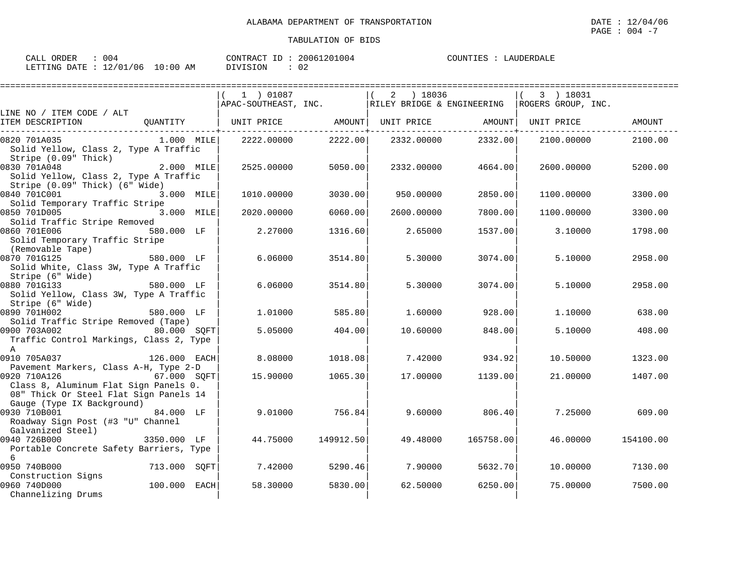| ORDER<br>CALL | 004      |            | CONTRACT ID: | 20061201004 | COUNTIES | : LAUDERDALE |
|---------------|----------|------------|--------------|-------------|----------|--------------|
| LETTING DATE  | 12/01/06 | $10:00$ AM | DIVISION     | 02          |          |              |

|                                                                                                                               |              | 1 ) 01087            |           | ) 18036<br>2               |           | 3 ) 18031          |               |
|-------------------------------------------------------------------------------------------------------------------------------|--------------|----------------------|-----------|----------------------------|-----------|--------------------|---------------|
|                                                                                                                               |              | APAC-SOUTHEAST, INC. |           | RILEY BRIDGE & ENGINEERING |           | ROGERS GROUP, INC. |               |
| LINE NO / ITEM CODE / ALT                                                                                                     |              |                      |           |                            |           |                    |               |
| ITEM DESCRIPTION                                                                                                              | QUANTITY     | UNIT PRICE           | AMOUNT    | UNIT PRICE                 | AMOUNT    | UNIT PRICE         | <b>AMOUNT</b> |
| 0820 701A035<br>Solid Yellow, Class 2, Type A Traffic<br>Stripe (0.09" Thick)                                                 | $1.000$ MILE | 2222.00000           | 2222.00   | 2332.00000                 | 2332.00   | 2100.00000         | 2100.00       |
| 0830 701A048<br>Solid Yellow, Class 2, Type A Traffic<br>Stripe (0.09" Thick) (6" Wide)                                       | 2.000 MILE   | 2525,00000           | 5050.00   | 2332.00000                 | 4664.00   | 2600.00000         | 5200.00       |
| 0840 701C001<br>Solid Temporary Traffic Stripe                                                                                | 3.000 MILE   | 1010.00000           | 3030.00   | 950.00000                  | 2850.00   | 1100.00000         | 3300.00       |
| 0850 701D005<br>Solid Traffic Stripe Removed                                                                                  | 3.000 MILE   | 2020.00000           | 6060.00   | 2600.00000                 | 7800.00   | 1100.00000         | 3300.00       |
| 0860 701E006<br>Solid Temporary Traffic Stripe<br>(Removable Tape)                                                            | 580.000 LF   | 2.27000              | 1316.60   | 2.65000                    | 1537.00   | 3.10000            | 1798.00       |
| 0870 701G125<br>Solid White, Class 3W, Type A Traffic<br>Stripe (6" Wide)                                                     | 580.000 LF   | 6.06000              | 3514.80   | 5.30000                    | 3074.00   | 5.10000            | 2958.00       |
| 0880 701G133<br>Solid Yellow, Class 3W, Type A Traffic<br>Stripe (6" Wide)                                                    | 580.000 LF   | 6.06000              | 3514.80   | 5.30000                    | 3074.00   | 5.10000            | 2958.00       |
| 0890 701H002<br>Solid Traffic Stripe Removed (Tape)                                                                           | 580.000 LF   | 1,01000              | 585.80    | 1.60000                    | 928.00    | 1,10000            | 638.00        |
| 0900 703A002<br>Traffic Control Markings, Class 2, Type<br>$\mathsf{A}$                                                       | 80.000 SQFT  | 5.05000              | 404.00    | 10.60000                   | 848.00    | 5.10000            | 408.00        |
| 0910 705A037<br>Pavement Markers, Class A-H, Type 2-D                                                                         | 126.000 EACH | 8.08000              | 1018.08   | 7.42000                    | 934.92    | 10.50000           | 1323.00       |
| 0920 710A126<br>Class 8, Aluminum Flat Sign Panels 0.<br>08" Thick Or Steel Flat Sign Panels 14<br>Gauge (Type IX Background) | 67.000 SQFT  | 15,90000             | 1065.30   | 17.00000                   | 1139.00   | 21,00000           | 1407.00       |
| 0930 710B001<br>Roadway Sign Post (#3 "U" Channel<br>Galvanized Steel)                                                        | 84.000 LF    | 9.01000              | 756.84    | 9.60000                    | 806.40    | 7.25000            | 609.00        |
| 0940 726B000<br>Portable Concrete Safety Barriers, Type<br>6                                                                  | 3350.000 LF  | 44.75000             | 149912.50 | 49.48000                   | 165758.00 | 46.00000           | 154100.00     |
| 0950 740B000<br>Construction Signs                                                                                            | 713.000 SOFT | 7.42000              | 5290.46   | 7.90000                    | 5632.70   | 10,00000           | 7130.00       |
| 0960 740D000<br>Channelizing Drums                                                                                            | 100.000 EACH | 58.30000             | 5830.00   | 62.50000                   | 6250.00   | 75.00000           | 7500.00       |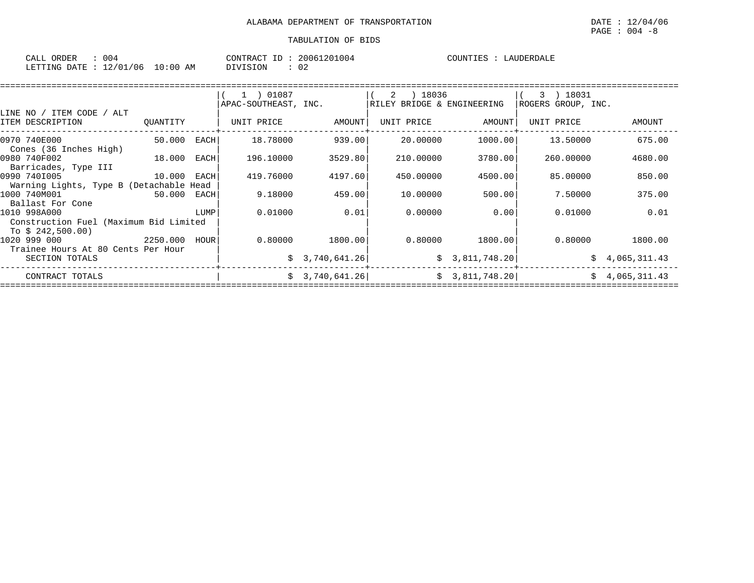| CALL<br><b>ORDER</b> | 004          |             | CONTRACT | 20061201004 | ™™ | זמחידות<br>$\Delta$ |
|----------------------|--------------|-------------|----------|-------------|----|---------------------|
| LETTING DATE         | /06<br>12/01 | 10:00<br>ΆM | DIVISION | 02          |    |                     |

|                                                                             |             |      | $(1)$ 01087<br>APAC-SOUTHEAST, INC. |                   | ) 18036<br>2<br>RILEY BRIDGE & ENGINEERING |                | 3 ) 18031<br>ROGERS GROUP, INC. |                |
|-----------------------------------------------------------------------------|-------------|------|-------------------------------------|-------------------|--------------------------------------------|----------------|---------------------------------|----------------|
| LINE NO / ITEM CODE / ALT<br>ITEM DESCRIPTION                               | QUANTITY    |      | UNIT PRICE                          | AMOUNT            | UNIT PRICE                                 | AMOUNT         | UNIT PRICE                      | AMOUNT         |
| 0970 740E000<br>Cones (36 Inches High)                                      | 50.000 EACH |      | 18.78000                            | 939.00            | 20.00000                                   | 1000.00        | 13.50000                        | 675.00         |
| 0980 740F002<br>18.000<br>Barricades, Type III                              |             | EACH | 196.10000                           | 3529.80           | 210.00000                                  | 3780.00        | 260,00000                       | 4680.00        |
| 0990 7401005<br>10.000 EACH<br>Warning Lights, Type B (Detachable Head      |             |      | 419.76000                           | 4197.60           | 450.00000                                  | 4500.00        | 85.00000                        | 850.00         |
| 1000 740M001<br>Ballast For Cone                                            | 50.000 EACH |      | 9.18000                             | 459.00            | 10.00000                                   | 500.00         | 7.50000                         | 375.00         |
| 1010 998A000<br>Construction Fuel (Maximum Bid Limited<br>To $$242,500.00)$ |             | LUMP | 0.01000                             | 0.01              | 0.00000                                    | 0.00           | 0.01000                         | 0.01           |
| 2250.000 HOUR<br>1020 999 000<br>Trainee Hours At 80 Cents Per Hour         |             |      |                                     | $0.80000$ 1800.00 | 0.80000                                    | 1800.00        | 0.80000                         | 1800.00        |
| SECTION TOTALS                                                              |             |      |                                     | \$3,740,641.26    |                                            | \$3,811,748.20 |                                 | \$4,065,311.43 |
| CONTRACT TOTALS                                                             |             |      |                                     | \$3,740,641.26]   |                                            | \$3,811,748.20 |                                 | \$4,065,311.43 |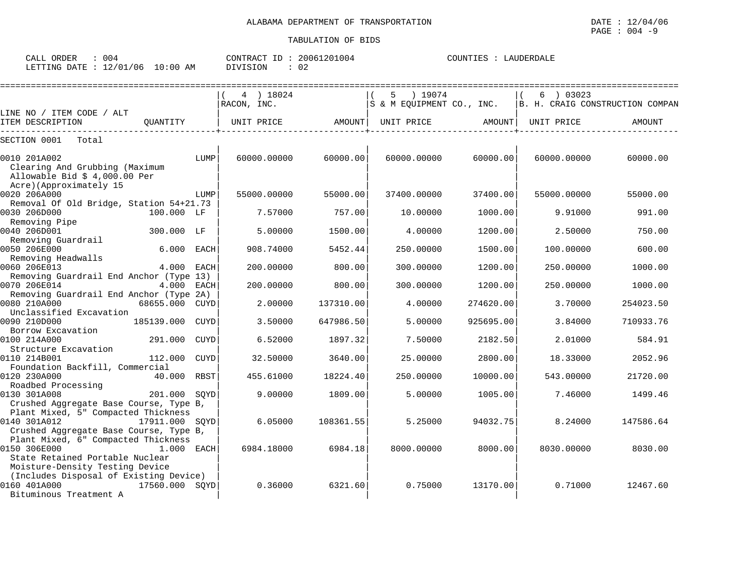| 004<br>CALL ORDER               | CONTRACT ID: 20061201004 | COUNTIES : LAUDERDALE |
|---------------------------------|--------------------------|-----------------------|
| LETTING DATE: 12/01/06 10:00 AM | DIVISION                 |                       |

| :===================                                                                                                | ========================== |             |                    |                      |                    |                      |                    |                                                             |
|---------------------------------------------------------------------------------------------------------------------|----------------------------|-------------|--------------------|----------------------|--------------------|----------------------|--------------------|-------------------------------------------------------------|
|                                                                                                                     |                            |             | 4 ) 18024          |                      | ) 19074<br>5.      |                      | 6 ) 03023          |                                                             |
| LINE NO / ITEM CODE / ALT                                                                                           |                            |             | RACON, INC.        |                      |                    |                      |                    | S & M EQUIPMENT CO., INC.   B. H. CRAIG CONSTRUCTION COMPAN |
| ITEM DESCRIPTION                                                                                                    | OUANTITY                   |             | UNIT PRICE         | AMOUNT               | UNIT PRICE         | AMOUNT               | UNIT PRICE         | <b>AMOUNT</b>                                               |
| SECTION 0001<br>Total                                                                                               |                            |             |                    |                      |                    |                      |                    |                                                             |
| 0010 201A002<br>Clearing And Grubbing (Maximum<br>Allowable Bid \$ 4,000.00 Per                                     |                            | LUMP        | 60000.00000        | 60000.00             | 60000.00000        | 60000.00             | 60000.00000        | 60000.00                                                    |
| Acre)(Approximately 15<br>0020 206A000                                                                              |                            | LUMP        | 55000.00000        | 55000.00             | 37400.00000        | 37400.00             | 55000.00000        | 55000.00                                                    |
| Removal Of Old Bridge, Station 54+21.73<br>0030 206D000<br>Removing Pipe                                            | 100.000 LF                 |             | 7.57000            | 757.00               | 10.00000           | 1000.00              | 9.91000            | 991.00                                                      |
| 0040 206D001<br>Removing Guardrail                                                                                  | 300.000 LF                 |             | 5.00000            | 1500.00              | 4.00000            | 1200.00              | 2.50000            | 750.00                                                      |
| 0050 206E000<br>Removing Headwalls                                                                                  | 6.000 EACH                 |             | 908.74000          | 5452.44              | 250.00000          | 1500.00              | 100.00000          | 600.00                                                      |
| 0060 206E013<br>Removing Guardrail End Anchor (Type 13)                                                             | 4.000 EACH                 |             | 200.00000          | 800.00               | 300.00000          | 1200.00              | 250.00000          | 1000.00                                                     |
| 0070 206E014<br>Removing Guardrail End Anchor (Type 2A)                                                             | 4.000 EACH                 |             | 200.00000          | 800.00               | 300.00000          | 1200.00              | 250.00000          | 1000.00                                                     |
| 0080 210A000<br>Unclassified Excavation                                                                             | 68655.000 CUYD             |             | 2.00000            | 137310.00            | 4.00000            | 274620.00            | 3.70000            | 254023.50                                                   |
| 0090 210D000<br>Borrow Excavation<br>0100 214A000                                                                   | 185139.000 CUYD<br>291.000 | CUYD        | 3.50000<br>6.52000 | 647986.50<br>1897.32 | 5.00000<br>7.50000 | 925695.00<br>2182.50 | 3.84000<br>2.01000 | 710933.76<br>584.91                                         |
| Structure Excavation<br>0110 214B001                                                                                | 112,000                    | <b>CUYD</b> | 32.50000           | 3640.00              | 25.00000           | 2800.00              | 18.33000           | 2052.96                                                     |
| Foundation Backfill, Commercial<br>0120 230A000                                                                     | 40.000 RBST                |             | 455.61000          | 18224.40             | 250.00000          | 10000.00             | 543.00000          | 21720.00                                                    |
| Roadbed Processing<br>0130 301A008                                                                                  | 201.000 SOYD               |             | 9.00000            | 1809.00              | 5.00000            | 1005.00              | 7.46000            | 1499.46                                                     |
| Crushed Aggregate Base Course, Type B,<br>Plant Mixed, 5" Compacted Thickness                                       |                            |             |                    |                      |                    |                      |                    |                                                             |
| 0140 301A012<br>Crushed Aggregate Base Course, Type B,<br>Plant Mixed, 6" Compacted Thickness                       | 17911.000 SOYD             |             | 6.05000            | 108361.55            | 5.25000            | 94032.75             | 8.24000            | 147586.64                                                   |
| 0150 306E000<br>State Retained Portable Nuclear                                                                     | 1.000 EACH                 |             | 6984.18000         | 6984.18              | 8000.00000         | 8000.00              | 8030.00000         | 8030.00                                                     |
| Moisture-Density Testing Device<br>(Includes Disposal of Existing Device)<br>0160 401A000<br>Bituminous Treatment A | 17560.000 SOYD             |             | 0.36000            | 6321.60              | 0.75000            | 13170.00             | 0.71000            | 12467.60                                                    |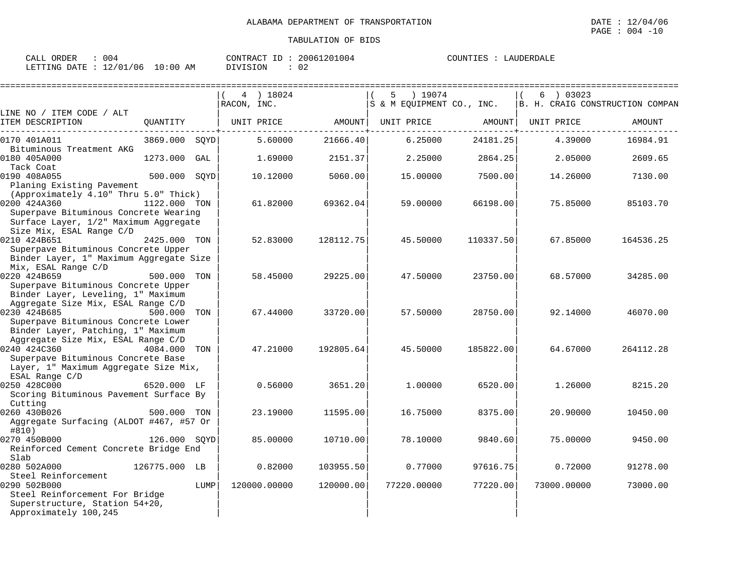| CALL ORDER<br>004                 |          | CONTRACT ID: 20061201004 |  | COUNTIES : LAUDERDALE |
|-----------------------------------|----------|--------------------------|--|-----------------------|
| LETTING DATE : 12/01/06  10:00 AM | DIVISION | 02                       |  |                       |

|                                                                                                                 |               |      | 4 ) 18024<br>RACON, INC. |           | ) 19074<br>5.<br>S & M EQUIPMENT CO., INC. |           | 03023<br>6  | B. H. CRAIG CONSTRUCTION COMPAN |
|-----------------------------------------------------------------------------------------------------------------|---------------|------|--------------------------|-----------|--------------------------------------------|-----------|-------------|---------------------------------|
| LINE NO / ITEM CODE / ALT                                                                                       |               |      |                          |           |                                            |           |             |                                 |
| ITEM DESCRIPTION                                                                                                | QUANTITY      |      | UNIT PRICE               | AMOUNT    | UNIT PRICE                                 | AMOUNT    | UNIT PRICE  | AMOUNT                          |
| 0170 401A011<br>Bituminous Treatment AKG                                                                        | 3869.000 SQYD |      | 5.60000                  | 21666.40  | 6.25000                                    | 24181.25  | 4.39000     | 16984.91                        |
| 0180 405A000<br>Tack Coat                                                                                       | 1273.000      | GAL  | 1.69000                  | 2151.37   | 2.25000                                    | 2864.25   | 2.05000     | 2609.65                         |
| 0190 408A055<br>Planing Existing Pavement                                                                       | 500.000 SOYD  |      | 10.12000                 | 5060.00   | 15.00000                                   | 7500.00   | 14.26000    | 7130.00                         |
| (Approximately 4.10" Thru 5.0" Thick)                                                                           |               |      |                          |           |                                            |           |             |                                 |
| 0200 424A360                                                                                                    | 1122.000 TON  |      | 61.82000                 | 69362.04  | 59.00000                                   | 66198.00  | 75.85000    | 85103.70                        |
| Superpave Bituminous Concrete Wearing<br>Surface Layer, 1/2" Maximum Aggregate                                  |               |      |                          |           |                                            |           |             |                                 |
| Size Mix, ESAL Range C/D<br>0210 424B651                                                                        | 2425.000 TON  |      | 52.83000                 | 128112.75 | 45.50000                                   | 110337.50 | 67.85000    | 164536.25                       |
| Superpave Bituminous Concrete Upper<br>Binder Layer, 1" Maximum Aggregate Size                                  |               |      |                          |           |                                            |           |             |                                 |
| Mix, ESAL Range C/D<br>0220 424B659                                                                             | 500.000       | TON  | 58.45000                 | 29225.00  | 47.50000                                   | 23750.00  | 68.57000    |                                 |
| Superpave Bituminous Concrete Upper<br>Binder Layer, Leveling, 1" Maximum<br>Aggregate Size Mix, ESAL Range C/D |               |      |                          |           |                                            |           |             | 34285.00                        |
| 0230 424B685                                                                                                    | 500.000       | TON  | 67.44000                 | 33720.00  | 57.50000                                   | 28750.00  | 92.14000    | 46070.00                        |
| Superpave Bituminous Concrete Lower                                                                             |               |      |                          |           |                                            |           |             |                                 |
| Binder Layer, Patching, 1" Maximum                                                                              |               |      |                          |           |                                            |           |             |                                 |
| Aggregate Size Mix, ESAL Range C/D                                                                              |               |      |                          |           |                                            |           |             |                                 |
| 0240 424C360                                                                                                    | 4084.000      | TON  | 47.21000                 | 192805.64 | 45.50000                                   | 185822.00 | 64.67000    | 264112.28                       |
| Superpave Bituminous Concrete Base<br>Layer, 1" Maximum Aggregate Size Mix,                                     |               |      |                          |           |                                            |           |             |                                 |
| ESAL Range C/D                                                                                                  |               |      |                          |           |                                            |           |             |                                 |
| 0250 428C000<br>Scoring Bituminous Pavement Surface By                                                          | 6520.000 LF   |      | 0.56000                  | 3651.20   | 1.00000                                    | 6520.00   | 1,26000     | 8215.20                         |
| Cutting                                                                                                         |               |      |                          |           |                                            |           |             |                                 |
| 0260 430B026                                                                                                    | 500.000 TON   |      | 23.19000                 | 11595.00  | 16.75000                                   | 8375.00   | 20.90000    | 10450.00                        |
| Aggregate Surfacing (ALDOT #467, #57 Or<br>#810)                                                                |               |      |                          |           |                                            |           |             |                                 |
| 0270 450B000                                                                                                    | 126.000 SOYD  |      | 85.00000                 | 10710.00  | 78.10000                                   | 9840.60   | 75.00000    | 9450.00                         |
| Reinforced Cement Concrete Bridge End                                                                           |               |      |                          |           |                                            |           |             |                                 |
| Slab                                                                                                            |               |      |                          |           |                                            |           |             |                                 |
| 0280 502A000                                                                                                    | 126775.000 LB |      | 0.82000                  | 103955.50 | 0.77000                                    | 97616.75  | 0.72000     | 91278.00                        |
| Steel Reinforcement                                                                                             |               |      |                          |           |                                            |           |             |                                 |
| 0290 502B000                                                                                                    |               | LUMP | 120000.00000             | 120000.00 | 77220.00000                                | 77220.00  | 73000.00000 | 73000.00                        |
| Steel Reinforcement For Bridge                                                                                  |               |      |                          |           |                                            |           |             |                                 |
| Superstructure, Station 54+20,                                                                                  |               |      |                          |           |                                            |           |             |                                 |
| Approximately 100,245                                                                                           |               |      |                          |           |                                            |           |             |                                 |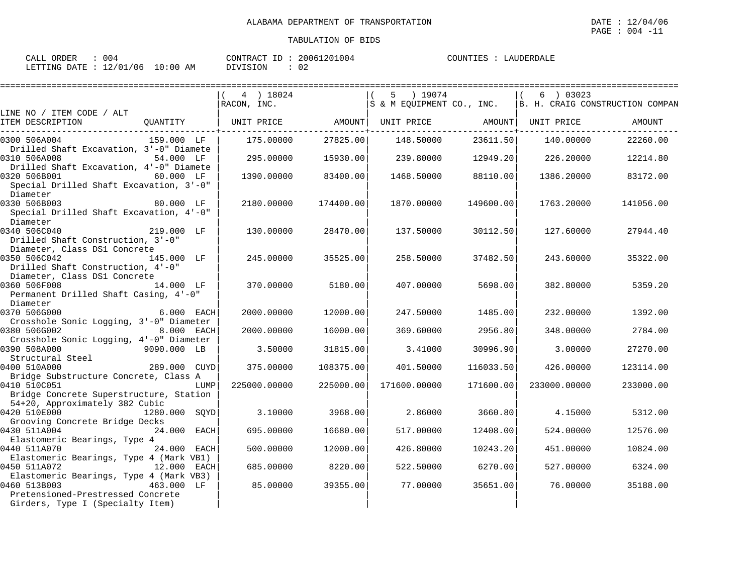| ORDER<br>$\sim$ $\sim$ $\sim$<br>CALL | $\sim$<br>J U 4 |             | 20061201004<br>$ -$<br>$\bigcap \bigcap \mathcal{M}}$<br>TRAC. | AUDERDALE<br>COUNTIES<br>. A1 |
|---------------------------------------|-----------------|-------------|----------------------------------------------------------------|-------------------------------|
| DATE<br>LETTING                       | 12/01/06        | 10:00<br>AM | 02<br>DIVISION                                                 |                               |

|                                                                                                    |              | 4 ) 18024<br>RACON, INC.                                                |           | 5 ) 19074    |           | 6 ) 03023    | S & M EQUIPMENT CO., INC.   B. H. CRAIG CONSTRUCTION COMPAN |
|----------------------------------------------------------------------------------------------------|--------------|-------------------------------------------------------------------------|-----------|--------------|-----------|--------------|-------------------------------------------------------------|
| LINE NO / ITEM CODE / ALT                                                                          |              |                                                                         |           |              |           |              |                                                             |
| ITEM DESCRIPTION                                                                                   |              | QUANTITY   UNIT PRICE       AMOUNT  UNIT PRICE       AMOUNT  UNIT PRICE |           |              |           |              | AMOUNT                                                      |
| 0300 506A004<br>Drilled Shaft Excavation, 3'-0" Diamete                                            | 159.000 LF   | 175.00000                                                               | 27825.00  | 148.50000    | 23611.50  | 140.00000    | 22260.00                                                    |
| 0310 506A008                                                                                       | 54.000 LF    | 295.00000                                                               | 15930.00  | 239.80000    | 12949.20  | 226.20000    | 12214.80                                                    |
| Drilled Shaft Excavation, 4'-0" Diamete<br>0320 506B001<br>Special Drilled Shaft Excavation, 3'-0" | 60.000 LF    | 1390.00000                                                              | 83400.00  | 1468.50000   | 88110.00  | 1386.20000   | 83172.00                                                    |
| Diameter                                                                                           |              |                                                                         |           |              |           |              |                                                             |
| 0330 506B003<br>Special Drilled Shaft Excavation, 4'-0"<br>Diameter                                | 80.000 LF    | 2180.00000                                                              | 174400.00 | 1870.00000   | 149600.00 | 1763.20000   | 141056.00                                                   |
| 0340 506C040<br>Drilled Shaft Construction, 3'-0"                                                  | 219.000 LF   | 130.00000                                                               | 28470.00  | 137.50000    | 30112.50  | 127.60000    | 27944.40                                                    |
| Diameter, Class DS1 Concrete<br>0350 506C042                                                       | 145.000 LF   | 245.00000                                                               | 35525.00  | 258.50000    | 37482.50  | 243.60000    | 35322.00                                                    |
| Drilled Shaft Construction, 4'-0"<br>Diameter, Class DS1 Concrete                                  |              |                                                                         |           |              |           |              |                                                             |
| 0360 506F008<br>Permanent Drilled Shaft Casing, 4'-0"<br>Diameter                                  | 14.000 LF    | 370.00000                                                               | 5180.00   | 407.00000    | 5698.00   | 382.80000    | 5359.20                                                     |
| 0370 506G000<br>Crosshole Sonic Logging, 3'-0" Diameter                                            | 6.000 EACH   | 2000.00000                                                              | 12000.00  | 247.50000    | 1485.00   | 232.00000    | 1392.00                                                     |
| 0380 506G002<br>Crosshole Sonic Logging, 4'-0" Diameter                                            | 8.000 EACH   | 2000.00000                                                              | 16000.00  | 369.60000    | 2956.80   | 348.00000    | 2784.00                                                     |
| 0390 508A000<br>Structural Steel                                                                   | 9090.000 LB  | 3.50000                                                                 | 31815.00  | 3.41000      | 30996.90  | 3,00000      | 27270.00                                                    |
| 0400 510A000<br>Bridge Substructure Concrete, Class A                                              | 289.000 CUYD | 375.00000                                                               | 108375.00 | 401.50000    | 116033.50 | 426.00000    | 123114.00                                                   |
| 0410 510C051<br>Bridge Concrete Superstructure, Station                                            | LUMP         | 225000.00000                                                            | 225000.00 | 171600.00000 | 171600.00 | 233000.00000 | 233000.00                                                   |
| 54+20, Approximately 382 Cubic<br>0420 510E000 1280.000 SQYD                                       |              | 3.10000                                                                 | 3968.00   | 2.86000      | 3660.80   | 4.15000      | 5312.00                                                     |
| Grooving Concrete Bridge Decks<br>0430 511A004                                                     | 24.000 EACH  | 695.00000                                                               | 16680.00  | 517.00000    | 12408.00  | 524.00000    | 12576.00                                                    |
| Elastomeric Bearings, Type 4<br>0440 511A070                                                       | 24.000 EACH  | 500,00000                                                               | 12000.00  | 426.80000    | 10243.20  | 451,00000    | 10824.00                                                    |
| Elastomeric Bearings, Type 4 (Mark VB1)<br>0450 511A072                                            | 12.000 EACH  | 685.00000                                                               | 8220.00   | 522.50000    | 6270.00   | 527.00000    | 6324.00                                                     |
| Elastomeric Bearings, Type 4 (Mark VB3)<br>0460 513B003                                            | 463.000 LF   | 85.00000                                                                | 39355.00  | 77.00000     | 35651.00  | 76.00000     | 35188.00                                                    |
| Pretensioned-Prestressed Concrete<br>Girders, Type I (Specialty Item)                              |              |                                                                         |           |              |           |              |                                                             |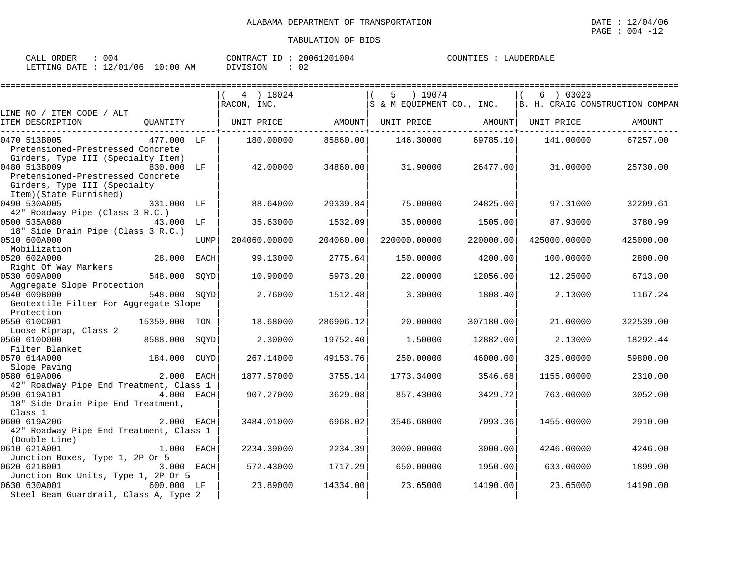| ORDER<br>CALL   | 004      |             | CONTRACT<br>$ -$ | 20061201004 | COUNTIES<br>LAUDERDALF |
|-----------------|----------|-------------|------------------|-------------|------------------------|
| DATE<br>LETTING | 12/01/06 | 10:00<br>AM | <b>DIVISION</b>  | <u>_</u>    |                        |

|                                                                                                                                                                                                                                                                                             |              | 4 ) 18024                                            |           | 5 ) 19074                                                        |           | 6 ) 03023    |           |
|---------------------------------------------------------------------------------------------------------------------------------------------------------------------------------------------------------------------------------------------------------------------------------------------|--------------|------------------------------------------------------|-----------|------------------------------------------------------------------|-----------|--------------|-----------|
|                                                                                                                                                                                                                                                                                             |              | RACON, INC.                                          |           | $ S \& M$ EQUIPMENT CO., INC. $ B. H.$ CRAIG CONSTRUCTION COMPAN |           |              |           |
| LINE NO / ITEM CODE / ALT<br>OUANTITY<br>ITEM DESCRIPTION                                                                                                                                                                                                                                   |              | UNIT PRICE         AMOUNT  UNIT PRICE         AMOUNT |           |                                                                  |           | UNIT PRICE   | AMOUNT    |
| 0470 513B005<br>477.000 LF<br>Pretensioned-Prestressed Concrete<br>Girders, Type III (Specialty Item)                                                                                                                                                                                       |              | 180.00000                                            | 85860.00  | 146.30000                                                        | 69785.10  | 141.00000    | 67257.00  |
| 0480 513B009<br>830.000 LF<br>Pretensioned-Prestressed Concrete<br>Girders, Type III (Specialty<br>Item) (State Furnished)                                                                                                                                                                  |              | 42.00000                                             | 34860.00  | 31.90000                                                         | 26477.00  | 31.00000     | 25730.00  |
| 0490 530A005<br>331.000 LF<br>42" Roadway Pipe (Class 3 R.C.)                                                                                                                                                                                                                               |              | 88.64000                                             | 29339.84  | 75.00000                                                         | 24825.00  | 97.31000     | 32209.61  |
| 0500 535A080<br>43.000 LF<br>18" Side Drain Pipe (Class 3 R.C.)                                                                                                                                                                                                                             |              | 35.63000                                             | 1532.09   | 35.00000                                                         | 1505.00   | 87.93000     | 3780.99   |
| 0510 600A000<br>Mobilization                                                                                                                                                                                                                                                                | LUMP         | 204060.00000                                         | 204060.00 | 220000.00000                                                     | 220000.00 | 425000.00000 | 425000.00 |
| 28.000 EACH<br>0520 602A000<br>Right Of Way Markers                                                                                                                                                                                                                                         |              | 99.13000                                             | 2775.64   | 150.00000                                                        | 4200.00   | 100.00000    | 2800.00   |
| 0530 609A000<br>548.000 SOYD                                                                                                                                                                                                                                                                |              | 10.90000                                             | 5973.20   | 22,00000                                                         | 12056.00  | 12.25000     | 6713.00   |
| Aggregate Slope Protection<br>0540 609B000<br>548.000 SQYD<br>Geotextile Filter For Aggregate Slope                                                                                                                                                                                         |              | 2.76000                                              | 1512.48   | 3.30000                                                          | 1808.40   | 2.13000      | 1167.24   |
| Protection<br>0550 610C001<br>15359.000 TON<br>Loose Riprap, Class 2                                                                                                                                                                                                                        |              | 18.68000                                             | 286906.12 | 20.00000                                                         | 307180.00 | 21,00000     | 322539.00 |
| 0560 610D000<br>8588.000<br>Filter Blanket                                                                                                                                                                                                                                                  | SOYD         | 2.30000                                              | 19752.40  | 1.50000                                                          | 12882.00  | 2.13000      | 18292.44  |
| 184.000<br>0570 614A000                                                                                                                                                                                                                                                                     | CUYD         | 267.14000                                            | 49153.76  | 250.00000                                                        | 46000.00  | 325.00000    | 59800.00  |
| Slope Paving<br>Concert of the Contract of Changes of Changes of Changes of Changes of Changes of Changes of Changes of Changes of Changes of Changes of Changes of Changes of Changes of Changes of Changes of Changes of Chang<br>0580 619A006<br>42" Roadway Pipe End Treatment, Class 1 |              | 1877.57000                                           | 3755.14   | 1773.34000                                                       | 3546.68   | 1155.00000   | 2310.00   |
| 0590 619A101<br>4.000 EACH<br>18" Side Drain Pipe End Treatment,<br>Class 1                                                                                                                                                                                                                 |              | 907.27000                                            | 3629.08   | 857.43000                                                        | 3429.72   | 763.00000    | 3052.00   |
| 0600 619A206<br>42" Roadway Pipe End Treatment, Class 1<br>(Double Line)                                                                                                                                                                                                                    | 2.000 EACH   | 3484.01000                                           | 6968.02   | 3546.68000                                                       | 7093.36   | 1455.00000   | 2910.00   |
| 0610 621A001<br>Junction Boxes, Type 1, 2P Or 5                                                                                                                                                                                                                                             | $1.000$ EACH | 2234.39000                                           | 2234.39   | 3000.00000                                                       | 3000.00   | 4246.00000   | 4246.00   |
| 0620 621B001<br>Junction Box Units, Type 1, 2P Or 5                                                                                                                                                                                                                                         | 3.000 EACH   | 572.43000                                            | 1717.29   | 650.00000                                                        | 1950.00   | 633.00000    | 1899.00   |
| 0630 630A001<br>600.000 LF<br>Steel Beam Guardrail, Class A, Type 2                                                                                                                                                                                                                         |              | 23.89000                                             | 14334.00  | 23.65000                                                         | 14190.00  | 23.65000     | 14190.00  |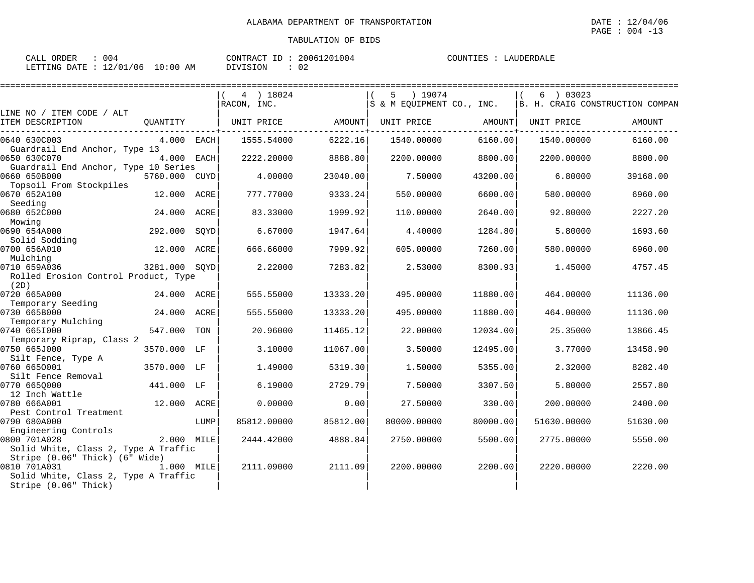| ORDER<br>CALL | 004      |            | CONTRACT ID: | 20061201004 | COUNTIES | LAUDERDALE |
|---------------|----------|------------|--------------|-------------|----------|------------|
| LETTING DATE  | 12/01/06 | $10:00$ AM | DIVISION     | 02          |          |            |

|                                                                                                                |               |      | 4 ) 18024<br>RACON, INC. |          | 5<br>) 19074<br>S & M EOUIPMENT CO., INC. |          | 03023<br>6  | B. H. CRAIG CONSTRUCTION COMPAN |
|----------------------------------------------------------------------------------------------------------------|---------------|------|--------------------------|----------|-------------------------------------------|----------|-------------|---------------------------------|
| LINE NO / ITEM CODE / ALT<br>ITEM DESCRIPTION                                                                  | QUANTITY      |      | UNIT PRICE               | AMOUNT   | UNIT PRICE                                | AMOUNT   | UNIT PRICE  | AMOUNT                          |
| 0640 630C003<br>Guardrail End Anchor, Type 13                                                                  | 4.000 EACH    |      | 1555.54000               | 6222.16  | 1540.00000                                | 6160.00  | 1540.00000  | 6160.00                         |
| 0650 630C070                                                                                                   | 4.000 EACH    |      | 2222.20000               | 8888.80  | 2200.00000                                | 8800.00  | 2200.00000  | 8800.00                         |
| Guardrail End Anchor, Type 10 Series                                                                           |               |      |                          |          |                                           |          |             |                                 |
| 0660 650B000                                                                                                   | 5760.000 CUYD |      | 4.00000                  | 23040.00 | 7.50000                                   | 43200.00 | 6.80000     | 39168.00                        |
| Topsoil From Stockpiles<br>0670 652A100                                                                        | 12.000 ACRE   |      | 777.77000                | 9333.24  | 550.00000                                 | 6600.00  | 580.00000   | 6960.00                         |
| Seeding<br>0680 652C000                                                                                        | 24.000        | ACRE | 83.33000                 | 1999.92  | 110.00000                                 | 2640.00  | 92.80000    | 2227.20                         |
| Mowing                                                                                                         |               |      |                          |          |                                           |          |             |                                 |
| 0690 654A000<br>Solid Sodding                                                                                  | 292.000       | SOYD | 6.67000                  | 1947.64  | 4.40000                                   | 1284.80  | 5.80000     | 1693.60                         |
| 0700 656A010<br>Mulching                                                                                       | 12.000 ACRE   |      | 666.66000                | 7999.92  | 605.00000                                 | 7260.00  | 580.00000   | 6960.00                         |
| 0710 659A036                                                                                                   | 3281.000 SOYD |      | 2.22000                  | 7283.82  | 2.53000                                   | 8300.93  | 1.45000     | 4757.45                         |
| Rolled Erosion Control Product, Type<br>(2D)                                                                   |               |      |                          |          |                                           |          |             |                                 |
| 0720 665A000                                                                                                   | 24.000 ACRE   |      | 555.55000                | 13333.20 | 495.00000                                 | 11880.00 | 464.00000   | 11136.00                        |
| Temporary Seeding                                                                                              |               |      |                          |          |                                           |          |             |                                 |
| 0730 665B000                                                                                                   | 24.000 ACRE   |      | 555.55000                | 13333.20 | 495.00000                                 | 11880.00 | 464.00000   | 11136.00                        |
| Temporary Mulching                                                                                             |               |      |                          |          |                                           |          |             |                                 |
| 0740 6651000                                                                                                   | 547.000       | TON  | 20.96000                 | 11465.12 | 22.00000                                  | 12034.00 | 25.35000    | 13866.45                        |
| Temporary Riprap, Class 2                                                                                      |               |      |                          |          |                                           |          |             |                                 |
| 0750 665J000                                                                                                   | 3570.000 LF   |      | 3.10000                  | 11067.00 | 3.50000                                   | 12495.00 | 3.77000     | 13458.90                        |
| Silt Fence, Type A                                                                                             |               |      |                          |          |                                           |          |             |                                 |
| 0760 6650001                                                                                                   | 3570.000 LF   |      | 1.49000                  | 5319.30  | 1.50000                                   | 5355.00  | 2.32000     | 8282.40                         |
| Silt Fence Removal                                                                                             |               |      |                          |          |                                           |          |             |                                 |
| 0770 665Q000                                                                                                   | 441.000 LF    |      | 6.19000                  | 2729.79  | 7.50000                                   | 3307.50  | 5.80000     | 2557.80                         |
| 12 Inch Wattle                                                                                                 |               |      |                          |          |                                           |          |             |                                 |
| 0780 666A001                                                                                                   | 12.000 ACRE   |      | 0.00000                  | 0.00     | 27.50000                                  | 330.00   | 200.00000   | 2400.00                         |
| Pest Control Treatment                                                                                         |               |      |                          |          |                                           |          |             |                                 |
| 0790 680A000                                                                                                   |               | LUMP | 85812.00000              | 85812.00 | 80000.00000                               | 80000.00 | 51630.00000 | 51630.00                        |
| Engineering Controls<br>0800 701A028                                                                           | 2.000 MILE    |      | 2444.42000               | 4888.84  | 2750.00000                                | 5500.00  | 2775.00000  | 5550.00                         |
| Solid White, Class 2, Type A Traffic                                                                           |               |      |                          |          |                                           |          |             |                                 |
| Stripe (0.06" Thick) (6" Wide)<br>0810 701A031<br>Solid White, Class 2, Type A Traffic<br>Stripe (0.06" Thick) | 1.000 MILE    |      | 2111.09000               | 2111.09  | 2200.00000                                | 2200.00  | 2220.00000  | 2220.00                         |
|                                                                                                                |               |      |                          |          |                                           |          |             |                                 |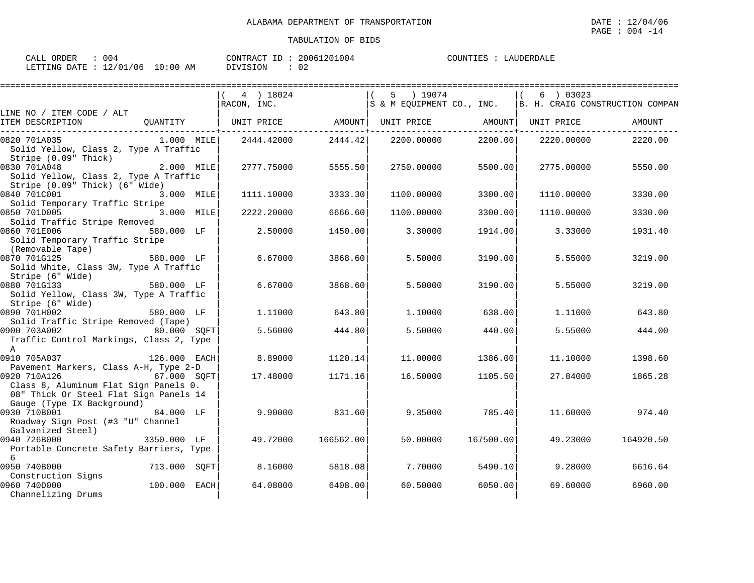| 004<br>ORDER<br>CALL                  | CONTRACT | ID | 20061201004         | COUNTIES<br>LAUDERDALE |
|---------------------------------------|----------|----|---------------------|------------------------|
| : $12/01/06$ 10:00 AM<br>LETTING DATE | DIVISION |    | $\cap$ $\cap$<br>∪∠ |                        |

|                                                                                                                               |              | 4 ) 18024                                                   |           | 5 ) 19074                                                  |           | 6 ) 03023  |           |
|-------------------------------------------------------------------------------------------------------------------------------|--------------|-------------------------------------------------------------|-----------|------------------------------------------------------------|-----------|------------|-----------|
|                                                                                                                               |              | RACON, INC.                                                 |           | S & M EQUIPMENT CO., INC.  B. H. CRAIG CONSTRUCTION COMPAN |           |            |           |
| LINE NO / ITEM CODE / ALT<br>ITEM DESCRIPTION                                                                                 |              | QUANTITY   UNIT PRICE AMOUNT  UNIT PRICE AMOUNT  UNIT PRICE |           |                                                            |           |            | AMOUNT    |
| 0820 701A035<br>Solid Yellow, Class 2, Type A Traffic<br>Stripe (0.09" Thick)                                                 | $1.000$ MILE | 2444.42000                                                  | 2444.42   | 2200.00000                                                 | 2200.00   | 2220.00000 | 2220.00   |
| 0830 701A048<br>Solid Yellow, Class 2, Type A Traffic<br>Stripe (0.09" Thick) (6" Wide)                                       | 2.000 MILE   | 2777.75000                                                  | 5555.50   | 2750.00000                                                 | 5500.00   | 2775.00000 | 5550.00   |
| 0840 701C001<br>Solid Temporary Traffic Stripe                                                                                | 3.000 MILE   | 1111.10000                                                  | 3333.30   | 1100.00000                                                 | 3300.00   | 1110.00000 | 3330.00   |
| 0850 701D005<br>Solid Traffic Stripe Removed                                                                                  | 3.000 MILE   | 2222.20000                                                  | 6666.60   | 1100.00000                                                 | 3300.00   | 1110.00000 | 3330.00   |
| 0860 701E006<br>Solid Temporary Traffic Stripe<br>(Removable Tape)                                                            | 580.000 LF   | 2.50000                                                     | 1450.00   | 3.30000                                                    | 1914.00   | 3.33000    | 1931.40   |
| 0870 701G125<br>Solid White, Class 3W, Type A Traffic<br>Stripe (6" Wide)                                                     | 580.000 LF   | 6.67000                                                     | 3868.60   | 5.50000                                                    | 3190.00   | 5.55000    | 3219.00   |
| 0880 701G133<br>Solid Yellow, Class 3W, Type A Traffic<br>Stripe (6" Wide)                                                    | 580.000 LF   | 6.67000                                                     | 3868.60   | 5.50000                                                    | 3190.00   | 5.55000    | 3219.00   |
| 0890 701H002<br>Solid Traffic Stripe Removed (Tape)                                                                           | 580.000 LF   | 1.11000                                                     | 643.80    | 1,10000                                                    | 638.00    | 1.11000    | 643.80    |
| 0900 703A002<br>Traffic Control Markings, Class 2, Type<br>$\mathsf{A}$                                                       | 80.000 SQFT  | 5.56000                                                     | 444.80    | 5.50000                                                    | 440.00    | 5.55000    | 444.00    |
| 0910 705A037<br>Pavement Markers, Class A-H, Type 2-D                                                                         | 126.000 EACH | 8,89000                                                     | 1120.14   | 11,00000                                                   | 1386.00   | 11,10000   | 1398.60   |
| 0920 710A126<br>Class 8, Aluminum Flat Sign Panels 0.<br>08" Thick Or Steel Flat Sign Panels 14<br>Gauge (Type IX Background) | 67.000 SOFT  | 17.48000                                                    | 1171.16   | 16.50000                                                   | 1105.50   | 27.84000   | 1865.28   |
| 0930 710B001<br>Roadway Sign Post (#3 "U" Channel<br>Galvanized Steel)                                                        | 84.000 LF    | 9,90000                                                     | 831.60    | 9.35000                                                    | 785.40    | 11.60000   | 974.40    |
| 0940 726B000<br>Portable Concrete Safety Barriers, Type<br>6                                                                  | 3350.000 LF  | 49.72000                                                    | 166562.00 | 50.00000                                                   | 167500.00 | 49.23000   | 164920.50 |
| 0950 740B000<br>Construction Signs                                                                                            | 713.000 SQFT | 8.16000                                                     | 5818.08   | 7.70000                                                    | 5490.10   | 9,28000    | 6616.64   |
| 0960 740D000<br>Channelizing Drums                                                                                            | 100.000 EACH | 64.08000                                                    | 6408.00   | 60.50000                                                   | 6050.00   | 69.60000   | 6960.00   |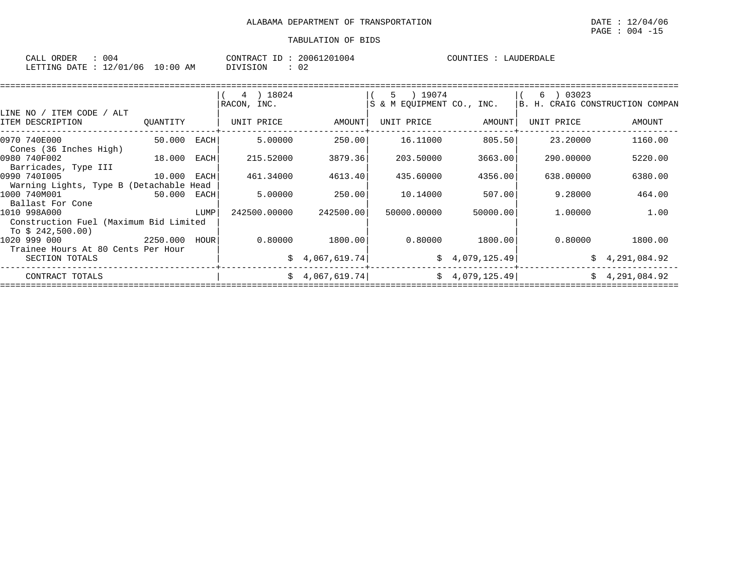| 004<br>CALL ORDER               |          | CONTRACT ID: 20061201004 | COUNTIES : LAUDERDALE |
|---------------------------------|----------|--------------------------|-----------------------|
| LETTING DATE: 12/01/06 10:00 AM | DIVISION | 02                       |                       |

|                                         |                                                                                                                      |        | 4 ) 18024    |                   | 5 ) 19074                 |                | 03023<br>6                      |                |
|-----------------------------------------|----------------------------------------------------------------------------------------------------------------------|--------|--------------|-------------------|---------------------------|----------------|---------------------------------|----------------|
|                                         |                                                                                                                      |        | RACON, INC.  |                   | S & M EOUIPMENT CO., INC. |                | B. H. CRAIG CONSTRUCTION COMPAN |                |
| LINE NO / ITEM CODE / ALT               |                                                                                                                      |        |              |                   |                           |                |                                 |                |
| ITEM DESCRIPTION                        | QUANTITY                                                                                                             |        | UNIT PRICE   | AMOUNT            | UNIT PRICE                | AMOUNT         | UNIT PRICE                      | AMOUNT         |
| 0970 740E000                            | 50.000                                                                                                               | EACH   | 5.00000      | 250.00            | 16.11000                  | 805.50         | 23.20000                        | 1160.00        |
| Cones (36 Inches High)                  |                                                                                                                      |        |              |                   |                           |                |                                 |                |
| 0980 740F002<br>18.000                  |                                                                                                                      | EACH   | 215.52000    | 3879.36           | 203.50000                 | 3663.00        | 290.00000                       | 5220.00        |
| Barricades, Type III                    |                                                                                                                      |        |              |                   |                           |                |                                 |                |
| 0990 7401005                            | 10.000                                                                                                               | EACH   | 461.34000    | 4613.40           | 435.60000                 | 4356.00        | 638,00000                       | 6380.00        |
| Warning Lights, Type B (Detachable Head |                                                                                                                      |        |              |                   |                           |                |                                 |                |
| 1000 740M001                            | 50.000 EACH                                                                                                          |        | 5.00000      | 250.00            | 10.14000                  | 507.00         | 9.28000                         | 464.00         |
| Ballast For Cone                        |                                                                                                                      |        |              |                   |                           |                |                                 |                |
| 1010 998A000                            | <b>EXECUTE IN THE EXECUTIVE IN THE EXECUTIVE IN THE EXECUTIVE IN THE EXECUTIVE IN THE EXECUTIVE IN THE EXECUTIVE</b> |        | 242500.00000 | 242500.001        | 50000.00000               | 50000.00       | 1,00000                         | 1.00           |
| Construction Fuel (Maximum Bid Limited  |                                                                                                                      |        |              |                   |                           |                |                                 |                |
| To \$ 242,500.00)                       |                                                                                                                      |        |              |                   |                           |                |                                 |                |
| 2250.000<br>1020 999 000                |                                                                                                                      | HOUR l |              | $0.80000$ 1800.00 | 0.80000                   | 1800.00        | 0.80000                         | 1800.00        |
| Trainee Hours At 80 Cents Per Hour      |                                                                                                                      |        |              |                   |                           |                |                                 |                |
| SECTION TOTALS                          |                                                                                                                      |        |              | \$4,067,619.74]   |                           | \$4,079,125.49 |                                 | \$4,291,084.92 |
| CONTRACT TOTALS                         |                                                                                                                      |        |              | \$4,067,619.74]   |                           | \$4,079,125.49 |                                 | \$4,291,084.92 |
|                                         |                                                                                                                      |        |              |                   |                           |                |                                 |                |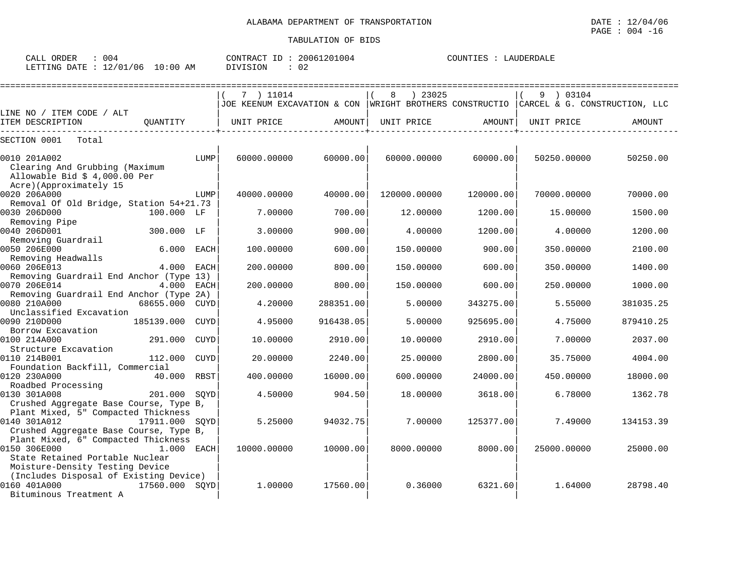| 004<br>ORDER<br>CALL            |               | CONTRACT<br>ID | 20061201004  | COUNTIES | LAUDERDALE |
|---------------------------------|---------------|----------------|--------------|----------|------------|
| 12/01<br>'06<br>DATE<br>LETTING | LO : 00<br>ΆM | DIVISION       | $\sim$<br>∪∠ |          |            |

|                                                                                               |                |             | 7 ) 11014                                                                               |           | ) 23025      |           | 9 ) 03104   |           |
|-----------------------------------------------------------------------------------------------|----------------|-------------|-----------------------------------------------------------------------------------------|-----------|--------------|-----------|-------------|-----------|
|                                                                                               |                |             | JOE KEENUM EXCAVATION & CON  WRIGHT BROTHERS CONSTRUCTIO  CARCEL & G. CONSTRUCTION, LLC |           |              |           |             |           |
| LINE NO / ITEM CODE / ALT<br>ITEM DESCRIPTION                                                 | OUANTITY       |             | UNIT PRICE                                                                              | AMOUNT    | UNIT PRICE   | AMOUNT    | UNIT PRICE  | AMOUNT    |
|                                                                                               |                |             |                                                                                         |           |              |           |             |           |
| SECTION 0001<br>Total                                                                         |                |             |                                                                                         |           |              |           |             |           |
| 0010 201A002<br>Clearing And Grubbing (Maximum<br>Allowable Bid $$4,000.00$ Per               |                | LUMP        | 60000.00000                                                                             | 60000.00  | 60000.00000  | 60000.00  | 50250.00000 | 50250.00  |
| Acre)(Approximately 15<br>0020 206A000                                                        |                | LUMP        | 40000.00000                                                                             | 40000.00  | 120000.00000 | 120000.00 | 70000.00000 | 70000.00  |
| Removal Of Old Bridge, Station 54+21.73<br>0030 206D000<br>Removing Pipe                      | 100.000 LF     |             | 7.00000                                                                                 | 700.00    | 12.00000     | 1200.00   | 15.00000    | 1500.00   |
| 0040 206D001<br>Removing Guardrail                                                            | 300.000 LF     |             | 3.00000                                                                                 | 900.00    | 4.00000      | 1200.00   | 4.00000     | 1200.00   |
| 0050 206E000<br>Removing Headwalls                                                            | 6.000          | EACH        | 100.00000                                                                               | 600.00    | 150.00000    | 900.00    | 350.00000   | 2100.00   |
| 0060 206E013<br>Removing Guardrail End Anchor (Type 13)                                       | 4.000 EACH     |             | 200.00000                                                                               | 800.00    | 150.00000    | 600.00    | 350.00000   | 1400.00   |
| 0070 206E014<br>Removing Guardrail End Anchor (Type 2A)                                       | 4.000 EACH     |             | 200.00000                                                                               | 800.00    | 150.00000    | 600.00    | 250.00000   | 1000.00   |
| 0080 210A000<br>Unclassified Excavation                                                       | 68655.000      | CUYD        | 4.20000                                                                                 | 288351.00 | 5.00000      | 343275.00 | 5.55000     | 381035.25 |
| 0090 210D000<br>Borrow Excavation                                                             | 185139.000     | CUYD        | 4.95000                                                                                 | 916438.05 | 5.00000      | 925695.00 | 4.75000     | 879410.25 |
| 0100 214A000<br>Structure Excavation                                                          | 291.000        | CUYD        | 10.00000                                                                                | 2910.00   | 10.00000     | 2910.00   | 7.00000     | 2037.00   |
| 0110 214B001<br>Foundation Backfill, Commercial                                               | 112.000        | <b>CUYD</b> | 20.00000                                                                                | 2240.00   | 25.00000     | 2800.00   | 35.75000    | 4004.00   |
| 0120 230A000<br>Roadbed Processing                                                            | 40.000         | RBST        | 400.00000                                                                               | 16000.00  | 600,00000    | 24000.00  | 450.00000   | 18000.00  |
| 0130 301A008<br>Crushed Aggregate Base Course, Type B,<br>Plant Mixed, 5" Compacted Thickness | 201.000        | SOYD        | 4.50000                                                                                 | 904.50    | 18.00000     | 3618.00   | 6.78000     | 1362.78   |
| 0140 301A012<br>Crushed Aggregate Base Course, Type B,<br>Plant Mixed, 6" Compacted Thickness | 17911.000 SOYD |             | 5.25000                                                                                 | 94032.75  | 7.00000      | 125377.00 | 7.49000     | 134153.39 |
| 0150 306E000<br>State Retained Portable Nuclear<br>Moisture-Density Testing Device            | 1.000 EACH     |             | 10000.00000                                                                             | 10000.00  | 8000.00000   | 8000.00   | 25000.00000 | 25000.00  |
| (Includes Disposal of Existing Device)<br>0160 401A000<br>Bituminous Treatment A              | 17560.000 SOYD |             | 1,00000                                                                                 | 17560.00  | 0.36000      | 6321.60   | 1.64000     | 28798.40  |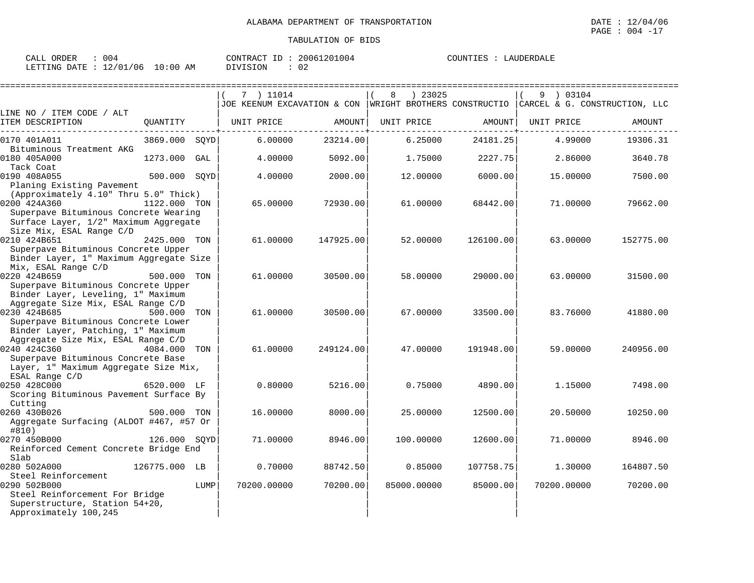| 004<br>ORDER<br>CALL      |            | CONTRACT ID: | 20061201004 | COUNTIES :<br>LAUDERDALE |
|---------------------------|------------|--------------|-------------|--------------------------|
| LETTING DATE : $12/01/06$ | $10:00$ AM | DIVISION     | ∩∩<br>∪∠    |                          |

|                                                                                                                                 |               |      | 7 ) 11014                                               |           | 8           | ) 23025   |           | 9 ) 03104   |                               |
|---------------------------------------------------------------------------------------------------------------------------------|---------------|------|---------------------------------------------------------|-----------|-------------|-----------|-----------|-------------|-------------------------------|
|                                                                                                                                 |               |      | JOE KEENUM EXCAVATION & CON WRIGHT BROTHERS CONSTRUCTIO |           |             |           |           |             | CARCEL & G. CONSTRUCTION, LLC |
| LINE NO / ITEM CODE / ALT<br>ITEM DESCRIPTION                                                                                   | QUANTITY      |      | UNIT PRICE                                              | AMOUNT    | UNIT PRICE  |           | AMOUNT    | UNIT PRICE  | AMOUNT                        |
| 0170 401A011<br>Bituminous Treatment AKG                                                                                        | 3869.000      | SOYD | 6.00000                                                 | 23214.00  |             | 6.25000   | 24181.25  | 4.99000     | 19306.31                      |
| 0180 405A000<br>Tack Coat                                                                                                       | 1273.000 GAL  |      | 4.00000                                                 | 5092.00   |             | 1.75000   | 2227.75   | 2.86000     | 3640.78                       |
| 0190 408A055<br>Planing Existing Pavement<br>(Approximately 4.10" Thru 5.0" Thick)                                              | 500.000 SOYD  |      | 4.00000                                                 | 2000.00   |             | 12.00000  | 6000.00   | 15.00000    | 7500.00                       |
| 0200 424A360<br>Superpave Bituminous Concrete Wearing<br>Surface Layer, 1/2" Maximum Aggregate<br>Size Mix, ESAL Range C/D      | 1122.000 TON  |      | 65.00000                                                | 72930.00  |             | 61,00000  | 68442.00  | 71,00000    | 79662.00                      |
| 0210 424B651<br>Superpave Bituminous Concrete Upper<br>Binder Layer, 1" Maximum Aggregate Size<br>Mix, ESAL Range C/D           | 2425.000 TON  |      | 61,00000                                                | 147925.00 |             | 52.00000  | 126100.00 | 63.00000    | 152775.00                     |
| 0220 424B659<br>Superpave Bituminous Concrete Upper<br>Binder Layer, Leveling, 1" Maximum<br>Aggregate Size Mix, ESAL Range C/D | 500.000 TON   |      | 61.00000                                                | 30500.00  |             | 58.00000  | 29000.00  | 63.00000    | 31500.00                      |
| 0230 424B685<br>Superpave Bituminous Concrete Lower<br>Binder Layer, Patching, 1" Maximum<br>Aggregate Size Mix, ESAL Range C/D | 500.000       | TON  | 61.00000                                                | 30500.00  |             | 67.00000  | 33500.00  | 83.76000    | 41880.00                      |
| 0240 424C360<br>Superpave Bituminous Concrete Base<br>Layer, 1" Maximum Aggregate Size Mix,<br>ESAL Range C/D                   | 4084.000      | TON  | 61.00000                                                | 249124.00 |             | 47.00000  | 191948.00 | 59.00000    | 240956.00                     |
| 0250 428C000<br>Scoring Bituminous Pavement Surface By<br>Cutting                                                               | 6520.000 LF   |      | 0.80000                                                 | 5216.00   |             | 0.75000   | 4890.00   | 1.15000     | 7498.00                       |
| 0260 430B026<br>Aggregate Surfacing (ALDOT #467, #57 Or<br>#810)                                                                | 500.000 TON   |      | 16.00000                                                | 8000.00   |             | 25.00000  | 12500.00  | 20.50000    | 10250.00                      |
| 0270 450B000<br>Reinforced Cement Concrete Bridge End<br>Slab                                                                   | 126.000 SOYD  |      | 71.00000                                                | 8946.00   |             | 100.00000 | 12600.00  | 71.00000    | 8946.00                       |
| 0280 502A000<br>Steel Reinforcement                                                                                             | 126775.000 LB |      | 0.70000                                                 | 88742.50  |             | 0.85000   | 107758.75 | 1,30000     | 164807.50                     |
| 0290 502B000<br>Steel Reinforcement For Bridge<br>Superstructure, Station 54+20,<br>Approximately 100,245                       |               | LUMP | 70200.00000                                             | 70200.00  | 85000.00000 |           | 85000.00  | 70200.00000 | 70200.00                      |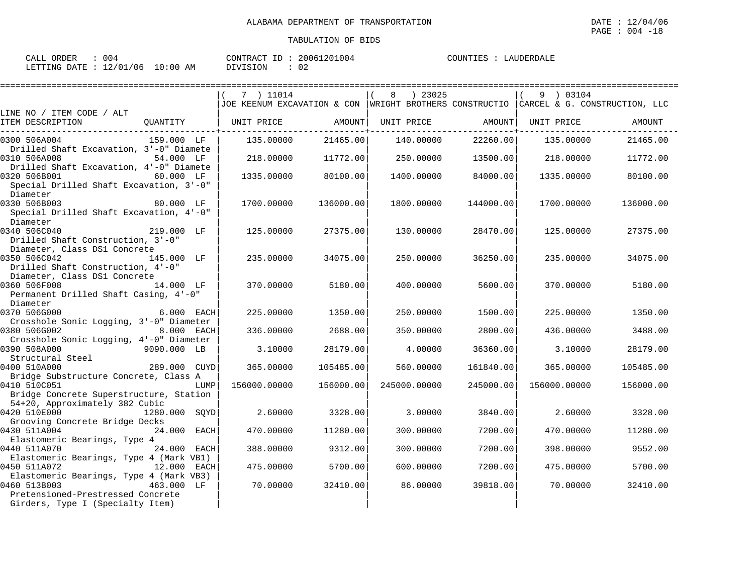| CALL ORDER<br>004                 | CONTRACT ID: 20061201004 | COUNTIES : LAUDERDALE |
|-----------------------------------|--------------------------|-----------------------|
| LETTING DATE : 12/01/06  10:00 AM | 02<br>DIVISION           |                       |

|                                                                                           |               |      | 7 ) 11014                                                                               |           | ) 23025<br>8 |           | 9 ) 03104    |           |
|-------------------------------------------------------------------------------------------|---------------|------|-----------------------------------------------------------------------------------------|-----------|--------------|-----------|--------------|-----------|
|                                                                                           |               |      | JOE KEENUM EXCAVATION & CON  WRIGHT BROTHERS CONSTRUCTIO  CARCEL & G. CONSTRUCTION, LLC |           |              |           |              |           |
| LINE NO / ITEM CODE / ALT<br>ITEM DESCRIPTION                                             | QUANTITY      |      | UNIT PRICE                                                                              | AMOUNT    | UNIT PRICE   | AMOUNT    | UNIT PRICE   | AMOUNT    |
| 0300 506A004<br>Drilled Shaft Excavation, 3'-0" Diamete                                   | 159.000 LF    |      | 135.00000                                                                               | 21465.00  | 140.00000    | 22260.00  | 135.00000    | 21465.00  |
| 0310 506A008<br>Drilled Shaft Excavation, 4'-0" Diamete                                   | 54.000 LF     |      | 218,00000                                                                               | 11772.00  | 250.00000    | 13500.00  | 218.00000    | 11772.00  |
| 0320 506B001<br>Special Drilled Shaft Excavation, 3'-0"<br>Diameter                       | 60.000 LF     |      | 1335.00000                                                                              | 80100.00  | 1400.00000   | 84000.00  | 1335.00000   | 80100.00  |
| 0330 506B003<br>Special Drilled Shaft Excavation, 4'-0"<br>Diameter                       | 80.000 LF     |      | 1700.00000                                                                              | 136000.00 | 1800.00000   | 144000.00 | 1700.00000   | 136000.00 |
| 0340 506C040<br>Drilled Shaft Construction, 3'-0"<br>Diameter, Class DS1 Concrete         | 219.000 LF    |      | 125.00000                                                                               | 27375.00  | 130.00000    | 28470.00  | 125.00000    | 27375.00  |
| 0350 506C042<br>Drilled Shaft Construction, 4'-0"<br>Diameter, Class DS1 Concrete         | 145.000 LF    |      | 235,00000                                                                               | 34075.00  | 250.00000    | 36250.00  | 235,00000    | 34075.00  |
| 0360 506F008<br>Permanent Drilled Shaft Casing, 4'-0"<br>Diameter                         | 14.000 LF     |      | 370.00000                                                                               | 5180.00   | 400.00000    | 5600.00   | 370.00000    | 5180.00   |
| 0370 506G000<br>Crosshole Sonic Logging, 3'-0" Diameter                                   | 6.000 EACH    |      | 225,00000                                                                               | 1350.00   | 250.00000    | 1500.00   | 225,00000    | 1350.00   |
| 0380 506G002<br>Crosshole Sonic Logging, 4'-0" Diameter                                   | 8.000 EACH    |      | 336.00000                                                                               | 2688.00   | 350.00000    | 2800.00   | 436.00000    | 3488.00   |
| 0390 508A000<br>Structural Steel                                                          | 9090.000 LB   |      | 3.10000                                                                                 | 28179.00  | 4.00000      | 36360.00  | 3.10000      | 28179.00  |
| 0400 510A000<br>Bridge Substructure Concrete, Class A                                     | 289.000 CUYD  |      | 365,00000                                                                               | 105485.00 | 560.00000    | 161840.00 | 365.00000    | 105485.00 |
| 0410 510C051<br>Bridge Concrete Superstructure, Station<br>54+20, Approximately 382 Cubic |               | LUMP | 156000.00000                                                                            | 156000.00 | 245000.00000 | 245000.00 | 156000.00000 | 156000.00 |
| 0420 510E000<br>Grooving Concrete Bridge Decks                                            | 1280.000 SOYD |      | 2.60000                                                                                 | 3328.00   | 3.00000      | 3840.00   | 2.60000      | 3328.00   |
| 0430 511A004<br>Elastomeric Bearings, Type 4                                              | 24.000 EACH   |      | 470.00000                                                                               | 11280.00  | 300.00000    | 7200.00   | 470.00000    | 11280.00  |
| 0440 511A070<br>Elastomeric Bearings, Type 4 (Mark VB1)                                   | 24.000 EACH   |      | 388.00000                                                                               | 9312.00   | 300.00000    | 7200.00   | 398,00000    | 9552.00   |
| 0450 511A072<br>Elastomeric Bearings, Type 4 (Mark VB3)                                   | 12.000 EACH   |      | 475.00000                                                                               | 5700.00   | 600,00000    | 7200.00   | 475.00000    | 5700.00   |
| 0460 513B003<br>Pretensioned-Prestressed Concrete<br>Girders, Type I (Specialty Item)     | 463.000 LF    |      | 70.00000                                                                                | 32410.00  | 86.00000     | 39818.00  | 70.00000     | 32410.00  |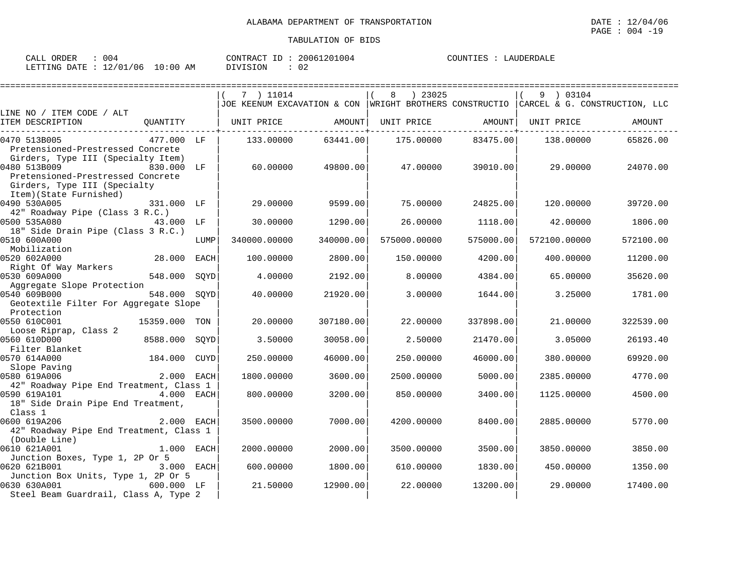| 004<br>ORDER<br>CALL    |            | CONTRACT<br>ID : | 20061201004 | COUNTIES<br>LAUDERDALE |
|-------------------------|------------|------------------|-------------|------------------------|
| LETTING DATE : 12/01/06 | $10:00$ AM | DIVISION         |             |                        |

|                                                                     |               |      | 7 ) 11014                                                                             |           | ) 23025<br>8 |           | 9 ) 03104          |           |
|---------------------------------------------------------------------|---------------|------|---------------------------------------------------------------------------------------|-----------|--------------|-----------|--------------------|-----------|
|                                                                     |               |      | JOE KEENUM EXCAVATION & CON WRIGHT BROTHERS CONSTRUCTIO CARCEL & G. CONSTRUCTION, LLC |           |              |           |                    |           |
| LINE NO / ITEM CODE / ALT                                           |               |      |                                                                                       |           |              |           |                    |           |
| ITEM DESCRIPTION                                                    | QUANTITY      |      | UNIT PRICE AMOUNT                                                                     |           | UNIT PRICE   |           | AMOUNT  UNIT PRICE | AMOUNT    |
| 0470 513B005                                                        | 477.000 LF    |      | 133.00000                                                                             | 63441.00  | 175.00000    | 83475.00  | 138.00000          | 65826.00  |
| Pretensioned-Prestressed Concrete                                   |               |      |                                                                                       |           |              |           |                    |           |
| Girders, Type III (Specialty Item)                                  |               |      |                                                                                       |           |              |           |                    |           |
| 0480 513B009                                                        | 830.000 LF    |      | 60.00000                                                                              | 49800.00  | 47.00000     | 39010.00  | 29.00000           | 24070.00  |
| Pretensioned-Prestressed Concrete                                   |               |      |                                                                                       |           |              |           |                    |           |
| Girders, Type III (Specialty                                        |               |      |                                                                                       |           |              |           |                    |           |
| Item)(State Furnished)                                              |               |      |                                                                                       |           |              |           |                    |           |
| 0490 530A005                                                        | 331.000 LF    |      | 29,00000                                                                              | 9599.00   | 75.00000     | 24825.00  | 120.00000          | 39720.00  |
| 42" Roadway Pipe (Class 3 R.C.)                                     |               |      |                                                                                       |           |              |           |                    |           |
| 0500 535A080                                                        | 43.000 LF     |      | 30.00000                                                                              | 1290.00   | 26.00000     | 1118.00   | 42.00000           | 1806.00   |
| 18" Side Drain Pipe (Class 3 R.C.)<br>0510 600A000                  |               |      |                                                                                       | 340000.00 |              |           |                    |           |
| Mobilization                                                        |               | LUMP | 340000.00000                                                                          |           | 575000.00000 | 575000.00 | 572100.00000       | 572100.00 |
| 0520 602A000                                                        | 28.000 EACH   |      | 100.00000                                                                             | 2800.00   | 150.00000    | 4200.00   | 400.00000          | 11200.00  |
| Right Of Way Markers                                                |               |      |                                                                                       |           |              |           |                    |           |
| 0530 609A000                                                        | 548.000       | SOYD | 4.00000                                                                               | 2192.00   | 8,00000      | 4384.00   | 65.00000           | 35620.00  |
| Aggregate Slope Protection                                          |               |      |                                                                                       |           |              |           |                    |           |
| 0540 609B000                                                        | 548.000 SQYD  |      | 40.00000                                                                              | 21920.00  | 3.00000      | 1644.00   | 3.25000            | 1781.00   |
| Geotextile Filter For Aggregate Slope                               |               |      |                                                                                       |           |              |           |                    |           |
| Protection                                                          |               |      |                                                                                       |           |              |           |                    |           |
| 0550 610C001                                                        | 15359.000 TON |      | 20.00000                                                                              | 307180.00 | 22.00000     | 337898.00 | 21.00000           | 322539.00 |
| Loose Riprap, Class 2                                               |               |      |                                                                                       |           |              |           |                    |           |
| 0560 610D000                                                        | 8588.000      | SOYD | 3.50000                                                                               | 30058.00  | 2.50000      | 21470.00  | 3.05000            | 26193.40  |
| Filter Blanket                                                      |               |      |                                                                                       |           |              |           |                    |           |
| 0570 614A000<br>Slope Paving                                        | 184.000 CUYD  |      | 250.00000                                                                             | 46000.00  | 250.00000    | 46000.00  | 380.00000          | 69920.00  |
| 0580 619A006                                                        | 2.000 EACH    |      | 1800.00000                                                                            | 3600.00   | 2500.00000   | 5000.00   | 2385.00000         | 4770.00   |
| 42" Roadway Pipe End Treatment, Class 1                             |               |      |                                                                                       |           |              |           |                    |           |
| 0590 619A101                                                        | 4.000 EACH    |      | 800,00000                                                                             | 3200.00   | 850.00000    | 3400.00   | 1125,00000         | 4500.00   |
| 18" Side Drain Pipe End Treatment,                                  |               |      |                                                                                       |           |              |           |                    |           |
| Class 1                                                             |               |      |                                                                                       |           |              |           |                    |           |
| 0600 619A206                                                        | 2.000 EACH    |      | 3500.00000                                                                            | 7000.00   | 4200.00000   | 8400.00   | 2885.00000         | 5770.00   |
| 42" Roadway Pipe End Treatment, Class 1                             |               |      |                                                                                       |           |              |           |                    |           |
| (Double Line)                                                       |               |      |                                                                                       |           |              |           |                    |           |
| 0610 621A001                                                        | 1.000 EACH    |      | 2000.00000                                                                            | 2000.00   | 3500.00000   | 3500.00   | 3850.00000         | 3850.00   |
| Junction Boxes, Type 1, 2P Or 5                                     |               |      |                                                                                       |           |              |           |                    |           |
| 0620 621B001                                                        | 3.000 EACH    |      | 600,00000                                                                             | 1800.00   | 610.00000    | 1830.00   | 450.00000          | 1350.00   |
| Junction Box Units, Type 1, 2P Or 5<br>0630 630A001<br>$600.000$ LF |               |      | 21.50000                                                                              | 12900.00  | 22,00000     | 13200.00  | 29.00000           | 17400.00  |
| Steel Beam Guardrail, Class A, Type 2                               |               |      |                                                                                       |           |              |           |                    |           |
|                                                                     |               |      |                                                                                       |           |              |           |                    |           |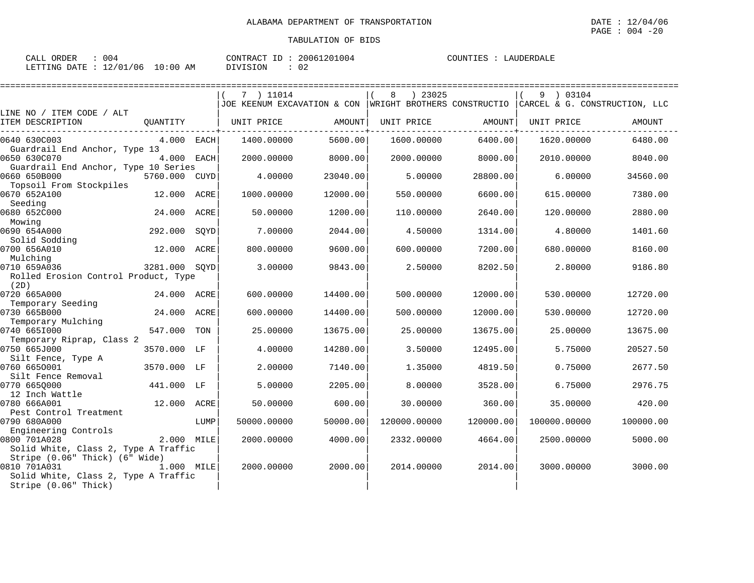| ORDER<br>$\sim$ $\sim$ $\sim$<br>لىلەك | $\sim$<br>UU4 |             | CONTRACT<br>ID | 20061201004 | COUNTIES | LAUDERDALE |
|----------------------------------------|---------------|-------------|----------------|-------------|----------|------------|
| <b>DATE</b><br>LETTING                 | 12/01/06      | 10:00<br>AM | DIVISION       | ົດ ^        |          |            |

|                                                |               |      | 7 ) 11014                                                                                |          | ) 23025      |           | 9 ) 03104    |           |
|------------------------------------------------|---------------|------|------------------------------------------------------------------------------------------|----------|--------------|-----------|--------------|-----------|
|                                                |               |      | JOE KEENUM EXCAVATION & CON  WRIGHT BROTHERS CONSTRUCTIO   CARCEL & G. CONSTRUCTION, LLC |          |              |           |              |           |
| LINE NO / ITEM CODE / ALT                      |               |      |                                                                                          |          |              |           |              |           |
| ITEM DESCRIPTION                               | QUANTITY      |      | UNIT PRICE                                                                               | AMOUNT   | UNIT PRICE   | AMOUNT    | UNIT PRICE   | AMOUNT    |
| 0640 630C003                                   | 4.000 EACH    |      | 1400.00000                                                                               | 5600.00  | 1600.00000   | 6400.00   | 1620.00000   | 6480.00   |
| Guardrail End Anchor, Type 13                  |               |      |                                                                                          |          |              |           |              |           |
| 0650 630C070                                   | 4.000 EACH    |      | 2000.00000                                                                               | 8000.00  | 2000.00000   | 8000.00   | 2010.00000   | 8040.00   |
| Guardrail End Anchor, Type 10 Series           |               |      |                                                                                          |          |              |           |              |           |
| 0660 650B000                                   | 5760.000 CUYD |      | 4.00000                                                                                  | 23040.00 | 5.00000      | 28800.00  | 6,00000      | 34560.00  |
| Topsoil From Stockpiles<br>0670 652A100        | 12.000 ACRE   |      | 1000.00000                                                                               | 12000.00 | 550.00000    | 6600.00   | 615.00000    | 7380.00   |
| Seeding                                        |               |      |                                                                                          |          |              |           |              |           |
| 0680 652C000                                   | 24.000        | ACRE | 50.00000                                                                                 | 1200.00  | 110.00000    | 2640.00   | 120.00000    | 2880.00   |
| Mowing                                         |               |      |                                                                                          |          |              |           |              |           |
| 0690 654A000                                   | 292.000       | SOYD | 7.00000                                                                                  | 2044.00  | 4.50000      | 1314.00   | 4.80000      | 1401.60   |
| Solid Sodding                                  |               |      |                                                                                          |          |              |           |              |           |
| 0700 656A010                                   | 12.000 ACRE   |      | 800.00000                                                                                | 9600.00  | 600.00000    | 7200.00   | 680.00000    | 8160.00   |
| Mulching                                       |               |      |                                                                                          |          |              |           |              |           |
| 0710 659A036                                   | 3281.000 SQYD |      | 3.00000                                                                                  | 9843.00  | 2.50000      | 8202.50   | 2.80000      | 9186.80   |
| Rolled Erosion Control Product, Type<br>(2D)   |               |      |                                                                                          |          |              |           |              |           |
| 0720 665A000                                   | 24.000 ACRE   |      | 600.00000                                                                                | 14400.00 | 500.00000    | 12000.00  | 530.00000    | 12720.00  |
| Temporary Seeding                              |               |      |                                                                                          |          |              |           |              |           |
| 0730 665B000                                   | 24.000        | ACRE | 600,00000                                                                                | 14400.00 | 500.00000    | 12000.00  | 530.00000    | 12720.00  |
| Temporary Mulching                             |               |      |                                                                                          |          |              |           |              |           |
| 0740 6651000                                   | 547.000       | TON  | 25.00000                                                                                 | 13675.00 | 25.00000     | 13675.00  | 25.00000     | 13675.00  |
| Temporary Riprap, Class 2                      |               |      |                                                                                          |          |              |           |              |           |
| 0750 665J000                                   | 3570.000 LF   |      | 4.00000                                                                                  | 14280.00 | 3.50000      | 12495.00  | 5.75000      | 20527.50  |
| Silt Fence, Type A                             |               |      |                                                                                          |          |              |           |              |           |
| 0760 6650001<br>Silt Fence Removal             | 3570.000 LF   |      | 2.00000                                                                                  | 7140.00  | 1.35000      | 4819.50   | 0.75000      | 2677.50   |
| 0770 6650000                                   | 441.000 LF    |      | 5.00000                                                                                  | 2205.00  | 8,00000      | 3528.00   | 6.75000      | 2976.75   |
| 12 Inch Wattle                                 |               |      |                                                                                          |          |              |           |              |           |
| 0780 666A001                                   | 12.000 ACRE   |      | 50.00000                                                                                 | 600.00   | 30.00000     | 360.00    | 35.00000     | 420.00    |
| Pest Control Treatment                         |               |      |                                                                                          |          |              |           |              |           |
| 0790 680A000                                   |               | LUMP | 50000.00000                                                                              | 50000.00 | 120000.00000 | 120000.00 | 100000.00000 | 100000.00 |
| Engineering Controls                           |               |      |                                                                                          |          |              |           |              |           |
| 0800 701A028                                   | 2.000 MILE    |      | 2000.00000                                                                               | 4000.00  | 2332.00000   | 4664.00   | 2500.00000   | 5000.00   |
| Solid White, Class 2, Type A Traffic           |               |      |                                                                                          |          |              |           |              |           |
| Stripe (0.06" Thick) (6" Wide)<br>0810 701A031 |               |      |                                                                                          |          |              |           |              |           |
| Solid White, Class 2, Type A Traffic           | 1.000 MILE    |      | 2000.00000                                                                               | 2000.00  | 2014.00000   | 2014.00   | 3000.00000   | 3000.00   |
| Stripe (0.06" Thick)                           |               |      |                                                                                          |          |              |           |              |           |
|                                                |               |      |                                                                                          |          |              |           |              |           |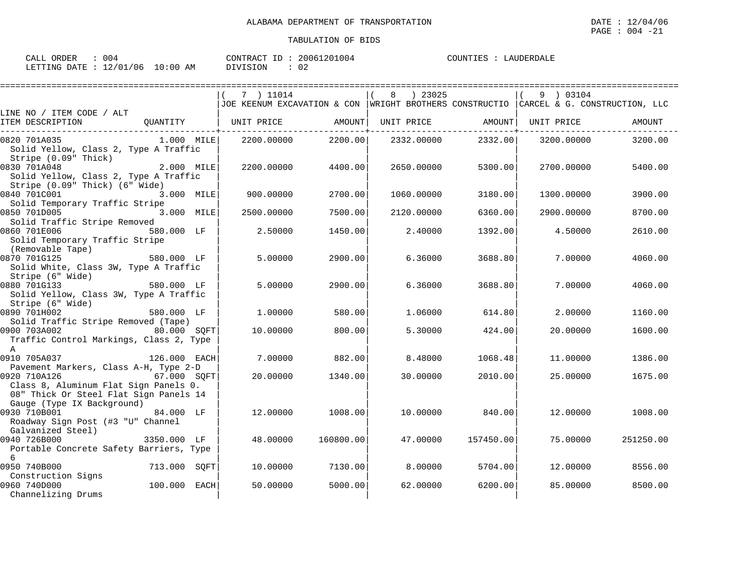| CALL ORDER<br>004                | CONTRACT ID: 20061201004 | COUNTIES : LAUDERDALE |
|----------------------------------|--------------------------|-----------------------|
| LETTING DATE : 12/01/06 10:00 AM | DIVISION<br>02           |                       |

|                                                                                                                               |              | 7 ) 11014  |           | ) 23025                                                                                 |           | 9 ) 03104  |           |
|-------------------------------------------------------------------------------------------------------------------------------|--------------|------------|-----------|-----------------------------------------------------------------------------------------|-----------|------------|-----------|
|                                                                                                                               |              |            |           | JOE KEENUM EXCAVATION & CON  WRIGHT BROTHERS CONSTRUCTIO  CARCEL & G. CONSTRUCTION, LLC |           |            |           |
| LINE NO / ITEM CODE / ALT<br>ITEM DESCRIPTION                                                                                 | OUANTITY     | UNIT PRICE | AMOUNT    | UNIT PRICE                                                                              | AMOUNT    | UNIT PRICE | AMOUNT    |
| 0820 701A035<br>Solid Yellow, Class 2, Type A Traffic<br>Stripe (0.09" Thick)                                                 | $1.000$ MILE | 2200.00000 | 2200.00   | 2332.00000                                                                              | 2332.00   | 3200.00000 | 3200.00   |
| 0830 701A048<br>Solid Yellow, Class 2, Type A Traffic<br>Stripe (0.09" Thick) (6" Wide)                                       | 2.000 MILE   | 2200.00000 | 4400.00   | 2650.00000                                                                              | 5300.00   | 2700.00000 | 5400.00   |
| 0840 701C001<br>Solid Temporary Traffic Stripe                                                                                | 3.000 MILE   | 900.00000  | 2700.00   | 1060.00000                                                                              | 3180.00   | 1300.00000 | 3900.00   |
| 0850 701D005<br>Solid Traffic Stripe Removed                                                                                  | 3.000 MILE   | 2500.00000 | 7500.00   | 2120.00000                                                                              | 6360.00   | 2900.00000 | 8700.00   |
| 0860 701E006<br>Solid Temporary Traffic Stripe<br>(Removable Tape)                                                            | 580.000 LF   | 2.50000    | 1450.00   | 2.40000                                                                                 | 1392.00   | 4.50000    | 2610.00   |
| 0870 701G125<br>Solid White, Class 3W, Type A Traffic<br>Stripe (6" Wide)                                                     | 580.000 LF   | 5.00000    | 2900.00   | 6.36000                                                                                 | 3688.80   | 7.00000    | 4060.00   |
| 0880 701G133<br>Solid Yellow, Class 3W, Type A Traffic<br>Stripe (6" Wide)                                                    | 580.000 LF   | 5.00000    | 2900.00   | 6.36000                                                                                 | 3688.80   | 7.00000    | 4060.00   |
| 0890 701H002<br>Solid Traffic Stripe Removed (Tape)                                                                           | 580.000 LF   | 1,00000    | 580.00    | 1.06000                                                                                 | 614.80    | 2,00000    | 1160.00   |
| 0900 703A002<br>Traffic Control Markings, Class 2, Type<br>$\mathbb A$                                                        | 80.000 SOFT  | 10.00000   | 800.00    | 5.30000                                                                                 | 424.00    | 20,00000   | 1600.00   |
| 0910 705A037<br>Pavement Markers, Class A-H, Type 2-D                                                                         | 126.000 EACH | 7.00000    | 882.00    | 8.48000                                                                                 | 1068.48   | 11,00000   | 1386.00   |
| 0920 710A126<br>Class 8, Aluminum Flat Sign Panels 0.<br>08" Thick Or Steel Flat Sign Panels 14<br>Gauge (Type IX Background) | 67.000 SQFT  | 20,00000   | 1340.00   | 30,00000                                                                                | 2010.00   | 25.00000   | 1675.00   |
| 0930 710B001<br>Roadway Sign Post (#3 "U" Channel<br>Galvanized Steel)                                                        | 84.000 LF    | 12,00000   | 1008.00   | 10,00000                                                                                | 840.00    | 12,00000   | 1008.00   |
| 0940 726B000<br>Portable Concrete Safety Barriers, Type<br>6                                                                  | 3350.000 LF  | 48.00000   | 160800.00 | 47.00000                                                                                | 157450.00 | 75.00000   | 251250.00 |
| 0950 740B000<br>Construction Signs                                                                                            | 713.000 SQFT | 10.00000   | 7130.00   | 8,00000                                                                                 | 5704.00   | 12.00000   | 8556.00   |
| 0960 740D000<br>Channelizing Drums                                                                                            | 100.000 EACH | 50.00000   | 5000.00   | 62.00000                                                                                | 6200.00   | 85,00000   | 8500.00   |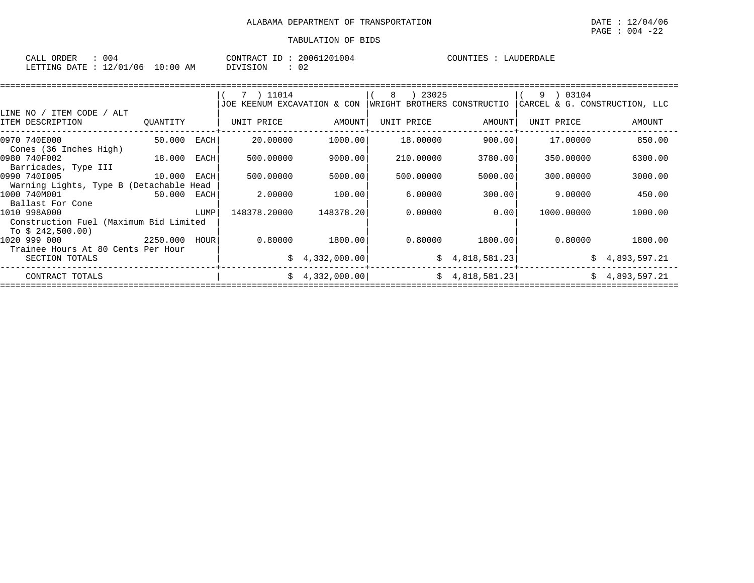$\texttt{PAGE}$  :  $004$  -22

| 004<br>ORDER<br>CALI                        |               | CONTRACT<br>T <sub>D</sub> | 20067<br>201004 | COUNTIES<br>DERDALE<br>$\Delta$ i |
|---------------------------------------------|---------------|----------------------------|-----------------|-----------------------------------|
| 106<br>10101<br>LETTING<br>DATE<br>⊥∠<br>◡∸ | LO : 00<br>AΜ | <b>DIVISION</b>            | n n<br>◡∠       |                                   |

|                                                         |             |      | 7 ) 11014                   |                 | 23025<br>8                  |                 | 03104<br>9                    |                |
|---------------------------------------------------------|-------------|------|-----------------------------|-----------------|-----------------------------|-----------------|-------------------------------|----------------|
|                                                         |             |      | JOE KEENUM EXCAVATION & CON |                 | WRIGHT BROTHERS CONSTRUCTIO |                 | CARCEL & G. CONSTRUCTION, LLC |                |
| LINE NO / ITEM CODE / ALT                               |             |      |                             |                 |                             |                 |                               |                |
| ITEM DESCRIPTION                                        | QUANTITY    |      | UNIT PRICE                  | AMOUNT          | UNIT PRICE                  | AMOUNT          | UNIT PRICE                    | AMOUNT         |
| 0970 740E000<br>Cones (36 Inches High)                  | 50.000      | EACH | 20.00000                    | 1000.00         | 18.00000                    | 900.00          | 17.00000                      | 850.00         |
| 0980 740F002<br>Barricades, Type III                    | 18.000      | EACH | 500.00000                   | 9000.00         | 210,00000                   | 3780.00         | 350.00000                     | 6300.00        |
| 0990 7401005<br>Warning Lights, Type B (Detachable Head | 10.000      | EACH | 500.00000                   | 5000.00         | 500.00000                   | 5000.00         | 300,00000                     | 3000.00        |
| 1000 740M001<br>Ballast For Cone                        | 50.000 EACH |      | 2.00000                     | 100.00          | 6.00000                     | 300.00          | 9.00000                       | 450.00         |
| 1010 998A000<br>Construction Fuel (Maximum Bid Limited  |             | LUMP | 148378.20000                | 148378.20       | 0.00000                     | 0.001           | 1000.00000                    | 1000.00        |
| To $$242.500.00)$                                       |             |      |                             |                 |                             |                 |                               |                |
| 1020 999 000                                            | 2250.000    | HOUR | 0.80000                     | 1800.00         | 0.80000                     | 1800.001        | 0.80000                       | 1800.00        |
| Trainee Hours At 80 Cents Per Hour<br>SECTION TOTALS    |             |      |                             | \$4,332,000.00] |                             | \$4,818,581.23] | Ŝ.                            | 4,893,597.21   |
| CONTRACT TOTALS                                         |             |      |                             | \$4,332,000.00] |                             | \$4,818,581.23] |                               | \$4,893,597.21 |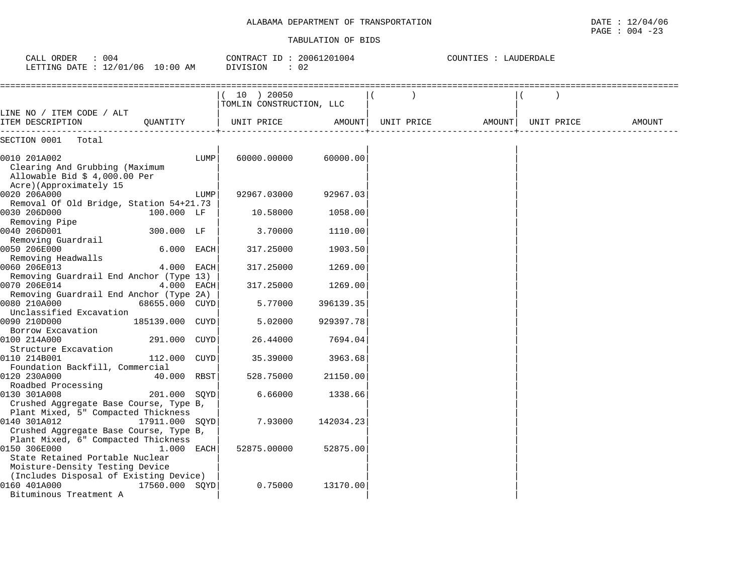PAGE : 004 -23

| CALL ORDER : 004<br>LETTING DATE : 12/01/06 10:00 AM                                                                      |                 |      | CONTRACT ID: 20061201004<br>DIVISION<br>$\therefore$ 02 |           | COUNTIES : LAUDERDALE      |            |        |
|---------------------------------------------------------------------------------------------------------------------------|-----------------|------|---------------------------------------------------------|-----------|----------------------------|------------|--------|
|                                                                                                                           |                 |      | (10) 20050<br>TOMLIN CONSTRUCTION, LLC                  |           |                            |            |        |
| LINE NO / ITEM CODE / ALT<br>ITEM DESCRIPTION                                                                             | OUANTITY        |      | UNIT PRICE                                              |           | AMOUNT   UNIT PRICE AMOUNT | UNIT PRICE | AMOUNT |
| SECTION 0001<br>Total                                                                                                     |                 |      |                                                         |           |                            |            |        |
| 0010 201A002<br>Clearing And Grubbing (Maximum<br>Allowable Bid \$ 4,000.00 Per<br>Acre)(Approximately 15                 |                 | LUMP | 60000.00000                                             | 60000.00  |                            |            |        |
| 0020 206A000                                                                                                              |                 | LUMP | 92967.03000                                             | 92967.03  |                            |            |        |
| Removal Of Old Bridge, Station 54+21.73<br>0030 206D000<br>Removing Pipe                                                  | 100.000 LF      |      | 10.58000                                                | 1058.00   |                            |            |        |
| 0040 206D001<br>Removing Guardrail                                                                                        | 300.000 LF      |      | 3.70000                                                 | 1110.00   |                            |            |        |
| 0050 206E000<br>Removing Headwalls                                                                                        | 6.000 EACH      |      | 317.25000                                               | 1903.50   |                            |            |        |
| 0060 206E013<br>Removing Guardrail End Anchor (Type 13)                                                                   | 4.000 EACH      |      | 317.25000                                               | 1269.00   |                            |            |        |
| 0070 206E014<br>Removing Guardrail End Anchor (Type 2A)                                                                   | 4.000 EACH      |      | 317.25000                                               | 1269.00   |                            |            |        |
| 0080 210A000                                                                                                              | 68655.000 CUYD  |      | 5.77000                                                 | 396139.35 |                            |            |        |
| Unclassified Excavation<br>0090 210D000                                                                                   | 185139.000 CUYD |      | 5.02000                                                 | 929397.78 |                            |            |        |
| Borrow Excavation<br>0100 214A000                                                                                         | 291.000 CUYD    |      | 26.44000                                                | 7694.04   |                            |            |        |
| Structure Excavation<br>0110 214B001                                                                                      | 112.000 CUYD    |      | 35.39000                                                | 3963.68   |                            |            |        |
| Foundation Backfill, Commercial<br>0120 230A000<br>Roadbed Processing                                                     | 40.000 RBST     |      | 528.75000                                               | 21150.00  |                            |            |        |
| 0130 301A008<br>Crushed Aggregate Base Course, Type B,                                                                    | 201.000 SQYD    |      | 6.66000                                                 | 1338.66   |                            |            |        |
| Plant Mixed, 5" Compacted Thickness<br>0140 301A012<br>Crushed Aggregate Base Course, Type B,                             | 17911.000 SOYD  |      | 7.93000                                                 | 142034.23 |                            |            |        |
| Plant Mixed, 6" Compacted Thickness<br>0150 306E000<br>State Retained Portable Nuclear<br>Moisture-Density Testing Device | $1.000$ EACH    |      | 52875.00000                                             | 52875.00  |                            |            |        |
| (Includes Disposal of Existing Device)<br>0160 401A000<br>Bituminous Treatment A                                          | 17560.000 SOYD  |      | 0.75000                                                 | 13170.00  |                            |            |        |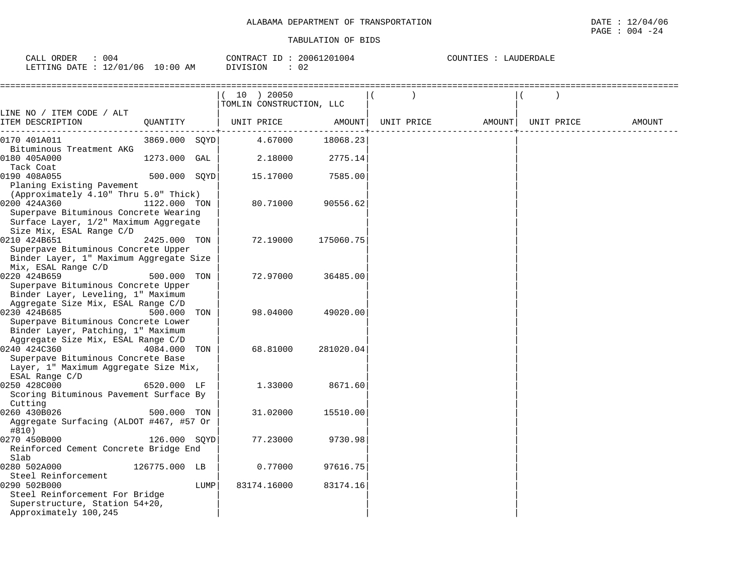| $C\Delta T$ .<br>ORDEF<br>U U 4<br>אדר<br>. L             | חידו חרי<br>R AL                     | .004<br>$-$<br>? N N K<br>$\mathbf{1}$ | .<br>1 D H. H<br>$11.1\,\mathrm{A}1\,\mathrm{m}$<br>ه ڪتاب |
|-----------------------------------------------------------|--------------------------------------|----------------------------------------|------------------------------------------------------------|
| $\sim$ -<br>.ETTING<br>⊤י⊤∆רו<br>Ub<br>∸<br>$\sim$ $\sim$ | AΜ<br>' () : () (,<br>$\lambda$<br>◡ | $\sim$<br>◡∠                           |                                                            |

| ====================                                                                                                                                                |               |      | 10 ) 20050<br>TOMLIN CONSTRUCTION, LLC |           |            |        |            |        |
|---------------------------------------------------------------------------------------------------------------------------------------------------------------------|---------------|------|----------------------------------------|-----------|------------|--------|------------|--------|
| LINE NO / ITEM CODE / ALT<br>ITEM DESCRIPTION                                                                                                                       | QUANTITY      |      | UNIT PRICE                             | AMOUNT    | UNIT PRICE | AMOUNT | UNIT PRICE | AMOUNT |
| 0170 401A011                                                                                                                                                        | 3869.000 SQYD |      | 4.67000                                | 18068.23  |            |        |            |        |
| Bituminous Treatment AKG<br>0180 405A000<br>Tack Coat                                                                                                               | 1273.000 GAL  |      | 2.18000                                | 2775.14   |            |        |            |        |
| 0190 408A055<br>Planing Existing Pavement                                                                                                                           | 500.000 SOYD  |      | 15.17000                               | 7585.00   |            |        |            |        |
| (Approximately 4.10" Thru 5.0" Thick)<br>0200 424A360<br>Superpave Bituminous Concrete Wearing<br>Surface Layer, 1/2" Maximum Aggregate<br>Size Mix, ESAL Range C/D | 1122.000 TON  |      | 80.71000                               | 90556.62  |            |        |            |        |
| 0210 424B651<br>Superpave Bituminous Concrete Upper<br>Binder Layer, 1" Maximum Aggregate Size<br>Mix, ESAL Range C/D                                               | 2425.000 TON  |      | 72.19000                               | 175060.75 |            |        |            |        |
| 0220 424B659<br>Superpave Bituminous Concrete Upper<br>Binder Layer, Leveling, 1" Maximum<br>Aggregate Size Mix, ESAL Range C/D                                     | 500.000 TON   |      | 72.97000                               | 36485.00  |            |        |            |        |
| 0230 424B685<br>Superpave Bituminous Concrete Lower<br>Binder Layer, Patching, 1" Maximum<br>Aggregate Size Mix, ESAL Range C/D                                     | 500.000       | TON  | 98.04000                               | 49020.00  |            |        |            |        |
| 0240 424C360<br>Superpave Bituminous Concrete Base<br>Layer, 1" Maximum Aggregate Size Mix,<br>ESAL Range C/D                                                       | 4084.000      | TON  | 68.81000                               | 281020.04 |            |        |            |        |
| 0250 428C000<br>Scoring Bituminous Pavement Surface By<br>Cutting                                                                                                   | 6520.000 LF   |      | 1.33000                                | 8671.60   |            |        |            |        |
| 0260 430B026<br>Aggregate Surfacing (ALDOT #467, #57 Or<br>#810)                                                                                                    | 500.000 TON   |      | 31.02000                               | 15510.00  |            |        |            |        |
| 0270 450B000<br>Reinforced Cement Concrete Bridge End<br>Slab                                                                                                       | 126.000 SQYD  |      | 77.23000                               | 9730.98   |            |        |            |        |
| 0280 502A000<br>Steel Reinforcement                                                                                                                                 | 126775.000 LB |      | 0.77000                                | 97616.75  |            |        |            |        |
| 0290 502B000<br>Steel Reinforcement For Bridge<br>Superstructure, Station 54+20,<br>Approximately 100,245                                                           |               | LUMP | 83174.16000                            | 83174.16  |            |        |            |        |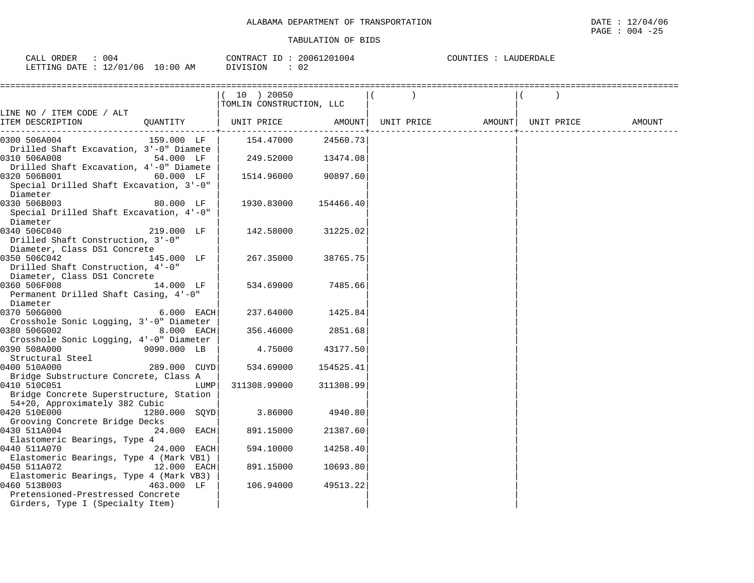| 004<br>CALL ORDER                 |          | CONTRACT ID: 20061201004 | COUNTIES : | LAUDERDALE |
|-----------------------------------|----------|--------------------------|------------|------------|
| LETTING DATE : 12/01/06  10:00 AM | DIVISION | υz                       |            |            |

|                                                                                           |               | (10) 20050               |                    |            |                    |        |
|-------------------------------------------------------------------------------------------|---------------|--------------------------|--------------------|------------|--------------------|--------|
|                                                                                           |               | TOMLIN CONSTRUCTION, LLC |                    |            |                    |        |
| LINE NO / ITEM CODE / ALT<br>ITEM DESCRIPTION                                             | QUANTITY      | UNIT PRICE               | AMOUNT             | UNIT PRICE | AMOUNT  UNIT PRICE | AMOUNT |
| 0300 506A004<br>Drilled Shaft Excavation, 3'-0" Diamete                                   | 159.000 LF    | 154.47000                | 24560.73           |            |                    |        |
| 0310 506A008<br>Drilled Shaft Excavation, 4'-0" Diamete                                   | 54.000 LF     |                          | 249.52000 13474.08 |            |                    |        |
| 0320 506B001<br><b>60.000 LF</b><br>Special Drilled Shaft Excavation, 3'-0"<br>Diameter   |               | 1514.96000               | 90897.60           |            |                    |        |
| 0330 506B003<br>Special Drilled Shaft Excavation, 4'-0"<br>Diameter                       | 80.000 LF     | 1930.83000               | 154466.40          |            |                    |        |
| 0340 506C040<br>Drilled Shaft Construction, 3'-0"<br>Diameter, Class DS1 Concrete         | 219.000 LF    | 142.58000                | 31225.02           |            |                    |        |
| 0350 506C042<br>Drilled Shaft Construction, 4'-0"<br>Diameter, Class DS1 Concrete         | 145.000 LF    | 267.35000                | 38765.75           |            |                    |        |
| 0360 506F008<br>Permanent Drilled Shaft Casing, 4'-0"<br>Diameter                         | 14.000 LF     | 534.69000                | 7485.66            |            |                    |        |
| 0370 506G000<br>Crosshole Sonic Logging, 3'-0" Diameter                                   | $6.000$ EACH  | 237.64000                | 1425.84            |            |                    |        |
| 0380 506G002<br>Crosshole Sonic Logging, 4'-0" Diameter                                   | 8.000 EACH    | 356.46000                | 2851.68            |            |                    |        |
| 0390 508A000<br>Structural Steel                                                          | 9090.000 LB   | 4.75000                  | 43177.50           |            |                    |        |
| 0400 510A000<br>Bridge Substructure Concrete, Class A                                     | 289.000 CUYD  | 534.69000                | 154525.41          |            |                    |        |
| 0410 510C051<br>Bridge Concrete Superstructure, Station<br>54+20, Approximately 382 Cubic | LUMP          | 311308.99000             | 311308.99          |            |                    |        |
| 0420 510E000<br>Grooving Concrete Bridge Decks                                            | 1280.000 SOYD | 3.86000                  | 4940.80            |            |                    |        |
| 0430 511A004<br>Elastomeric Bearings, Type 4                                              | 24.000 EACH   | 891.15000                | 21387.60           |            |                    |        |
| 0440 511A070<br>Elastomeric Bearings, Type 4 (Mark VB1)                                   | 24.000 EACH   | 594.10000                | 14258.40           |            |                    |        |
| 0450 511A072<br>Elastomeric Bearings, Type 4 (Mark VB3)                                   | 12.000 EACH   | 891.15000                | 10693.80           |            |                    |        |
| 0460 513B003<br>Pretensioned-Prestressed Concrete<br>Girders, Type I (Specialty Item)     | 463.000 LF    | 106.94000                | 49513.22           |            |                    |        |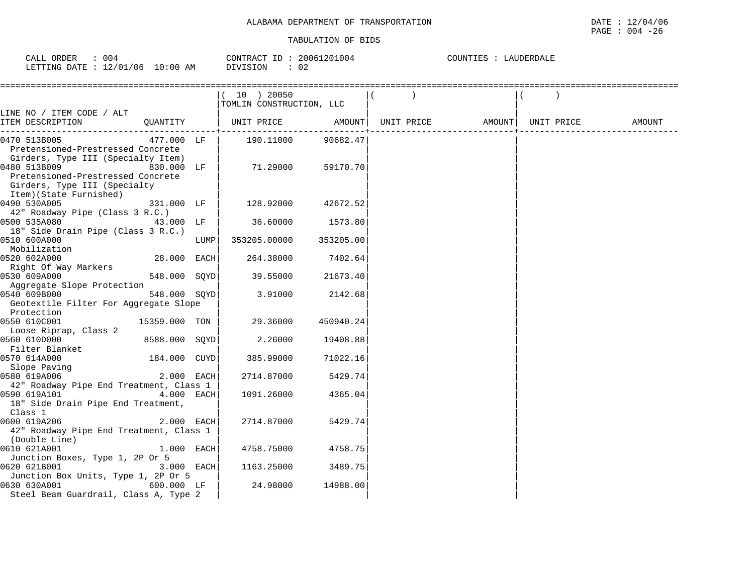| 004<br>CALL ORDER                |          | CONTRACT ID: 20061201004 | COUNTIES : LAUDERDALE |
|----------------------------------|----------|--------------------------|-----------------------|
| LETTING DATE : 12/01/06 10:00 AM | DIVISION | - 0.2                    |                       |

|                                              |               |      | (10) 20050<br>TOMLIN CONSTRUCTION, LLC |                     |                                |  |        |
|----------------------------------------------|---------------|------|----------------------------------------|---------------------|--------------------------------|--|--------|
| LINE NO / ITEM CODE / ALT                    |               |      |                                        |                     |                                |  |        |
| ITEM DESCRIPTION                             |               |      | QUANTITY   UNIT PRICE AMOUNT           | . - - - - - - - - + | UNIT PRICE AMOUNT   UNIT PRICE |  | AMOUNT |
| 0470 513B005                                 | 477.000 LF    |      | 190.11000                              | 90682.47            |                                |  |        |
| Pretensioned-Prestressed Concrete            |               |      |                                        |                     |                                |  |        |
| Girders, Type III (Specialty Item)           |               |      |                                        |                     |                                |  |        |
| 0480 513B009<br>830.000 LF                   |               |      | 71.29000                               | 59170.70            |                                |  |        |
| Pretensioned-Prestressed Concrete            |               |      |                                        |                     |                                |  |        |
| Girders, Type III (Specialty                 |               |      |                                        |                     |                                |  |        |
| Item)(State Furnished)                       |               |      |                                        |                     |                                |  |        |
| 0490 530A005                                 | 331.000 LF    |      | 128.92000                              | 42672.52            |                                |  |        |
| 42" Roadway Pipe (Class 3 R.C.)              |               |      |                                        |                     |                                |  |        |
| 43.000 LF<br>0500 535A080                    |               |      | 36.60000                               | 1573.80             |                                |  |        |
| 18" Side Drain Pipe (Class 3 R.C.)           |               |      |                                        |                     |                                |  |        |
| 0510 600A000                                 |               | LUMP | 353205.00000                           | 353205.00           |                                |  |        |
| Mobilization                                 |               |      |                                        |                     |                                |  |        |
| 0520 602A000                                 | 28.000 EACH   |      | 264.38000                              | 7402.64             |                                |  |        |
| Right Of Way Markers                         |               |      |                                        |                     |                                |  |        |
| 0530 609A000                                 | 548.000 SOYD  |      | 39.55000                               | 21673.40            |                                |  |        |
| Aqqreqate Slope Protection                   |               |      |                                        |                     |                                |  |        |
| 0540 609B000<br>548.000 SOYD                 |               |      | 3.91000                                | 2142.68             |                                |  |        |
| Geotextile Filter For Aggregate Slope        |               |      |                                        |                     |                                |  |        |
| Protection                                   |               |      | 29.36000                               |                     |                                |  |        |
| 0550 610C001                                 | 15359.000 TON |      |                                        | 450940.24           |                                |  |        |
| Loose Riprap, Class 2<br>0560 610D000        | 8588.000 SOYD |      | 2.26000                                | 19408.88            |                                |  |        |
| Filter Blanket                               |               |      |                                        |                     |                                |  |        |
| 0570 614A000                                 | 184.000 CUYD  |      | 385.99000                              | 71022.16            |                                |  |        |
|                                              |               |      |                                        |                     |                                |  |        |
| Slope Paving<br>0580 619A006<br>0580 619A006 | 2.000 EACH    |      | 2714.87000                             | 5429.74             |                                |  |        |
| 42" Roadway Pipe End Treatment, Class 1      |               |      |                                        |                     |                                |  |        |
| 0590 619A101                                 | 4.000 EACH    |      | 1091.26000                             | 4365.04             |                                |  |        |
| 18" Side Drain Pipe End Treatment,           |               |      |                                        |                     |                                |  |        |
| Class 1                                      |               |      |                                        |                     |                                |  |        |
| 0600 619A206                                 | 2.000 EACH    |      | 2714.87000                             | 5429.74             |                                |  |        |
| 42" Roadway Pipe End Treatment, Class 1      |               |      |                                        |                     |                                |  |        |
| (Double Line)                                |               |      |                                        |                     |                                |  |        |
| 0610 621A001                                 | 1.000 EACH    |      | 4758.75000                             | 4758.75             |                                |  |        |
| Junction Boxes, Type 1, 2P Or 5              |               |      |                                        |                     |                                |  |        |
| 0620 621B001                                 | 3.000 EACH    |      | 1163.25000                             | 3489.75             |                                |  |        |
| Junction Box Units, Type 1, 2P Or 5          |               |      |                                        |                     |                                |  |        |
| 0630 630A001                                 | 600.000 LF    |      | 24.98000                               | 14988.00            |                                |  |        |
| Steel Beam Guardrail, Class A, Type 2        |               |      |                                        |                     |                                |  |        |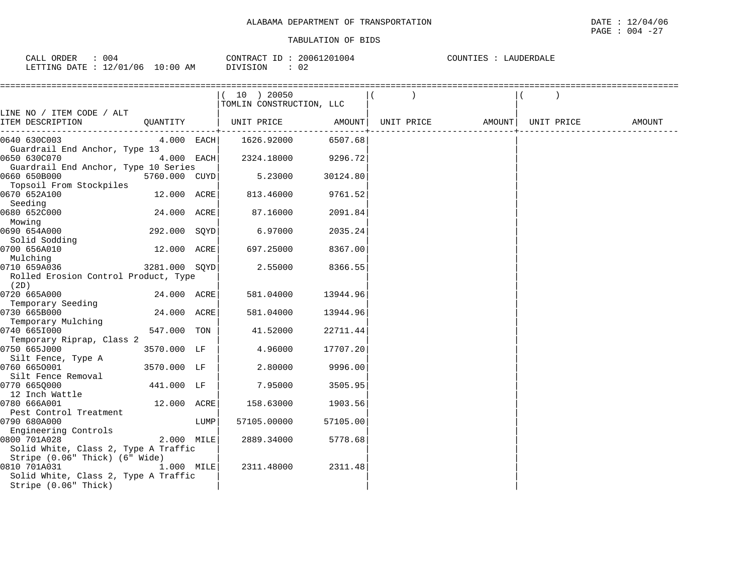| 004<br>CALL ORDER                 | CONTRACT ID: 20061201004 | COUNTIES :<br>LAUDERDALE |
|-----------------------------------|--------------------------|--------------------------|
| LETTING DATE : 12/01/06  10:00 AM | DIVISION                 |                          |

|                                      |               |      | $(10)$ 20050             |          |                                |  |        |
|--------------------------------------|---------------|------|--------------------------|----------|--------------------------------|--|--------|
|                                      |               |      | TOMLIN CONSTRUCTION, LLC |          |                                |  |        |
| LINE NO / ITEM CODE / ALT            |               |      |                          |          |                                |  |        |
| ITEM DESCRIPTION                     |               |      |                          |          | UNIT PRICE AMOUNT   UNIT PRICE |  | AMOUNT |
| 0640 630C003                         | $4.000$ EACH  |      | 1626.92000               | 6507.68  |                                |  |        |
| Guardrail End Anchor, Type 13        |               |      |                          |          |                                |  |        |
| 0650 630C070                         | 4.000 EACH    |      | 2324.18000               | 9296.72  |                                |  |        |
| Guardrail End Anchor, Type 10 Series |               |      |                          |          |                                |  |        |
| 0660 650B000                         | 5760.000 CUYD |      | 5.23000                  | 30124.80 |                                |  |        |
| Topsoil From Stockpiles              |               |      |                          |          |                                |  |        |
| 0670 652A100                         | 12.000 ACRE   |      | 813.46000                | 9761.52  |                                |  |        |
| Seeding                              |               |      |                          |          |                                |  |        |
| 0680 652C000                         | 24.000 ACRE   |      | 87.16000                 | 2091.84  |                                |  |        |
| Mowing                               |               |      |                          |          |                                |  |        |
| 0690 654A000                         | 292.000 SQYD  |      | 6.97000                  | 2035.24  |                                |  |        |
| Solid Sodding                        |               |      |                          |          |                                |  |        |
| 0700 656A010                         | 12.000 ACRE   |      | 697.25000                | 8367.00  |                                |  |        |
| Mulching                             |               |      |                          |          |                                |  |        |
| 0710 659A036                         | 3281.000 SQYD |      | 2.55000                  | 8366.55  |                                |  |        |
| Rolled Erosion Control Product, Type |               |      |                          |          |                                |  |        |
| (2D)                                 |               |      |                          |          |                                |  |        |
| 0720 665A000<br>Temporary Seeding    | 24.000 ACRE   |      | 581.04000                | 13944.96 |                                |  |        |
| 0730 665B000                         | 24.000 ACRE   |      | 581.04000                | 13944.96 |                                |  |        |
| Temporary Mulching                   |               |      |                          |          |                                |  |        |
| 0740 6651000                         | 547.000 TON   |      | 41.52000                 | 22711.44 |                                |  |        |
| Temporary Riprap, Class 2            |               |      |                          |          |                                |  |        |
| 0750 665J000                         | 3570.000 LF   |      | 4.96000                  | 17707.20 |                                |  |        |
| Silt Fence, Type A                   |               |      |                          |          |                                |  |        |
| 0760 6650001                         | 3570.000 LF   |      | 2.80000                  | 9996.00  |                                |  |        |
| Silt Fence Removal                   |               |      |                          |          |                                |  |        |
| 0770 665Q000                         | 441.000 LF    |      | 7.95000                  | 3505.95  |                                |  |        |
| 12 Inch Wattle                       |               |      |                          |          |                                |  |        |
| 0780 666A001                         | 12.000 ACRE   |      | 158.63000                | 1903.56  |                                |  |        |
| Pest Control Treatment               |               |      |                          |          |                                |  |        |
| 0790 680A000                         |               | LUMP | 57105.00000              | 57105.00 |                                |  |        |
| Engineering Controls                 |               |      |                          |          |                                |  |        |
| 0800 701A028                         | 2.000 MILE    |      | 2889.34000               | 5778.68  |                                |  |        |
| Solid White, Class 2, Type A Traffic |               |      |                          |          |                                |  |        |
| Stripe (0.06" Thick) (6" Wide)       |               |      |                          |          |                                |  |        |
| 0810 701A031                         | 1.000 MILE    |      | 2311.48000               | 2311.48  |                                |  |        |
| Solid White, Class 2, Type A Traffic |               |      |                          |          |                                |  |        |
| Stripe (0.06" Thick)                 |               |      |                          |          |                                |  |        |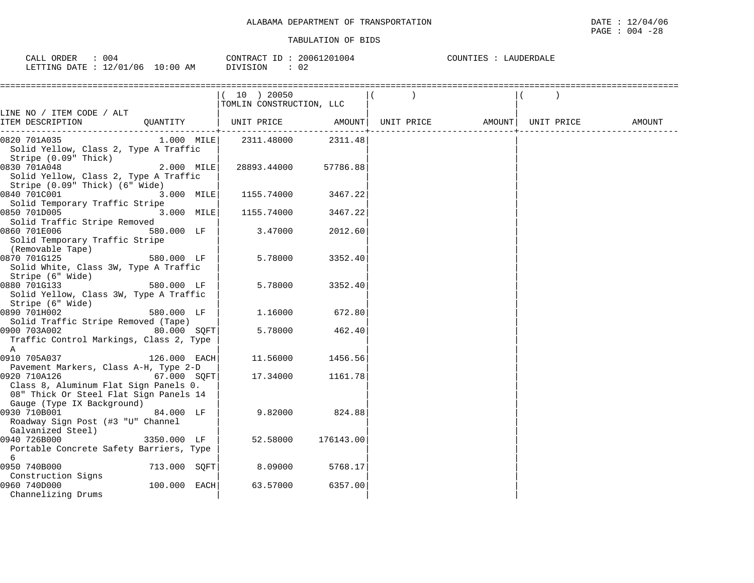| 004<br>ORDER<br>CALL              | 20061201004<br>CONTRACT ID | COUNTIES<br>LAUDERDALE |
|-----------------------------------|----------------------------|------------------------|
| LETTING DATE : 12/01/06  10:00 AM | DIVISION<br>02             |                        |

|                                                                         |              | (10) 20050                   |           |                                |  |        |
|-------------------------------------------------------------------------|--------------|------------------------------|-----------|--------------------------------|--|--------|
|                                                                         |              | TOMLIN CONSTRUCTION, LLC     |           |                                |  |        |
| LINE NO / ITEM CODE / ALT                                               |              |                              |           |                                |  |        |
| ITEM DESCRIPTION                                                        |              | QUANTITY   UNIT PRICE AMOUNT |           | UNIT PRICE AMOUNT   UNIT PRICE |  | AMOUNT |
| 0820 701A035                                                            |              | $1.000$ MILE $2311.48000$    | 2311.48   |                                |  |        |
| Solid Yellow, Class 2, Type A Traffic                                   |              |                              |           |                                |  |        |
| Stripe (0.09" Thick)                                                    |              |                              |           |                                |  |        |
| 0830 701A048                                                            | $2.000$ MILE | 28893.44000                  | 57786.88  |                                |  |        |
| Solid Yellow, Class 2, Type A Traffic<br>Stripe (0.09" Thick) (6" Wide) |              |                              |           |                                |  |        |
| 0840 701C001                                                            | 3.000 MILE   | 1155.74000                   | 3467.22   |                                |  |        |
| Solid Temporary Traffic Stripe                                          |              |                              |           |                                |  |        |
| 0850 701D005                                                            | 3.000 MILE   | 1155.74000                   | 3467.22   |                                |  |        |
| Solid Traffic Stripe Removed                                            |              |                              |           |                                |  |        |
| 0860 701E006                                                            | 580.000 LF   | 3.47000                      | 2012.60   |                                |  |        |
| Solid Temporary Traffic Stripe                                          |              |                              |           |                                |  |        |
| (Removable Tape)                                                        |              |                              |           |                                |  |        |
| 0870 701G125                                                            | 580.000 LF   | 5.78000                      | 3352.40   |                                |  |        |
| Solid White, Class 3W, Type A Traffic                                   |              |                              |           |                                |  |        |
| Stripe (6" Wide)<br>0880 701G133                                        | 580.000 LF   | 5.78000                      | 3352.40   |                                |  |        |
| Solid Yellow, Class 3W, Type A Traffic                                  |              |                              |           |                                |  |        |
| Stripe (6" Wide)                                                        |              |                              |           |                                |  |        |
| 0890 701H002                                                            | 580.000 LF   | 1.16000                      | 672.80    |                                |  |        |
| Solid Traffic Stripe Removed (Tape)                                     |              |                              |           |                                |  |        |
| 0900 703A002                                                            | 80.000 SQFT  | 5.78000                      | 462.40    |                                |  |        |
| Traffic Control Markings, Class 2, Type                                 |              |                              |           |                                |  |        |
| A                                                                       |              |                              |           |                                |  |        |
| 0910 705A037                                                            | 126.000 EACH | 11.56000                     | 1456.56   |                                |  |        |
| Pavement Markers, Class A-H, Type 2-D<br>0920 710A126                   | 67.000 SQFT  | 17.34000                     | 1161.78   |                                |  |        |
| Class 8, Aluminum Flat Sign Panels 0.                                   |              |                              |           |                                |  |        |
| 08" Thick Or Steel Flat Sign Panels 14                                  |              |                              |           |                                |  |        |
| Gauge (Type IX Background)                                              |              |                              |           |                                |  |        |
| 0930 710B001                                                            | 84.000 LF    | 9.82000                      | 824.88    |                                |  |        |
| Roadway Sign Post (#3 "U" Channel                                       |              |                              |           |                                |  |        |
| Galvanized Steel)                                                       |              |                              |           |                                |  |        |
| 0940 726B000                                                            | 3350.000 LF  | 52.58000                     | 176143.00 |                                |  |        |
| Portable Concrete Safety Barriers, Type                                 |              |                              |           |                                |  |        |
| 6<br>0950 740B000                                                       | 713.000 SQFT | 8.09000                      | 5768.17   |                                |  |        |
| Construction Signs                                                      |              |                              |           |                                |  |        |
| 0960 740D000                                                            | 100.000 EACH | 63.57000                     | 6357.00   |                                |  |        |
| Channelizing Drums                                                      |              |                              |           |                                |  |        |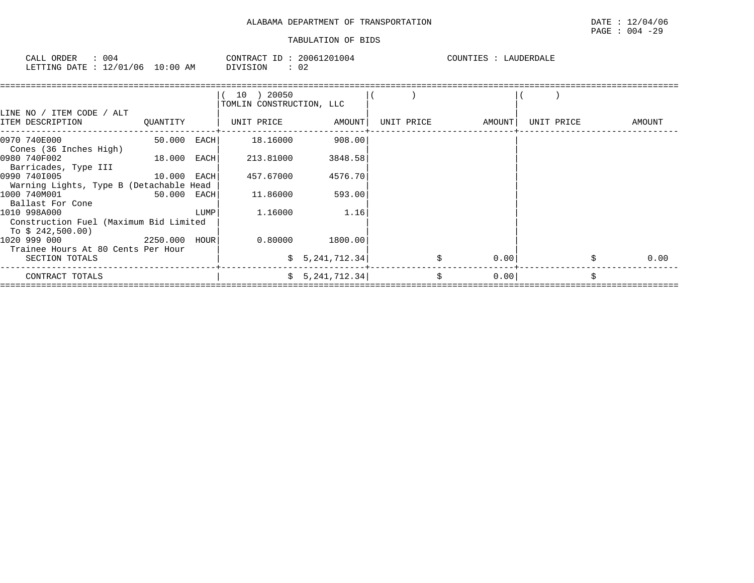| 004<br>ORDER<br>CALL                    | CONTRACT ID<br>20061201004 | COUNTIES<br>LAUDERDALE |
|-----------------------------------------|----------------------------|------------------------|
| 12/01/06<br>10:00<br>LETTING DATE<br>ΆM | DIVISION<br>02             |                        |

| LINE NO / ITEM CODE / ALT                                                   |             |      | 10 ) 20050<br>TOMLIN CONSTRUCTION, LLC |                 |            |        |            |            |
|-----------------------------------------------------------------------------|-------------|------|----------------------------------------|-----------------|------------|--------|------------|------------|
| ITEM DESCRIPTION                                                            | OUANTITY    |      |                                        |                 | UNIT PRICE | AMOUNT | UNIT PRICE | AMOUNT     |
| 0970 740E000<br>Cones (36 Inches High)                                      | 50.000 EACH |      | 18.16000                               | 908.00          |            |        |            |            |
| 0980 740F002<br>18.000 EACH<br>Barricades, Type III                         |             |      | 213.81000                              | 3848.58         |            |        |            |            |
| $10.000$ EACH<br>0990 7401005<br>Warning Lights, Type B (Detachable Head    |             |      | 457.67000                              | 4576.70         |            |        |            |            |
| 1000 740M001<br>Ballast For Cone                                            | 50.000 EACH |      | 11.86000                               | 593.00          |            |        |            |            |
| 1010 998A000<br>Construction Fuel (Maximum Bid Limited<br>To \$ 242,500.00) |             | LUMP | 1.16000                                | 1.16            |            |        |            |            |
| 2250.000 HOUR<br>1020 999 000<br>Trainee Hours At 80 Cents Per Hour         |             |      |                                        | 0.80000 1800.00 |            |        |            |            |
| SECTION TOTALS                                                              |             |      |                                        | \$5,241,712.34] |            | 0.00   |            | \$<br>0.00 |
| CONTRACT TOTALS                                                             |             |      |                                        | \$5,241,712.34] | \$         | 0.00   |            | Ś.         |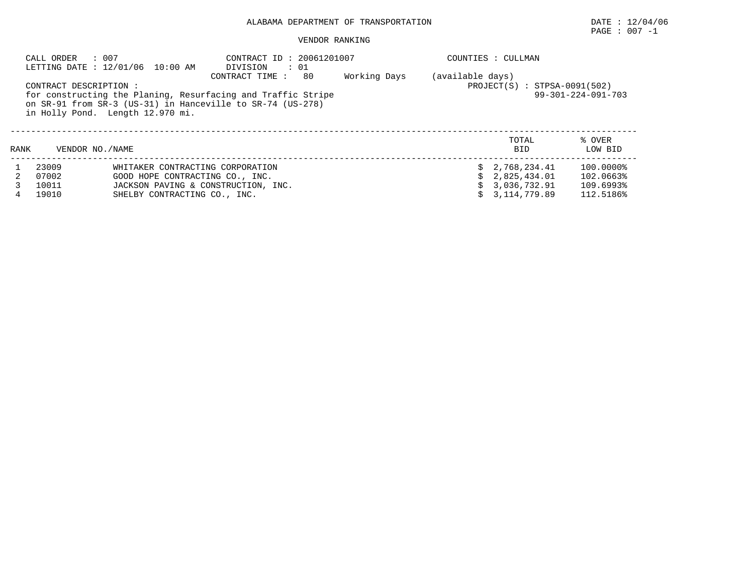# ALABAMA DEPARTMENT OF TRANSPORTATION DATE : 12/04/06

 $\texttt{PAGE}$  : 007 -1

## VENDOR RANKING

|      | : 007<br>CALL ORDER<br>LETTING DATE : 12/01/06 10:00 AM                                                                                                                                                                          |                                     | CONTRACT ID: 20061201007<br>DIVISION<br>$\cdots$ 01 |  | COUNTIES : CULLMAN                                                                 |                     |                   |  |  |
|------|----------------------------------------------------------------------------------------------------------------------------------------------------------------------------------------------------------------------------------|-------------------------------------|-----------------------------------------------------|--|------------------------------------------------------------------------------------|---------------------|-------------------|--|--|
|      | Working Days<br>80<br>CONTRACT TIME :<br>CONTRACT DESCRIPTION:<br>for constructing the Planing, Resurfacing and Traffic Stripe<br>on SR-91 from SR-3 (US-31) in Hanceville to SR-74 (US-278)<br>in Holly Pond. Length 12.970 mi. |                                     |                                                     |  | (available days)<br>$PROJECT(S) : STPSA-0091(502)$<br>$99 - 301 - 224 - 091 - 703$ |                     |                   |  |  |
| RANK | VENDOR NO. / NAME                                                                                                                                                                                                                |                                     |                                                     |  |                                                                                    | TOTAL<br><b>BID</b> | % OVER<br>LOW BID |  |  |
|      | 23009                                                                                                                                                                                                                            | WHITAKER CONTRACTING CORPORATION    |                                                     |  |                                                                                    | \$2.768.234.41      | 100.0000%         |  |  |
|      | 07002                                                                                                                                                                                                                            | GOOD HOPE CONTRACTING CO., INC.     |                                                     |  |                                                                                    | \$2,825,434.01      | 102.0663%         |  |  |
|      | 10011                                                                                                                                                                                                                            | JACKSON PAVING & CONSTRUCTION, INC. |                                                     |  |                                                                                    | \$3.036.732.91      | 109.6993%         |  |  |
| 4    | 19010                                                                                                                                                                                                                            | SHELBY CONTRACTING CO., INC.        |                                                     |  |                                                                                    | 3,114,779.89        | 112.5186%         |  |  |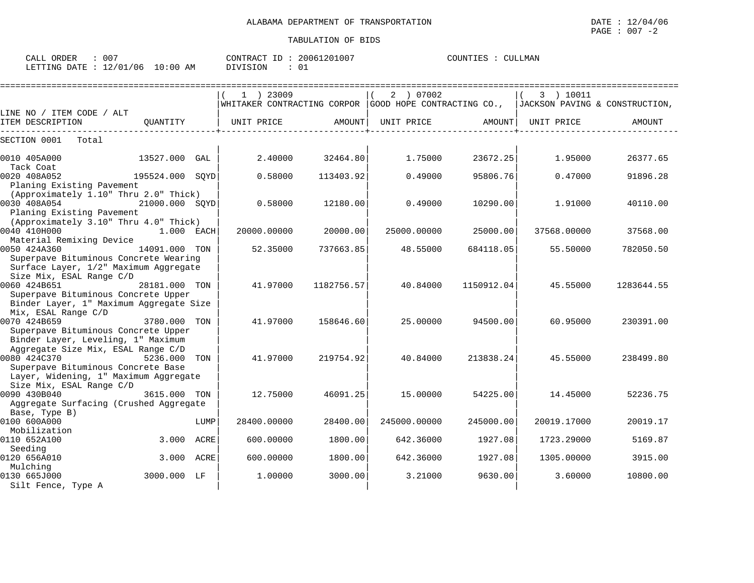| 007<br>CALL ORDER               |          | CONTRACT ID: 20061201007 | CULLMAN<br>COUNTIES : |
|---------------------------------|----------|--------------------------|-----------------------|
| LETTING DATE: 12/01/06 10:00 AM | DIVISION |                          |                       |

|                                                                          |                 |      |                                                                                               |            |              | ========================= |             | ============================== |
|--------------------------------------------------------------------------|-----------------|------|-----------------------------------------------------------------------------------------------|------------|--------------|---------------------------|-------------|--------------------------------|
|                                                                          |                 |      | $1$ ) 23009                                                                                   |            | 2 ) 07002    |                           | 3 ) 10011   |                                |
|                                                                          |                 |      | WHITAKER CONTRACTING CORPOR $ $ GOOD HOPE CONTRACTING CO., $ $ JACKSON PAVING & CONSTRUCTION, |            |              |                           |             |                                |
| LINE NO / ITEM CODE / ALT                                                |                 |      |                                                                                               |            |              |                           |             |                                |
| ITEM DESCRIPTION                                                         | OUANTITY        |      | UNIT PRICE                                                                                    | AMOUNT     | UNIT PRICE   | AMOUNT                    | UNIT PRICE  | <b>AMOUNT</b>                  |
| SECTION 0001<br>Total                                                    |                 |      |                                                                                               |            |              |                           |             |                                |
| 0010 405A000                                                             | 13527.000 GAL   |      | 2.40000                                                                                       | 32464.80   | 1.75000      | 23672.25                  | 1.95000     | 26377.65                       |
| Tack Coat                                                                |                 |      |                                                                                               |            |              |                           |             |                                |
| 0020 408A052<br>Planing Existing Pavement                                | 195524.000 SOYD |      | 0.58000                                                                                       | 113403.92  | 0.49000      | 95806.76                  | 0.47000     | 91896.28                       |
| (Approximately 1.10" Thru 2.0" Thick)                                    |                 |      |                                                                                               |            |              |                           |             |                                |
| 0030 408A054                                                             | 21000.000 SOYD  |      | 0.58000                                                                                       | 12180.00   | 0.49000      | 10290.00                  | 1.91000     | 40110.00                       |
| Planing Existing Pavement                                                |                 |      |                                                                                               |            |              |                           |             |                                |
| (Approximately 3.10" Thru 4.0" Thick)                                    |                 |      |                                                                                               |            |              |                           |             |                                |
| 0040 410H000                                                             | 1.000 EACH      |      | 20000.00000                                                                                   | 20000.00   | 25000.00000  | 25000.00                  | 37568.00000 | 37568.00                       |
| Material Remixing Device                                                 |                 |      |                                                                                               |            |              |                           |             |                                |
| 0050 424A360                                                             | 14091.000 TON   |      | 52.35000                                                                                      | 737663.85  | 48.55000     | 684118.05                 | 55.50000    | 782050.50                      |
| Superpave Bituminous Concrete Wearing                                    |                 |      |                                                                                               |            |              |                           |             |                                |
| Surface Layer, 1/2" Maximum Aggregate                                    |                 |      |                                                                                               |            |              |                           |             |                                |
| Size Mix, ESAL Range C/D                                                 |                 |      |                                                                                               |            |              |                           |             |                                |
| 0060 424B651                                                             | 28181.000 TON   |      | 41.97000                                                                                      | 1182756.57 | 40.84000     | 1150912.04                | 45.55000    | 1283644.55                     |
| Superpave Bituminous Concrete Upper                                      |                 |      |                                                                                               |            |              |                           |             |                                |
| Binder Layer, 1" Maximum Aggregate Size                                  |                 |      |                                                                                               |            |              |                           |             |                                |
| Mix, ESAL Range C/D                                                      |                 |      |                                                                                               |            |              |                           |             |                                |
| 0070 424B659                                                             | 3780.000 TON    |      | 41.97000                                                                                      | 158646.60  | 25,00000     | 94500.00                  | 60.95000    | 230391.00                      |
| Superpave Bituminous Concrete Upper                                      |                 |      |                                                                                               |            |              |                           |             |                                |
| Binder Layer, Leveling, 1" Maximum<br>Aggregate Size Mix, ESAL Range C/D |                 |      |                                                                                               |            |              |                           |             |                                |
| 0080 424C370                                                             | 5236.000 TON    |      | 41.97000                                                                                      | 219754.92  | 40.84000     | 213838.24                 | 45.55000    | 238499.80                      |
| Superpave Bituminous Concrete Base                                       |                 |      |                                                                                               |            |              |                           |             |                                |
| Layer, Widening, 1" Maximum Aggregate                                    |                 |      |                                                                                               |            |              |                           |             |                                |
| Size Mix, ESAL Range C/D                                                 |                 |      |                                                                                               |            |              |                           |             |                                |
| 0090 430B040                                                             | 3615.000 TON    |      | 12.75000                                                                                      | 46091.25   | 15.00000     | 54225.00                  | 14.45000    | 52236.75                       |
| Aggregate Surfacing (Crushed Aggregate                                   |                 |      |                                                                                               |            |              |                           |             |                                |
| Base, Type B)                                                            |                 |      |                                                                                               |            |              |                           |             |                                |
| 0100 600A000                                                             |                 | LUMP | 28400.00000                                                                                   | 28400.00   | 245000.00000 | 245000.00                 | 20019.17000 | 20019.17                       |
| Mobilization                                                             |                 |      |                                                                                               |            |              |                           |             |                                |
| 0110 652A100                                                             | 3.000           | ACRE | 600.00000                                                                                     | 1800.00    | 642.36000    | 1927.08                   | 1723.29000  | 5169.87                        |
| Seeding                                                                  |                 |      |                                                                                               |            |              |                           |             |                                |
| 0120 656A010                                                             | 3.000 ACRE      |      | 600.00000                                                                                     | 1800.00    | 642.36000    | 1927.08                   | 1305.00000  | 3915.00                        |
| Mulching                                                                 |                 |      |                                                                                               |            |              |                           |             |                                |
| 0130 665J000                                                             | 3000.000 LF     |      | 1,00000                                                                                       | 3000.00    | 3.21000      | 9630.00                   | 3.60000     | 10800.00                       |
| Silt Fence, Type A                                                       |                 |      |                                                                                               |            |              |                           |             |                                |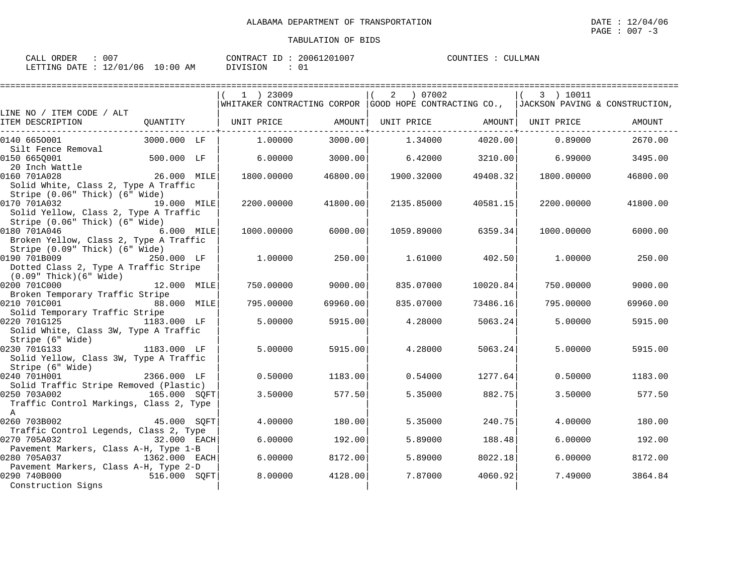| ORDER<br>CALL | 007                              | CONTRACT ID: 20061201007 | COUNTIES<br>CULLMAN |
|---------------|----------------------------------|--------------------------|---------------------|
|               | LETTING DATE : 12/01/06 10:00 AM | DIVISION                 |                     |

|                                                               |               | 1 ) 23009                                                                              |          | 07002<br>$\overline{2}$      |          | 3 ) 10011  |          |
|---------------------------------------------------------------|---------------|----------------------------------------------------------------------------------------|----------|------------------------------|----------|------------|----------|
|                                                               |               | WHITAKER CONTRACTING CORPOR GOOD HOPE CONTRACTING CO.,  JACKSON PAVING & CONSTRUCTION, |          |                              |          |            |          |
| LINE NO / ITEM CODE / ALT                                     |               |                                                                                        |          |                              |          |            |          |
| ITEM DESCRIPTION                                              | QUANTITY      | UNIT PRICE AMOUNT                                                                      |          | UNIT PRICE AMOUNT UNIT PRICE |          |            | AMOUNT   |
| 0140 6650001                                                  | 3000.000 LF   | 1,00000                                                                                | 3000.00  | 1.34000                      | 4020.00  | 0.89000    | 2670.00  |
| Silt Fence Removal                                            |               |                                                                                        |          |                              |          |            |          |
| 0150 6650001                                                  | 500.000 LF    | 6.00000                                                                                | 3000.00  | 6.42000                      | 3210.00  | 6.99000    | 3495.00  |
| 20 Inch Wattle                                                |               |                                                                                        |          |                              |          |            |          |
| 0160 701A028                                                  | 26.000 MILE   | 1800.00000                                                                             | 46800.00 | 1900.32000                   | 49408.32 | 1800.00000 | 46800.00 |
| Solid White, Class 2, Type A Traffic                          |               |                                                                                        |          |                              |          |            |          |
| Stripe (0.06" Thick) (6" Wide)<br>0170 701A032                |               |                                                                                        |          |                              |          |            |          |
| 19.000 MILE<br>Solid Yellow, Class 2, Type A Traffic          |               | 2200.00000                                                                             | 41800.00 | 2135.85000                   | 40581.15 | 2200.00000 | 41800.00 |
| Stripe (0.06" Thick) (6" Wide)                                |               |                                                                                        |          |                              |          |            |          |
| 0180 701A046                                                  | 6.000 MILE    | 1000.00000                                                                             | 6000.00  | 1059.89000                   | 6359.34  | 1000.00000 | 6000.00  |
| Broken Yellow, Class 2, Type A Traffic                        |               |                                                                                        |          |                              |          |            |          |
| Stripe (0.09" Thick) (6" Wide)                                |               |                                                                                        |          |                              |          |            |          |
| 0190 701B009 250.000 LF                                       |               | 1.00000                                                                                | 250.00   | 1.61000                      | 402.50   | 1,00000    | 250.00   |
| Dotted Class 2, Type A Traffic Stripe                         |               |                                                                                        |          |                              |          |            |          |
| (0.09" Thick)(6" Wide)                                        |               |                                                                                        |          |                              |          |            |          |
| 0200 701C000                                                  | 12.000 MILE   | 750.00000                                                                              | 9000.00  | 835.07000                    | 10020.84 | 750.00000  | 9000.00  |
| Broken Temporary Traffic Stripe                               |               |                                                                                        |          |                              |          |            |          |
| 0210 701C001<br>88.000 MILE<br>Solid Temporary Traffic Stripe |               | 795.00000                                                                              | 69960.00 | 835.07000                    | 73486.16 | 795.00000  | 69960.00 |
| 0220 701G125 1183.000 LF                                      |               | 5.00000                                                                                | 5915.00  | 4.28000                      | 5063.24  | 5.00000    | 5915.00  |
| Solid White, Class 3W, Type A Traffic                         |               |                                                                                        |          |                              |          |            |          |
| Stripe (6" Wide)                                              |               |                                                                                        |          |                              |          |            |          |
| de)<br>1183.000 LF<br>0230 701G133                            |               | 5.00000                                                                                | 5915.00  | 4.28000                      | 5063.24  | 5,00000    | 5915.00  |
| Solid Yellow, Class 3W, Type A Traffic                        |               |                                                                                        |          |                              |          |            |          |
| Stripe (6" Wide)                                              |               |                                                                                        |          |                              |          |            |          |
| 0240 701H001                                                  | 2366.000 LF   | 0.50000                                                                                | 1183.00  | 0.54000                      | 1277.64  | 0.50000    | 1183.00  |
| Solid Traffic Stripe Removed (Plastic)                        |               |                                                                                        |          |                              |          |            |          |
| 0250 703A002                                                  | 165.000 SOFT  | 3.50000                                                                                | 577.50   | 5.35000                      | 882.75   | 3.50000    | 577.50   |
| Traffic Control Markings, Class 2, Type<br>$\overline{A}$     |               |                                                                                        |          |                              |          |            |          |
| 0260 703B002<br>45.000 SQFT                                   |               | 4.00000                                                                                | 180.00   | 5.35000                      | 240.75   | 4.00000    | 180.00   |
| Traffic Control Legends, Class 2, Type                        |               |                                                                                        |          |                              |          |            |          |
| 0270 705A032<br>32.000 EACH                                   |               | 6.00000                                                                                | 192.00   | 5.89000                      | 188.48   | 6.00000    | 192.00   |
| Pavement Markers, Class A-H, Type 1-B                         |               |                                                                                        |          |                              |          |            |          |
| 0280 705A037                                                  | 1362.000 EACH | 6.00000                                                                                | 8172.00  | 5.89000                      | 8022.18  | 6.00000    | 8172.00  |
| Pavement Markers, Class A-H, Type 2-D                         |               |                                                                                        |          |                              |          |            |          |
| 0290 740B000                                                  | 516.000 SQFT  | 8,00000                                                                                | 4128.00  | 7.87000                      | 4060.92  | 7.49000    | 3864.84  |
| Construction Signs                                            |               |                                                                                        |          |                              |          |            |          |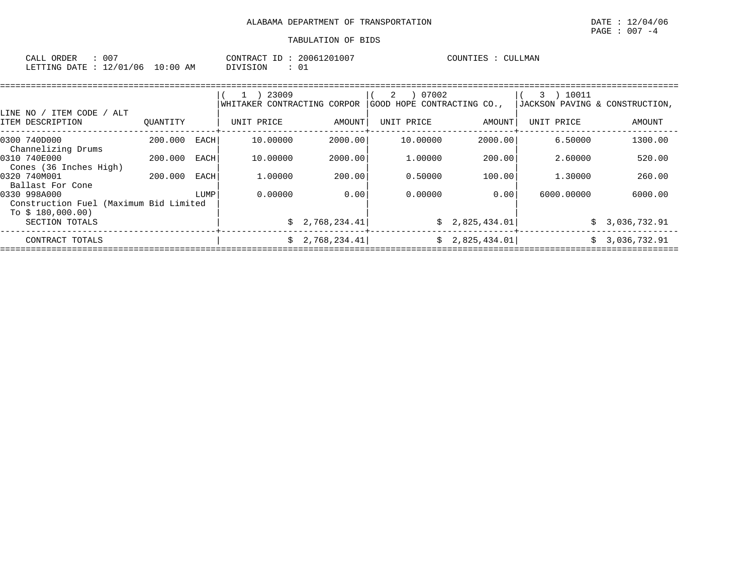| ORDER<br>CALL | $00^-$          |             | CONTRACT<br>___<br>тD. | 20061201007 | COUNTIES | CULLMAN |
|---------------|-----------------|-------------|------------------------|-------------|----------|---------|
| LETTING DATE  | 12/01/06<br>- 4 | 10:00<br>AM | <b>DIVISION</b>        | ັບ⊥         |          |         |

|                                                                             |          |      | 23009<br>WHITAKER CONTRACTING CORPOR |                | 07002<br>2<br>GOOD HOPE CONTRACTING CO., |                | 10011<br>3<br>JACKSON PAVING & CONSTRUCTION, |               |
|-----------------------------------------------------------------------------|----------|------|--------------------------------------|----------------|------------------------------------------|----------------|----------------------------------------------|---------------|
| ALT<br>ITEM CODE<br>LINE NO /<br>ITEM DESCRIPTION                           | OUANTITY |      | UNIT PRICE                           | AMOUNT         | UNIT PRICE                               | AMOUNT         | UNIT PRICE                                   | <b>AMOUNT</b> |
| 0300 740D000<br>Channelizing Drums                                          | 200.000  | EACH | 10.00000                             | 2000.00        | 10.00000                                 | 2000.00        | 6.50000                                      | 1300.00       |
| 0310 740E000<br>Cones (36 Inches High)                                      | 200,000  | EACH | 10,00000                             | 2000.00        | 1,00000                                  | 200.00         | 2.60000                                      | 520.00        |
| 0320 740M001<br>Ballast For Cone                                            | 200,000  | EACH | 1,00000                              | 200.00         | 0.50000                                  | 100.00         | 1,30000                                      | 260.00        |
| 0330 998A000<br>Construction Fuel (Maximum Bid Limited<br>To $$180,000.00)$ |          | LUMP | 0.00000                              | 0.00           | 0.00000                                  | 0.00           | 6000.00000                                   | 6000.00       |
| SECTION TOTALS                                                              |          |      |                                      | \$2,768,234.41 |                                          | \$2,825,434.01 | Ŝ.                                           | 3,036,732.91  |
| CONTRACT TOTALS                                                             |          |      | S.                                   | 2,768,234.41   |                                          | \$2,825,434.01 | S.                                           | 3,036,732.91  |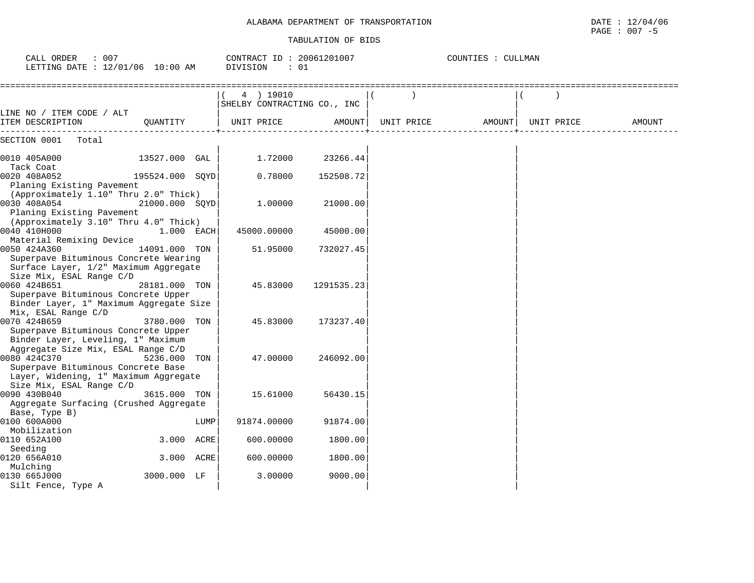| CALL ORDER<br>: 007<br>LETTING DATE : 12/01/06 10:00 AM                  |                 |      | CONTRACT ID: 20061201007<br>DIVISION<br>: 01                          |            |            | COUNTIES : CULLMAN |            |        |
|--------------------------------------------------------------------------|-----------------|------|-----------------------------------------------------------------------|------------|------------|--------------------|------------|--------|
|                                                                          |                 |      | =========================<br>4 ) 19010<br>SHELBY CONTRACTING CO., INC |            |            |                    |            |        |
| LINE NO / ITEM CODE / ALT<br>ITEM DESCRIPTION                            | OUANTITY        |      | UNIT PRICE                                                            | AMOUNT     | UNIT PRICE | AMOUNT             | UNIT PRICE | AMOUNT |
| SECTION 0001<br>Total                                                    |                 |      |                                                                       |            |            |                    |            |        |
| 0010 405A000                                                             | 13527.000 GAL   |      | 1.72000                                                               | 23266.44   |            |                    |            |        |
| Tack Coat<br>0020 408A052                                                | 195524.000 SQYD |      | 0.78000                                                               | 152508.72  |            |                    |            |        |
| Planing Existing Pavement                                                |                 |      |                                                                       |            |            |                    |            |        |
| (Approximately 1.10" Thru 2.0" Thick)                                    |                 |      |                                                                       |            |            |                    |            |        |
| 0030 408A054                                                             | 21000.000 SOYD  |      | 1,00000                                                               | 21000.00   |            |                    |            |        |
| Planing Existing Pavement                                                |                 |      |                                                                       |            |            |                    |            |        |
| (Approximately 3.10" Thru 4.0" Thick)                                    |                 |      |                                                                       |            |            |                    |            |        |
| 0040 410H000                                                             | 1.000 EACH      |      | 45000.00000                                                           | 45000.00   |            |                    |            |        |
| Material Remixing Device                                                 |                 |      |                                                                       |            |            |                    |            |        |
| 0050 424A360                                                             | 14091.000 TON   |      | 51.95000                                                              | 732027.45  |            |                    |            |        |
| Superpave Bituminous Concrete Wearing                                    |                 |      |                                                                       |            |            |                    |            |        |
| Surface Layer, 1/2" Maximum Aggregate                                    |                 |      |                                                                       |            |            |                    |            |        |
| Size Mix, ESAL Range C/D                                                 |                 |      |                                                                       |            |            |                    |            |        |
| 0060 424B651                                                             | 28181.000 TON   |      | 45.83000                                                              | 1291535.23 |            |                    |            |        |
| Superpave Bituminous Concrete Upper                                      |                 |      |                                                                       |            |            |                    |            |        |
| Binder Layer, 1" Maximum Aggregate Size                                  |                 |      |                                                                       |            |            |                    |            |        |
| Mix, ESAL Range C/D                                                      |                 |      |                                                                       |            |            |                    |            |        |
| 0070 424B659                                                             | 3780.000 TON    |      | 45.83000                                                              | 173237.40  |            |                    |            |        |
| Superpave Bituminous Concrete Upper                                      |                 |      |                                                                       |            |            |                    |            |        |
| Binder Layer, Leveling, 1" Maximum<br>Aggregate Size Mix, ESAL Range C/D |                 |      |                                                                       |            |            |                    |            |        |
| 0080 424C370                                                             | 5236.000 TON    |      | 47.00000                                                              | 246092.00  |            |                    |            |        |
| Superpave Bituminous Concrete Base                                       |                 |      |                                                                       |            |            |                    |            |        |
| Layer, Widening, 1" Maximum Aggregate                                    |                 |      |                                                                       |            |            |                    |            |        |
| Size Mix, ESAL Range C/D                                                 |                 |      |                                                                       |            |            |                    |            |        |
| 0090 430B040                                                             | 3615.000 TON    |      | 15.61000                                                              | 56430.15   |            |                    |            |        |
| Aggregate Surfacing (Crushed Aggregate                                   |                 |      |                                                                       |            |            |                    |            |        |
| Base, Type B)                                                            |                 |      |                                                                       |            |            |                    |            |        |
| 0100 600A000                                                             |                 | LUMP | 91874.00000                                                           | 91874.00   |            |                    |            |        |
| Mobilization                                                             |                 |      |                                                                       |            |            |                    |            |        |
| 0110 652A100                                                             | 3.000 ACRE      |      | 600.00000                                                             | 1800.00    |            |                    |            |        |
| Seeding                                                                  |                 |      |                                                                       |            |            |                    |            |        |
| 0120 656A010                                                             | 3.000 ACRE      |      | 600.00000                                                             | 1800.00    |            |                    |            |        |
| Mulching                                                                 |                 |      |                                                                       |            |            |                    |            |        |
| 0130 665J000                                                             | 3000.000 LF     |      | 3.00000                                                               | 9000.00    |            |                    |            |        |
| Silt Fence, Type A                                                       |                 |      |                                                                       |            |            |                    |            |        |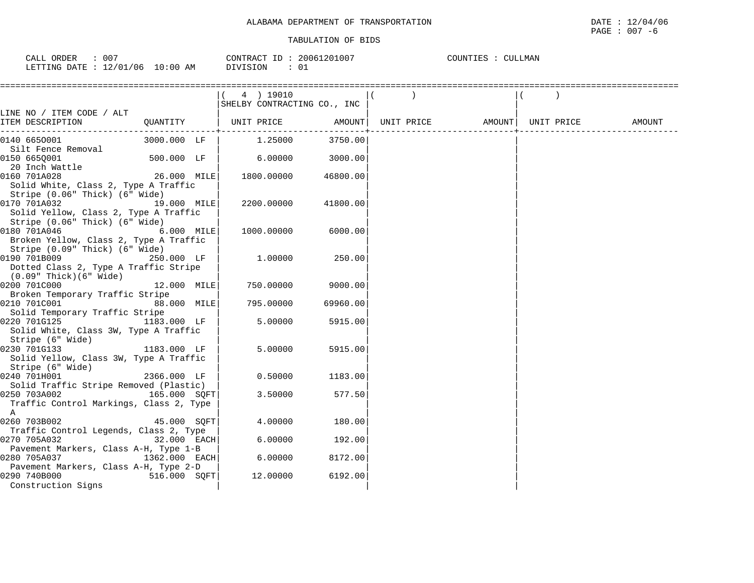| 007<br>ORDER<br>CALI         |                       | CONTRACT<br>LD        | $120100^-$<br>2006. | COUNTIES<br>AMI. |
|------------------------------|-----------------------|-----------------------|---------------------|------------------|
| 12/01<br>706<br>LETTING DATE | :00<br>$\Omega$<br>ΑM | <b>NOTSTON</b><br>∸∽∸ | ັ∪≖                 |                  |

|                                                                                                                                          |               | (4) 19010<br>SHELBY CONTRACTING CO., INC |          |  |                                       |  |
|------------------------------------------------------------------------------------------------------------------------------------------|---------------|------------------------------------------|----------|--|---------------------------------------|--|
| LINE NO / ITEM CODE / ALT<br>ITEM DESCRIPTION                                                                                            |               | QUANTITY   UNIT PRICE AMOUNT             |          |  | UNIT PRICE AMOUNT   UNIT PRICE AMOUNT |  |
|                                                                                                                                          |               |                                          |          |  |                                       |  |
| 0140 6650001                                                                                                                             | 3000.000 LF   | 1.25000                                  | 3750.00  |  |                                       |  |
| Silt Fence Removal<br>0150 6650001<br>20 Inch Wattle                                                                                     | 500.000 LF    | 6.00000                                  | 3000.00  |  |                                       |  |
| 0160 701A028<br>Solid White, Class 2, Type A Traffic                                                                                     | 26.000 MILE   | 1800.00000                               | 46800.00 |  |                                       |  |
| Stripe (0.06" Thick) (6" Wide)<br>0170 701A032<br>19.000 MILE<br>Solid Yellow, Class 2, Type A Traffic<br>Stripe (0.06" Thick) (6" Wide) |               | 2200.00000                               | 41800.00 |  |                                       |  |
| 0180 701A046<br>Broken Yellow, Class 2, Type A Traffic<br>Stripe (0.09" Thick) (6" Wide)                                                 | 6.000 MILE    | 1000.00000                               | 6000.00  |  |                                       |  |
| 0190 701B009<br>Dotted Class 2, Type A Traffic Stripe<br>$(0.09"$ Thick $)(6"$ Wide                                                      | 250.000 LF    | 1.00000                                  | 250.00   |  |                                       |  |
| 0200 701C000<br>Broken Temporary Traffic Stripe                                                                                          | 12.000 MILE   | 750.00000                                | 9000.00  |  |                                       |  |
| 0210 701C001<br>Solid Temporary Traffic Stripe                                                                                           | 88.000 MILE   | 795.00000                                | 69960.00 |  |                                       |  |
| 0220 701G125<br>Solid White, Class 3W, Type A Traffic<br>Stripe (6" Wide)                                                                | 1183.000 LF   | 5.00000                                  | 5915.00  |  |                                       |  |
| 0230 701G133<br>Solid Yellow, Class 3W, Type A Traffic<br>Stripe (6" Wide)                                                               | $1183.000$ LF | 5.00000                                  | 5915.00  |  |                                       |  |
| 0240 701H001<br>Solid Traffic Stripe Removed (Plastic)                                                                                   | 2366.000 LF   | 0.50000                                  | 1183.00  |  |                                       |  |
| 0250 703A002<br>Traffic Control Markings, Class 2, Type<br>A                                                                             | 165.000 SOFT  | 3.50000                                  | 577.50   |  |                                       |  |
| 0260 703B002<br>Traffic Control Legends, Class 2, Type                                                                                   | 45.000 SQFT   | 4.00000                                  | 180.00   |  |                                       |  |
| 0270 705A032<br>Pavement Markers, Class A-H, Type 1-B                                                                                    | 32.000 EACH   | 6.00000                                  | 192.00   |  |                                       |  |
| 0280 705A037<br>Pavement Markers, Class A-H, Type 2-D                                                                                    | 1362.000 EACH | 6.00000                                  | 8172.00  |  |                                       |  |
| 0290 740B000<br>Construction Signs                                                                                                       | 516.000 SQFT  | 12.00000                                 | 6192.00  |  |                                       |  |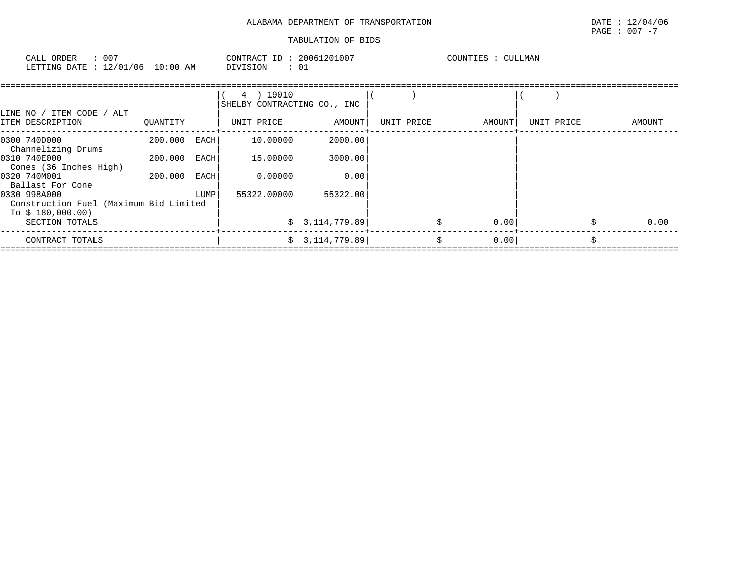# ALABAMA DEPARTMENT OF TRANSPORTATION DATE : 12/04/06

# $\texttt{PAGE}$  : 007 -7

| - 007<br>CALL ORDER               |          | CONTRACT ID: 20061201007 | COUNTIES : C<br>CULLMAN |
|-----------------------------------|----------|--------------------------|-------------------------|
| LETTING DATE : 12/01/06  10:00 AM | DIVISION | -0.                      |                         |

| LINE NO / ITEM CODE / ALT                                                   |          |             | 4 ) 19010<br>SHELBY CONTRACTING CO., INC |                |            |        |            |        |      |
|-----------------------------------------------------------------------------|----------|-------------|------------------------------------------|----------------|------------|--------|------------|--------|------|
| ITEM DESCRIPTION                                                            | OUANTITY |             | UNIT PRICE                               | AMOUNT         | UNIT PRICE | AMOUNT | UNIT PRICE | AMOUNT |      |
| 0300 740D000<br>Channelizing Drums                                          | 200.000  | <b>EACH</b> | 10.00000                                 | 2000.00        |            |        |            |        |      |
| 0310 740E000<br>Cones (36 Inches High)                                      | 200.000  | EACH        | 15.00000                                 | 3000.00        |            |        |            |        |      |
| 0320 740M001<br>Ballast For Cone                                            | 200.000  | EACH        | 0.00000                                  | 0.00           |            |        |            |        |      |
| 0330 998A000<br>Construction Fuel (Maximum Bid Limited<br>To \$ 180,000.00) |          | LUMP        | 55322.00000                              | 55322.00       |            |        |            |        |      |
| SECTION TOTALS                                                              |          |             |                                          | \$3,114,779.89 | \$         | 0.00   |            | \$     | 0.00 |
| CONTRACT TOTALS                                                             |          |             |                                          | \$3,114,779.89 | Ŝ.         | 0.00   |            |        |      |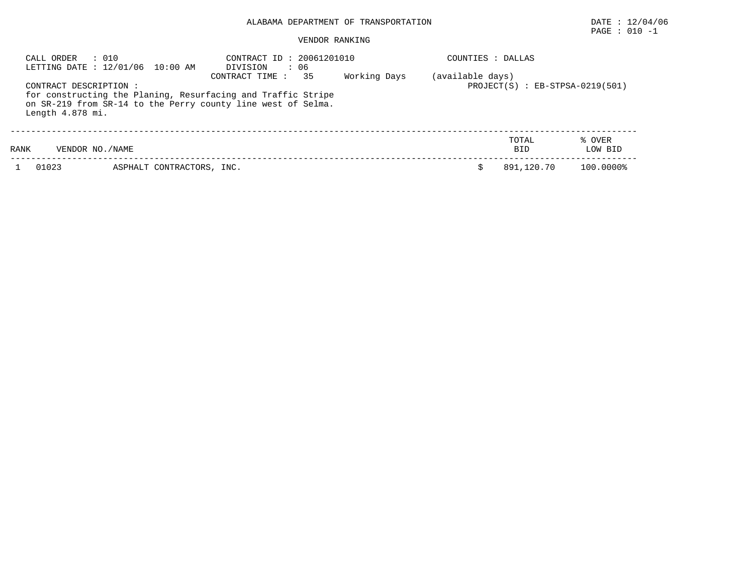# ALABAMA DEPARTMENT OF TRANSPORTATION DATE : 12/04/06

# PAGE : 010 -1

# VENDOR RANKING

| CALL ORDER                                 | : 010<br>LETTING DATE : 12/01/06 10:00 AM | CONTRACT ID: 20061201010<br>: 06<br>DIVISION                                                                                                         |              | COUNTIES : DALLAS |                                     |                   |  |  |  |
|--------------------------------------------|-------------------------------------------|------------------------------------------------------------------------------------------------------------------------------------------------------|--------------|-------------------|-------------------------------------|-------------------|--|--|--|
| CONTRACT DESCRIPTION :<br>Length 4.878 mi. |                                           | 35<br>CONTRACT TIME:<br>for constructing the Planing, Resurfacing and Traffic Stripe<br>on SR-219 from SR-14 to the Perry county line west of Selma. | Working Days | (available days)  | $PROJECT(S)$ : $EB-STPSA-0219(501)$ |                   |  |  |  |
| RANK<br>VENDOR NO. / NAME                  |                                           |                                                                                                                                                      |              |                   | TOTAL<br><b>BID</b>                 | % OVER<br>LOW BID |  |  |  |
| 01023                                      | ASPHALT CONTRACTORS, INC.                 |                                                                                                                                                      |              |                   | 891,120.70                          | 100.0000%         |  |  |  |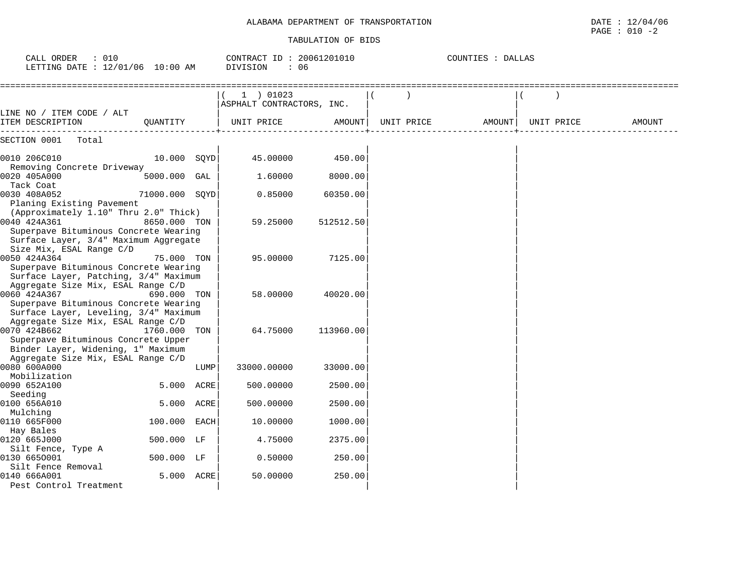| CALL ORDER<br>: 010<br>LETTING DATE : 12/01/06 10:00 AM                                                                                 |                |      | CONTRACT ID: 20061201010<br>: 06<br>DIVISION |           |            | COUNTIES : DALLAS |            |               |
|-----------------------------------------------------------------------------------------------------------------------------------------|----------------|------|----------------------------------------------|-----------|------------|-------------------|------------|---------------|
|                                                                                                                                         |                |      | 1 ) 01023<br>ASPHALT CONTRACTORS, INC.       |           |            |                   |            |               |
| LINE NO / ITEM CODE / ALT<br>ITEM DESCRIPTION                                                                                           | OUANTITY       |      | UNIT PRICE                                   | AMOUNT    | UNIT PRICE | AMOUNT            | UNIT PRICE | <b>AMOUNT</b> |
| SECTION 0001<br>Total                                                                                                                   |                |      |                                              |           |            |                   |            |               |
| 0010 206C010                                                                                                                            | $10.000$ SOYD  |      | 45.00000                                     | 450.00    |            |                   |            |               |
| Removing Concrete Driveway<br>0020 405A000<br>Tack Coat                                                                                 | 5000.000 GAL   |      | 1,60000                                      | 8000.00   |            |                   |            |               |
| 0030 408A052<br>Planing Existing Pavement                                                                                               | 71000.000 SQYD |      | 0.85000                                      | 60350.00  |            |                   |            |               |
| (Approximately 1.10" Thru 2.0" Thick)<br>0040 424A361<br>Superpave Bituminous Concrete Wearing<br>Surface Layer, 3/4" Maximum Aggregate | 8650.000 TON   |      | 59.25000                                     | 512512.50 |            |                   |            |               |
| Size Mix, ESAL Range C/D<br>0050 424A364<br>Superpave Bituminous Concrete Wearing<br>Surface Layer, Patching, 3/4" Maximum              | 75.000 TON     |      | 95,00000                                     | 7125.00   |            |                   |            |               |
| Aggregate Size Mix, ESAL Range C/D<br>0060 424A367<br>Superpave Bituminous Concrete Wearing<br>Surface Layer, Leveling, 3/4" Maximum    | 690.000 TON    |      | 58,00000                                     | 40020.00  |            |                   |            |               |
| Aggregate Size Mix, ESAL Range C/D<br>0070 424B662<br>Superpave Bituminous Concrete Upper<br>Binder Layer, Widening, 1" Maximum         | 1760.000 TON   |      | 64.75000                                     | 113960.00 |            |                   |            |               |
| Aggregate Size Mix, ESAL Range C/D<br>0080 600A000                                                                                      |                | LUMP | 33000.00000                                  | 33000.00  |            |                   |            |               |
| Mobilization<br>0090 652A100<br>Seeding                                                                                                 | 5.000 ACRE     |      | 500.00000                                    | 2500.00   |            |                   |            |               |
| 0100 656A010<br>Mulching                                                                                                                | 5.000 ACRE     |      | 500.00000                                    | 2500.00   |            |                   |            |               |
| 0110 665F000<br>Hay Bales                                                                                                               | 100.000        | EACH | 10.00000                                     | 1000.00   |            |                   |            |               |
| 0120 665J000<br>Silt Fence, Type A                                                                                                      | 500.000 LF     |      | 4.75000                                      | 2375.00   |            |                   |            |               |
| 0130 6650001<br>Silt Fence Removal                                                                                                      | 500.000 LF     |      | 0.50000                                      | 250.00    |            |                   |            |               |
| 0140 666A001<br>Pest Control Treatment                                                                                                  | 5.000 ACRE     |      | 50.00000                                     | 250.00    |            |                   |            |               |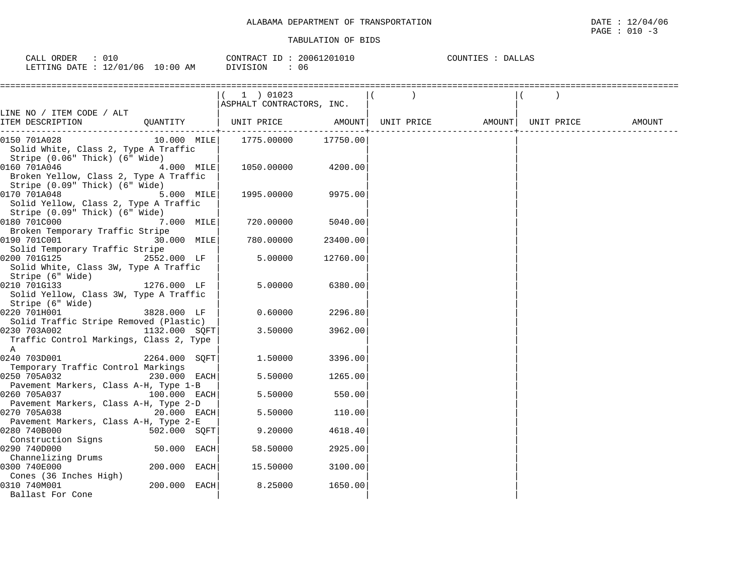| ORDEF<br>$\sim$ $\sim$ $\sim$<br>لللطات |                           | 20061<br>120101u<br>CONTRACT<br>-TD | COUNTIES<br>ALLAS با |
|-----------------------------------------|---------------------------|-------------------------------------|----------------------|
| LETTING<br>/06<br>$\sim$<br>DATE.       | :00<br>AΜ<br>$\mathbf{1}$ | DIVISION<br>06                      |                      |

|                                                                                          |               |      | $(1)$ 01023<br>ASPHALT CONTRACTORS, INC. |          |                              |  |        |
|------------------------------------------------------------------------------------------|---------------|------|------------------------------------------|----------|------------------------------|--|--------|
| LINE NO / ITEM CODE / ALT                                                                |               |      |                                          |          |                              |  |        |
| ITEM DESCRIPTION                                                                         |               |      | QUANTITY   UNIT PRICE                    | AMOUNT   | UNIT PRICE AMOUNT UNIT PRICE |  | AMOUNT |
| 0150 701A028<br>Solid White, Class 2, Type A Traffic<br>Stripe (0.06" Thick) (6" Wide)   | 10.000 MILE   |      | 1775.00000                               | 17750.00 |                              |  |        |
| 0160 701A046<br>Broken Yellow, Class 2, Type A Traffic<br>Stripe (0.09" Thick) (6" Wide) | 4.000 MILE    |      | 1050.00000                               | 4200.00  |                              |  |        |
| 0170 701A048<br>Solid Yellow, Class 2, Type A Traffic<br>Stripe (0.09" Thick) (6" Wide)  | 5.000 MILE    |      | 1995.00000                               | 9975.00  |                              |  |        |
| 0180 701C000                                                                             | 7.000 MILE    |      | 720.00000                                | 5040.00  |                              |  |        |
| Broken Temporary Traffic Stripe<br>0190 701C001<br>Solid Temporary Traffic Stripe        | 30.000 MILE   |      | 780.00000                                | 23400.00 |                              |  |        |
| 0200 701G125<br>Solid White, Class 3W, Type A Traffic<br>Stripe (6" Wide)                | 2552.000 LF   |      | 5.00000                                  | 12760.00 |                              |  |        |
| 0210 701G133<br>Solid Yellow, Class 3W, Type A Traffic<br>Stripe (6" Wide)               | 1276.000 LF   |      | 5.00000                                  | 6380.00  |                              |  |        |
| 0220 701H001<br>Solid Traffic Stripe Removed (Plastic)                                   | 3828.000 LF   |      | 0.60000                                  | 2296.80  |                              |  |        |
| 0230 703A002<br>Traffic Control Markings, Class 2, Type<br>$\mathbb A$                   | 1132.000 SQFT |      | 3.50000                                  | 3962.00  |                              |  |        |
| 0240 703D001<br>Temporary Traffic Control Markings                                       | 2264.000 SOFT |      | 1,50000                                  | 3396.00  |                              |  |        |
| 0250 705A032<br>Pavement Markers, Class A-H, Type 1-B                                    | 230.000 EACH  |      | 5.50000                                  | 1265.00  |                              |  |        |
| 0260 705A037                                                                             | 100.000 EACH  |      | 5.50000                                  | 550.00   |                              |  |        |
| Pavement Markers, Class A-H, Type 2-D<br>0270 705A038                                    | 20.000 EACH   |      | 5.50000                                  | 110.00   |                              |  |        |
| Pavement Markers, Class A-H, Type 2-E<br>0280 740B000                                    | 502.000 SOFT  |      | 9.20000                                  | 4618.40  |                              |  |        |
| Construction Signs<br>0290 740D000                                                       | 50.000 EACH   |      | 58.50000                                 | 2925.00  |                              |  |        |
| Channelizing Drums<br>0300 740E000                                                       | 200.000       | EACH | 15.50000                                 | 3100.00  |                              |  |        |
| Cones (36 Inches High)<br>0310 740M001<br>Ballast For Cone                               | 200.000 EACH  |      | 8.25000                                  | 1650.00  |                              |  |        |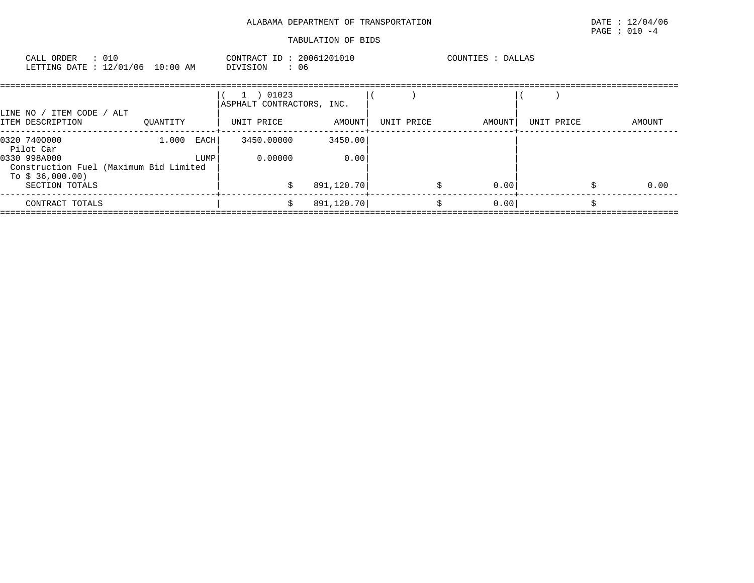# ALABAMA DEPARTMENT OF TRANSPORTATION DATE : 12/04/06

| CALL ORDER<br>LETTING DATE : 12/01/06 10:00 AM | $\therefore$ 010 | CONTRACT ID: 20061201010<br>DIVISION |       | : 06 |  | COUNTIES | DALLAS |  |  |
|------------------------------------------------|------------------|--------------------------------------|-------|------|--|----------|--------|--|--|
|                                                |                  | ASPHALT CONTRACTORS, INC.            | 01023 |      |  |          |        |  |  |

| LINE NO<br>ITEM CODE<br>ITEM DESCRIPTION                                   | ALT<br>OUANTITY |      | UNIT PRICE | AMOUNT     | UNIT PRICE | AMOUNT | UNIT PRICE | AMOUNT |
|----------------------------------------------------------------------------|-----------------|------|------------|------------|------------|--------|------------|--------|
| 0320 7400000<br>Pilot Car                                                  | 1,000           | EACH | 3450.00000 | 3450.00    |            |        |            |        |
| 0330 998A000<br>Construction Fuel (Maximum Bid Limited<br>To \$ 36,000.00) |                 | LUMP | 0.00000    | 0.00       |            |        |            |        |
| SECTION TOTALS                                                             |                 |      |            | 891,120.70 |            | 0.00   |            | 0.00   |
| CONTRACT TOTALS                                                            |                 |      |            | 891,120.70 |            | 0.00   |            |        |
|                                                                            |                 |      |            |            |            |        |            |        |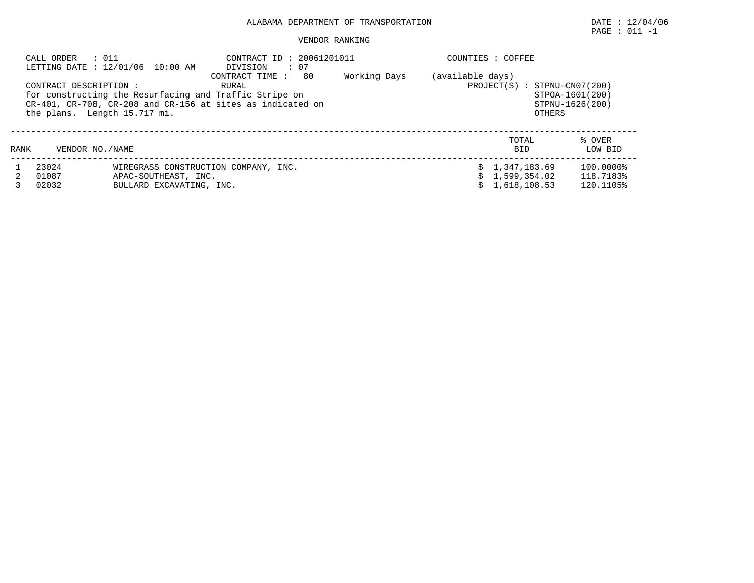# ALABAMA DEPARTMENT OF TRANSPORTATION DATE : 12/04/06

# $\texttt{PAGE}$  : 011 -1

#### VENDOR RANKING

| CALL ORDER : 011        | LETTING DATE : 12/01/06 10:00 AM                                                                                                                     | CONTRACT ID: 20061201011<br>DIVISION : 07<br>CONTRACT TIME: 80                                   | Working Days | COUNTIES : COFFEE |                                                  |                                     |
|-------------------------|------------------------------------------------------------------------------------------------------------------------------------------------------|--------------------------------------------------------------------------------------------------|--------------|-------------------|--------------------------------------------------|-------------------------------------|
| CONTRACT DESCRIPTION :  | for constructing the Resurfacing and Traffic Stripe on<br>CR-401, CR-708, CR-208 and CR-156 at sites as indicated on<br>the plans. Length 15.717 mi. | (available days)<br>PROJECT(S) : STPNU-CN07(200)<br>STPOA-1601(200)<br>STPNU-1626(200)<br>OTHERS |              |                   |                                                  |                                     |
| RANK                    | VENDOR NO. / NAME                                                                                                                                    |                                                                                                  |              |                   | TOTAL<br><b>BID</b>                              | % OVER<br>LOW BID                   |
| 23024<br>01087<br>02032 | APAC-SOUTHEAST, INC.<br>BULLARD EXCAVATING, INC.                                                                                                     | WIREGRASS CONSTRUCTION COMPANY, INC.                                                             |              |                   | \$1,347,183.69<br>\$1,599,354.02<br>1,618,108.53 | 100.0000%<br>118.7183%<br>120.1105% |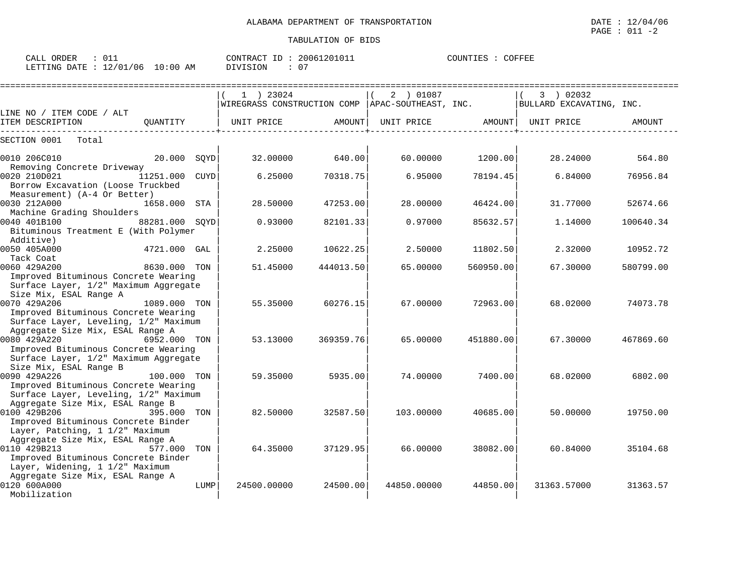| CALL ORDER                       | 011 |          | CONTRACT ID: 20061201011 | COUNTIES : | COFFEE |
|----------------------------------|-----|----------|--------------------------|------------|--------|
| LETTING DATE : 12/01/06 10:00 AM |     | DIVISION | - 0                      |            |        |

|                                                                                                                 |                |      | $1$ ) 23024<br>WIREGRASS CONSTRUCTION COMP |           | 2 ) 01087<br>APAC-SOUTHEAST, INC. |           | 3 ) 02032<br>BULLARD EXCAVATING, INC. |           |
|-----------------------------------------------------------------------------------------------------------------|----------------|------|--------------------------------------------|-----------|-----------------------------------|-----------|---------------------------------------|-----------|
| LINE NO / ITEM CODE / ALT                                                                                       |                |      |                                            |           |                                   |           |                                       |           |
| ITEM DESCRIPTION                                                                                                | OUANTITY       |      | UNIT PRICE                                 | AMOUNT    | UNIT PRICE                        | AMOUNT    | UNIT PRICE                            | AMOUNT    |
| SECTION 0001<br>Total                                                                                           |                |      |                                            |           |                                   |           |                                       |           |
| 0010 206C010                                                                                                    | 20.000 SOYD    |      | 32.00000                                   | 640.00    | 60.00000                          | 1200.00   | 28.24000                              | 564.80    |
| Removing Concrete Driveway<br>0020 210D021<br>Borrow Excavation (Loose Truckbed<br>Measurement) (A-4 Or Better) | 11251.000      | CUYD | 6.25000                                    | 70318.75  | 6.95000                           | 78194.45  | 6.84000                               | 76956.84  |
| 0030 212A000                                                                                                    | 1658.000 STA   |      | 28.50000                                   | 47253.00  | 28.00000                          | 46424.00  | 31.77000                              | 52674.66  |
| Machine Grading Shoulders<br>0040 401B100<br>Bituminous Treatment E (With Polymer                               | 88281.000 SOYD |      | 0.93000                                    | 82101.33  | 0.97000                           | 85632.57  | 1.14000                               | 100640.34 |
| Additive)<br>0050 405A000<br>Tack Coat                                                                          | 4721.000 GAL   |      | 2.25000                                    | 10622.25  | 2.50000                           | 11802.50  | 2.32000                               | 10952.72  |
| 0060 429A200<br>Improved Bituminous Concrete Wearing                                                            | 8630.000 TON   |      | 51.45000                                   | 444013.50 | 65.00000                          | 560950.00 | 67.30000                              | 580799.00 |
| Surface Layer, 1/2" Maximum Aggregate<br>Size Mix, ESAL Range A                                                 |                |      |                                            |           |                                   |           |                                       |           |
| 0070 429A206<br>Improved Bituminous Concrete Wearing                                                            | 1089.000 TON   |      | 55.35000                                   | 60276.15  | 67.00000                          | 72963.00  | 68.02000                              | 74073.78  |
| Surface Layer, Leveling, 1/2" Maximum<br>Aggregate Size Mix, ESAL Range A                                       |                |      |                                            |           |                                   |           |                                       |           |
| 0080 429A220                                                                                                    | 6952.000 TON   |      | 53.13000                                   | 369359.76 | 65,00000                          | 451880.00 | 67.30000                              | 467869.60 |
| Improved Bituminous Concrete Wearing<br>Surface Layer, 1/2" Maximum Aggregate<br>Size Mix, ESAL Range B         |                |      |                                            |           |                                   |           |                                       |           |
| 0090 429A226<br>Improved Bituminous Concrete Wearing                                                            | 100.000 TON    |      | 59.35000                                   | 5935.00   | 74.00000                          | 7400.00   | 68.02000                              | 6802.00   |
| Surface Layer, Leveling, 1/2" Maximum<br>Aggregate Size Mix, ESAL Range B<br>0100 429B206                       | 395,000 TON    |      | 82.50000                                   | 32587.50  | 103.00000                         | 40685.00  | 50.00000                              | 19750.00  |
| Improved Bituminous Concrete Binder<br>Layer, Patching, 1 1/2" Maximum                                          |                |      |                                            |           |                                   |           |                                       |           |
| Aggregate Size Mix, ESAL Range A<br>0110 429B213<br>Improved Bituminous Concrete Binder                         | 577.000        | TON  | 64.35000                                   | 37129.95  | 66.00000                          | 38082.00  | 60.84000                              | 35104.68  |
| Layer, Widening, 1 1/2" Maximum<br>Aggregate Size Mix, ESAL Range A<br>0120 600A000                             |                | LUMP | 24500.00000                                | 24500.00  | 44850.00000                       | 44850.00  | 31363.57000                           | 31363.57  |
| Mobilization                                                                                                    |                |      |                                            |           |                                   |           |                                       |           |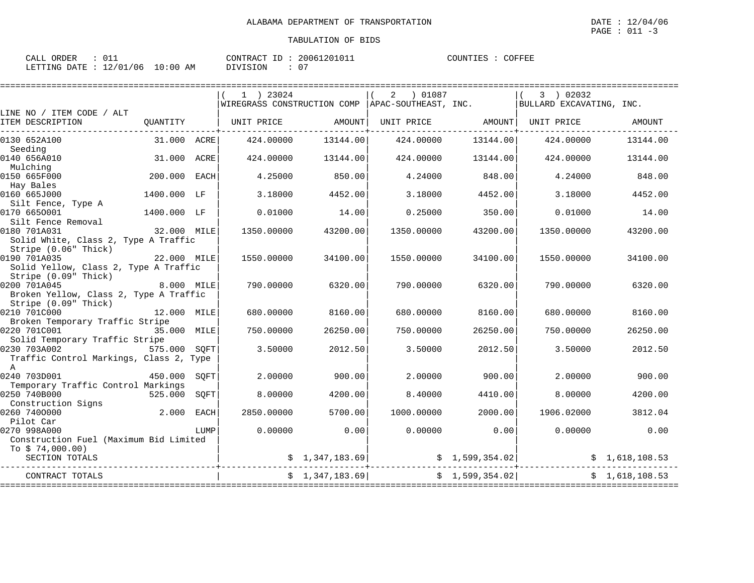| ORDER<br>$\sim$ $\sim$ $\sim$<br>CALL |                        | 20061201011<br>CONTRACT ID      | COUNTIES<br>COFFEE |
|---------------------------------------|------------------------|---------------------------------|--------------------|
| 12/01/06<br>LETTING<br>DATE           | :00<br>AM<br>$\pm 0$ . | ∩ ″<br>DIVISION<br>$\mathbf{v}$ |                    |

|                                                               |              |      | $1$ ) 23024 |                | 2 01087                                            |                 | 3 ) 02032                |                |
|---------------------------------------------------------------|--------------|------|-------------|----------------|----------------------------------------------------|-----------------|--------------------------|----------------|
|                                                               |              |      |             |                | WIREGRASS CONSTRUCTION COMP   APAC-SOUTHEAST, INC. |                 | BULLARD EXCAVATING, INC. |                |
| LINE NO / ITEM CODE / ALT<br>ITEM DESCRIPTION                 | QUANTITY     |      | UNIT PRICE  | AMOUNT         | UNIT PRICE AMOUNT                                  |                 | UNIT PRICE               | AMOUNT         |
|                                                               |              |      |             |                |                                                    |                 |                          |                |
| 0130 652A100                                                  | 31.000 ACRE  |      | 424.00000   | 13144.00       | 424.00000                                          | 13144.00        | 424.00000                | 13144.00       |
| Seeding                                                       |              |      |             |                |                                                    |                 |                          |                |
| 0140 656A010<br>Mulching                                      | 31.000 ACRE  |      | 424.00000   | 13144.00       | 424.00000                                          | 13144.00        | 424.00000                | 13144.00       |
| 0150 665F000                                                  | 200.000 EACH |      | 4.25000     | 850.00         | 4.24000                                            | 848.00          | 4.24000                  | 848.00         |
| Hay Bales                                                     |              |      |             |                |                                                    |                 |                          |                |
| 0160 665J000                                                  | 1400.000 LF  |      | 3.18000     | 4452.00        | 3.18000                                            | 4452.00         | 3.18000                  | 4452.00        |
| Silt Fence, Type A                                            |              |      |             |                |                                                    |                 |                          |                |
| 0170 6650001<br>Silt Fence Removal                            | 1400.000 LF  |      | 0.01000     | 14.00          | 0.25000                                            | 350.00          | 0.01000                  | 14.00          |
| 0180 701A031                                                  | 32.000 MILE  |      | 1350.00000  | 43200.00       | 1350.00000                                         | 43200.00        | 1350.00000               | 43200.00       |
| Solid White, Class 2, Type A Traffic                          |              |      |             |                |                                                    |                 |                          |                |
| Stripe (0.06" Thick)                                          |              |      |             |                |                                                    |                 |                          |                |
| 0190 701A035<br>22.000 MILE                                   |              |      | 1550.00000  | 34100.00       | 1550.00000                                         | 34100.00        | 1550.00000               | 34100.00       |
| Solid Yellow, Class 2, Type A Traffic<br>Stripe (0.09" Thick) |              |      |             |                |                                                    |                 |                          |                |
| 0200 701A045                                                  | 8.000 MILE   |      | 790.00000   | 6320.00        | 790.00000                                          | 6320.00         | 790.00000                | 6320.00        |
| Broken Yellow, Class 2, Type A Traffic                        |              |      |             |                |                                                    |                 |                          |                |
| Stripe (0.09" Thick)                                          |              |      |             |                |                                                    |                 |                          |                |
| 0210 701C000                                                  | 12.000 MILE  |      | 680,00000   | 8160.00        | 680,00000                                          | 8160.00         | 680,00000                | 8160.00        |
| Broken Temporary Traffic Stripe                               |              |      |             |                |                                                    |                 |                          |                |
| 0220 701C001<br>Solid Temporary Traffic Stripe                | 35.000 MILE  |      | 750.00000   | 26250.00       | 750.00000                                          | 26250.00        | 750.00000                | 26250.00       |
| 0230 703A002                                                  | 575.000 SOFT |      | 3.50000     | 2012.50        | 3.50000                                            | 2012.50         | 3.50000                  | 2012.50        |
| Traffic Control Markings, Class 2, Type                       |              |      |             |                |                                                    |                 |                          |                |
| $\overline{A}$                                                |              |      |             |                |                                                    |                 |                          |                |
| 0240 703D001                                                  | 450.000      | SOFT | 2.00000     | 900.00         | 2.00000                                            | 900.00          | 2.00000                  | 900.00         |
| Temporary Traffic Control Markings<br>0250 740B000            | 525.000      | SOFT | 8,00000     | 4200.00        | 8,40000                                            | 4410.00         | 8,00000                  | 4200.00        |
| Construction Signs                                            |              |      |             |                |                                                    |                 |                          |                |
| 0260 7400000                                                  | 2.000 EACH   |      | 2850,00000  | 5700.00        | 1000.00000                                         | 2000.00         | 1906.02000               | 3812.04        |
| Pilot Car                                                     |              |      |             |                |                                                    |                 |                          |                |
| 0270 998A000                                                  |              | LUMP | 0.00000     | 0.00           | 0.00000                                            | 0.00            | 0.00000                  | 0.00           |
| Construction Fuel (Maximum Bid Limited<br>To $$74,000.00)$    |              |      |             |                |                                                    |                 |                          |                |
| SECTION TOTALS                                                |              |      |             | \$1,347,183.69 |                                                    |                 | \$1,599,354.02]          | \$1,618,108.53 |
|                                                               |              |      |             |                |                                                    |                 |                          |                |
| CONTRACT TOTALS                                               |              |      |             | \$1,347,183.69 |                                                    | \$1,599,354.02] |                          | \$1,618,108.53 |
|                                                               |              |      |             |                |                                                    |                 |                          |                |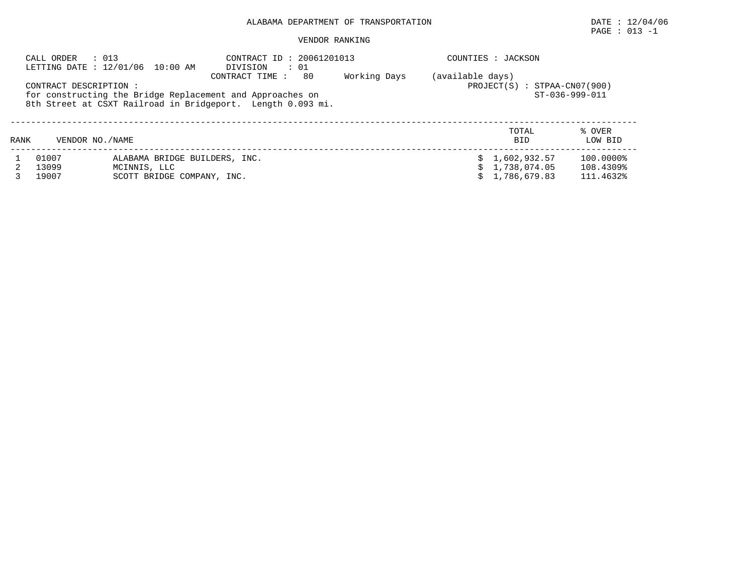# $\texttt{PAGE}$  : 013 -1

| : 013<br>CALL ORDER<br>LETTING DATE : 12/01/06 10:00 AM |                       |                                                                                                                                            | CONTRACT ID: 20061201013<br>DIVISION<br>$\cdot$ 01                     | COUNTIES : JACKSON |  |                                  |                        |
|---------------------------------------------------------|-----------------------|--------------------------------------------------------------------------------------------------------------------------------------------|------------------------------------------------------------------------|--------------------|--|----------------------------------|------------------------|
|                                                         | CONTRACT DESCRIPTION: | CONTRACT TIME:<br>for constructing the Bridge Replacement and Approaches on<br>8th Street at CSXT Railroad in Bridgeport. Length 0.093 mi. | (available days)<br>$PROJECT(S) : STPAA-CN07(900)$<br>$ST-036-999-011$ |                    |  |                                  |                        |
| RANK                                                    | VENDOR NO. / NAME     |                                                                                                                                            |                                                                        |                    |  | TOTAL<br><b>BID</b>              | % OVER<br>LOW BID      |
|                                                         | 01007<br>13099        | ALABAMA BRIDGE BUILDERS, INC.<br>MCINNIS, LLC                                                                                              |                                                                        |                    |  | \$1,602,932.57<br>\$1,738,074.05 | 100.0000%<br>108.4309% |
|                                                         | 19007                 | SCOTT BRIDGE COMPANY, INC.                                                                                                                 |                                                                        |                    |  | \$1.786.679.83                   | 111.4632%              |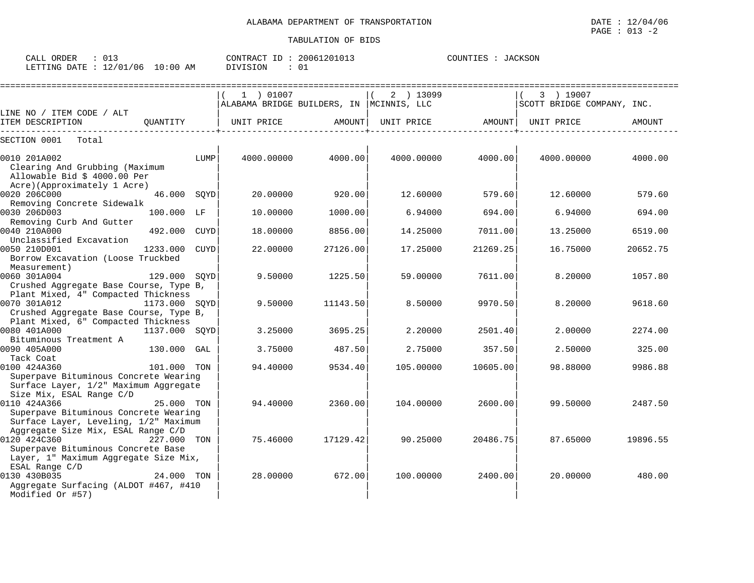| ORDER<br>CALL<br>U⊥J           |             | 20061201013<br>CONTRACT<br>ID | COUNTIES<br><b>JACKSON</b> |
|--------------------------------|-------------|-------------------------------|----------------------------|
| 12/01/<br>./06<br>LETTING DATE | 10:00<br>AM | DIVISION                      |                            |

|                                                                                |               |      | 1 ) 01007                                 |          | 2 ) 13099         |          | 3 ) 19007                  |          |
|--------------------------------------------------------------------------------|---------------|------|-------------------------------------------|----------|-------------------|----------|----------------------------|----------|
|                                                                                |               |      | ALABAMA BRIDGE BUILDERS, IN  MCINNIS, LLC |          |                   |          | SCOTT BRIDGE COMPANY, INC. |          |
| LINE NO / ITEM CODE / ALT<br>ITEM DESCRIPTION                                  | OUANTITY      |      | UNIT PRICE                                | AMOUNT   |                   |          |                            | AMOUNT   |
|                                                                                |               |      |                                           |          | UNIT PRICE AMOUNT |          | UNIT PRICE                 |          |
| SECTION 0001<br>Total                                                          |               |      |                                           |          |                   |          |                            |          |
|                                                                                |               |      |                                           |          |                   |          |                            |          |
| 0010 201A002<br>Clearing And Grubbing (Maximum                                 |               | LUMP | 4000.00000                                | 4000.00  | 4000.00000        | 4000.00  | 4000.00000                 | 4000.00  |
| Allowable Bid \$ 4000.00 Per                                                   |               |      |                                           |          |                   |          |                            |          |
| Acre)(Approximately 1 Acre)                                                    |               |      |                                           |          |                   |          |                            |          |
| 0020 206C000                                                                   | 46.000 SQYD   |      | 20.00000                                  | 920.00   | 12.60000          | 579.60   | 12.60000                   | 579.60   |
| Removing Concrete Sidewalk                                                     |               |      |                                           |          |                   |          |                            |          |
| 0030 206D003                                                                   | 100.000 LF    |      | 10.00000                                  | 1000.00  | 6.94000           | 694.00   | 6.94000                    | 694.00   |
| Removing Curb And Gutter                                                       |               |      |                                           |          |                   |          |                            |          |
| 0040 210A000                                                                   | 492.000 CUYD  |      | 18.00000                                  | 8856.00  | 14.25000          | 7011.00  | 13.25000                   | 6519.00  |
| Unclassified Excavation                                                        |               |      |                                           |          |                   |          |                            |          |
| 0050 210D001                                                                   | 1233.000 CUYD |      | 22.00000                                  | 27126.00 | 17.25000          | 21269.25 | 16.75000                   | 20652.75 |
| Borrow Excavation (Loose Truckbed                                              |               |      |                                           |          |                   |          |                            |          |
| Measurement)                                                                   |               |      |                                           |          |                   |          |                            |          |
| 129.000 SQYD<br>0060 301A004                                                   |               |      | 9.50000                                   | 1225.50  | 59.00000          | 7611.00  | 8,20000                    | 1057.80  |
| Crushed Aggregate Base Course, Type B,                                         |               |      |                                           |          |                   |          |                            |          |
| Plant Mixed, 4" Compacted Thickness                                            |               |      |                                           |          |                   |          |                            |          |
| 0070 301A012<br>1173.000 SOYD                                                  |               |      | 9.50000                                   | 11143.50 | 8.50000           | 9970.50  | 8,20000                    | 9618.60  |
| Crushed Aggregate Base Course, Type B,                                         |               |      |                                           |          |                   |          |                            |          |
| Plant Mixed, 6" Compacted Thickness                                            |               |      |                                           |          |                   |          |                            |          |
| 0080 401A000                                                                   | 1137.000 SQYD |      | 3.25000                                   | 3695.25  | 2.20000           | 2501.40  | 2.00000                    | 2274.00  |
| Bituminous Treatment A                                                         |               |      |                                           |          |                   |          |                            |          |
| 0090 405A000                                                                   | 130.000 GAL   |      | 3.75000                                   | 487.50   | 2.75000           | 357.50   | 2.50000                    | 325.00   |
| Tack Coat                                                                      |               |      |                                           |          |                   |          |                            |          |
| 0100 424A360                                                                   | 101.000 TON   |      | 94.40000                                  | 9534.40  | 105.00000         | 10605.00 | 98.88000                   | 9986.88  |
| Superpave Bituminous Concrete Wearing                                          |               |      |                                           |          |                   |          |                            |          |
| Surface Layer, 1/2" Maximum Aggregate                                          |               |      |                                           |          |                   |          |                            |          |
| Size Mix, ESAL Range C/D                                                       |               |      |                                           |          |                   |          |                            |          |
| 0110 424A366                                                                   | 25.000 TON    |      | 94.40000                                  | 2360.00  | 104.00000         | 2600.00  | 99.50000                   | 2487.50  |
| Superpave Bituminous Concrete Wearing<br>Surface Layer, Leveling, 1/2" Maximum |               |      |                                           |          |                   |          |                            |          |
| Aggregate Size Mix, ESAL Range C/D                                             |               |      |                                           |          |                   |          |                            |          |
| 0120 424C360<br>227.000 TON                                                    |               |      | 75.46000                                  | 17129.42 | 90.25000          | 20486.75 | 87.65000                   | 19896.55 |
| Superpave Bituminous Concrete Base                                             |               |      |                                           |          |                   |          |                            |          |
| Layer, 1" Maximum Aggregate Size Mix,                                          |               |      |                                           |          |                   |          |                            |          |
| ESAL Range C/D                                                                 |               |      |                                           |          |                   |          |                            |          |
| 0130 430B035                                                                   | 24.000 TON    |      | 28,00000                                  | 672.00   | 100.00000         | 2400.00  | 20,00000                   | 480.00   |
| Aggregate Surfacing (ALDOT #467, #410                                          |               |      |                                           |          |                   |          |                            |          |
| Modified Or #57)                                                               |               |      |                                           |          |                   |          |                            |          |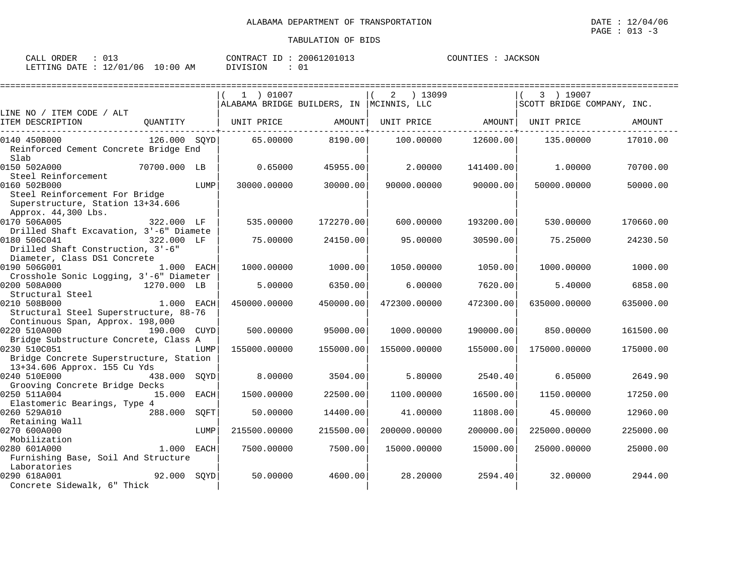| CALL ORDER<br>∪⊥∴        |             | 20061201013<br>CONTRACT ID | COUNTIES<br>JACKSON |
|--------------------------|-------------|----------------------------|---------------------|
| 12/01/06<br>LETTING DATE | 10:00<br>AΜ | DIVISION                   |                     |

|                                                  |              |      |                                           |           |                   | ================= |                            |           |
|--------------------------------------------------|--------------|------|-------------------------------------------|-----------|-------------------|-------------------|----------------------------|-----------|
|                                                  |              |      | 1 ) 01007                                 |           | 2 ) 13099         |                   | 3 ) 19007                  |           |
|                                                  |              |      | ALABAMA BRIDGE BUILDERS, IN  MCINNIS, LLC |           |                   |                   | SCOTT BRIDGE COMPANY, INC. |           |
| LINE NO / ITEM CODE / ALT                        |              |      |                                           |           |                   |                   |                            |           |
| ITEM DESCRIPTION                                 | OUANTITY     |      | UNIT PRICE                                | AMOUNT    | UNIT PRICE AMOUNT |                   | UNIT PRICE                 | AMOUNT    |
| 0140 450B000                                     | 126.000 SOYD |      | 65.00000                                  | 8190.00   | 100.00000         | 12600.00          | 135.00000                  | 17010.00  |
| Reinforced Cement Concrete Bridge End            |              |      |                                           |           |                   |                   |                            |           |
| Slab                                             |              |      |                                           |           |                   |                   |                            |           |
| 0150 502A000                                     | 70700.000 LB |      | 0.65000                                   | 45955.00  | 2.00000           | 141400.00         | 1,00000                    | 70700.00  |
| Steel Reinforcement                              |              |      |                                           |           |                   |                   |                            |           |
| 0160 502B000                                     |              | LUMP | 30000.00000                               | 30000.00  | 90000.00000       | 90000.00          | 50000.00000                | 50000.00  |
| Steel Reinforcement For Bridge                   |              |      |                                           |           |                   |                   |                            |           |
| Superstructure, Station 13+34.606                |              |      |                                           |           |                   |                   |                            |           |
| Approx. 44,300 Lbs.                              |              |      |                                           |           |                   |                   |                            |           |
| 0170 506A005                                     | 322.000 LF   |      | 535.00000                                 | 172270.00 | 600.00000         | 193200.00         | 530.00000                  | 170660.00 |
| Drilled Shaft Excavation, 3'-6" Diamete          |              |      |                                           |           |                   |                   |                            |           |
| 0180 506C041                                     | 322.000 LF   |      | 75.00000                                  | 24150.00  | 95.00000          | 30590.00          | 75.25000                   | 24230.50  |
| Drilled Shaft Construction, 3'-6"                |              |      |                                           |           |                   |                   |                            |           |
| Diameter, Class DS1 Concrete                     |              |      |                                           |           |                   |                   |                            |           |
| 0190 506G001                                     | 1.000 EACH   |      | 1000.00000                                | 1000.00   | 1050.00000        | 1050.00           | 1000.00000                 | 1000.00   |
| Crosshole Sonic Logging, 3'-6" Diameter          |              |      |                                           |           |                   |                   |                            |           |
| 0200 508A000                                     | 1270.000 LB  |      | 5.00000                                   | 6350.00   | 6.00000           | 7620.00           | 5.40000                    | 6858.00   |
| Structural Steel                                 |              |      |                                           |           |                   |                   |                            |           |
| 0210 508B000                                     | 1.000 EACH   |      | 450000.00000                              | 450000.00 | 472300.00000      | 472300.00         | 635000.00000               | 635000.00 |
| Structural Steel Superstructure, 88-76           |              |      |                                           |           |                   |                   |                            |           |
| Continuous Span, Approx. 198,000<br>0220 510A000 | 190.000 CUYD |      | 500.00000                                 | 95000.00  | 1000.00000        | 190000.00         | 850.00000                  | 161500.00 |
| Bridge Substructure Concrete, Class A            |              |      |                                           |           |                   |                   |                            |           |
| 0230 510C051                                     |              | LUMP | 155000.00000                              | 155000.00 | 155000.00000      | 155000.00         | 175000.00000               | 175000.00 |
| Bridge Concrete Superstructure, Station          |              |      |                                           |           |                   |                   |                            |           |
| 13+34.606 Approx. 155 Cu Yds                     |              |      |                                           |           |                   |                   |                            |           |
| 0240 510E000                                     | 438.000 SQYD |      | 8,00000                                   | 3504.00   | 5.80000           | 2540.40           | 6.05000                    | 2649.90   |
| Grooving Concrete Bridge Decks                   |              |      |                                           |           |                   |                   |                            |           |
| 0250 511A004                                     | 15.000 EACH  |      | 1500.00000                                | 22500.00  | 1100.00000        | 16500.00          | 1150.00000                 | 17250.00  |
| Elastomeric Bearings, Type 4                     |              |      |                                           |           |                   |                   |                            |           |
| 0260 529A010                                     | 288.000 SQFT |      | 50.00000                                  | 14400.00  | 41.00000          | 11808.00          | 45.00000                   | 12960.00  |
| Retaining Wall                                   |              |      |                                           |           |                   |                   |                            |           |
| 0270 600A000                                     |              | LUMP | 215500.00000                              | 215500.00 | 200000.00000      | 200000.00         | 225000.00000               | 225000.00 |
| Mobilization                                     |              |      |                                           |           |                   |                   |                            |           |
| 0280 601A000                                     | 1.000 EACH   |      | 7500.00000                                | 7500.00   | 15000.00000       | 15000.00          | 25000.00000                | 25000.00  |
| Furnishing Base, Soil And Structure              |              |      |                                           |           |                   |                   |                            |           |
| Laboratories                                     |              |      |                                           |           |                   |                   |                            |           |
| 0290 618A001                                     | 92.000 SQYD  |      | 50.00000                                  | 4600.00   | 28,20000          | 2594.40           | 32,00000                   | 2944.00   |
| Concrete Sidewalk, 6" Thick                      |              |      |                                           |           |                   |                   |                            |           |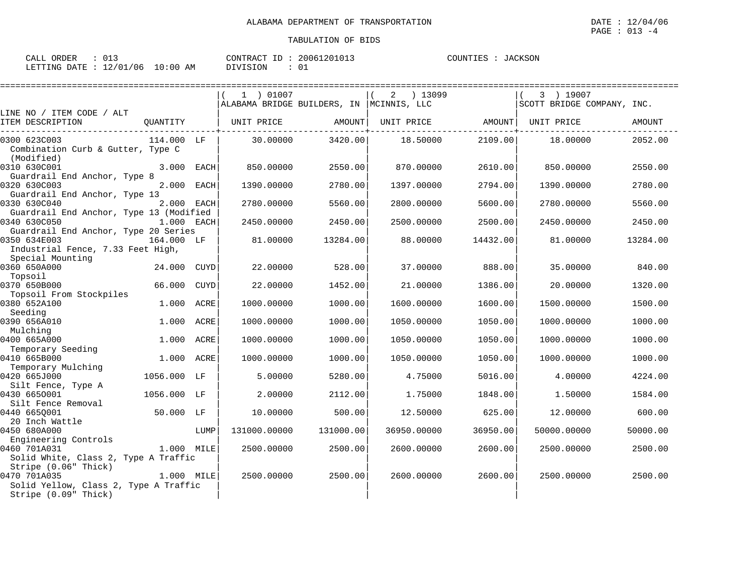| 013<br>CALL ORDER                |          | CONTRACT ID: 20061201013 | COUNTIES : JACKSON |
|----------------------------------|----------|--------------------------|--------------------|
| LETTING DATE : 12/01/06 10:00 AM | DIVISION |                          |                    |

| :==========================                                                                           |             |      |                                           |           |                              |          |                            |          |
|-------------------------------------------------------------------------------------------------------|-------------|------|-------------------------------------------|-----------|------------------------------|----------|----------------------------|----------|
|                                                                                                       |             |      | 1 ) 01007                                 |           | $2 \t) 13099$                |          | 3 ) 19007                  |          |
| LINE NO / ITEM CODE / ALT                                                                             |             |      | ALABAMA BRIDGE BUILDERS, IN  MCINNIS, LLC |           |                              |          | SCOTT BRIDGE COMPANY, INC. |          |
| ITEM DESCRIPTION                                                                                      | QUANTITY    |      | UNIT PRICE                                | AMOUNT    | UNIT PRICE AMOUNT UNIT PRICE |          |                            | AMOUNT   |
| 0300 623C003<br>Combination Curb & Gutter, Type C<br>(Modified)                                       | 114.000 LF  |      | 30.00000                                  | 3420.00   | 18.50000                     | 2109.00  | 18.00000                   | 2052.00  |
| 0310 630C001<br>Guardrail End Anchor, Type 8                                                          | 3.000 EACH  |      | 850.00000                                 | 2550.00   | 870.00000                    | 2610.00  | 850.00000                  | 2550.00  |
| 0320 630C003<br>Guardrail End Anchor, Type 13                                                         | 2.000 EACH  |      | 1390.00000                                | 2780.00   | 1397.00000                   | 2794.00  | 1390.00000                 | 2780.00  |
| 0330 630C040<br>Guardrail End Anchor, Type 13 (Modified                                               | 2.000 EACH  |      | 2780.00000                                | 5560.00   | 2800.00000                   | 5600.00  | 2780.00000                 | 5560.00  |
| 0340 630C050<br>Guardrail End Anchor, Type 20 Series                                                  | 1.000 EACH  |      | 2450.00000                                | 2450.00   | 2500.00000                   | 2500.00  | 2450.00000                 | 2450.00  |
| 0350 634E003<br>164.000 LF<br>Industrial Fence, 7.33 Feet High,<br>Special Mounting                   |             |      | 81.00000                                  | 13284.00  | 88.00000                     | 14432.00 | 81,00000                   | 13284.00 |
| 0360 650A000<br>Topsoil                                                                               | 24.000 CUYD |      | 22.00000                                  | 528.00    | 37.00000                     | 888.00   | 35.00000                   | 840.00   |
| 0370 650B000<br>Topsoil From Stockpiles                                                               | 66.000      | CUYD | 22.00000                                  | 1452.00   | 21.00000                     | 1386.00  | 20.00000                   | 1320.00  |
| 0380 652A100<br>Seeding                                                                               | 1.000       | ACRE | 1000.00000                                | 1000.00   | 1600.00000                   | 1600.00  | 1500.00000                 | 1500.00  |
| 0390 656A010<br>Mulching                                                                              | 1.000 ACRE  |      | 1000.00000                                | 1000.00   | 1050.00000                   | 1050.00  | 1000.00000                 | 1000.00  |
| 0400 665A000<br>Temporary Seeding                                                                     | 1.000       | ACRE | 1000.00000                                | 1000.00   | 1050.00000                   | 1050.00  | 1000.00000                 | 1000.00  |
| 0410 665B000<br>Temporary Mulching                                                                    | 1.000 ACRE  |      | 1000.00000                                | 1000.00   | 1050.00000                   | 1050.00  | 1000.00000                 | 1000.00  |
| 0420 665J000<br>Silt Fence, Type A                                                                    | 1056.000 LF |      | 5.00000                                   | 5280.00   | 4.75000                      | 5016.00  | 4.00000                    | 4224.00  |
| 0430 6650001<br>Silt Fence Removal                                                                    | 1056.000 LF |      | 2.00000                                   | 2112.00   | 1.75000                      | 1848.00  | 1.50000                    | 1584.00  |
| 0440 6650001<br>20 Inch Wattle                                                                        | 50.000 LF   |      | 10,00000                                  | 500.00    | 12.50000                     | 625.00   | 12.00000                   | 600.00   |
| 0450 680A000<br>Engineering Controls                                                                  |             | LUMP | 131000.00000                              | 131000.00 | 36950.00000                  | 36950.00 | 50000.00000                | 50000.00 |
| 0460 701A031<br>Solid White, Class 2, Type A Traffic                                                  | 1.000 MILE  |      | 2500.00000                                | 2500.00   | 2600.00000                   | 2600.00  | 2500.00000                 | 2500.00  |
| Stripe (0.06" Thick)<br>0470 701A035<br>Solid Yellow, Class 2, Type A Traffic<br>Stripe (0.09" Thick) | 1.000 MILE  |      | 2500.00000                                | 2500.00   | 2600.00000                   | 2600.00  | 2500.00000                 | 2500.00  |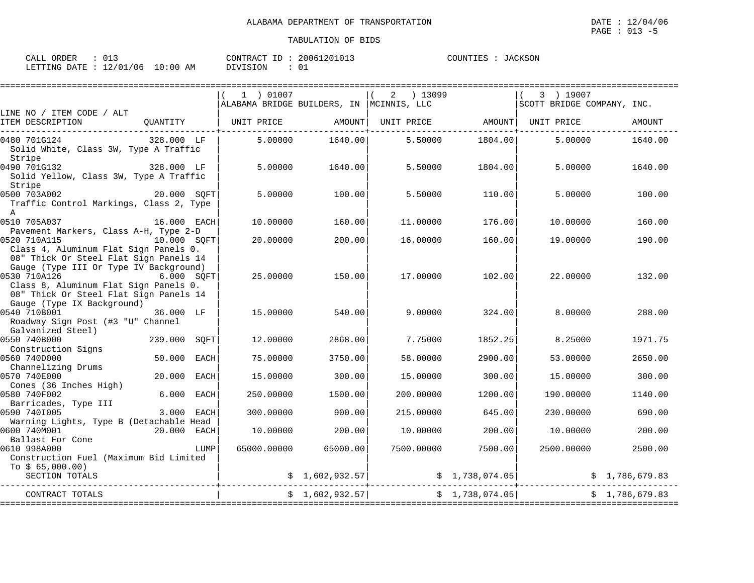| ORDER        |                          | 20061201013 | JACKSON  |
|--------------|--------------------------|-------------|----------|
| CALL         |                          | CONTRACT ID | COUNTIES |
|              |                          |             |          |
|              |                          |             |          |
| LETTING DATE | : 12/01/06<br>$10:00$ AM | DIVISION    |          |

|                                                                                                                                           |                           | 1 ) 01007                                 |                 | ) 13099<br>2 |                | 3 ) 19007                  |                |
|-------------------------------------------------------------------------------------------------------------------------------------------|---------------------------|-------------------------------------------|-----------------|--------------|----------------|----------------------------|----------------|
|                                                                                                                                           |                           | ALABAMA BRIDGE BUILDERS, IN  MCINNIS, LLC |                 |              |                | SCOTT BRIDGE COMPANY, INC. |                |
| LINE NO / ITEM CODE / ALT<br>ITEM DESCRIPTION                                                                                             | QUANTITY                  | UNIT PRICE                                | AMOUNT          | UNIT PRICE   |                | AMOUNT  UNIT PRICE         | AMOUNT         |
| 0480 701G124<br>Solid White, Class 3W, Type A Traffic<br>Stripe                                                                           | 328.000 LF                | 5,00000                                   | 1640.00         | 5.50000      | 1804.00        | 5.00000                    | 1640.00        |
| 0490 701G132<br>Solid Yellow, Class 3W, Type A Traffic<br>Stripe                                                                          | 328.000 LF                | 5.00000                                   | 1640.00         | 5.50000      | 1804.00        | 5.00000                    | 1640.00        |
| 0500 703A002<br>Traffic Control Markings, Class 2, Type<br>$\mathbb{A}$                                                                   | 20.000 SOFT               | 5.00000                                   | 100.00          | 5.50000      | 110.00         | 5.00000                    | 100.00         |
| 0510 705A037<br>Pavement Markers, Class A-H, Type 2-D                                                                                     | 16.000 EACH               | 10.00000                                  | 160.00          | 11.00000     | 176.00         | 10.00000                   | 160.00         |
| 0520 710A115<br>Class 4, Aluminum Flat Sign Panels 0.<br>08" Thick Or Steel Flat Sign Panels 14                                           | 10.000 SOFT               | 20,00000                                  | 200.00          | 16,00000     | 160.00         | 19,00000                   | 190.00         |
| Gauge (Type III Or Type IV Background)<br>0530 710A126<br>Class 8, Aluminum Flat Sign Panels 0.<br>08" Thick Or Steel Flat Sign Panels 14 | <b>6.000 SOFT</b>         | 25,00000                                  | 150.00          | 17.00000     | 102.00         | 22.00000                   | 132.00         |
| Gauge (Type IX Background)<br>0540 710B001<br>Roadway Sign Post (#3 "U" Channel<br>Galvanized Steel)                                      | 36.000 LF                 | 15,00000                                  | 540.00          | 9,00000      | 324.00         | 8,00000                    | 288.00         |
| 0550 740B000<br>Construction Signs                                                                                                        | 239.000<br>SOFT           | 12.00000                                  | 2868.00         | 7.75000      | 1852.25        | 8.25000                    | 1971.75        |
| 0560 740D000<br>Channelizing Drums                                                                                                        | 50.000<br>EACH            | 75.00000                                  | 3750.00         | 58.00000     | 2900.00        | 53.00000                   | 2650.00        |
| 0570 740E000<br>Cones (36 Inches High)                                                                                                    | 20.000<br><b>EACH</b>     | 15.00000                                  | 300.00          | 15.00000     | 300.00         | 15.00000                   | 300.00         |
| 0580 740F002<br>Barricades, Type III                                                                                                      | 6.000<br>EACH             | 250.00000                                 | 1500.00         | 200,00000    | 1200.00        | 190.00000                  | 1140.00        |
| 0590 7401005<br>Warning Lights, Type B (Detachable Head                                                                                   | 3.000<br>EACH             | 300.00000                                 | 900.00          | 215.00000    | 645.00         | 230.00000                  | 690.00         |
| 0600 740M001                                                                                                                              | 20.000 EACH               | 10.00000                                  | 200.00          | 10.00000     | 200.00         | 10,00000                   | 200.00         |
| Ballast For Cone<br>0610 998A000<br>Construction Fuel (Maximum Bid Limited<br>To $$65,000.00)$                                            | LUMP                      | 65000.00000                               | 65000.00        | 7500.00000   | 7500.001       | 2500.00000                 | 2500.00        |
| SECTION TOTALS                                                                                                                            |                           |                                           | \$1,602,932.57] |              | \$1,738,074.05 |                            | \$1,786,679.83 |
| CONTRACT TOTALS                                                                                                                           | ========================= |                                           | \$1,602,932.57] |              | \$1,738,074.05 |                            | \$1.786.679.83 |
|                                                                                                                                           |                           |                                           |                 |              |                |                            |                |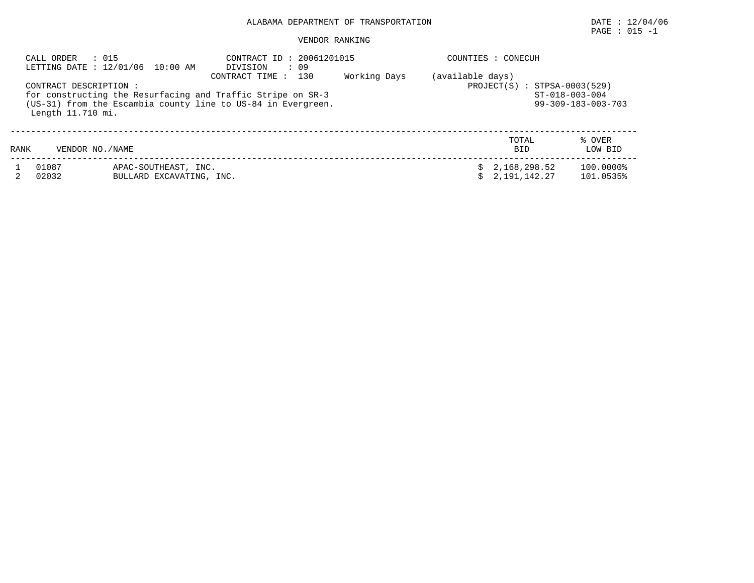# $\texttt{PAGE}$  : 015 -1

| CALL ORDER     | : 015<br>LETTING DATE : 12/01/06 10:00 AM                                                                                                                                 | CONTRACT ID: 20061201015<br>: 09<br>DIVISION<br>CONTRACT TIME :<br>130                               | COUNTIES : CONECUH |  |                                |                        |
|----------------|---------------------------------------------------------------------------------------------------------------------------------------------------------------------------|------------------------------------------------------------------------------------------------------|--------------------|--|--------------------------------|------------------------|
|                | CONTRACT DESCRIPTION:<br>for constructing the Resurfacing and Traffic Stripe on SR-3<br>(US-31) from the Escambia county line to US-84 in Evergreen.<br>Length 11.710 mi. | (available days)<br>$PROJECT(S) : STPSA-0003(529)$<br>ST-018-003-004<br>$99 - 309 - 183 - 003 - 703$ |                    |  |                                |                        |
| RANK           | VENDOR NO. / NAME                                                                                                                                                         |                                                                                                      |                    |  | TOTAL<br><b>BID</b>            | % OVER<br>LOW BID      |
| 01087<br>02032 | APAC-SOUTHEAST, INC.<br>BULLARD EXCAVATING, INC.                                                                                                                          |                                                                                                      |                    |  | \$2,168,298.52<br>2,191,142.27 | 100.0000%<br>101.0535% |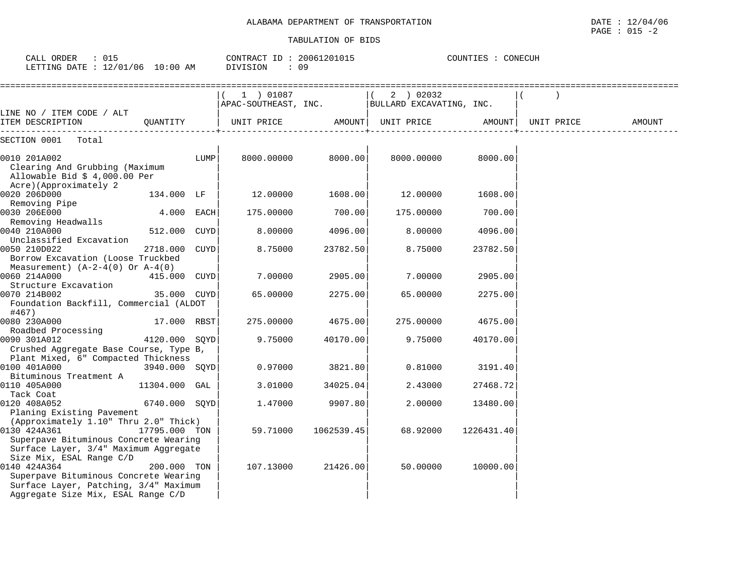| CALL ORDER : 015<br>LETTING DATE : 12/01/06 10:00 AM                                                                                 |               |      | CONTRACT ID: 20061201015<br>DIVISION | : 09       |                                       | COUNTIES : CONECUH |                     |        |
|--------------------------------------------------------------------------------------------------------------------------------------|---------------|------|--------------------------------------|------------|---------------------------------------|--------------------|---------------------|--------|
|                                                                                                                                      |               |      |                                      |            |                                       |                    |                     |        |
|                                                                                                                                      |               |      | 1 ) 01087<br>APAC-SOUTHEAST, INC.    |            | (2) 02032<br>BULLARD EXCAVATING, INC. |                    |                     |        |
| LINE NO / ITEM CODE / ALT<br>ITEM DESCRIPTION<br>____________                                                                        | OUANTITY      |      | UNIT PRICE AMOUNT  UNIT PRICE        |            |                                       |                    | AMOUNT   UNIT PRICE | AMOUNT |
| SECTION 0001 Total                                                                                                                   |               |      |                                      |            |                                       |                    |                     |        |
| 0010 201A002<br>Clearing And Grubbing (Maximum<br>Allowable Bid $$4,000.00$ Per<br>Acre)(Approximately 2                             |               | LUMP | 8000.00000                           | 8000.00    | 8000.00000                            | 8000.00            |                     |        |
| 0020 206D000                                                                                                                         | 134.000 LF    |      | 12.00000                             | 1608.00    | 12.00000                              | 1608.00            |                     |        |
| Removing Pipe<br>0030 206E000<br>Removing Headwalls                                                                                  | 4.000 EACH    |      | 175.00000                            | 700.00     | 175.00000                             | 700.00             |                     |        |
| 0040 210A000<br>Unclassified Excavation                                                                                              | 512.000       | CUYD | 8.00000                              | 4096.00    | 8.00000                               | 4096.00            |                     |        |
| 0050 210D022<br>Borrow Excavation (Loose Truckbed                                                                                    | 2718.000 CUYD |      | 8.75000                              | 23782.50   | 8.75000                               | 23782.50           |                     |        |
| Measurement) $(A-2-4(0)$ Or $A-4(0)$<br>0060 214A000                                                                                 | 415.000 CUYD  |      | 7.00000                              | 2905.00    | 7.00000                               | 2905.00            |                     |        |
| Structure Excavation<br>0070 214B002<br>Foundation Backfill, Commercial (ALDOT                                                       | 35.000 CUYD   |      | 65.00000                             | 2275.00    | 65.00000                              | 2275.00            |                     |        |
| #467)<br>0080 230A000                                                                                                                | 17.000 RBST   |      | 275.00000                            | 4675.00    | 275.00000                             | 4675.00            |                     |        |
| Roadbed Processing<br>0090 301A012<br>Crushed Aggregate Base Course, Type B,                                                         | 4120.000 SOYD |      | 9.75000                              | 40170.00   | 9.75000                               | 40170.00           |                     |        |
| Plant Mixed, 6" Compacted Thickness<br>0100 401A000                                                                                  | 3940.000 SQYD |      | 0.97000                              | 3821.80    | 0.81000                               | 3191.40            |                     |        |
| Bituminous Treatment A<br>0110 405A000                                                                                               | 11304.000 GAL |      | 3.01000                              | 34025.04   | 2.43000                               | 27468.72           |                     |        |
| Tack Coat<br>0120 408A052                                                                                                            | 6740.000 SOYD |      | 1.47000                              | 9907.80    | 2,00000                               | 13480.00           |                     |        |
| Planing Existing Pavement<br>(Approximately 1.10" Thru 2.0" Thick)                                                                   |               |      |                                      |            |                                       |                    |                     |        |
| 0130 424A361<br>Superpave Bituminous Concrete Wearing<br>Surface Layer, 3/4" Maximum Aggregate<br>Size Mix, ESAL Range C/D           | 17795.000 TON |      | 59.71000                             | 1062539.45 | 68.92000                              | 1226431.40         |                     |        |
| 0140 424A364<br>Superpave Bituminous Concrete Wearing<br>Surface Layer, Patching, 3/4" Maximum<br>Aggregate Size Mix, ESAL Range C/D | 200.000 TON   |      | 107.13000                            | 21426.00   | 50.00000                              | 10000.00           |                     |        |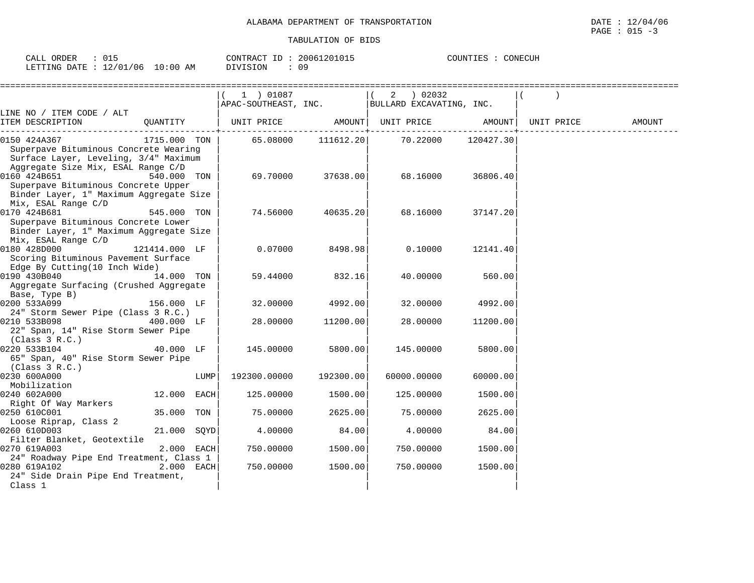| ORDER<br>$\sim$ $\sim$ $\sim$<br>JALL | <u>ັ</u> ບ⊥ –     |                      | CONTRACT<br>ID | 20061201015<br>∵ ∧∪⊥∪⊥ ا | COUNTIES | CONECUH |  |
|---------------------------------------|-------------------|----------------------|----------------|--------------------------|----------|---------|--|
| LETTING DATE                          | 12/01/06<br>— ∠ / | 10:00<br>AM<br>— ∪ ÷ | DIVISION       | ΩC                       |          |         |  |

|                                                                                                                                                             |               |      | 1 ) 01087<br>APAC-SOUTHEAST, INC. |           | ) 02032<br>2<br>BULLARD EXCAVATING, INC. |           |            |        |
|-------------------------------------------------------------------------------------------------------------------------------------------------------------|---------------|------|-----------------------------------|-----------|------------------------------------------|-----------|------------|--------|
| LINE NO / ITEM CODE / ALT                                                                                                                                   |               |      |                                   |           |                                          |           |            |        |
| ITEM DESCRIPTION                                                                                                                                            | QUANTITY      |      | UNIT PRICE                        | AMOUNT    | UNIT PRICE                               | AMOUNT    | UNIT PRICE | AMOUNT |
| 0150 424A367<br>Superpave Bituminous Concrete Wearing<br>Surface Layer, Leveling, 3/4" Maximum                                                              | 1715.000 TON  |      | 65.08000                          | 111612.20 | 70.22000                                 | 120427.30 |            |        |
| Aggregate Size Mix, ESAL Range C/D<br>0160 424B651<br>Superpave Bituminous Concrete Upper<br>Binder Layer, 1" Maximum Aggregate Size<br>Mix, ESAL Range C/D | 540.000 TON   |      | 69.70000                          | 37638.00  | 68.16000                                 | 36806.40  |            |        |
| 0170 424B681<br>Superpave Bituminous Concrete Lower<br>Binder Layer, 1" Maximum Aggregate Size<br>Mix, ESAL Range C/D                                       | 545.000 TON   |      | 74.56000                          | 40635.20  | 68.16000                                 | 37147.20  |            |        |
| 0180 428D000<br>Scoring Bituminous Pavement Surface<br>Edge By Cutting(10 Inch Wide)                                                                        | 121414.000 LF |      | 0.07000                           | 8498.98   | 0.10000                                  | 12141.40  |            |        |
| 0190 430B040<br>Aggregate Surfacing (Crushed Aggregate<br>Base, Type B)                                                                                     | 14.000 TON    |      | 59.44000                          | 832.16    | 40.00000                                 | 560.00    |            |        |
| 0200 533A099                                                                                                                                                | 156.000 LF    |      | 32,00000                          | 4992.00   | 32,00000                                 | 4992.00   |            |        |
| 24" Storm Sewer Pipe (Class 3 R.C.)<br>0210 533B098<br>22" Span, 14" Rise Storm Sewer Pipe<br>(Class 3 R.C.)                                                | 400.000 LF    |      | 28.00000                          | 11200.00  | 28.00000                                 | 11200.00  |            |        |
| 0220 533B104<br>65" Span, 40" Rise Storm Sewer Pipe<br>(Class 3 R.C.)                                                                                       | 40.000 LF     |      | 145.00000                         | 5800.00   | 145.00000                                | 5800.00   |            |        |
| 0230 600A000<br>Mobilization                                                                                                                                |               | LUMP | 192300.00000                      | 192300.00 | 60000.00000                              | 60000.00  |            |        |
| 0240 602A000<br>Right Of Way Markers                                                                                                                        | 12.000 EACH   |      | 125.00000                         | 1500.00   | 125.00000                                | 1500.00   |            |        |
| 0250 610C001<br>Loose Riprap, Class 2                                                                                                                       | 35.000 TON    |      | 75.00000                          | 2625.00   | 75.00000                                 | 2625.00   |            |        |
| 0260 610D003<br>Filter Blanket, Geotextile                                                                                                                  | 21.000 SQYD   |      | 4.00000                           | 84.00     | 4.00000                                  | 84.00     |            |        |
| 0270 619A003                                                                                                                                                | 2.000 EACH    |      | 750.00000                         | 1500.00   | 750.00000                                | 1500.00   |            |        |
| 24" Roadway Pipe End Treatment, Class 1<br>0280 619A102<br>24" Side Drain Pipe End Treatment,<br>Class 1                                                    | $2.000$ EACH  |      | 750.00000                         | 1500.00   | 750.00000                                | 1500.00   |            |        |
|                                                                                                                                                             |               |      |                                   |           |                                          |           |            |        |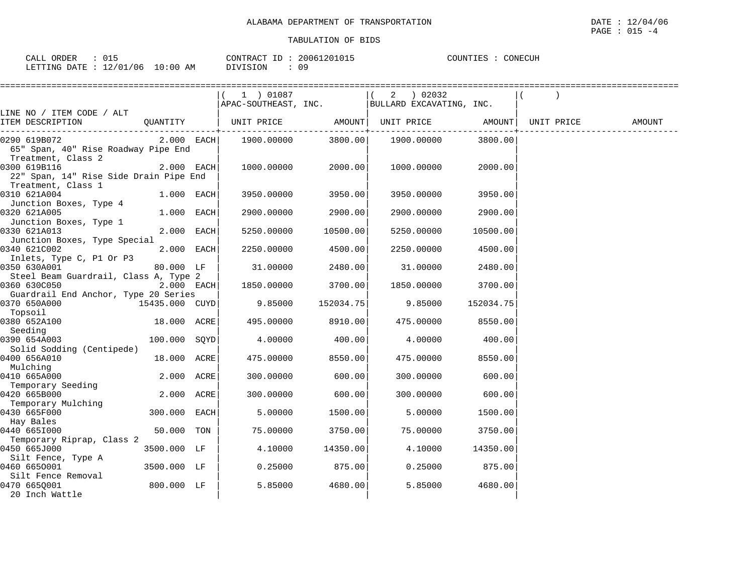| 015<br>ORDER<br>CALL |                        | CONTRACT<br>ID  | 20061201015 | COUNTIES<br>CONECUH |
|----------------------|------------------------|-----------------|-------------|---------------------|
| LETTING DATE : :     | 12/01/06<br>$10:00$ AM | <b>DIVISION</b> |             |                     |

|                                                                              |              | $(1)$ 01087 |           | (2) 02032<br>$ $ APAC-SOUTHEAST, INC. $ $ BULLARD EXCAVATING, INC.                  |           |        |
|------------------------------------------------------------------------------|--------------|-------------|-----------|-------------------------------------------------------------------------------------|-----------|--------|
| LINE NO / ITEM CODE / ALT                                                    |              |             |           |                                                                                     |           |        |
| ITEM DESCRIPTION QUANTITY                                                    |              |             |           | UNIT PRICE                AMOUNT    UNIT PRICE                 AMOUNT    UNIT PRICE |           | AMOUNT |
| 0290 619B072<br>65" Span, 40" Rise Roadway Pipe End<br>Treatment, Class 2    |              |             |           |                                                                                     | 3800.00   |        |
| 0300 619B116<br>22" Span, 14" Rise Side Drain Pipe End<br>Treatment, Class 1 | $2.000$ EACH | 1000.00000  | 2000.00   | 1000.00000                                                                          | 2000.001  |        |
| 0310 621A004                                                                 | 1.000 EACH   | 3950.00000  | 3950.00   | 3950.00000                                                                          | 3950.00   |        |
| Junction Boxes, Type 4<br>0320 621A005<br>Junction Boxes, Type 1             | 1.000 EACH   | 2900.00000  | 2900.00   | 2900.00000                                                                          | 2900.00   |        |
| 0330 621A013<br>Junction Boxes, Type Special                                 | 2.000 EACH   | 5250.00000  | 10500.00  | 5250.00000                                                                          | 10500.00  |        |
| 0340 621C002<br>Inlets, Type C, P1 Or P3                                     | 2.000 EACH   | 2250.00000  | 4500.00   | 2250.00000                                                                          | 4500.00   |        |
| 0350 630A001<br>Steel Beam Guardrail, Class A, Type 2                        | 80.000 LF    | 31.00000    | 2480.00   | 31.00000                                                                            | 2480.00   |        |
| 2.000 EACH<br>0360 630C050<br>Guardrail End Anchor, Type 20 Series           |              | 1850.00000  | 3700.00   | 1850.00000                                                                          | 3700.00   |        |
| 15435.000 CUYD<br>0370 650A000<br>Topsoil                                    |              | 9.85000     | 152034.75 | 9.85000                                                                             | 152034.75 |        |
| 0380 652A100<br>Seeding                                                      | 18.000 ACRE  | 495.00000   | 8910.00   | 475.00000                                                                           | 8550.00   |        |
| 0390 654A003                                                                 | 100.000 SQYD | 4.00000     | 400.00    | 4.00000                                                                             | 400.00    |        |
| Solid Sodding (Centipede)<br>0400 656A010                                    | 18.000 ACRE  | 475.00000   | 8550.00   | 475.00000                                                                           | 8550.00   |        |
| Mulching<br>0410 665A000                                                     | 2.000 ACRE   | 300.00000   | 600.00    | 300.00000                                                                           | 600.00    |        |
| Temporary Seeding<br>0420 665B000                                            | 2.000 ACRE   | 300.00000   | 600.00    | 300.00000                                                                           | 600.00    |        |
| Temporary Mulching<br>0430 665F000                                           | 300.000 EACH | 5.00000     | 1500.00   | 5.00000                                                                             | 1500.00   |        |
| Hay Bales<br>0440 6651000                                                    | 50.000 TON   | 75.00000    | 3750.00   | 75.00000                                                                            | 3750.00   |        |
| Temporary Riprap, Class 2<br>0450 665J000                                    | 3500.000 LF  | 4.10000     | 14350.00  | 4.10000                                                                             | 14350.00  |        |
| Silt Fence, Type A<br>0460 6650001                                           | 3500.000 LF  | 0.25000     | 875.00    | 0.25000                                                                             | 875.00    |        |
| Silt Fence Removal<br>800.000 LF<br>0470 665Q001<br>20 Inch Wattle           |              | 5.85000     | 4680.00   | 5.85000                                                                             | 4680.00   |        |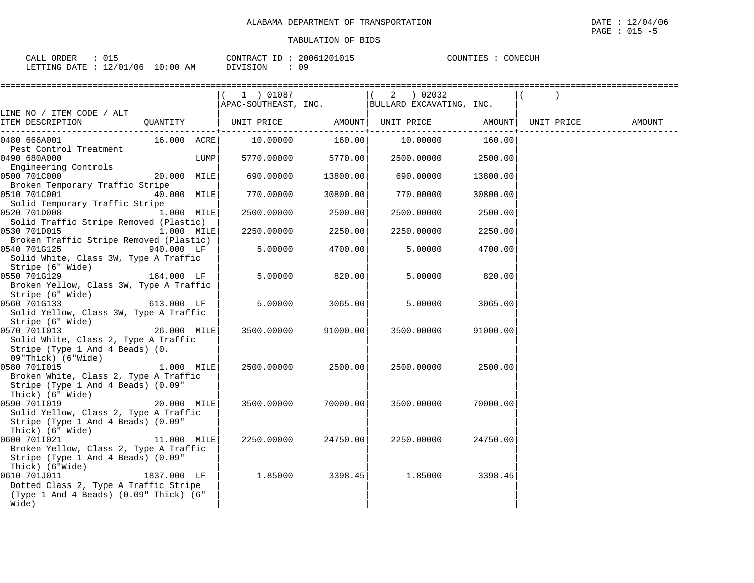| ORDER<br>$\cap$ AT.T. $\in$ |               |             | CONTRACT<br>$ -$         | 20061201015 | COUNTIES | <b>CONECITH</b> |
|-----------------------------|---------------|-------------|--------------------------|-------------|----------|-----------------|
| LETTING DATE                | '2/01/06<br>∸ | 10:00<br>AΜ | STON.<br>$\cdot$ $\cdot$ |             |          |                 |

|                                                                                                                 |             |      | 1 ) 01087            |          | 2 ) 02032                |          |            |        |
|-----------------------------------------------------------------------------------------------------------------|-------------|------|----------------------|----------|--------------------------|----------|------------|--------|
|                                                                                                                 |             |      | APAC-SOUTHEAST, INC. |          | BULLARD EXCAVATING, INC. |          |            |        |
| LINE NO / ITEM CODE / ALT<br>ITEM DESCRIPTION                                                                   | QUANTITY    |      | UNIT PRICE AMOUNT    |          | UNIT PRICE               | AMOUNT   | UNIT PRICE | AMOUNT |
| 0480 666A001<br>Pest Control Treatment                                                                          | 16.000 ACRE |      | 10.00000             | 160.00   | 10.00000                 | 160.00   |            |        |
| 0490 680A000<br>Engineering Controls                                                                            |             | LUMP | 5770.00000           | 5770.00  | 2500.00000               | 2500.00  |            |        |
| 0500 701C000<br>Broken Temporary Traffic Stripe                                                                 | 20.000 MILE |      | 690.00000            | 13800.00 | 690.00000                | 13800.00 |            |        |
| 0510 701C001<br>Solid Temporary Traffic Stripe                                                                  | 40.000 MILE |      | 770.00000            | 30800.00 | 770.00000                | 30800.00 |            |        |
| 0520 701D008<br>Solid Traffic Stripe Removed (Plastic)                                                          | 1.000 MILE  |      | 2500.00000           | 2500.00  | 2500.00000               | 2500.00  |            |        |
| 0530 701D015<br>Broken Traffic Stripe Removed (Plastic)                                                         | 1.000 MILE  |      | 2250.00000           | 2250.00  | 2250.00000               | 2250.00  |            |        |
| 0540 701G125<br>Solid White, Class 3W, Type A Traffic<br>Stripe (6" Wide)                                       | 940.000 LF  |      | 5.00000              | 4700.00  | 5.00000                  | 4700.00  |            |        |
| 0550 701G129<br>Broken Yellow, Class 3W, Type A Traffic<br>Stripe (6" Wide)                                     | 164.000 LF  |      | 5.00000              | 820.00   | 5.00000                  | 820.00   |            |        |
| 0560 701G133<br>Solid Yellow, Class 3W, Type A Traffic<br>Stripe (6" Wide)                                      | 613.000 LF  |      | 5.00000              | 3065.00  | 5.00000                  | 3065.00  |            |        |
| 0570 7011013<br>Solid White, Class 2, Type A Traffic<br>Stripe (Type 1 And 4 Beads) (0.<br>09"Thick) (6"Wide)   | 26.000 MILE |      | 3500.00000           | 91000.00 | 3500.00000               | 91000.00 |            |        |
| 0580 701I015<br>Broken White, Class 2, Type A Traffic<br>Stripe (Type 1 And 4 Beads) (0.09"<br>Thick) (6" Wide) | 1.000 MILE  |      | 2500.00000           | 2500.00  | 2500.00000               | 2500.00  |            |        |
| 0590 701I019<br>Solid Yellow, Class 2, Type A Traffic<br>Stripe (Type 1 And 4 Beads) (0.09"<br>Thick) (6" Wide) | 20.000 MILE |      | 3500.00000           | 70000.00 | 3500.00000               | 70000.00 |            |        |
| 0600 7011021<br>Broken Yellow, Class 2, Type A Traffic<br>Stripe (Type 1 And 4 Beads) (0.09"<br>Thick) (6"Wide) | 11.000 MILE |      | 2250.00000           | 24750.00 | 2250.00000               | 24750.00 |            |        |
| 0610 701J011<br>Dotted Class 2, Type A Traffic Stripe<br>(Type 1 And 4 Beads) (0.09" Thick) (6"<br>Wide)        | 1837.000 LF |      | 1.85000              | 3398.45  | 1.85000                  | 3398.45  |            |        |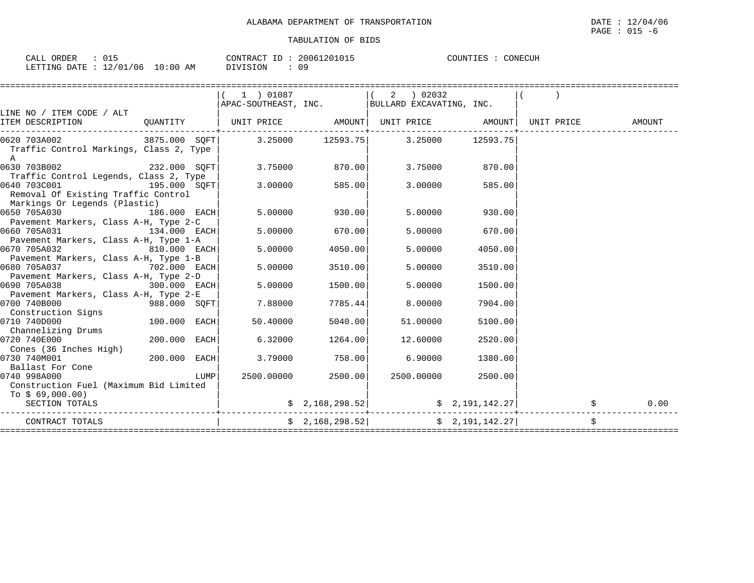| ORDER<br>CALI<br>ت ⊥ ب                           |               | CONTRACT<br>$ -$<br>⊥ | 20061201015 | CONECUH<br>COUNTIES |
|--------------------------------------------------|---------------|-----------------------|-------------|---------------------|
| 1 <b>0 1 0 1</b><br>706<br>LETTING DATE<br>_____ | ΑM<br>LO : 00 | OIVISION              | n n<br>◡ ~  |                     |

|                                                                              |              |      | 1 ) 01087<br>$ $ APAC-SOUTHEAST, INC. $ $ BULLARD EXCAVATING, INC. |                               | ) 02032<br>2   |                                                                       |                                                 |        |
|------------------------------------------------------------------------------|--------------|------|--------------------------------------------------------------------|-------------------------------|----------------|-----------------------------------------------------------------------|-------------------------------------------------|--------|
| LINE NO / ITEM CODE / ALT                                                    |              |      |                                                                    |                               |                |                                                                       |                                                 |        |
| ITEM DESCRIPTION QUANTITY   UNIT PRICE AMOUNT  UNIT PRICE AMOUNT  UNIT PRICE |              |      |                                                                    |                               |                |                                                                       |                                                 | AMOUNT |
| 0620 703A002 3875.000 SQFT 3.25000 12593.75 3.25000 12593.75                 |              |      | --+-------                                                         |                               | -----+-------- |                                                                       |                                                 |        |
| Traffic Control Markings, Class 2, Type<br>$\mathbb A$                       |              |      |                                                                    |                               |                |                                                                       |                                                 |        |
| 0630 703B002<br>$232.000$ SQFT                                               |              |      |                                                                    | 3.75000 870.00                | 3.75000        | 870.00                                                                |                                                 |        |
| Traffic Control Legends, Class 2, Type<br>$195.000$ SQFT<br>0640 703C001     |              |      | 3.00000                                                            | 585.00                        | 3.00000        | 585.00                                                                |                                                 |        |
| Removal Of Existing Traffic Control                                          |              |      |                                                                    |                               |                |                                                                       |                                                 |        |
| Markings Or Legends (Plastic)<br>0650 705A030 186.000 EACH                   |              |      | 5.00000                                                            | 930.00                        | 5.00000        | 930.00                                                                |                                                 |        |
| Pavement Markers, Class A-H, Type 2-C                                        |              |      |                                                                    |                               |                |                                                                       |                                                 |        |
| $134.000$ EACH<br>0660 705A031<br>Pavement Markers, Class A-H, Type 1-A      |              |      | 5.00000                                                            | 670.00                        | 5.00000        | 670.00                                                                |                                                 |        |
| 0670 705A032 810.000 EACH                                                    |              |      | 5.00000                                                            | 4050.00                       | 5.00000        | 4050.00                                                               |                                                 |        |
| Pavement Markers, Class A-H, Type 1-B                                        |              |      |                                                                    |                               |                |                                                                       |                                                 |        |
| 0680 705A037 702.000 EACH                                                    |              |      | 5.00000                                                            | 3510.00                       | 5.00000        | 3510.00                                                               |                                                 |        |
| Pavement Markers, Class A-H, Type 2-D                                        |              |      |                                                                    |                               |                |                                                                       |                                                 |        |
| 0690 705A038<br>Pavement Markers, Class A-H, Type 2-E                        | 300.000 EACH |      | 5.00000                                                            | 1500.00                       | 5.00000        | 1500.00                                                               |                                                 |        |
| 0700 740B000                                                                 | 988.000 SQFT |      | 7.88000                                                            | 7785.44                       | 8,00000        | 7904.00                                                               |                                                 |        |
| Construction Signs                                                           |              |      |                                                                    |                               |                |                                                                       |                                                 |        |
| 0710 740D000                                                                 | 100.000 EACH |      | 50.40000                                                           | 5040.00                       | 51.00000       | 5100.00                                                               |                                                 |        |
| Channelizing Drums                                                           |              |      |                                                                    |                               |                |                                                                       |                                                 |        |
| 0720 740E000                                                                 | 200.000 EACH |      | 6.32000                                                            | 1264.00                       | 12.60000       | 2520.00                                                               |                                                 |        |
| Cones (36 Inches High)<br>0730 740M001                                       | 200.000 EACH |      | 3.79000                                                            | 758.00                        | 6.90000        | 1380.00                                                               |                                                 |        |
| Ballast For Cone                                                             |              |      |                                                                    |                               |                |                                                                       |                                                 |        |
| 0740 998A000                                                                 |              | LUMP |                                                                    | 2500.00000 2500.00 2500.00000 |                | 2500.00                                                               |                                                 |        |
| Construction Fuel (Maximum Bid Limited                                       |              |      |                                                                    |                               |                |                                                                       |                                                 |        |
| To \$ 69,000.00)                                                             |              |      |                                                                    |                               |                |                                                                       |                                                 |        |
| SECTION TOTALS                                                               |              |      |                                                                    |                               |                |                                                                       | $\binom{2}{168,298.52}$ $\binom{2}{191,142.27}$ | 0.00   |
| CONTRACT TOTALS                                                              |              |      |                                                                    |                               |                | $\frac{1}{2}$ , 168, 298.52 $\frac{1}{2}$ $\frac{1}{2}$ , 191, 142.27 |                                                 |        |
|                                                                              |              |      |                                                                    | =======================       |                |                                                                       |                                                 |        |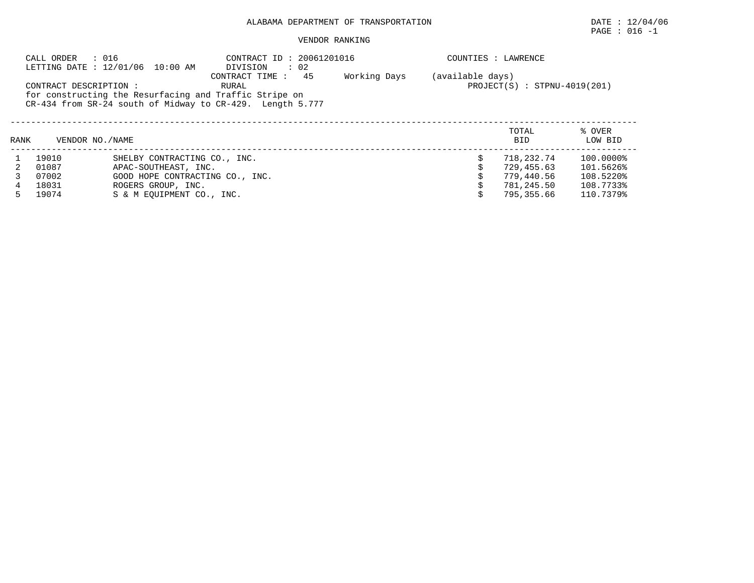# $\texttt{PAGE}$  : 016 -1

|      | : 016<br>CALL ORDER    | LETTING DATE : 12/01/06 10:00 AM                                                                                    |                  | COUNTIES : LAWRENCE            |  |                     |                   |
|------|------------------------|---------------------------------------------------------------------------------------------------------------------|------------------|--------------------------------|--|---------------------|-------------------|
|      | CONTRACT DESCRIPTION : | for constructing the Resurfacing and Traffic Stripe on<br>CR-434 from SR-24 south of Midway to CR-429. Length 5.777 | (available days) | $PROJECT(S) : STPNU-4019(201)$ |  |                     |                   |
| RANK | VENDOR NO. / NAME      |                                                                                                                     |                  |                                |  | TOTAL<br><b>BID</b> | % OVER<br>LOW BID |
|      | 19010                  | SHELBY CONTRACTING CO., INC.                                                                                        |                  |                                |  | 718,232.74          | 100.0000%         |
|      | 01087                  | APAC-SOUTHEAST, INC.                                                                                                |                  |                                |  | 729,455.63          | 101.5626%         |
|      | 07002                  | GOOD HOPE CONTRACTING CO., INC.                                                                                     |                  |                                |  | 779,440.56          | 108.5220%         |
| 4    | 18031                  | ROGERS GROUP, INC.                                                                                                  |                  |                                |  | 781,245.50          | 108.7733%         |
|      | 19074                  | S & M EOUIPMENT CO., INC.                                                                                           |                  |                                |  | 795,355.66          | 110.7379%         |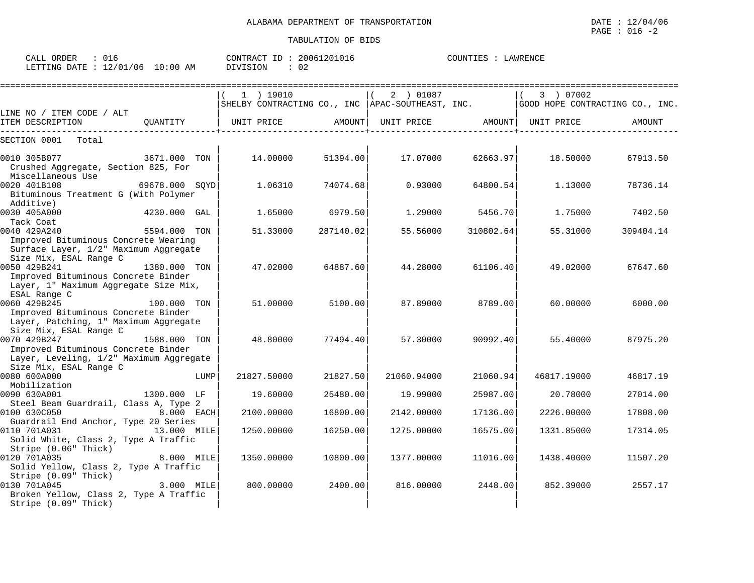| CALL ORDER<br>: 016              |          | CONTRACT ID: 20061201016 | COUNTIES : LAWRENCE |
|----------------------------------|----------|--------------------------|---------------------|
| LETTING DATE : 12/01/06 10:00 AM | DIVISION |                          |                     |

|                                                          |                       |      | $1$ ) 19010 |           | 2 ) 01087<br>SHELBY CONTRACTING CO., INC   APAC-SOUTHEAST, INC. |           | 3 ) 07002<br>GOOD HOPE CONTRACTING CO., INC. |           |
|----------------------------------------------------------|-----------------------|------|-------------|-----------|-----------------------------------------------------------------|-----------|----------------------------------------------|-----------|
| LINE NO / ITEM CODE / ALT                                |                       |      |             |           |                                                                 |           |                                              |           |
| ITEM DESCRIPTION                                         | OUANTITY   UNIT PRICE |      |             | AMOUNT    | UNIT PRICE AMOUNT   UNIT PRICE                                  |           |                                              | AMOUNT    |
| SECTION 0001<br>Total                                    |                       |      |             |           |                                                                 |           |                                              |           |
| 0010 305B077                                             | 3671.000 TON          |      | 14.00000    | 51394.00  | 17.07000                                                        | 62663.97  | 18.50000                                     | 67913.50  |
| Crushed Aggregate, Section 825, For<br>Miscellaneous Use |                       |      |             |           |                                                                 |           |                                              |           |
| 0020 401B108                                             | 69678.000 SOYD        |      | 1.06310     | 74074.68  | 0.93000                                                         | 64800.54  | 1,13000                                      | 78736.14  |
| Bituminous Treatment G (With Polymer                     |                       |      |             |           |                                                                 |           |                                              |           |
| Additive)                                                |                       |      |             |           |                                                                 |           |                                              |           |
| 0030 405A000                                             | 4230.000 GAL          |      | 1.65000     | 6979.50   | 1,29000                                                         | 5456.70   | 1.75000                                      | 7402.50   |
| Tack Coat                                                |                       |      |             |           |                                                                 |           |                                              |           |
| 0040 429A240                                             | 5594.000 TON          |      | 51.33000    | 287140.02 | 55.56000                                                        | 310802.64 | 55.31000                                     | 309404.14 |
| Improved Bituminous Concrete Wearing                     |                       |      |             |           |                                                                 |           |                                              |           |
| Surface Layer, 1/2" Maximum Aggregate                    |                       |      |             |           |                                                                 |           |                                              |           |
| Size Mix, ESAL Range C                                   |                       |      |             |           |                                                                 |           |                                              |           |
| 0050 429B241                                             | 1380.000 TON          |      | 47.02000    | 64887.60  | 44.28000                                                        | 61106.40  | 49.02000                                     | 67647.60  |
| Improved Bituminous Concrete Binder                      |                       |      |             |           |                                                                 |           |                                              |           |
| Layer, 1" Maximum Aggregate Size Mix,<br>ESAL Range C    |                       |      |             |           |                                                                 |           |                                              |           |
| 0060 429B245                                             | 100.000 TON           |      | 51,00000    | 5100.00   | 87.89000                                                        | 8789.001  | 60.00000                                     | 6000.00   |
| Improved Bituminous Concrete Binder                      |                       |      |             |           |                                                                 |           |                                              |           |
| Layer, Patching, 1" Maximum Aggregate                    |                       |      |             |           |                                                                 |           |                                              |           |
| Size Mix, ESAL Range C                                   |                       |      |             |           |                                                                 |           |                                              |           |
| 0070 429B247                                             | 1588.000 TON          |      | 48.80000    | 77494.40  | 57.30000                                                        | 90992.40  | 55.40000                                     | 87975.20  |
| Improved Bituminous Concrete Binder                      |                       |      |             |           |                                                                 |           |                                              |           |
| Layer, Leveling, 1/2" Maximum Aggregate                  |                       |      |             |           |                                                                 |           |                                              |           |
| Size Mix, ESAL Range C                                   |                       |      |             |           |                                                                 |           |                                              |           |
| 0080 600A000                                             |                       | LUMP | 21827.50000 | 21827.50  | 21060.94000                                                     | 21060.94  | 46817.19000                                  | 46817.19  |
| Mobilization                                             |                       |      |             |           |                                                                 |           |                                              |           |
| 0090 630A001<br>Steel Beam Guardrail, Class A, Type 2    | 1300.000 LF           |      | 19,60000    | 25480.00  | 19.99000                                                        | 25987.00  | 20.78000                                     | 27014.00  |
| 0100 630C050                                             | 8.000 EACH            |      | 2100.00000  | 16800.00  | 2142.00000                                                      | 17136.00  | 2226.00000                                   | 17808.00  |
| Guardrail End Anchor, Type 20 Series                     |                       |      |             |           |                                                                 |           |                                              |           |
| 0110 701A031                                             | 13.000 MILE           |      | 1250.00000  | 16250.00  | 1275.00000                                                      | 16575.00  | 1331.85000                                   | 17314.05  |
| Solid White, Class 2, Type A Traffic                     |                       |      |             |           |                                                                 |           |                                              |           |
| Stripe (0.06" Thick)                                     |                       |      |             |           |                                                                 |           |                                              |           |
| 0120 701A035                                             | 8.000 MILE            |      | 1350.00000  | 10800.00  | 1377.00000                                                      | 11016.00  | 1438.40000                                   | 11507.20  |
| Solid Yellow, Class 2, Type A Traffic                    |                       |      |             |           |                                                                 |           |                                              |           |
| Stripe (0.09" Thick)                                     |                       |      |             |           |                                                                 |           |                                              |           |
| 0130 701A045                                             | 3.000 MILE            |      | 800,00000   | 2400.00   | 816.00000                                                       | 2448.00   | 852.39000                                    | 2557.17   |
| Broken Yellow, Class 2, Type A Traffic                   |                       |      |             |           |                                                                 |           |                                              |           |
| Stripe (0.09" Thick)                                     |                       |      |             |           |                                                                 |           |                                              |           |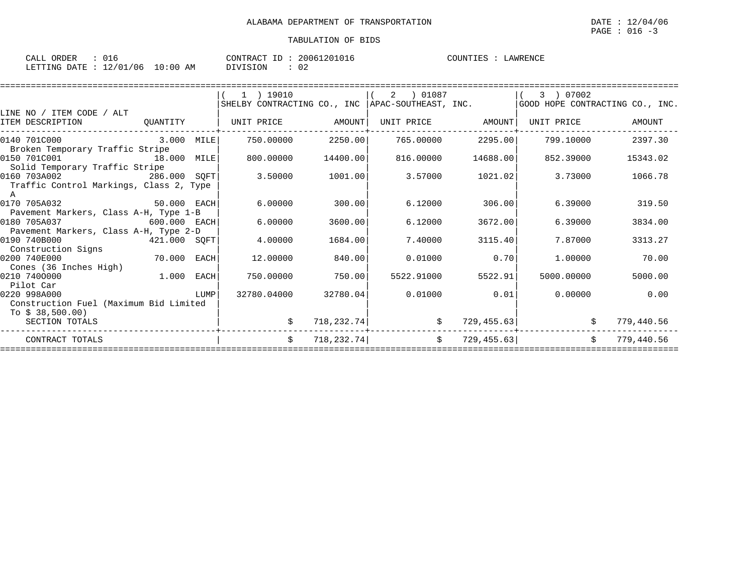| CALL ORDER                       | : 016 |          | CONTRACT ID: 20061201016 | COUNTIES : LAWRENCE |
|----------------------------------|-------|----------|--------------------------|---------------------|
| LETTING DATE : 12/01/06 10:00 AM |       | DIVISION | : 02                     |                     |

|                                         |             |      | $1$ ) 19010                                        |             | 2  01087          |             | 07002<br>$3 \cup$               |            |
|-----------------------------------------|-------------|------|----------------------------------------------------|-------------|-------------------|-------------|---------------------------------|------------|
|                                         |             |      | SHELBY CONTRACTING CO., INC   APAC-SOUTHEAST, INC. |             |                   |             | GOOD HOPE CONTRACTING CO., INC. |            |
| LINE NO / ITEM CODE / ALT               |             |      |                                                    |             |                   |             |                                 |            |
| ITEM DESCRIPTION                        | OUANTITY    |      | UNIT PRICE                                         | AMOUNT      | UNIT PRICE AMOUNT |             | UNIT PRICE                      | AMOUNT     |
| 0140 701C000                            | 3.000 MILE  |      | 750.00000                                          | 2250.00     | 765.00000         | 2295.00     | 799.10000                       | 2397.30    |
| Broken Temporary Traffic Stripe         |             |      |                                                    |             |                   |             |                                 |            |
| 0150 701C001                            | 18.000 MILE |      | 800,00000                                          | 14400.00    | 816,00000         | 14688.00    | 852.39000                       | 15343.02   |
| Solid Temporary Traffic Stripe          |             |      |                                                    |             |                   |             |                                 |            |
| 0160 703A002<br>286.000 SOFT            |             |      | 3.50000                                            | 1001.00     | 3.57000           | 1021.02     | 3.73000                         | 1066.78    |
| Traffic Control Markings, Class 2, Type |             |      |                                                    |             |                   |             |                                 |            |
|                                         |             |      |                                                    |             |                   |             |                                 |            |
| 0170 705A032                            | 50.000 EACH |      | 6.00000                                            | 300.00      | 6.12000           | 306.00      | 6.39000                         | 319.50     |
| Pavement Markers, Class A-H, Type 1-B   |             |      |                                                    |             |                   |             |                                 |            |
| 0180 705A037<br>$600.000$ EACH          |             |      | 6.00000                                            | 3600.00     | 6.12000           | 3672.00     | 6.39000                         | 3834.00    |
| Pavement Markers, Class A-H, Type 2-D   |             |      |                                                    |             |                   |             |                                 |            |
| 0190 740B000<br>421.000 SQFT            |             |      | 4.00000                                            | 1684.00     | 7.40000           | 3115.40     | 7.87000                         | 3313.27    |
| Construction Signs                      |             |      |                                                    |             |                   |             |                                 |            |
| 0200 740E000                            | 70.000      | EACH | 12,00000                                           | 840.00      | 0.01000           | 0.70        | 1,00000                         | 70.00      |
| Cones (36 Inches High)                  |             |      |                                                    |             |                   |             |                                 |            |
| 0210 7400000                            | 1.000       | EACH | 750.00000                                          | 750.00      | 5522.91000        | 5522.91     | 5000.00000                      | 5000.00    |
| Pilot Car                               |             |      |                                                    |             |                   |             |                                 |            |
| 0220 998A000                            |             | LUMP | 32780.04000                                        | 32780.04    | 0.01000           | 0.01        | 0.00000                         | 0.00       |
| Construction Fuel (Maximum Bid Limited  |             |      |                                                    |             |                   |             |                                 |            |
| To $$38,500.00$ )                       |             |      |                                                    |             |                   |             |                                 |            |
| SECTION TOTALS                          |             |      |                                                    | 718,232.74  | \$                | 729, 455.63 |                                 | 779,440.56 |
| CONTRACT TOTALS                         |             |      | Ŝ.                                                 | 718, 232.74 | \$                | 729, 455.63 | Ŝ.                              | 779,440.56 |
|                                         |             |      |                                                    |             |                   |             |                                 |            |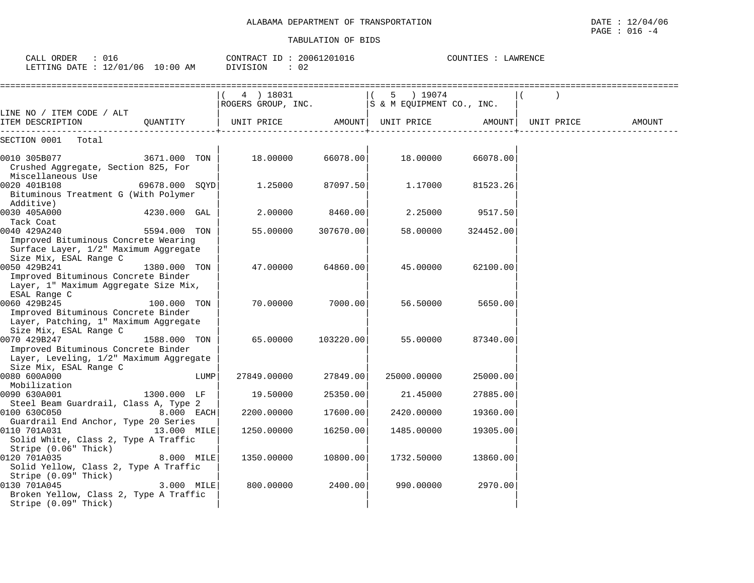| CALL ORDER : 016<br>LETTING DATE : 12/01/06 10:00 AM                                                                                   |                | DIVISION            | CONTRACT ID: 20061201016<br>$\therefore$ 02 |                                                                                                                                                                                                                                                            | COUNTIES : LAWRENCE |            |        |
|----------------------------------------------------------------------------------------------------------------------------------------|----------------|---------------------|---------------------------------------------|------------------------------------------------------------------------------------------------------------------------------------------------------------------------------------------------------------------------------------------------------------|---------------------|------------|--------|
|                                                                                                                                        |                | 4 ) 18031           |                                             | 5 ) 19074<br>$\begin{array}{c cccc}\n 1 & 4 & 1 & 100 & 31 \\  \hline\n 1 & 100 & 31 & 100 \\  \hline\n 1 & 100 & 31 & 100 \\  \end{array}$ $\begin{array}{c cccc}\n 1 & 5 & 190 & 74 \\  1 & 5 & 190 & 74 \\  \hline\n 1 & 190 & 74 & 74 \\  \end{array}$ |                     |            |        |
| LINE NO / ITEM CODE / ALT<br>[TEM DESCRIPTION QUANTITY   UNIT PRICE AMOUNT  UNIT PRICE AMOUNT                                          |                |                     |                                             |                                                                                                                                                                                                                                                            |                     | UNIT PRICE | AMOUNT |
| SECTION 0001 Total                                                                                                                     |                |                     |                                             |                                                                                                                                                                                                                                                            |                     |            |        |
| 0010 305B077<br>Crushed Aggregate, Section 825, For<br>Miscellaneous Use                                                               | 3671.000 TON   |                     | 18.00000 66078.00                           | 18.00000                                                                                                                                                                                                                                                   | 66078.00            |            |        |
| 0020 401B108<br>Bituminous Treatment G (With Polymer<br>Additive)                                                                      | 69678.000 SOYD |                     | 1.25000<br>87097.50                         | 1.17000                                                                                                                                                                                                                                                    | 81523.26            |            |        |
| 0030 405A000<br>Tack Coat                                                                                                              | 4230.000 GAL   | 2.00000             | 8460.00                                     | 2.25000                                                                                                                                                                                                                                                    | 9517.50             |            |        |
| 0040 429A240<br>Improved Bituminous Concrete Wearing<br>Surface Layer, 1/2" Maximum Aggregate                                          | 5594.000 TON   | 55.00000            | 307670.00                                   | 58.00000                                                                                                                                                                                                                                                   | 324452.00           |            |        |
| Size Mix, ESAL Range C<br>0050 429B241<br>Improved Bituminous Concrete Binder<br>Layer, 1" Maximum Aggregate Size Mix,                 | 1380.000 TON   |                     | 47.00000<br>64860.00                        | 45.00000                                                                                                                                                                                                                                                   | 62100.00            |            |        |
| ESAL Range C<br>0060 429B245<br>Improved Bituminous Concrete Binder<br>Layer, Patching, 1" Maximum Aggregate<br>Size Mix, ESAL Range C | 100.000 TON    |                     | 70.00000 7000.00                            | 56.50000                                                                                                                                                                                                                                                   | 5650.00             |            |        |
| 0070 429B247<br>Improved Bituminous Concrete Binder<br>Layer, Leveling, 1/2" Maximum Aggregate<br>Size Mix, ESAL Range C               | 1588.000 TON   | 65.00000            | 103220.00                                   | 55.00000                                                                                                                                                                                                                                                   | 87340.00            |            |        |
| 0080 600A000<br>Mobilization                                                                                                           |                | LUMP<br>27849.00000 | 27849.00                                    | 25000.00000                                                                                                                                                                                                                                                | 25000.00            |            |        |
| 0090 630A001<br>Steel Beam Guardrail, Class A, Type 2                                                                                  | 1300.000 LF    | 19.50000            | 25350.00                                    | 21.45000                                                                                                                                                                                                                                                   | 27885.00            |            |        |
| 0100 630C050                                                                                                                           | $8.000$ EACH   | 2200.00000          | 17600.00                                    | 2420.00000                                                                                                                                                                                                                                                 | 19360.00            |            |        |
| Guardrail End Anchor, Type 20 Series<br>0110 701A031<br>Solid White, Class 2, Type A Traffic<br>Stripe (0.06" Thick)                   | 13.000 MILE    | 1250.00000          | 16250.00                                    | 1485.00000                                                                                                                                                                                                                                                 | 19305.00            |            |        |
| 0120 701A035<br>Solid Yellow, Class 2, Type A Traffic<br>Stripe (0.09" Thick)                                                          | 8.000 MILE     | 1350.00000          | 10800.00                                    | 1732.50000                                                                                                                                                                                                                                                 | 13860.00            |            |        |
| 0130 701A045<br>Broken Yellow, Class 2, Type A Traffic<br>Stripe (0.09" Thick)                                                         | $3.000$ MILE   | 800.00000           | 2400.00                                     | 990.00000                                                                                                                                                                                                                                                  | 2970.00             |            |        |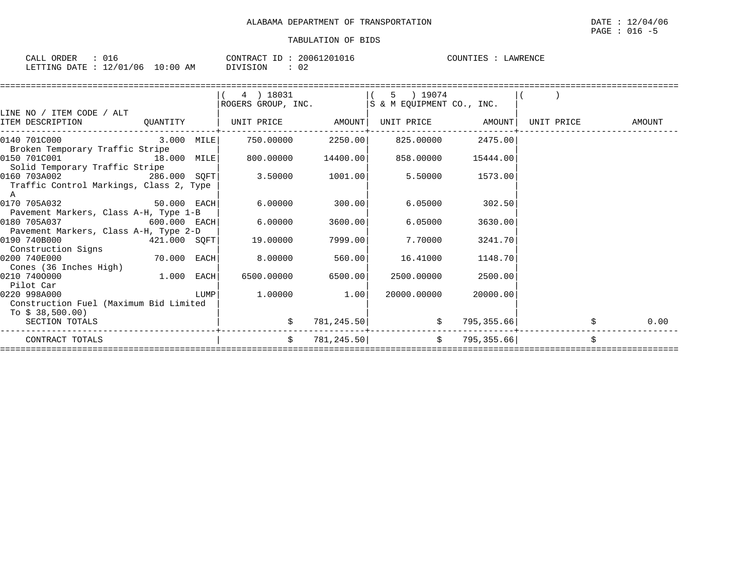| $\sim$ $\sim$<br>$\sim$ $\sim$ $\sim$<br>ORDER<br>ـا ىلىم.<br>∪⊥d |             | 20061201016<br>CONTRACT ID | COUNTIES<br>AWRENCL<br>. TR'A |
|-------------------------------------------------------------------|-------------|----------------------------|-------------------------------|
| 12/01/06<br>LETTING<br>DATE.                                      | LO:00<br>AM | DIVISION<br>∪∠             |                               |

|                                         |             |        | 4 ) 18031                    |          | 5 ) 19074                  |            |            |        |
|-----------------------------------------|-------------|--------|------------------------------|----------|----------------------------|------------|------------|--------|
|                                         |             |        | ROGERS GROUP, INC.           |          | IS & M EOUIPMENT CO., INC. |            |            |        |
| LINE NO / ITEM CODE / ALT               |             |        |                              |          |                            |            |            |        |
| ITEM DESCRIPTION                        |             |        | QUANTITY   UNIT PRICE AMOUNT |          | UNIT PRICE AMOUNT          |            | UNIT PRICE | AMOUNT |
| 0140 701C000                            | 3.000 MILE  |        | 750.00000                    |          | 2250.00 825.00000          | 2475.00    |            |        |
| Broken Temporary Traffic Stripe         |             |        |                              |          |                            |            |            |        |
| 0150 701C001<br>18.000 MILE             |             |        | 800.00000                    | 14400.00 | 858.00000                  | 15444.00   |            |        |
| Solid Temporary Traffic Stripe          |             |        |                              |          |                            |            |            |        |
| 0160 703A002 286.000 SQFT               |             |        | 3.50000                      | 1001.00  | 5.50000                    | 1573.00    |            |        |
| Traffic Control Markings, Class 2, Type |             |        |                              |          |                            |            |            |        |
| A                                       |             |        |                              |          |                            |            |            |        |
| 0170 705A032                            | 50.000 EACH |        | 6.00000                      | 300.00   | 6.05000                    | 302.50     |            |        |
| Pavement Markers, Class A-H, Type 1-B   |             |        |                              |          |                            |            |            |        |
| 0180 705A037<br>$600.000$ EACH          |             |        | 6.00000                      | 3600.00  | 6.05000                    | 3630.00    |            |        |
| Pavement Markers, Class A-H, Type 2-D   |             |        |                              |          |                            |            |            |        |
| 0190 740B000<br>$421.000$ SQFT          |             |        | 19,00000                     | 7999.00  | 7.70000                    | 3241.70    |            |        |
| Construction Signs                      |             |        |                              |          |                            |            |            |        |
| 0200 740E000                            | 70.000 EACH |        | 8,00000                      | 560.00   | 16.41000                   | 1148.70    |            |        |
| Cones (36 Inches High)                  |             |        |                              |          |                            |            |            |        |
| 0210 7400000                            | 1.000       | EACH   | 6500.00000                   | 6500.00  | 2500.00000                 | 2500.00    |            |        |
| Pilot Car                               |             |        |                              |          |                            |            |            |        |
| 0220 998A000                            |             | LUMP I | 1,00000                      | 1.00     | 20000.00000                | 20000.00   |            |        |
| Construction Fuel (Maximum Bid Limited  |             |        |                              |          |                            |            |            |        |
| To $$38,500.00)$<br>SECTION TOTALS      |             |        |                              |          | 781, 245.50                |            |            |        |
|                                         |             |        |                              |          | \$                         | 795,355.66 |            | 0.00   |
| CONTRACT TOTALS                         |             |        | Ŝ.                           |          | $\ddot{s}$<br>781, 245.50  | 795,355.66 | Ŝ.         |        |
|                                         |             |        |                              |          |                            |            |            |        |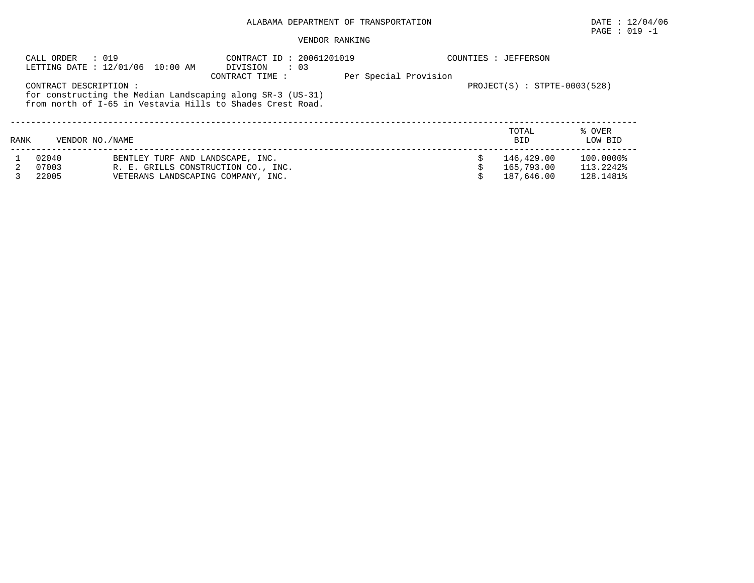|      | : 019<br>CALL ORDER   | LETTING DATE : 12/01/06 10:00 AM    | CONTRACT ID: 20061201019<br>DIVISION : 03                                                                                                   |                       |  | COUNTIES : JEFFERSON             |                   |
|------|-----------------------|-------------------------------------|---------------------------------------------------------------------------------------------------------------------------------------------|-----------------------|--|----------------------------------|-------------------|
|      | CONTRACT DESCRIPTION: |                                     | CONTRACT TIME :<br>for constructing the Median Landscaping along SR-3 (US-31)<br>from north of I-65 in Vestavia Hills to Shades Crest Road. | Per Special Provision |  | $PROJECT(S)$ : $STPTE-0003(528)$ |                   |
| RANK | VENDOR NO. / NAME     |                                     |                                                                                                                                             |                       |  | TOTAL<br><b>BID</b>              | % OVER<br>LOW BID |
|      | 02040                 | BENTLEY TURF AND LANDSCAPE, INC.    |                                                                                                                                             |                       |  | 146,429.00                       | 100.0000%         |
|      | 07003                 | R. E. GRILLS CONSTRUCTION CO., INC. |                                                                                                                                             |                       |  | 165,793.00                       | 113.2242%         |
|      | 22005                 | VETERANS LANDSCAPING COMPANY, INC.  |                                                                                                                                             |                       |  | 187,646.00                       | 128.1481%         |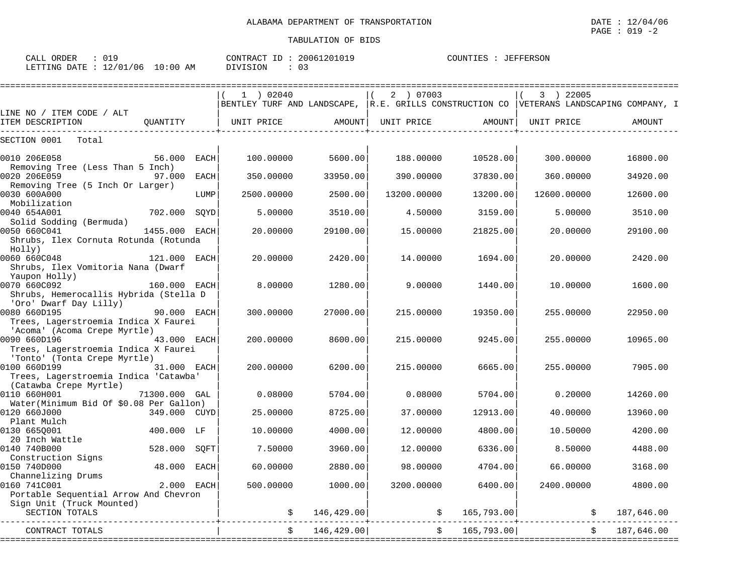PAGE : 019 -2

 $$187,646.00$ 

| CALL ORDER<br>: 019<br>LETTING DATE : 12/01/06 10:00 AM DIVISION                                                   |              |      | $\texttt{CONTRACT ID}: 20061201019$ $\texttt{COUNTIES}: JEFFERSON$<br>$\therefore$ 03              |          |             |                   |             |          |
|--------------------------------------------------------------------------------------------------------------------|--------------|------|----------------------------------------------------------------------------------------------------|----------|-------------|-------------------|-------------|----------|
|                                                                                                                    |              |      | 1 02040<br>BENTLEY TURF AND LANDSCAPE, R.E. GRILLS CONSTRUCTION CO VETERANS LANDSCAPING COMPANY, I |          | 2 ) 07003   |                   | 3 ) 22005   |          |
| LINE NO / ITEM CODE / ALT<br>ITEM DESCRIPTION                                                                      | OUANTITY     |      | UNIT PRICE AMOUNT  UNIT PRICE AMOUNT                                                               |          |             |                   | UNIT PRICE  | AMOUNT   |
| SECTION 0001 Total                                                                                                 |              |      |                                                                                                    |          |             |                   |             |          |
| 56.000<br>0010 206E058<br>Removing Tree (Less Than 5 Inch)                                                         |              | EACH | 100.00000                                                                                          | 5600.00  | 188.00000   | 10528.00          | 300.00000   | 16800.00 |
| 0020 206E059<br>Removing Tree (5 Inch Or Larger)                                                                   | 97.000       | EACH | 350.00000                                                                                          | 33950.00 | 390.00000   | 37830.00          | 360.00000   | 34920.00 |
| 0030 600A000<br>Mobilization                                                                                       |              | LUMP | 2500.00000                                                                                         | 2500.00  | 13200.00000 | 13200.00          | 12600.00000 | 12600.00 |
| 0040 654A001<br>Solid Sodding (Bermuda)                                                                            | 702.000 SQYD |      | 5.00000                                                                                            | 3510.00  | 4.50000     | 3159.00           | 5,00000     | 3510.00  |
| 0050 660C041<br>1455.000 EACH<br>Shrubs, Ilex Cornuta Rotunda (Rotunda<br>Holly)                                   |              |      | 20,00000                                                                                           | 29100.00 | 15.00000    | 21825.00          | 20,00000    | 29100.00 |
| 0060 660C048<br>121.000 EACH<br>Shrubs, Ilex Vomitoria Nana (Dwarf<br>Yaupon Holly)                                |              |      | 20,00000                                                                                           | 2420.00  | 14.00000    | 1694.00           | 20,00000    | 2420.00  |
| $\frac{160.000}{160.000}$ EACH<br>0070 660C092<br>Shrubs, Hemerocallis Hybrida (Stella D<br>'Oro' Dwarf Day Lilly) |              |      | 8,00000                                                                                            | 1280.00  | 9.00000     | 1440.00           | 10.00000    | 1600.00  |
| <b>90.000 EACH</b><br>0080 660D195<br>Trees, Lagerstroemia Indica X Faurei<br>'Acoma' (Acoma Crepe Myrtle)         |              |      | 300,00000                                                                                          | 27000.00 | 215.00000   | 19350.00          | 255.00000   | 22950.00 |
| 0090 660D196 43.000 EACH<br>Trees, Lagerstroemia Indica X Faurei<br>'Tonto' (Tonta Crepe Myrtle)                   |              |      | 200.00000                                                                                          | 8600.00  | 215.00000   | 9245.00           | 255.00000   | 10965.00 |
| 0100 660D199 31.000 EACH                                                                                           |              |      | 200.00000 6200.00                                                                                  |          |             | 215,00000 6665,00 | 255.00000   | 7905.00  |

0110 660H001 71300.000 GAL | 0.08000 5704.00| 0.08000 5704.00| 0.20000 14260.00

0120 660J000 349.000 CUYD| 25.00000 8725.00| 37.00000 12913.00| 40.00000 13960.00

0130 665Q001 400.000 LF | 10.00000 4000.00| 12.00000 4800.00| 10.50000 4200.00

0150 740D000 48.000 EACH| 60.00000 2880.00| 98.00000 4704.00| 66.00000 3168.00

0160 741C001 2.000 EACH| 500.00000 1000.00| 3200.00000 6400.00| 2400.00000 4800.00

------------------------------------------+----------------------------+----------------------------+-------------------------------

Trees, Lagerstroemia Indica 'Catawba'

Portable Sequential Arrow And Chevron

Channelizing Drums<br>160 7410001

(Catawba Crepe Myrtle) | | |

Water(Minimum Bid Of \$0.08 Per Gallon) | | |

Plant Mulch | | |

 $\begin{array}{c|c|c|c|c} 20 & \text{Inch } \texttt{Wattle} \end{array} \qquad \begin{array}{c|c|c} 20 & \text{Inch } \texttt{Wattle} \end{array} \qquad \begin{array}{c} 528.000 & \text{SQFT} \end{array} \qquad \begin{array}{c} 7.50000 & 3960.00 \end{array} \qquad \begin{array}{c} 3960.00 & 12.00000 \end{array} \qquad \begin{array}{c} 6336.00 \end{array}$ 

Construction Signs | | |

Sign Unit (Truck Mounted) | | |

| CONTRACT | າດ<br>$\sim$<br>4 F<br>$\sim$ | 70.<br>$\sim$<br>$\cdots$ |                         | . R-<br>.00<br>646          |
|----------|-------------------------------|---------------------------|-------------------------|-----------------------------|
|          | ________________              | . _ _ _ _ _ _ _ _ _       | __________<br>_________ | _ _ _ _ _ _ _ _<br>-------- |

0140 740B000 528.000 SQFT| 7.50000 3960.00| 12.00000 6336.00| 8.50000 4488.00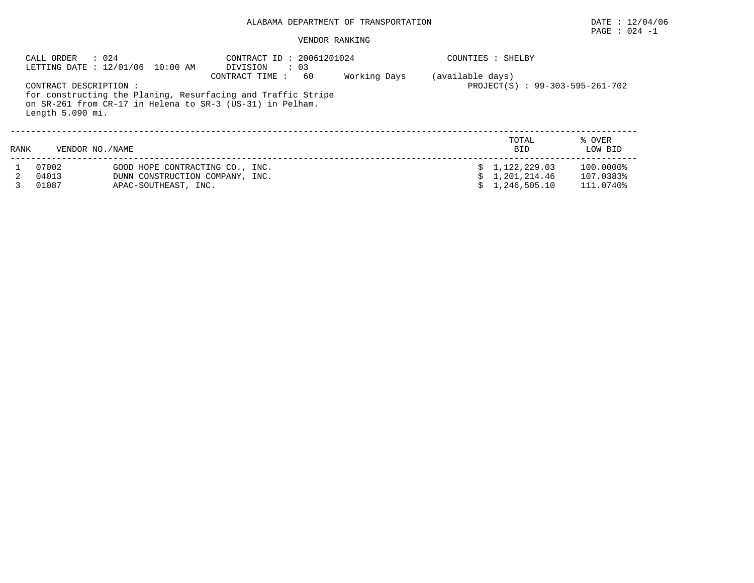# PAGE : 024 -1

|      | $\therefore$ 024<br>CALL ORDER<br>LETTING DATE : 12/01/06 10:00 AM |                      | CONTRACT ID: 20061201024<br>DIVISION<br>$\therefore$ 03                                                                   |    |              |                  | COUNTIES : SHELBY               |                   |
|------|--------------------------------------------------------------------|----------------------|---------------------------------------------------------------------------------------------------------------------------|----|--------------|------------------|---------------------------------|-------------------|
|      | CONTRACT DESCRIPTION:                                              |                      | CONTRACT TIME:                                                                                                            | 60 | Working Days | (available days) | PROJECT(S) : 99-303-595-261-702 |                   |
|      | Length 5.090 mi.                                                   |                      | for constructing the Planing, Resurfacing and Traffic Stripe<br>on SR-261 from CR-17 in Helena to SR-3 (US-31) in Pelham. |    |              |                  |                                 |                   |
| RANK | VENDOR NO. / NAME                                                  |                      |                                                                                                                           |    |              |                  | TOTAL<br><b>BID</b>             | % OVER<br>LOW BID |
|      | 07002                                                              |                      | GOOD HOPE CONTRACTING CO., INC.                                                                                           |    |              |                  | \$1,122,229.03                  | 100.0000%         |
|      | 04013                                                              |                      | DUNN CONSTRUCTION COMPANY, INC.                                                                                           |    |              |                  | 1,201,214.46                    | 107.0383%         |
|      | 01087                                                              | APAC-SOUTHEAST, INC. |                                                                                                                           |    |              |                  | 1,246,505.10                    | 111.0740%         |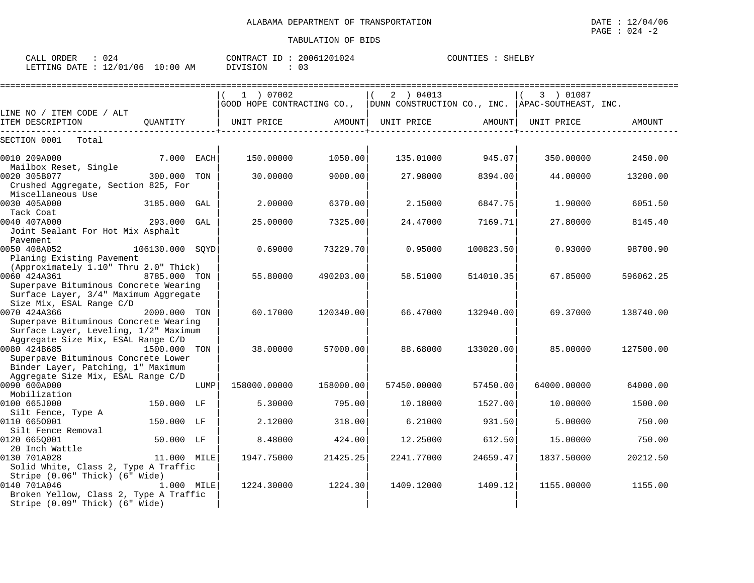| CALL<br>ORDER   |              |                 | CONTRACT<br>TD. | 20061201024    | COUNTIES | SHELBY |
|-----------------|--------------|-----------------|-----------------|----------------|----------|--------|
| LETTING<br>DATE | 12/01<br>706 | :00<br>AM<br>10 | DIVISION        | $\mathbf{u}$ . |          |        |

|                                                                                                                            |                 |      | 1 ) 07002    |           | 2 ) 04013<br>$ $ GOOD HOPE CONTRACTING CO., $ $ DUNN CONSTRUCTION CO., INC. $ $ APAC-SOUTHEAST, INC. |           | 3 ) 01087   |           |
|----------------------------------------------------------------------------------------------------------------------------|-----------------|------|--------------|-----------|------------------------------------------------------------------------------------------------------|-----------|-------------|-----------|
| LINE NO / ITEM CODE / ALT                                                                                                  |                 |      |              |           |                                                                                                      |           |             |           |
| ITEM DESCRIPTION                                                                                                           | OUANTITY        |      | UNIT PRICE   | AMOUNT    | UNIT PRICE                                                                                           | AMOUNT    | UNIT PRICE  | AMOUNT    |
| SECTION 0001<br>Total                                                                                                      |                 |      |              |           |                                                                                                      |           |             |           |
| 0010 209A000                                                                                                               | 7.000 EACH      |      | 150.00000    | 1050.00   | 135.01000                                                                                            | 945.07    | 350.00000   | 2450.00   |
| Mailbox Reset, Single                                                                                                      |                 |      |              |           |                                                                                                      |           |             |           |
| 0020 305B077<br>Crushed Aggregate, Section 825, For<br>Miscellaneous Use                                                   | 300.000         | TON  | 30.00000     | 9000.00   | 27.98000                                                                                             | 8394.00   | 44.00000    | 13200.00  |
| 0030 405A000<br>Tack Coat                                                                                                  | 3185.000        | GAL  | 2.00000      | 6370.00   | 2.15000                                                                                              | 6847.75   | 1.90000     | 6051.50   |
| 0040 407A000<br>Joint Sealant For Hot Mix Asphalt<br>Pavement                                                              | 293.000         | GAL  | 25.00000     | 7325.00   | 24.47000                                                                                             | 7169.71   | 27.80000    | 8145.40   |
| 0050 408A052<br>Planing Existing Pavement                                                                                  | 106130.000 SOYD |      | 0.69000      | 73229.70  | 0.95000                                                                                              | 100823.50 | 0.93000     | 98700.90  |
| (Approximately 1.10" Thru 2.0" Thick)<br>0060 424A361<br>Superpave Bituminous Concrete Wearing                             | 8785.000 TON    |      | 55.80000     | 490203.00 | 58.51000                                                                                             | 514010.35 | 67.85000    | 596062.25 |
| Surface Layer, 3/4" Maximum Aggregate<br>Size Mix, ESAL Range C/D                                                          |                 |      |              |           |                                                                                                      |           |             |           |
| 0070 424A366<br>Superpave Bituminous Concrete Wearing                                                                      | 2000.000 TON    |      | 60.17000     | 120340.00 | 66.47000                                                                                             | 132940.00 | 69.37000    | 138740.00 |
| Surface Layer, Leveling, 1/2" Maximum<br>Aggregate Size Mix, ESAL Range C/D                                                |                 |      |              |           |                                                                                                      |           |             |           |
| 0080 424B685<br>Superpave Bituminous Concrete Lower<br>Binder Layer, Patching, 1" Maximum                                  | 1500.000 TON    |      | 38,00000     | 57000.00  | 88.68000                                                                                             | 133020.00 | 85,00000    | 127500.00 |
| Aggregate Size Mix, ESAL Range C/D                                                                                         |                 |      |              |           |                                                                                                      |           |             |           |
| 0090 600A000<br>Mobilization                                                                                               |                 | LUMP | 158000.00000 | 158000.00 | 57450.00000                                                                                          | 57450.00  | 64000.00000 | 64000.00  |
| 0100 665J000<br>Silt Fence, Type A                                                                                         | 150.000 LF      |      | 5.30000      | 795.00    | 10.18000                                                                                             | 1527.00   | 10.00000    | 1500.00   |
| 0110 6650001<br>Silt Fence Removal                                                                                         | 150.000 LF      |      | 2.12000      | 318.00    | 6.21000                                                                                              | 931.50    | 5.00000     | 750.00    |
| 0120 6650001<br>20 Inch Wattle                                                                                             | 50.000 LF       |      | 8.48000      | 424.00    | 12.25000                                                                                             | 612.50    | 15.00000    | 750.00    |
| 0130 701A028<br>Solid White, Class 2, Type A Traffic                                                                       | 11.000 MILE     |      | 1947.75000   | 21425.25  | 2241.77000                                                                                           | 24659.47  | 1837.50000  | 20212.50  |
| Stripe (0.06" Thick) (6" Wide)<br>0140 701A046<br>Broken Yellow, Class 2, Type A Traffic<br>Stripe (0.09" Thick) (6" Wide) | 1.000 MILE      |      | 1224.30000   | 1224.30   | 1409.12000                                                                                           | 1409.12   | 1155.00000  | 1155.00   |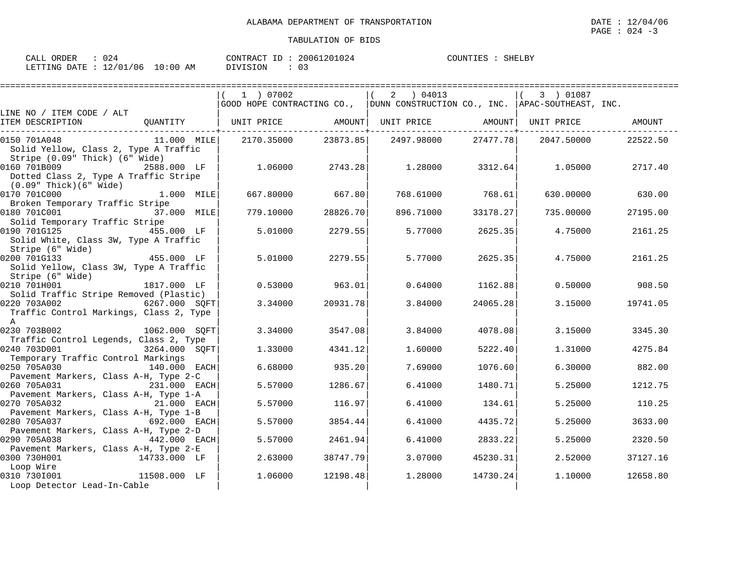| ORDER<br>CALL    |          |            | CONTRACT ID | 20061201024 | COUNTIES | SHELBY |
|------------------|----------|------------|-------------|-------------|----------|--------|
| LETTING DATE : 1 | 12/01/06 | $10:00$ AM | DIVISION    |             |          |        |

|                                                        |                | 1 ) 07002  |          | 2 04013                                                                         |          | 3) 01087   |          |
|--------------------------------------------------------|----------------|------------|----------|---------------------------------------------------------------------------------|----------|------------|----------|
|                                                        |                |            |          | GOOD HOPE CONTRACTING CO.,   DUNN CONSTRUCTION CO., INC.   APAC-SOUTHEAST, INC. |          |            |          |
| LINE NO / ITEM CODE / ALT<br>ITEM DESCRIPTION          |                |            |          | QUANTITY   UNIT PRICE     AMOUNT  UNIT PRICE     AMOUNT  UNIT PRICE             |          |            | AMOUNT   |
| 0150 701A048                                           | 11.000 MILE    | 2170.35000 |          | 23873.85 2497.98000                                                             | 27477.78 | 2047.50000 | 22522.50 |
| Solid Yellow, Class 2, Type A Traffic                  |                |            |          |                                                                                 |          |            |          |
| Stripe (0.09" Thick) (6" Wide)                         |                |            |          |                                                                                 |          |            |          |
| 0160 701B009                                           | 2588.000 LF    | 1.06000    | 2743.28  | 1.28000                                                                         | 3312.64  | 1.05000    | 2717.40  |
| Dotted Class 2, Type A Traffic Stripe                  |                |            |          |                                                                                 |          |            |          |
| (0.09" Thick)(6" Wide)<br>0170 701C000                 | 1.000 MILE     | 667.80000  | 667.80   | 768.61000                                                                       | 768.61   | 630.00000  | 630.00   |
| Broken Temporary Traffic Stripe                        |                |            |          |                                                                                 |          |            |          |
| 0180 701C001                                           | 37.000 MILE    | 779.10000  | 28826.70 | 896.71000                                                                       | 33178.27 | 735.00000  | 27195.00 |
| Solid Temporary Traffic Stripe                         |                |            |          |                                                                                 |          |            |          |
| 0190 701G125                                           | 455.000 LF     | 5.01000    | 2279.55  | 5.77000                                                                         | 2625.35  | 4.75000    | 2161.25  |
| Solid White, Class 3W, Type A Traffic                  |                |            |          |                                                                                 |          |            |          |
| Stripe (6" Wide)                                       |                |            |          |                                                                                 |          |            |          |
| 0200 701G133<br>455.000 LF                             |                | 5.01000    | 2279.55  | 5.77000                                                                         | 2625.35  | 4.75000    | 2161.25  |
| Solid Yellow, Class 3W, Type A Traffic                 |                |            |          |                                                                                 |          |            |          |
| Stripe (6" Wide)                                       |                |            |          |                                                                                 |          |            |          |
| 0210 701H001                                           | 1817.000 LF    | 0.53000    | 963.01   | 0.64000                                                                         | 1162.88  | 0.50000    | 908.50   |
| Solid Traffic Stripe Removed (Plastic)                 |                |            |          |                                                                                 |          |            |          |
| 0220 703A002                                           | 6267.000 SQFT  | 3.34000    | 20931.78 | 3.84000                                                                         | 24065.28 | 3.15000    | 19741.05 |
| Traffic Control Markings, Class 2, Type<br>$\mathbb A$ |                |            |          |                                                                                 |          |            |          |
| 0230 703B002                                           | 1062.000 SOFT  | 3.34000    | 3547.08  | 3.84000                                                                         | 4078.08  | 3.15000    | 3345.30  |
| Traffic Control Legends, Class 2, Type                 |                |            |          |                                                                                 |          |            |          |
| 0240 703D001                                           | 3264.000 SQFT  | 1.33000    | 4341.12  | 1.60000                                                                         | 5222.40  | 1.31000    | 4275.84  |
| Temporary Traffic Control Markings                     |                |            |          |                                                                                 |          |            |          |
| 0250 705A030                                           | 140.000 EACH   | 6.68000    | 935.20   | 7.69000                                                                         | 1076.60  | 6.30000    | 882.00   |
| Pavement Markers, Class A-H, Type 2-C                  |                |            |          |                                                                                 |          |            |          |
| 0260 705A031                                           | 231.000 EACH   | 5.57000    | 1286.67  | 6.41000                                                                         | 1480.71  | 5.25000    | 1212.75  |
| Pavement Markers, Class A-H, Type 1-A                  |                |            |          |                                                                                 |          |            |          |
| 0270 705A032                                           | 21.000 EACH    | 5.57000    | 116.97   | 6.41000                                                                         | 134.61   | 5.25000    | 110.25   |
| Pavement Markers, Class A-H, Type 1-B                  |                |            |          |                                                                                 |          |            |          |
| 0280 705A037                                           | 692.000 EACH   | 5.57000    | 3854.44  | 6.41000                                                                         | 4435.72  | 5.25000    | 3633.00  |
| Pavement Markers, Class A-H, Type 2-D<br>0290 705A038  | $442.000$ EACH | 5.57000    | 2461.94  | 6.41000                                                                         | 2833.22  | 5.25000    | 2320.50  |
| Pavement Markers, Class A-H, Type 2-E                  |                |            |          |                                                                                 |          |            |          |
| 0300 730H001                                           | 14733.000 LF   | 2.63000    | 38747.79 | 3.07000                                                                         | 45230.31 | 2.52000    | 37127.16 |
| Loop Wire                                              |                |            |          |                                                                                 |          |            |          |
| 0310 7301001                                           | 11508.000 LF   | 1.06000    | 12198.48 | 1.28000                                                                         | 14730.24 | 1,10000    | 12658.80 |
| Loop Detector Lead-In-Cable                            |                |            |          |                                                                                 |          |            |          |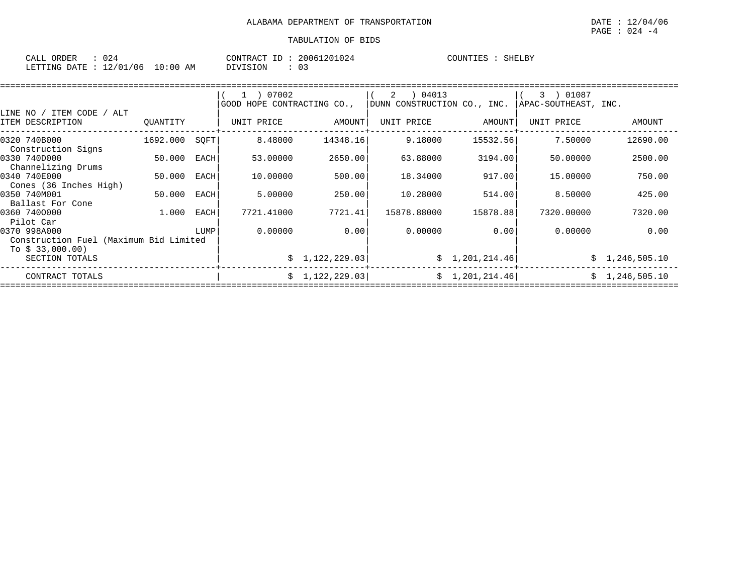| $\sim$ $\sim$ $\sim$ $\sim$<br>ORDER<br>CALL | ہے ں                       |                  | CONTR.<br>$\sqrt{2}$<br>'R A ( | TD. | 30061201024 | COUNTIES | SHELBY |
|----------------------------------------------|----------------------------|------------------|--------------------------------|-----|-------------|----------|--------|
| LETTING<br>חד ברח                            | $\sim$<br>/01<br>′06<br>∸∠ | :00<br>L O<br>AΜ | VISION                         |     | ◡-          |          |        |

| LINE NO / ITEM CODE / ALT                              |          |      | 1 ) 07002<br>GOOD HOPE CONTRACTING CO., |                 | 04013<br>2<br>DUNN CONSTRUCTION CO., INC. |                | 01087<br>3<br>APAC-SOUTHEAST, INC. |                |
|--------------------------------------------------------|----------|------|-----------------------------------------|-----------------|-------------------------------------------|----------------|------------------------------------|----------------|
| ITEM DESCRIPTION                                       | OUANTITY |      | UNIT PRICE                              | AMOUNT          | UNIT PRICE                                | AMOUNT         | UNIT PRICE                         | AMOUNT         |
| 0320 740B000<br>Construction Signs                     | 1692.000 | SOFT | 8.48000                                 | 14348.16        | 9.18000                                   | 15532.56       | 7.50000                            | 12690.00       |
| 0330 740D000<br>Channelizing Drums                     | 50.000   | EACH | 53.00000                                | 2650.00         | 63.88000                                  | 3194.00        | 50,00000                           | 2500.00        |
| 0340 740E000<br>Cones (36 Inches High)                 | 50.000   | EACH | 10.00000                                | 500.00          | 18.34000                                  | 917.00         | 15,00000                           | 750.00         |
| 0350 740M001<br>Ballast For Cone                       | 50.000   | EACH | 5.00000                                 | 250.00          | 10.28000                                  | 514.00         | 8.50000                            | 425.00         |
| 0360 7400000<br>Pilot Car                              | 1.000    | EACH | 7721.41000                              | 7721.41         | 15878.88000                               | 15878.88       | 7320.00000                         | 7320.00        |
| 0370 998A000<br>Construction Fuel (Maximum Bid Limited |          | LUMP | 0.00000                                 | 0.00            | 0.00000                                   | 0.00           | 0.00000                            | 0.00           |
| To $$33,000.00)$<br>SECTION TOTALS                     |          |      |                                         | \$1,122,229.03  |                                           | \$1,201,214.46 |                                    | \$1,246,505.10 |
| CONTRACT TOTALS                                        |          |      |                                         | \$1,122,229.03] |                                           | \$1,201,214.46 |                                    | \$1,246,505.10 |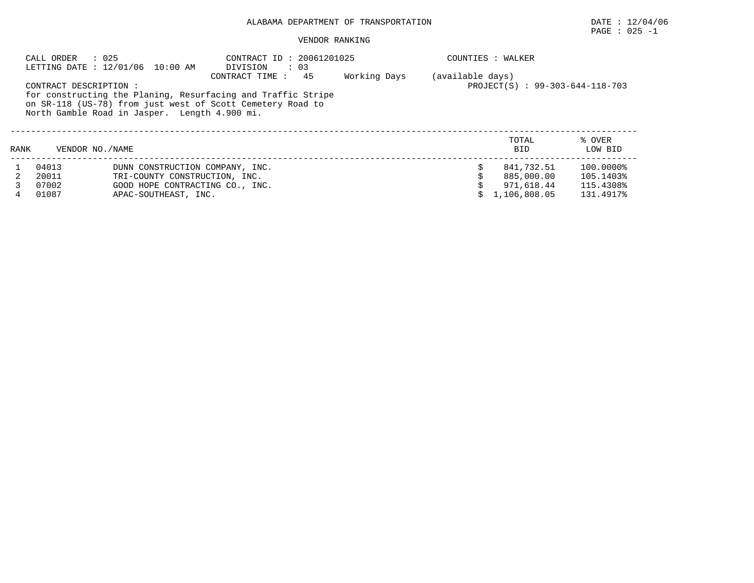# $\texttt{PAGE}$  : 025 -1

|                                                                                                                                                                                                                                                                                                                                                                                                                                                                                                                                                                                                           |       |                                 | DIVISION |  |  |  |              |                   |
|-----------------------------------------------------------------------------------------------------------------------------------------------------------------------------------------------------------------------------------------------------------------------------------------------------------------------------------------------------------------------------------------------------------------------------------------------------------------------------------------------------------------------------------------------------------------------------------------------------------|-------|---------------------------------|----------|--|--|--|--------------|-------------------|
| : 025<br>CONTRACT ID: 20061201025<br>CALL ORDER<br>COUNTIES : WALKER<br>LETTING DATE : 12/01/06 10:00 AM<br>$\therefore$ 03<br>45<br>Working Days<br>(available days)<br>CONTRACT TIME:<br>PROJECT(S) : 99-303-644-118-703<br>CONTRACT DESCRIPTION :<br>for constructing the Planing, Resurfacing and Traffic Stripe<br>on SR-118 (US-78) from just west of Scott Cemetery Road to<br>North Gamble Road in Jasper. Length 4.900 mi.<br>TOTAL<br>RANK<br>VENDOR NO. / NAME<br><b>BID</b><br>04013<br>841,732.51<br>DUNN CONSTRUCTION COMPANY, INC.<br>20011<br>885,000.00<br>TRI-COUNTY CONSTRUCTION, INC. |       |                                 |          |  |  |  |              |                   |
|                                                                                                                                                                                                                                                                                                                                                                                                                                                                                                                                                                                                           |       |                                 |          |  |  |  |              | % OVER<br>LOW BID |
|                                                                                                                                                                                                                                                                                                                                                                                                                                                                                                                                                                                                           |       |                                 |          |  |  |  |              | 100.0000%         |
|                                                                                                                                                                                                                                                                                                                                                                                                                                                                                                                                                                                                           |       |                                 |          |  |  |  |              | 105.1403%         |
|                                                                                                                                                                                                                                                                                                                                                                                                                                                                                                                                                                                                           | 07002 | GOOD HOPE CONTRACTING CO., INC. |          |  |  |  | 971,618.44   | 115.4308%         |
| 4                                                                                                                                                                                                                                                                                                                                                                                                                                                                                                                                                                                                         | 01087 | APAC-SOUTHEAST, INC.            |          |  |  |  | 1,106,808.05 | 131.4917%         |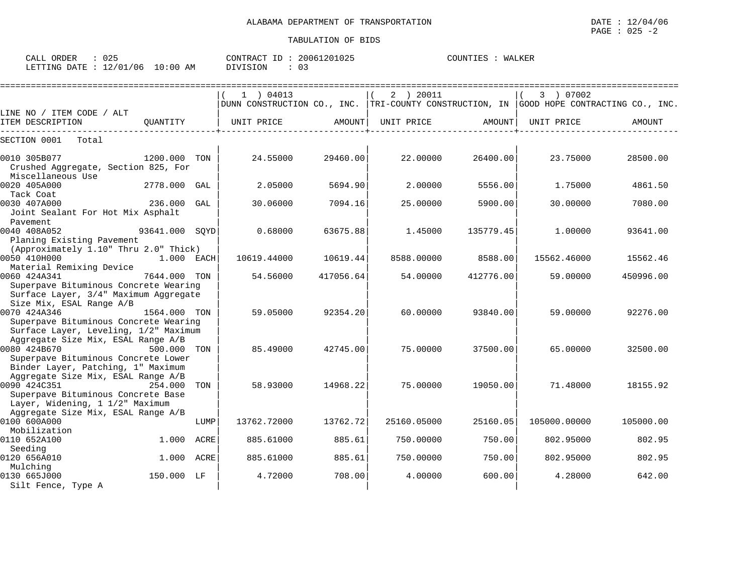CALL ORDER : 025 CONTRACT ID : 20061201025 COUNTIES : WALKER LETTING DATE : 12/01/06 10:00 AM DIVISION : 03

|                                                                                                                                 |                |      | $1$ ) 04013                                                                             |           | 2 ) 20011   |           | 3 ) 07002    |           |
|---------------------------------------------------------------------------------------------------------------------------------|----------------|------|-----------------------------------------------------------------------------------------|-----------|-------------|-----------|--------------|-----------|
| LINE NO / ITEM CODE / ALT                                                                                                       |                |      | DUNN CONSTRUCTION CO., INC. TRI-COUNTY CONSTRUCTION, IN GOOD HOPE CONTRACTING CO., INC. |           |             |           |              |           |
| ITEM DESCRIPTION                                                                                                                | OUANTITY       |      | UNIT PRICE                                                                              | AMOUNT    | UNIT PRICE  | AMOUNT    | UNIT PRICE   | AMOUNT    |
| SECTION 0001<br>Total                                                                                                           |                |      |                                                                                         |           |             |           |              |           |
| 0010 305B077<br>Crushed Aggregate, Section 825, For<br>Miscellaneous Use                                                        | 1200.000 TON   |      | 24.55000                                                                                | 29460.00  | 22,00000    | 26400.00  | 23.75000     | 28500.00  |
| 0020 405A000<br>Tack Coat                                                                                                       | 2778.000 GAL   |      | 2.05000                                                                                 | 5694.90   | 2,00000     | 5556.00   | 1.75000      | 4861.50   |
| 0030 407A000<br>Joint Sealant For Hot Mix Asphalt<br>Pavement                                                                   | 236.000 GAL    |      | 30.06000                                                                                | 7094.16   | 25.00000    | 5900.00   | 30.00000     | 7080.00   |
| 0040 408A052<br>Planing Existing Pavement<br>(Approximately 1.10" Thru 2.0" Thick)                                              | 93641.000 SOYD |      | 0.68000                                                                                 | 63675.88  | 1.45000     | 135779.45 | 1,00000      | 93641.00  |
| 0050 410H000<br>Material Remixing Device                                                                                        | $1.000$ EACH   |      | 10619.44000                                                                             | 10619.44  | 8588.00000  | 8588.00   | 15562.46000  | 15562.46  |
| 0060 424A341<br>Superpave Bituminous Concrete Wearing<br>Surface Layer, 3/4" Maximum Aggregate<br>Size Mix, ESAL Range A/B      | 7644.000       | TON  | 54.56000                                                                                | 417056.64 | 54.00000    | 412776.00 | 59.00000     | 450996.00 |
| 0070 424A346<br>Superpave Bituminous Concrete Wearing<br>Surface Layer, Leveling, 1/2" Maximum                                  | 1564.000 TON   |      | 59.05000                                                                                | 92354.20  | 60,00000    | 93840.00  | 59.00000     | 92276.00  |
| Aggregate Size Mix, ESAL Range A/B<br>0080 424B670<br>Superpave Bituminous Concrete Lower<br>Binder Layer, Patching, 1" Maximum | 500.000        | TON  | 85.49000                                                                                | 42745.00  | 75.00000    | 37500.00  | 65.00000     | 32500.00  |
| Aggregate Size Mix, ESAL Range A/B<br>0090 424C351<br>Superpave Bituminous Concrete Base<br>Layer, Widening, 1 1/2" Maximum     | 254.000        | TON  | 58.93000                                                                                | 14968.22  | 75.00000    | 19050.00  | 71.48000     | 18155.92  |
| Aggregate Size Mix, ESAL Range A/B<br>0100 600A000<br>Mobilization                                                              |                | LUMP | 13762.72000                                                                             | 13762.72  | 25160.05000 | 25160.05  | 105000.00000 | 105000.00 |
| 0110 652A100<br>Seeding                                                                                                         | 1.000          | ACRE | 885.61000                                                                               | 885.61    | 750.00000   | 750.00    | 802.95000    | 802.95    |
| 0120 656A010<br>Mulching                                                                                                        | 1.000          | ACRE | 885.61000                                                                               | 885.61    | 750.00000   | 750.00    | 802.95000    | 802.95    |
| 0130 665J000<br>Silt Fence, Type A                                                                                              | 150.000 LF     |      | 4.72000                                                                                 | 708.00    | 4.00000     | 600.00    | 4.28000      | 642.00    |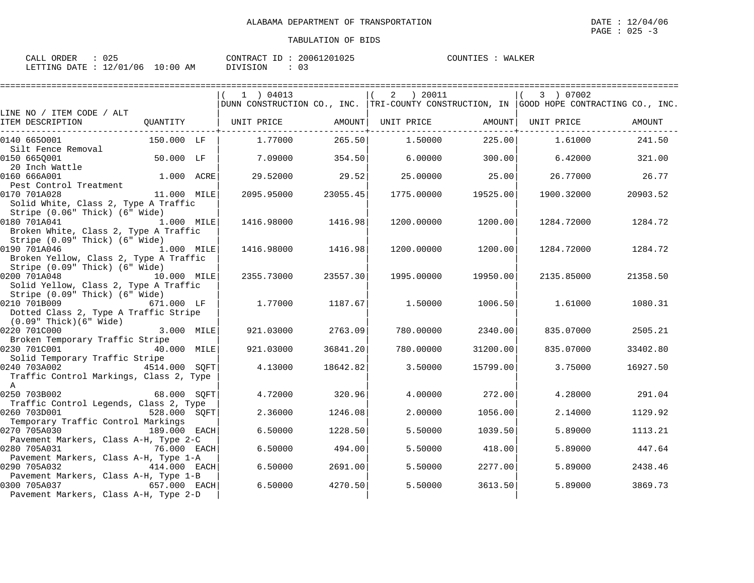| CALL ORDER                       |  |          | CONTRACT ID: 20061201025 | COUNTIES : WALKER |  |
|----------------------------------|--|----------|--------------------------|-------------------|--|
| LETTING DATE : 12/01/06 10:00 AM |  | DIVISION |                          |                   |  |

|                                                                                                                |               | $1$ ) 04013<br>DUNN CONSTRUCTION CO., INC. TRI-COUNTY CONSTRUCTION, IN GOOD HOPE CONTRACTING CO., INC. |          | 2   20011  |          | 3 ) 07002  |          |
|----------------------------------------------------------------------------------------------------------------|---------------|--------------------------------------------------------------------------------------------------------|----------|------------|----------|------------|----------|
| LINE NO / ITEM CODE / ALT<br>ITEM DESCRIPTION<br>_______________                                               | QUANTITY      | UNIT PRICE                                                                                             | AMOUNT   | UNIT PRICE | AMOUNT   | UNIT PRICE | AMOUNT   |
| 0140 6650001                                                                                                   | 150.000 LF    | 1,77000                                                                                                | 265.50   | 1,50000    | 225.00   | 1.61000    | 241.50   |
| Silt Fence Removal<br>0150 6650001                                                                             | 50.000 LF     | 7.09000                                                                                                | 354.50   | 6.00000    | 300.00   | 6.42000    | 321.00   |
| 20 Inch Wattle<br>160 666A001<br>0160 666A001<br>Pest Control Treatment                                        | 1.000 ACRE    | 29.52000                                                                                               | 29.52    | 25,00000   | 25.00    | 26.77000   | 26.77    |
| 0170 701A028<br>Solid White, Class 2, Type A Traffic<br>Stripe (0.06" Thick) (6" Wide)                         | 11.000 MILE   | 2095.95000                                                                                             | 23055.45 | 1775.00000 | 19525.00 | 1900.32000 | 20903.52 |
| 0180 701A041<br>1.000 MILE<br>Broken White, Class 2, Type A Traffic<br>Stripe (0.09" Thick) (6" Wide)          |               | 1416.98000                                                                                             | 1416.98  | 1200.00000 | 1200.00  | 1284.72000 | 1284.72  |
| 0190 701A046<br>Broken Yellow, Class 2, Type A Traffic<br>Stripe (0.09" Thick) (6" Wide)                       | 1.000 MILE    | 1416.98000                                                                                             | 1416.98  | 1200.00000 | 1200.00  | 1284.72000 | 1284.72  |
| 0200 701A048<br>Solid Yellow, Class 2, Type A Traffic<br>Stripe (0.09" Thick) (6" Wide)                        | 10.000 MILE   | 2355.73000                                                                                             | 23557.30 | 1995.00000 | 19950.00 | 2135.85000 | 21358.50 |
| 0210 701B009<br>Dotted Class 2, Type A Traffic Stripe<br>$(0.09"$ Thick $)(6"$ Wide $)$                        | 671.000 LF    | 1,77000                                                                                                | 1187.67  | 1.50000    | 1006.50  | 1.61000    | 1080.31  |
| 0220 701C000<br>Broken Temporary Traffic Stripe                                                                | 3.000 MILE    | 921.03000                                                                                              | 2763.09  | 780.00000  | 2340.00  | 835.07000  | 2505.21  |
| 0230 701C001<br>Solid Temporary Traffic Stripe                                                                 | 40.000 MILE   | 921.03000                                                                                              | 36841.20 | 780.00000  | 31200.00 | 835.07000  | 33402.80 |
| 0240 703A002<br>Traffic Control Markings, Class 2, Type<br>$\mathbb{A}$                                        | 4514.000 SQFT | 4.13000                                                                                                | 18642.82 | 3.50000    | 15799.00 | 3.75000    | 16927.50 |
| 0250 703B002<br>Traffic Control Legends, Class 2, Type                                                         | 68.000 SOFT   | 4.72000                                                                                                | 320.96   | 4.00000    | 272.00   | 4.28000    | 291.04   |
| 0260 703D001                                                                                                   | 528.000 SQFT  | 2.36000                                                                                                | 1246.08  | 2,00000    | 1056.00  | 2.14000    | 1129.92  |
| Temporary Traffic Control Markings<br>0270 705A030                                                             | 189.000 EACH  | 6.50000                                                                                                | 1228.50  | 5.50000    | 1039.50  | 5.89000    | 1113.21  |
| Pavement Markers, Class A-H, Type 2-C<br>0280 705A031                                                          | 76.000 EACH   | 6.50000                                                                                                | 494.00   | 5.50000    | 418.00   | 5.89000    | 447.64   |
| Pavement Markers, Class A-H, Type 1-A<br>0290 705A032                                                          | 414.000 EACH  | 6.50000                                                                                                | 2691.00  | 5.50000    | 2277.00  | 5.89000    | 2438.46  |
| Pavement Markers, Class A-H, Type 1-B<br>0300 705A037<br>657.000 EACH<br>Pavement Markers, Class A-H, Type 2-D |               | 6.50000                                                                                                | 4270.50  | 5.50000    | 3613.50  | 5.89000    | 3869.73  |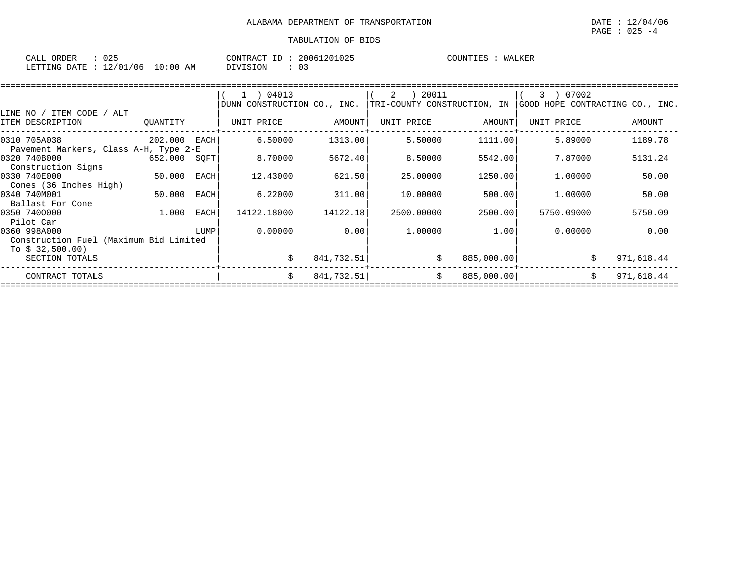| $\sim$ $ -$<br>ORDER<br>CALL | $\sim$ $\sim$ $\sim$<br>◡▵          |                   | CONTR<br>$\sqrt{2}$<br>'R A ( | TD. | 1025<br>,,, <i>,</i> ,<br>1116 | COUNTIES | TAT Z<br>WALNL. |
|------------------------------|-------------------------------------|-------------------|-------------------------------|-----|--------------------------------|----------|-----------------|
| <b>ETTING</b><br>ּחד∆ת ה     | /01<br>$\sim$ $\sim$<br>' 0 6<br>∸∠ | - 0<br>: 00<br>AΜ | VISION                        |     | ◡-                             |          |                 |

|                                        |              |      | $1$ ) 04013                 |            | 20011<br>2                  |            | 3 ) 07002                       |            |
|----------------------------------------|--------------|------|-----------------------------|------------|-----------------------------|------------|---------------------------------|------------|
|                                        |              |      | DUNN CONSTRUCTION CO., INC. |            | TRI-COUNTY CONSTRUCTION, IN |            | GOOD HOPE CONTRACTING CO., INC. |            |
| LINE NO / ITEM CODE / ALT              |              |      |                             |            |                             |            |                                 |            |
| ITEM DESCRIPTION                       | QUANTITY     |      | UNIT PRICE                  | AMOUNT     | UNIT PRICE                  | AMOUNT     | UNIT PRICE                      | AMOUNT     |
| 0310 705A038                           | 202.000 EACH |      | 6.50000                     | 1313.00    | 5.50000                     | 1111.00    | 5.89000                         | 1189.78    |
| Pavement Markers, Class A-H, Type 2-E  |              |      |                             |            |                             |            |                                 |            |
| 0320 740B000                           | 652.000 SQFT |      | 8.70000                     | 5672.40    | 8.50000                     | 5542.00    | 7.87000                         | 5131.24    |
| Construction Signs                     |              |      |                             |            |                             |            |                                 |            |
| 0330 740E000                           | 50.000       | EACH | 12.43000                    | 621.50     | 25,00000                    | 1250.00    | 1,00000                         | 50.00      |
| Cones (36 Inches High)                 |              |      |                             |            |                             |            |                                 |            |
| 0340 740M001                           | 50.000       | EACH | 6.22000                     | 311.00     | 10.00000                    | 500.00     | 1,00000                         | 50.00      |
| Ballast For Cone                       |              |      |                             |            |                             |            |                                 |            |
| 0350 7400000                           | 1.000        | EACH | 14122.18000                 | 14122.18   | 2500.00000                  | 2500.00    | 5750.09000                      | 5750.09    |
| Pilot Car                              |              |      |                             |            |                             |            |                                 |            |
| 0360 998A000                           |              | LUMP | 0.00000                     | 0.00       | 1.00000                     | 1.00       | 0.00000                         | 0.00       |
| Construction Fuel (Maximum Bid Limited |              |      |                             |            |                             |            |                                 |            |
| To $$32,500.00)$                       |              |      |                             |            |                             |            |                                 |            |
| SECTION TOTALS                         |              |      | \$                          | 841,732.51 | \$                          | 885,000.00 | \$                              | 971,618.44 |
| CONTRACT TOTALS                        |              |      | Ŝ.                          | 841,732.51 | \$                          | 885,000.00 |                                 | 971,618.44 |
|                                        |              |      |                             |            |                             |            |                                 |            |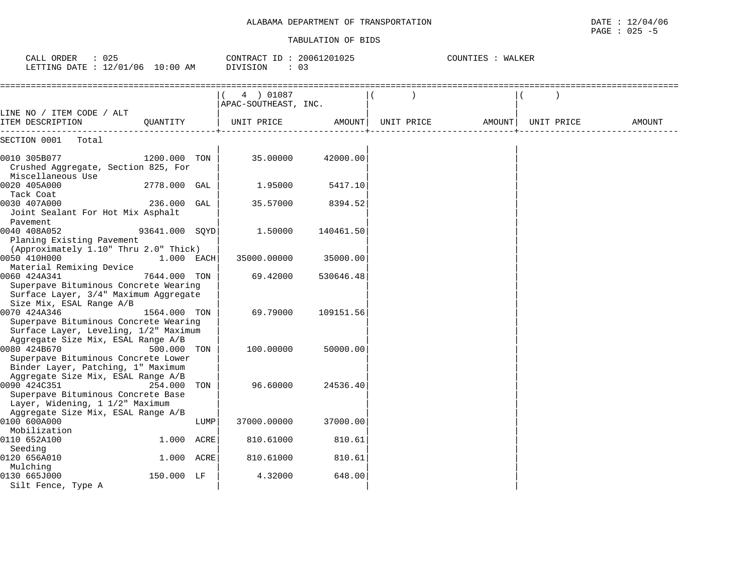### ALABAMA DEPARTMENT OF TRANSPORTATION

| ALABAMA DEPARTMENT<br>OF<br>TRANSPORTATION | /04/06<br>DATE<br>$\pm$ 4.7 |
|--------------------------------------------|-----------------------------|
|                                            | 025<br>PAGE<br>— <b>—</b>   |

| CALL ORDER<br>: 025<br>LETTING DATE : 12/01/06 10:00 AM                                                                         |                |      | CONTRACT ID: 20061201025<br>DIVISION<br>$\therefore$ 03 |           |            | COUNTIES : WALKER |            |        |
|---------------------------------------------------------------------------------------------------------------------------------|----------------|------|---------------------------------------------------------|-----------|------------|-------------------|------------|--------|
| ===============================                                                                                                 |                |      | 4 ) 01087<br>APAC-SOUTHEAST, INC.                       |           |            |                   |            |        |
| LINE NO / ITEM CODE / ALT<br>ITEM DESCRIPTION                                                                                   | OUANTITY       |      | UNIT PRICE                                              | AMOUNT    | UNIT PRICE | AMOUNT            | UNIT PRICE | AMOUNT |
| SECTION 0001<br>Total                                                                                                           |                |      |                                                         |           |            |                   |            |        |
| 0010 305B077<br>Crushed Aggregate, Section 825, For                                                                             | 1200.000 TON   |      | 35.00000                                                | 42000.00  |            |                   |            |        |
| Miscellaneous Use<br>0020 405A000<br>Tack Coat                                                                                  | 2778.000 GAL   |      | 1.95000                                                 | 5417.10   |            |                   |            |        |
| 0030 407A000<br>Joint Sealant For Hot Mix Asphalt<br>Pavement                                                                   | 236.000 GAL    |      | 35.57000                                                | 8394.52   |            |                   |            |        |
| 0040 408A052<br>Planing Existing Pavement<br>(Approximately 1.10" Thru 2.0" Thick)                                              | 93641.000 SQYD |      | 1.50000                                                 | 140461.50 |            |                   |            |        |
| 0050 410H000<br>Material Remixing Device                                                                                        | $1.000$ EACH   |      | 35000.00000                                             | 35000.00  |            |                   |            |        |
| 0060 424A341<br>Superpave Bituminous Concrete Wearing<br>Surface Layer, 3/4" Maximum Aggregate<br>Size Mix, ESAL Range A/B      | 7644.000 TON   |      | 69.42000                                                | 530646.48 |            |                   |            |        |
| 0070 424A346<br>Superpave Bituminous Concrete Wearing<br>Surface Layer, Leveling, 1/2" Maximum                                  | 1564.000 TON   |      | 69.79000                                                | 109151.56 |            |                   |            |        |
| Aggregate Size Mix, ESAL Range A/B<br>0080 424B670<br>Superpave Bituminous Concrete Lower<br>Binder Layer, Patching, 1" Maximum | 500.000 TON    |      | 100.00000                                               | 50000.00  |            |                   |            |        |
| Aggregate Size Mix, ESAL Range A/B<br>0090 424C351<br>Superpave Bituminous Concrete Base<br>Layer, Widening, 1 1/2" Maximum     | 254.000        | TON  | 96.60000                                                | 24536.40  |            |                   |            |        |
| Aggregate Size Mix, ESAL Range A/B<br>0100 600A000<br>Mobilization                                                              |                | LUMP | 37000.00000                                             | 37000.00  |            |                   |            |        |
| 0110 652A100<br>Seeding                                                                                                         | 1.000 ACRE     |      | 810.61000                                               | 810.61    |            |                   |            |        |
| 0120 656A010<br>Mulching                                                                                                        | 1.000 ACRE     |      | 810.61000                                               | 810.61    |            |                   |            |        |
| 0130 665J000<br>Silt Fence, Type A                                                                                              | 150.000 LF     |      | 4.32000                                                 | 648.00    |            |                   |            |        |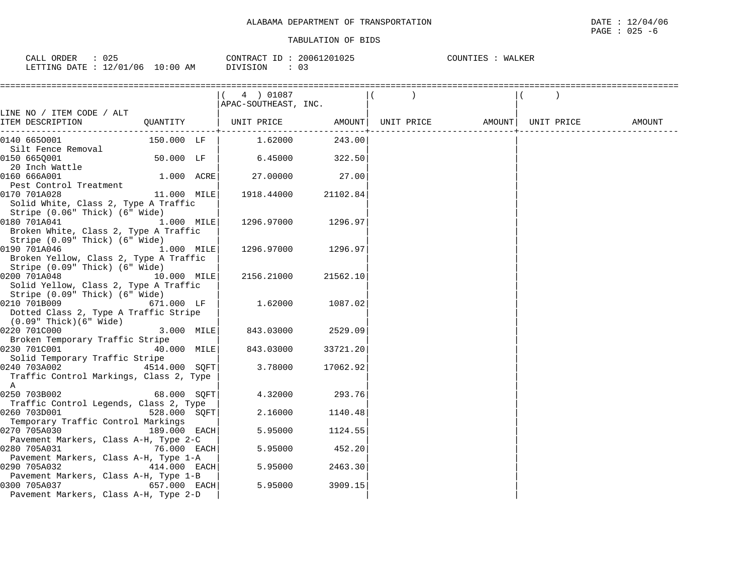| 025<br>CALL ORDER                |          | CONTRACT ID: 20061201025 | COUNTIES<br>: WALKER |
|----------------------------------|----------|--------------------------|----------------------|
| LETTING DATE : 12/01/06 10:00 AM | DIVISION |                          |                      |

|                                                                                                                |               | $(4)$ 01087<br>APAC-SOUTHEAST, INC.                                                                                                               |          |  |  |  |
|----------------------------------------------------------------------------------------------------------------|---------------|---------------------------------------------------------------------------------------------------------------------------------------------------|----------|--|--|--|
| LINE NO / ITEM CODE / ALT                                                                                      |               |                                                                                                                                                   |          |  |  |  |
|                                                                                                                |               | $\begin{array}{c c c c c} \hline \texttt{UNIT PRICE} & \texttt{AMOUNT} & \texttt{UNIT PRICE} & \texttt{AMOUNT} & \texttt{UNIT PRICE} \end{array}$ |          |  |  |  |
| 0140 6650001                                                                                                   | 150.000 LF    | $1.62000$ 243.00                                                                                                                                  |          |  |  |  |
| Silt Fence Removal<br>0150 6650001<br>20 Inch Wattle                                                           | $50.000$ LF   | 6.45000 322.50                                                                                                                                    |          |  |  |  |
| 0160 666A001<br>Pest Control Treatment                                                                         | $1.000$ ACRE  | 27.00000                                                                                                                                          | 27.00    |  |  |  |
| 0170 701A028<br>Solid White, Class 2, Type A Traffic<br>Stripe (0.06" Thick) (6" Wide)                         | 11.000 MILE   | 1918.44000                                                                                                                                        | 21102.84 |  |  |  |
| 0180 701A041<br>Broken White, Class 2, Type A Traffic<br>Stripe (0.09" Thick) (6" Wide)                        | 1.000 MILE    | 1296.97000                                                                                                                                        | 1296.97  |  |  |  |
| 1.000 MILE<br>0190 701A046<br>Broken Yellow, Class 2, Type A Traffic<br>Stripe (0.09" Thick) (6" Wide)         |               | 1296.97000                                                                                                                                        | 1296.97  |  |  |  |
| 10.000 MILE<br>0200 701A048<br>Solid Yellow, Class 2, Type A Traffic<br>Stripe (0.09" Thick) (6" Wide)         |               | 2156.21000                                                                                                                                        | 21562.10 |  |  |  |
| 0210 701B009<br>Dotted Class 2, Type A Traffic Stripe<br>$(0.09"$ Thick $)(6"$ Wide $)$                        | 671.000 LF    | 1.62000                                                                                                                                           | 1087.02  |  |  |  |
| 0220 701C000<br>Broken Temporary Traffic Stripe                                                                | 3.000 MILE    | 843.03000                                                                                                                                         | 2529.09  |  |  |  |
| 0230 701C001<br>Solid Temporary Traffic Stripe                                                                 | 40.000 MILE   | 843.03000                                                                                                                                         | 33721.20 |  |  |  |
| 0240 703A002<br>Traffic Control Markings, Class 2, Type<br>A                                                   | 4514.000 SQFT | 3.78000                                                                                                                                           | 17062.92 |  |  |  |
| 0250 703B002<br>Traffic Control Legends, Class 2, Type                                                         | 68.000 SQFT   | 4.32000                                                                                                                                           | 293.76   |  |  |  |
| 0260 703D001<br>Temporary Traffic Control Markings                                                             | 528.000 SQFT  | 2.16000                                                                                                                                           | 1140.48  |  |  |  |
| 0270 705A030<br>Pavement Markers, Class A-H, Type 2-C                                                          | 189.000 EACH  | 5.95000                                                                                                                                           | 1124.55  |  |  |  |
| 0280 705A031                                                                                                   | 76.000 EACH   | 5.95000                                                                                                                                           | 452.20   |  |  |  |
| Pavement Markers, Class A-H, Type 1-A<br>0290 705A032                                                          | 414.000 EACH  | 5.95000                                                                                                                                           | 2463.30  |  |  |  |
| Pavement Markers, Class A-H, Type 1-B<br>657.000 EACH<br>0300 705A037<br>Pavement Markers, Class A-H, Type 2-D |               | 5.95000                                                                                                                                           | 3909.15  |  |  |  |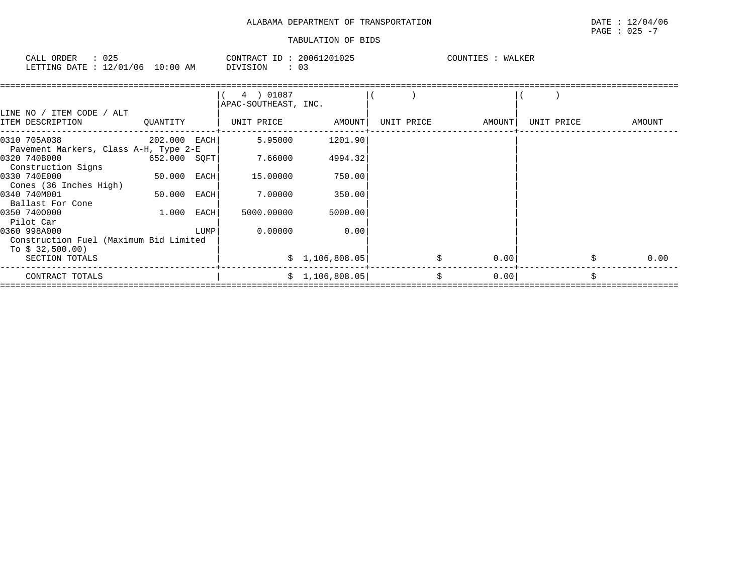| CALL<br>ORDER  | $\cap$ $\cap$ $\cap$<br>J25 |                    | CONTRACT<br>ID | 20061201025 | COUNTIES | WALKER |
|----------------|-----------------------------|--------------------|----------------|-------------|----------|--------|
| LETTING DATE : | 12/01/06                    | 10:00<br>AM<br>___ | DIVISION       |             |          |        |

|                                                                             |              |      | 4 ) 01087<br>APAC-SOUTHEAST, INC. |                 |            |        |            |        |
|-----------------------------------------------------------------------------|--------------|------|-----------------------------------|-----------------|------------|--------|------------|--------|
| LINE NO / ITEM CODE / ALT<br>ITEM DESCRIPTION                               | QUANTITY     |      | UNIT PRICE                        | AMOUNT          | UNIT PRICE | AMOUNT | UNIT PRICE | AMOUNT |
| 0310 705A038                                                                | 202.000 EACH |      | 5.95000                           | 1201.90         |            |        |            |        |
| Pavement Markers, Class A-H, Type 2-E<br>0320 740B000<br>Construction Signs | 652.000 SQFT |      | 7.66000                           | 4994.32         |            |        |            |        |
| 0330 740E000<br>Cones (36 Inches High)                                      | 50.000 EACH  |      | 15.00000                          | 750.00          |            |        |            |        |
| 0340 740M001<br>Ballast For Cone                                            | 50.000       | EACH | 7.00000                           | 350.00          |            |        |            |        |
| 0350 7400000<br>Pilot Car                                                   | 1.000        | EACH | 5000.00000                        | 5000.00         |            |        |            |        |
| 0360 998A000<br>Construction Fuel (Maximum Bid Limited                      |              | LUMP | 0.00000                           | 0.00            |            |        |            |        |
| To \$ 32,500.00)<br>SECTION TOTALS                                          |              |      |                                   | \$1,106,808.05] |            | 0.00   |            | 0.00   |
| CONTRACT TOTALS                                                             |              |      |                                   | \$1,106,808.05] | Ŝ.         | 0.00   |            | Ŝ.     |
|                                                                             |              |      |                                   |                 |            |        |            |        |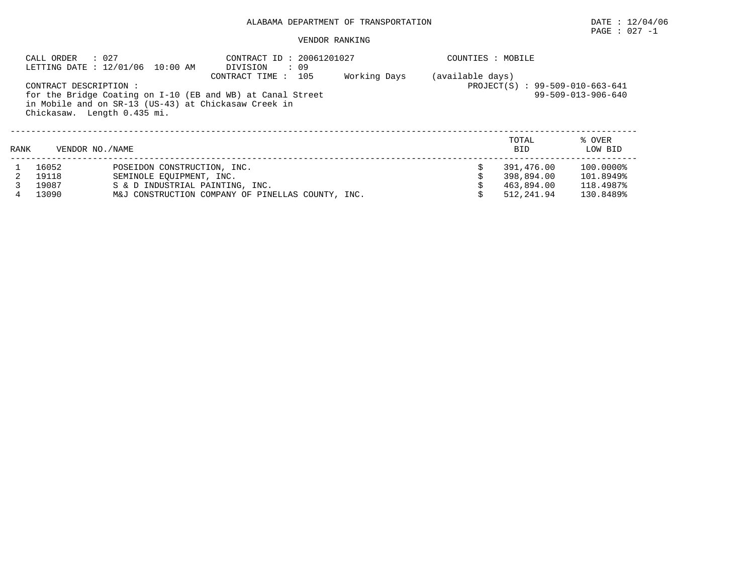# PAGE : 027 -1

|      | : 027<br>CALL ORDER                                   | LETTING DATE : 12/01/06 10:00 AM                                                           | CONTRACT ID: 20061201027<br>DIVISION<br>: 09                                     |              | COUNTIES : MOBILE |                                                      |                                                  |  |  |
|------|-------------------------------------------------------|--------------------------------------------------------------------------------------------|----------------------------------------------------------------------------------|--------------|-------------------|------------------------------------------------------|--------------------------------------------------|--|--|
|      | CONTRACT DESCRIPTION :<br>Chickasaw. Length 0.435 mi. | in Mobile and on SR-13 (US-43) at Chickasaw Creek in                                       | CONTRACT TIME: 105<br>for the Bridge Coating on I-10 (EB and WB) at Canal Street | Working Days | (available days)  | PROJECT(S) : 99-509-010-663-641                      | $99 - 509 - 013 - 906 - 640$                     |  |  |
| RANK | VENDOR NO. / NAME                                     |                                                                                            |                                                                                  |              |                   | TOTAL<br><b>BID</b>                                  | % OVER<br>LOW BID                                |  |  |
| 4    | 16052<br>19118<br>19087<br>13090                      | POSEIDON CONSTRUCTION, INC.<br>SEMINOLE EOUIPMENT, INC.<br>S & D INDUSTRIAL PAINTING, INC. | M&J CONSTRUCTION COMPANY OF PINELLAS COUNTY, INC.                                |              | Ŝ.                | 391,476.00<br>398,894.00<br>463,894.00<br>512,241.94 | 100.0000%<br>101.8949%<br>118.4987%<br>130.8489% |  |  |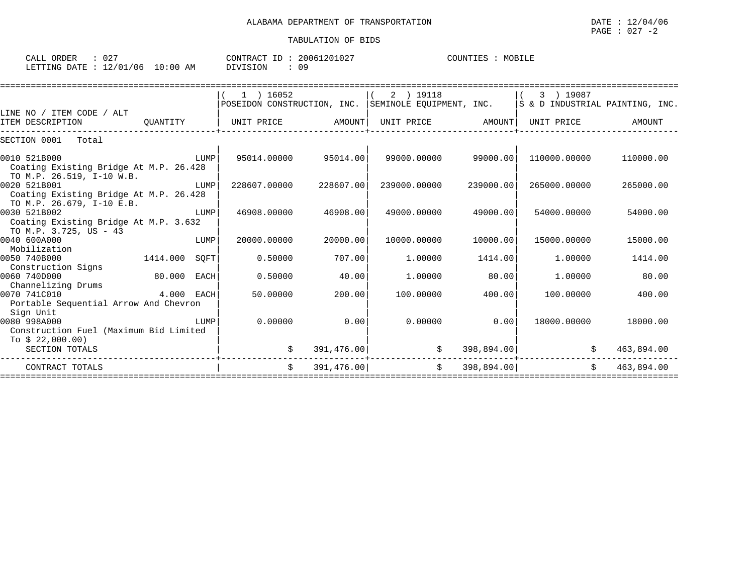| CALL<br>ORDER   | $\cap$ $\cap$ $\cap$<br>◡▵ |             | CONTRACT<br>TD. | 20061201027 | COUNTIES | MOBII' |
|-----------------|----------------------------|-------------|-----------------|-------------|----------|--------|
| LETTING<br>DATE | 12/01<br>/06               | 10:00<br>AM | DIVISION        | n a         |          |        |

|                                        | $1$ ) 16052                                                                                                                                                     |                                                         | 2 ) 19118    |                                                                                                                                                                                                | 3 ) 19087                                                                                                    |                                                                                                                                                                   |
|----------------------------------------|-----------------------------------------------------------------------------------------------------------------------------------------------------------------|---------------------------------------------------------|--------------|------------------------------------------------------------------------------------------------------------------------------------------------------------------------------------------------|--------------------------------------------------------------------------------------------------------------|-------------------------------------------------------------------------------------------------------------------------------------------------------------------|
|                                        |                                                                                                                                                                 |                                                         |              |                                                                                                                                                                                                |                                                                                                              |                                                                                                                                                                   |
|                                        |                                                                                                                                                                 |                                                         |              |                                                                                                                                                                                                |                                                                                                              |                                                                                                                                                                   |
|                                        |                                                                                                                                                                 |                                                         |              |                                                                                                                                                                                                |                                                                                                              | AMOUNT                                                                                                                                                            |
|                                        |                                                                                                                                                                 |                                                         |              |                                                                                                                                                                                                |                                                                                                              |                                                                                                                                                                   |
| LUMP                                   |                                                                                                                                                                 |                                                         |              |                                                                                                                                                                                                |                                                                                                              | 110000.00                                                                                                                                                         |
| Coating Existing Bridge At M.P. 26.428 |                                                                                                                                                                 |                                                         |              |                                                                                                                                                                                                |                                                                                                              |                                                                                                                                                                   |
| LUMP                                   | 228607.00000                                                                                                                                                    |                                                         | 239000.00000 | 239000.00                                                                                                                                                                                      | 265000.00000                                                                                                 | 265000.00                                                                                                                                                         |
| Coating Existing Bridge At M.P. 26.428 |                                                                                                                                                                 |                                                         |              |                                                                                                                                                                                                |                                                                                                              |                                                                                                                                                                   |
|                                        |                                                                                                                                                                 |                                                         |              |                                                                                                                                                                                                |                                                                                                              |                                                                                                                                                                   |
|                                        |                                                                                                                                                                 |                                                         |              |                                                                                                                                                                                                |                                                                                                              | 54000.00                                                                                                                                                          |
|                                        |                                                                                                                                                                 |                                                         |              |                                                                                                                                                                                                |                                                                                                              |                                                                                                                                                                   |
|                                        |                                                                                                                                                                 |                                                         |              |                                                                                                                                                                                                |                                                                                                              | 15000.00                                                                                                                                                          |
|                                        |                                                                                                                                                                 |                                                         |              |                                                                                                                                                                                                |                                                                                                              |                                                                                                                                                                   |
| SOFT                                   | 0.50000                                                                                                                                                         |                                                         | 1,00000      | 1414.00                                                                                                                                                                                        | 1,00000                                                                                                      | 1414.00                                                                                                                                                           |
|                                        |                                                                                                                                                                 |                                                         |              |                                                                                                                                                                                                |                                                                                                              |                                                                                                                                                                   |
|                                        | 0.50000                                                                                                                                                         |                                                         | 1,00000      | 80.00                                                                                                                                                                                          | 1,00000                                                                                                      | 80.00                                                                                                                                                             |
|                                        |                                                                                                                                                                 |                                                         |              |                                                                                                                                                                                                |                                                                                                              |                                                                                                                                                                   |
| $4.000$ EACH                           |                                                                                                                                                                 |                                                         | 100.00000    | 400.00                                                                                                                                                                                         | 100.00000                                                                                                    | 400.00                                                                                                                                                            |
|                                        |                                                                                                                                                                 |                                                         |              |                                                                                                                                                                                                |                                                                                                              |                                                                                                                                                                   |
|                                        |                                                                                                                                                                 |                                                         |              |                                                                                                                                                                                                |                                                                                                              |                                                                                                                                                                   |
|                                        |                                                                                                                                                                 |                                                         |              |                                                                                                                                                                                                |                                                                                                              | 18000.00                                                                                                                                                          |
|                                        |                                                                                                                                                                 |                                                         |              |                                                                                                                                                                                                |                                                                                                              |                                                                                                                                                                   |
|                                        |                                                                                                                                                                 |                                                         |              |                                                                                                                                                                                                |                                                                                                              | 463,894.00                                                                                                                                                        |
|                                        |                                                                                                                                                                 |                                                         | -----        |                                                                                                                                                                                                |                                                                                                              |                                                                                                                                                                   |
|                                        | $\mathcal{S}$                                                                                                                                                   |                                                         | \$           |                                                                                                                                                                                                | $\mathsf{S}$                                                                                                 | 463,894.00                                                                                                                                                        |
|                                        | LUMP<br>Coating Existing Bridge At M.P. 3.632<br>LUMP<br>80.000 EACH<br>Portable Sequential Arrow And Chevron<br>LUMP<br>Construction Fuel (Maximum Bid Limited | 46908.00000<br>20000.00000<br>50.00000<br>0.00000<br>\$ |              | UNIT PRICE AMOUNT<br>95014.00000 95014.00<br>228607.00<br>49000.00000<br>46908.00<br>20000.00<br>10000.00000<br>707.00<br>40.00<br>200.00<br>0.00<br>0.00000<br>391,476.00<br>\$<br>391,476.00 | POSEIDON CONSTRUCTION, INC. SEMINOLE EQUIPMENT, INC.<br>99000.00000 99000.00<br>49000.00<br>10000.00<br>0.00 | S & D INDUSTRIAL PAINTING, INC.<br>UNIT PRICE AMOUNT<br>UNIT PRICE<br>110000.00000<br>54000.00000<br>15000.00000<br>18000.00000<br>398,894.00<br>\$<br>398,894.00 |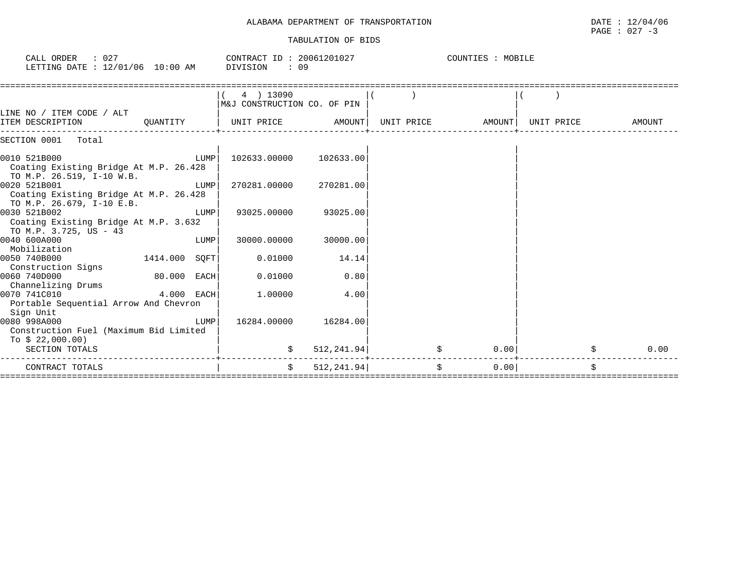#### TABULATION OF BIDS

| CALL ORDER : 027<br>LETTING DATE : 12/01/06 10:00 AM DIVISION                       |               |      | $\text{CONTRACT ID}: 20061201027$ $\text{COUNTIES}: \text{MOBILE}$<br>: 09 |             |    |                   |            |        |
|-------------------------------------------------------------------------------------|---------------|------|----------------------------------------------------------------------------|-------------|----|-------------------|------------|--------|
|                                                                                     |               |      | 4 ) 13090<br>M&J CONSTRUCTION CO. OF PIN                                   |             |    |                   |            |        |
| LINE NO / ITEM CODE / ALT<br>QUANTITY<br>ITEM DESCRIPTION                           |               |      | UNIT PRICE AMOUNT                                                          |             |    | UNIT PRICE AMOUNT | UNIT PRICE | AMOUNT |
| SECTION 0001 Total                                                                  |               |      |                                                                            |             |    |                   |            |        |
| 0010 521B000<br>Coating Existing Bridge At M.P. 26.428<br>TO M.P. 26.519, I-10 W.B. |               | LUMP | 102633.00000                                                               | 102633.00   |    |                   |            |        |
| 0020 521B001<br>Coating Existing Bridge At M.P. 26.428<br>TO M.P. 26.679, I-10 E.B. |               | LUMP | 270281.00000                                                               | 270281.00   |    |                   |            |        |
| 0030 521B002<br>Coating Existing Bridge At M.P. 3.632<br>TO M.P. 3.725, US - 43     |               | LUMP | 93025.00000                                                                | 93025.00    |    |                   |            |        |
| 0040 600A000<br>Mobilization                                                        |               | LUMP | 30000.00000                                                                | 30000.00    |    |                   |            |        |
| 0050 740B000<br>Construction Signs                                                  | 1414.000 SOFT |      | 0.01000                                                                    | 14.14       |    |                   |            |        |
| 0060 740D000<br>Channelizing Drums                                                  | 80.000 EACH   |      | 0.01000                                                                    | 0.80        |    |                   |            |        |
| 0070 741C010<br>Portable Sequential Arrow And Chevron<br>Sign Unit                  | 4.000 EACH    |      | 1,00000                                                                    | 4.00        |    |                   |            |        |
| 0080 998A000<br>Construction Fuel (Maximum Bid Limited<br>To \$ 22,000.00)          |               | LUMP | 16284.00000 16284.00                                                       |             |    |                   |            |        |
| SECTION TOTALS                                                                      |               |      |                                                                            | 512, 241.94 | \$ | 0.00              | \$         | 0.00   |
| CONTRACT TOTALS                                                                     |               |      | $\ddot{s}$                                                                 | 512, 241.94 | \$ | 0.00              | \$         |        |

 $\texttt{PAGE}$  : 027 -3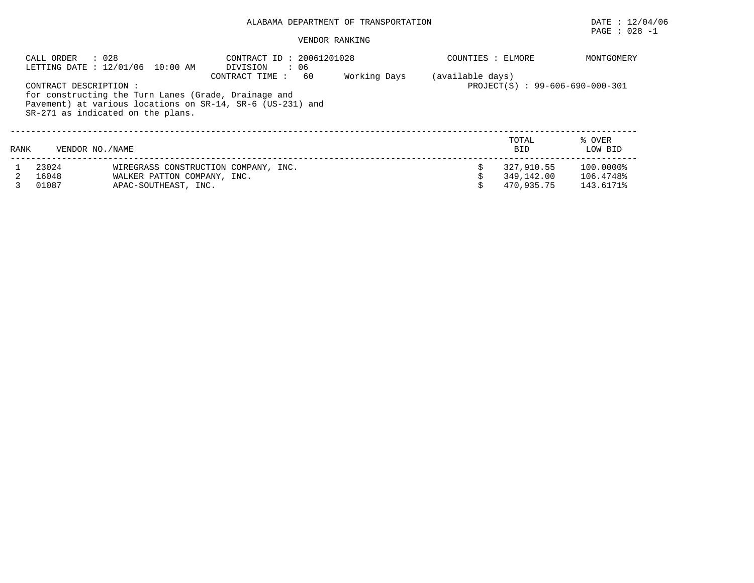# PAGE : 028 -1

|      | : 028<br>CALL ORDER<br>LETTING DATE : 12/01/06 10:00 AM |                             | CONTRACT ID: 20061201028<br>: 06<br>DIVISION               |     |              | COUNTIES : ELMORE |                                 | MONTGOMERY |
|------|---------------------------------------------------------|-----------------------------|------------------------------------------------------------|-----|--------------|-------------------|---------------------------------|------------|
|      |                                                         |                             | CONTRACT TIME:                                             | -60 | Working Days | (available days)  |                                 |            |
|      | CONTRACT DESCRIPTION:                                   |                             |                                                            |     |              |                   | PROJECT(S) : 99-606-690-000-301 |            |
|      |                                                         |                             | for constructing the Turn Lanes (Grade, Drainage and       |     |              |                   |                                 |            |
|      |                                                         |                             | Pavement) at various locations on SR-14, SR-6 (US-231) and |     |              |                   |                                 |            |
|      | SR-271 as indicated on the plans.                       |                             |                                                            |     |              |                   |                                 |            |
|      |                                                         |                             |                                                            |     |              |                   |                                 |            |
|      |                                                         |                             |                                                            |     |              |                   | TOTAL                           | % OVER     |
| RANK | VENDOR NO. / NAME                                       |                             |                                                            |     |              |                   | <b>BID</b>                      | LOW BID    |
|      | 23024                                                   |                             | WIREGRASS CONSTRUCTION COMPANY, INC.                       |     |              |                   | 327,910.55                      | 100.0000%  |
|      | 16048                                                   | WALKER PATTON COMPANY, INC. |                                                            |     |              |                   | 349,142.00                      | 106.4748%  |
|      | 01087                                                   | APAC-SOUTHEAST, INC.        |                                                            |     |              |                   | 470.935.75                      | 143.6171%  |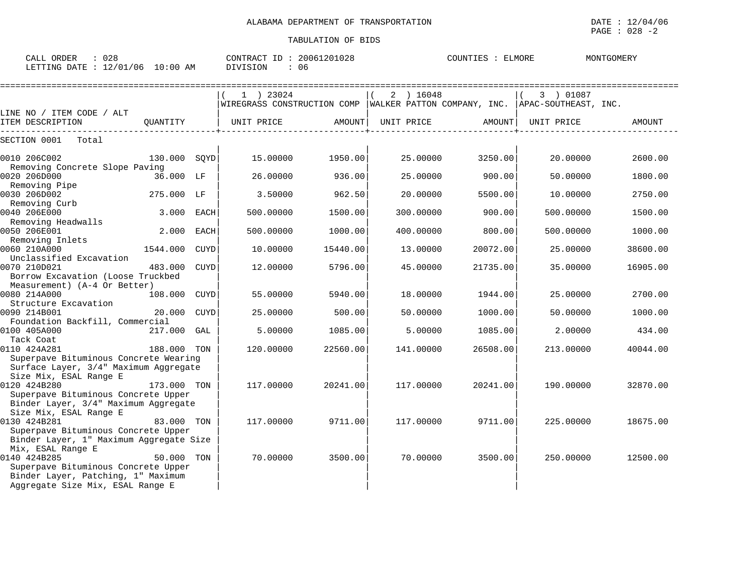| $\therefore$ 028<br>CALL ORDER<br>LETTING DATE : 12/01/06 10:00 AM             |              |      | CONTRACT ID: 20061201028<br>DIVISION<br>: 06                                              |          |            | COUNTIES : ELMORE | MONTGOMERY |          |
|--------------------------------------------------------------------------------|--------------|------|-------------------------------------------------------------------------------------------|----------|------------|-------------------|------------|----------|
|                                                                                |              |      | 1 ) 23024<br>WIREGRASS CONSTRUCTION COMP WALKER PATTON COMPANY, INC. APAC-SOUTHEAST, INC. |          | 2 ) 16048  |                   | 3 ) 01087  |          |
| LINE NO / ITEM CODE / ALT                                                      |              |      |                                                                                           |          |            |                   |            |          |
| ITEM DESCRIPTION                                                               | QUANTITY     |      | UNIT PRICE                                                                                | AMOUNT   | UNIT PRICE | AMOUNT            | UNIT PRICE | AMOUNT   |
| SECTION 0001<br>Total                                                          |              |      |                                                                                           |          |            |                   |            |          |
| 0010 206C002                                                                   | 130.000 SOYD |      | 15,00000                                                                                  | 1950.00  | 25.00000   | 3250.00           | 20.00000   | 2600.00  |
| Removing Concrete Slope Paving                                                 |              |      |                                                                                           |          |            |                   |            |          |
| 0020 206D000                                                                   | 36.000 LF    |      | 26.00000                                                                                  | 936.00   | 25,00000   | 900.00            | 50.00000   | 1800.00  |
| Removing Pipe                                                                  |              |      |                                                                                           |          |            |                   |            |          |
| 0030 206D002                                                                   | 275.000 LF   |      | 3.50000                                                                                   | 962.50   | 20,00000   | 5500.00           | 10,00000   | 2750.00  |
| Removing Curb                                                                  |              |      |                                                                                           |          |            |                   |            |          |
| 0040 206E000                                                                   | 3.000 EACH   |      | 500.00000                                                                                 | 1500.00  | 300.00000  | 900.00            | 500.00000  | 1500.00  |
| Removing Headwalls<br>0050 206E001                                             | 2.000        | EACH | 500.00000                                                                                 | 1000.00  | 400.00000  | 800.00            | 500.00000  | 1000.00  |
| Removing Inlets                                                                |              |      |                                                                                           |          |            |                   |            |          |
| 0060 210A000                                                                   | 1544.000     | CUYD | 10.00000                                                                                  | 15440.00 | 13,00000   | 20072.00          | 25.00000   | 38600.00 |
| Unclassified Excavation                                                        |              |      |                                                                                           |          |            |                   |            |          |
| 0070 210D021                                                                   | 483.000      | CUYD | 12.00000                                                                                  | 5796.00  | 45.00000   | 21735.00          | 35.00000   | 16905.00 |
| Borrow Excavation (Loose Truckbed                                              |              |      |                                                                                           |          |            |                   |            |          |
| Measurement) (A-4 Or Better)                                                   |              |      |                                                                                           |          |            |                   |            |          |
| 0080 214A000                                                                   | 108,000      | CUYD | 55.00000                                                                                  | 5940.00  | 18,00000   | 1944.00           | 25.00000   | 2700.00  |
| Structure Excavation                                                           |              |      |                                                                                           |          |            |                   |            |          |
| 0090 214B001                                                                   | 20.000       | CUYD | 25.00000                                                                                  | 500.00   | 50.00000   | 1000.00           | 50.00000   | 1000.00  |
| Foundation Backfill, Commercial                                                |              |      |                                                                                           |          |            |                   |            |          |
| 0100 405A000                                                                   | 217.000      | GAL  | 5.00000                                                                                   | 1085.00  | 5.00000    | 1085.00           | 2.00000    | 434.00   |
| Tack Coat                                                                      |              |      |                                                                                           |          |            |                   |            |          |
| 0110 424A281                                                                   | 188.000      | TON  | 120.00000                                                                                 | 22560.00 | 141.00000  | 26508.00          | 213.00000  | 40044.00 |
| Superpave Bituminous Concrete Wearing<br>Surface Layer, 3/4" Maximum Aggregate |              |      |                                                                                           |          |            |                   |            |          |
| Size Mix, ESAL Range E                                                         |              |      |                                                                                           |          |            |                   |            |          |
| 0120 424B280                                                                   | 173.000 TON  |      | 117.00000                                                                                 | 20241.00 | 117.00000  | 20241.00          | 190.00000  | 32870.00 |
| Superpave Bituminous Concrete Upper                                            |              |      |                                                                                           |          |            |                   |            |          |
| Binder Layer, 3/4" Maximum Aggregate                                           |              |      |                                                                                           |          |            |                   |            |          |
| Size Mix, ESAL Range E                                                         |              |      |                                                                                           |          |            |                   |            |          |
| 0130 424B281                                                                   | 83.000       | TON  | 117.00000                                                                                 | 9711.00  | 117.00000  | 9711.00           | 225.00000  | 18675.00 |
| Superpave Bituminous Concrete Upper                                            |              |      |                                                                                           |          |            |                   |            |          |
| Binder Layer, 1" Maximum Aggregate Size                                        |              |      |                                                                                           |          |            |                   |            |          |
| Mix, ESAL Range E                                                              |              |      |                                                                                           |          |            |                   |            |          |
| 0140 424B285                                                                   | 50.000 TON   |      | 70.00000                                                                                  | 3500.00  | 70.00000   | 3500.00           | 250.00000  | 12500.00 |
| Superpave Bituminous Concrete Upper                                            |              |      |                                                                                           |          |            |                   |            |          |
| Binder Layer, Patching, 1" Maximum                                             |              |      |                                                                                           |          |            |                   |            |          |

Aggregate Size Mix, ESAL Range E | | |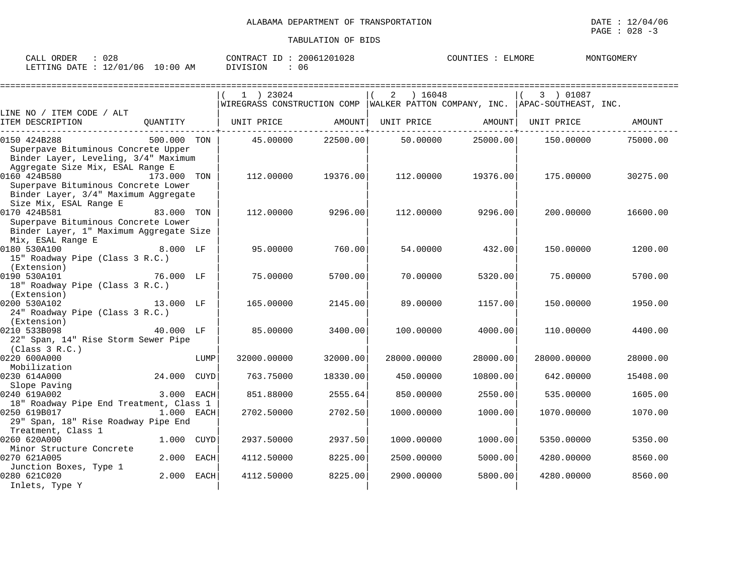| $\cap \cap c$<br>ORDER<br>CALL<br>∪∠c   | 20061201028<br>CONTRACT ID | ELMORE<br>COUNTIES | MONTGOMER) |
|-----------------------------------------|----------------------------|--------------------|------------|
| $10:00$ AM<br>12/01/06<br>LETTING DATE: | 06<br>DIVISION             |                    |            |

|                                                                                                                                                           |             |      | $1$ ) 23024                                                                      |          | 16048<br>2  |                   | 3 ) 01087   |          |
|-----------------------------------------------------------------------------------------------------------------------------------------------------------|-------------|------|----------------------------------------------------------------------------------|----------|-------------|-------------------|-------------|----------|
|                                                                                                                                                           |             |      | WIREGRASS CONSTRUCTION COMP   WALKER PATTON COMPANY, INC.   APAC-SOUTHEAST, INC. |          |             |                   |             |          |
| LINE NO / ITEM CODE / ALT                                                                                                                                 |             |      |                                                                                  |          |             |                   |             |          |
| ITEM DESCRIPTION                                                                                                                                          | QUANTITY    |      | UNIT PRICE AMOUNT                                                                |          |             | UNIT PRICE AMOUNT | UNIT PRICE  | AMOUNT   |
| 0150 424B288<br>Superpave Bituminous Concrete Upper<br>Binder Layer, Leveling, 3/4" Maximum                                                               | 500.000 TON |      | 45.00000                                                                         | 22500.00 |             | 50.00000 25000.00 | 150.00000   | 75000.00 |
| Aggregate Size Mix, ESAL Range E<br>0160 424B580<br>Superpave Bituminous Concrete Lower<br>Binder Layer, 3/4" Maximum Aggregate<br>Size Mix, ESAL Range E | 173.000 TON |      | 112.00000                                                                        | 19376.00 | 112.00000   | 19376.00          | 175.00000   | 30275.00 |
| 0170 424B581<br>Superpave Bituminous Concrete Lower<br>Binder Layer, 1" Maximum Aggregate Size<br>Mix, ESAL Range E                                       | 83.000 TON  |      | 112,00000                                                                        | 9296.00  | 112,00000   | 9296.00           | 200.00000   | 16600.00 |
| 8.000 LF<br>0180 530A100<br>15" Roadway Pipe (Class 3 R.C.)<br>(Extension)                                                                                |             |      | 95.00000                                                                         | 760.00   | 54.00000    | 432.00            | 150.00000   | 1200.00  |
| 0190 530A101<br>18" Roadway Pipe (Class 3 R.C.)<br>(Extension)                                                                                            | 76.000 LF   |      | 75.00000                                                                         | 5700.00  | 70.00000    | 5320.00           | 75.00000    | 5700.00  |
| 0200 530A102<br>13.000 LF<br>24" Roadway Pipe (Class 3 R.C.)<br>(Extension)                                                                               |             |      | 165.00000                                                                        | 2145.00  | 89,00000    | 1157.00           | 150.00000   | 1950.00  |
| 0210 533B098<br>22" Span, 14" Rise Storm Sewer Pipe<br>(Class 3 R.C.)                                                                                     | 40.000 LF   |      | 85.00000                                                                         | 3400.00  | 100.00000   | 4000.00           | 110.00000   | 4400.00  |
| 0220 600A000<br>Mobilization                                                                                                                              |             | LUMP | 32000.00000                                                                      | 32000.00 | 28000.00000 | 28000.00          | 28000.00000 | 28000.00 |
| 0230 614A000<br>Slope Paving                                                                                                                              | 24.000 CUYD |      | 763.75000                                                                        | 18330.00 | 450.00000   | 10800.00          | 642.00000   | 15408.00 |
| 0240 619A002<br>18" Roadway Pipe End Treatment, Class 1                                                                                                   | 3.000 EACH  |      | 851.88000                                                                        | 2555.64  | 850.00000   | 2550.00           | 535.00000   | 1605.00  |
| 0250 619B017<br>29" Span, 18" Rise Roadway Pipe End<br>Treatment, Class 1                                                                                 | 1.000 EACH  |      | 2702.50000                                                                       | 2702.50  | 1000.00000  | 1000.00           | 1070.00000  | 1070.00  |
| 0260 620A000<br>Minor Structure Concrete                                                                                                                  | 1.000 CUYD  |      | 2937.50000                                                                       | 2937.50  | 1000.00000  | 1000.00           | 5350.00000  | 5350.00  |
| 0270 621A005<br>Junction Boxes, Type 1                                                                                                                    | 2.000 EACH  |      | 4112.50000                                                                       | 8225.00  | 2500.00000  | 5000.00           | 4280.00000  | 8560.00  |
| 0280 621C020<br>Inlets, Type Y                                                                                                                            | 2.000 EACH  |      | 4112.50000                                                                       | 8225.00  | 2900.00000  | 5800.00           | 4280.00000  | 8560.00  |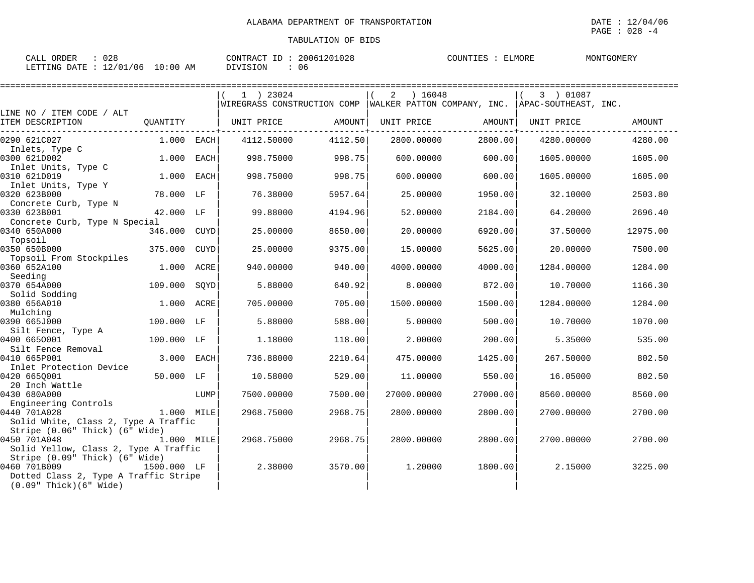| 028<br>CALL ORDER                | CONTRACT ID: 20061201028 | COUNTIES :<br>ELMORE | MONTGOMERY |
|----------------------------------|--------------------------|----------------------|------------|
| LETTING DATE : 12/01/06 10:00 AM | DIVISION<br>06           |                      |            |

|                                       |             |             | 1 ) 23024                                                                    |         | ) 16048<br>2 |          | 3 ) 01087  |               |
|---------------------------------------|-------------|-------------|------------------------------------------------------------------------------|---------|--------------|----------|------------|---------------|
|                                       |             |             | WIREGRASS CONSTRUCTION COMP WALKER PATTON COMPANY, INC. APAC-SOUTHEAST, INC. |         |              |          |            |               |
| LINE NO / ITEM CODE / ALT             |             |             |                                                                              |         |              |          |            |               |
| ITEM DESCRIPTION                      | OUANTITY    |             | UNIT PRICE                                                                   | AMOUNT  | UNIT PRICE   | AMOUNT   | UNIT PRICE | <b>AMOUNT</b> |
| 0290 621C027                          | 1.000 EACH  |             | 4112.50000                                                                   | 4112.50 | 2800.00000   | 2800.00  | 4280.00000 | 4280.00       |
| Inlets, Type C                        |             |             |                                                                              |         |              |          |            |               |
| 0300 621D002                          | 1.000       | EACH        | 998.75000                                                                    | 998.75  | 600.00000    | 600.00   | 1605.00000 | 1605.00       |
| Inlet Units, Type C                   |             |             |                                                                              |         |              |          |            |               |
| 0310 621D019                          | 1.000       | EACH        | 998.75000                                                                    | 998.75  | 600.00000    | 600.00   | 1605.00000 | 1605.00       |
| Inlet Units, Type Y<br>0320 623B000   |             |             |                                                                              | 5957.64 | 25.00000     |          |            |               |
| Concrete Curb, Type N                 | 78.000 LF   |             | 76.38000                                                                     |         |              | 1950.00  | 32.10000   | 2503.80       |
| 0330 623B001                          | 42.000 LF   |             | 99.88000                                                                     | 4194.96 | 52.00000     | 2184.00  | 64.20000   | 2696.40       |
| Concrete Curb, Type N Special         |             |             |                                                                              |         |              |          |            |               |
| 0340 650A000                          | 346.000     | CUYD        | 25.00000                                                                     | 8650.00 | 20.00000     | 6920.00  | 37.50000   | 12975.00      |
| Topsoil                               |             |             |                                                                              |         |              |          |            |               |
| 0350 650B000                          | 375.000     | <b>CUYD</b> | 25.00000                                                                     | 9375.00 | 15.00000     | 5625.00  | 20.00000   | 7500.00       |
| Topsoil From Stockpiles               |             |             |                                                                              |         |              |          |            |               |
| 0360 652A100                          | 1.000       | ACRE        | 940.00000                                                                    | 940.00  | 4000.00000   | 4000.00  | 1284.00000 | 1284.00       |
| Seeding                               |             |             |                                                                              |         |              |          |            |               |
| 0370 654A000                          | 109.000     | SQYD        | 5.88000                                                                      | 640.92  | 8.00000      | 872.00   | 10.70000   | 1166.30       |
| Solid Sodding<br>0380 656A010         | 1.000 ACRE  |             | 705,00000                                                                    | 705.00  | 1500.00000   | 1500.00  | 1284.00000 | 1284.00       |
| Mulching                              |             |             |                                                                              |         |              |          |            |               |
| 0390 665J000                          | 100.000 LF  |             | 5.88000                                                                      | 588.00  | 5.00000      | 500.00   | 10.70000   | 1070.00       |
| Silt Fence, Type A                    |             |             |                                                                              |         |              |          |            |               |
| 0400 6650001                          | 100.000 LF  |             | 1.18000                                                                      | 118.00  | 2.00000      | 200.00   | 5.35000    | 535.00        |
| Silt Fence Removal                    |             |             |                                                                              |         |              |          |            |               |
| 0410 665P001                          | 3.000       | <b>EACH</b> | 736.88000                                                                    | 2210.64 | 475.00000    | 1425.00  | 267.50000  | 802.50        |
| Inlet Protection Device               |             |             |                                                                              |         |              |          |            |               |
| 0420 6650001                          | 50.000 LF   |             | 10.58000                                                                     | 529.00  | 11.00000     | 550.00   | 16.05000   | 802.50        |
| 20 Inch Wattle<br>0430 680A000        |             | LUMP        | 7500.00000                                                                   | 7500.00 | 27000.00000  | 27000.00 | 8560.00000 | 8560.00       |
| Engineering Controls                  |             |             |                                                                              |         |              |          |            |               |
| 0440 701A028                          | 1.000 MILE  |             | 2968.75000                                                                   | 2968.75 | 2800.00000   | 2800.00  | 2700.00000 | 2700.00       |
| Solid White, Class 2, Type A Traffic  |             |             |                                                                              |         |              |          |            |               |
| Stripe (0.06" Thick) (6" Wide)        |             |             |                                                                              |         |              |          |            |               |
| 0450 701A048                          | 1.000 MILE  |             | 2968.75000                                                                   | 2968.75 | 2800.00000   | 2800.00  | 2700.00000 | 2700.00       |
| Solid Yellow, Class 2, Type A Traffic |             |             |                                                                              |         |              |          |            |               |
| Stripe (0.09" Thick) (6" Wide)        |             |             |                                                                              |         |              |          |            |               |
| 0460 701B009                          | 1500.000 LF |             | 2.38000                                                                      | 3570.00 | 1,20000      | 1800.00  | 2.15000    | 3225.00       |
| Dotted Class 2, Type A Traffic Stripe |             |             |                                                                              |         |              |          |            |               |
| $(0.09"$ Thick $)(6"$ Wide            |             |             |                                                                              |         |              |          |            |               |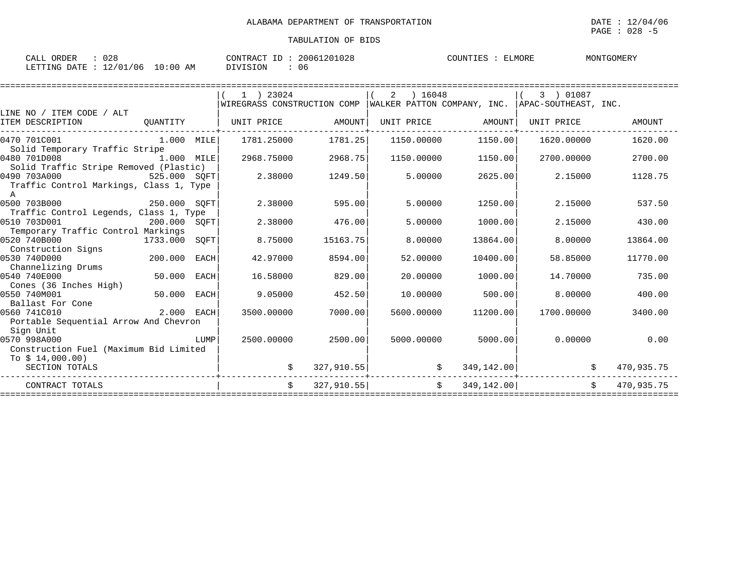PAGE : 028 -5

## TABULATION OF BIDS

| 028<br>ORDER<br>CALL             | CONTRACT ID: 20061201028 | ELMORE<br>MONTGOMERY<br>COUNTIES : |
|----------------------------------|--------------------------|------------------------------------|
| LETTING DATE : 12/01/06 10:00 AM | <b>DIVISION</b><br>06    |                                    |

|                                                         |               |      | $1$ ) 23024                 |            | 2 | ) 16048    |                          | 3 ) 01087                                         |               |
|---------------------------------------------------------|---------------|------|-----------------------------|------------|---|------------|--------------------------|---------------------------------------------------|---------------|
| LINE NO / ITEM CODE / ALT                               |               |      | WIREGRASS CONSTRUCTION COMP |            |   |            |                          | WALKER PATTON COMPANY, INC.  APAC-SOUTHEAST, INC. |               |
| ITEM DESCRIPTION                                        | OUANTITY      |      | UNIT PRICE                  | AMOUNT     |   | UNIT PRICE | AMOUNT                   | UNIT PRICE                                        | <b>AMOUNT</b> |
| 0470 701C001<br>Solid Temporary Traffic Stripe          | $1.000$ MILE  |      | 1781.25000                  | 1781.25    |   | 1150.00000 | 1150.00                  | 1620.00000                                        | 1620.00       |
| 0480 701D008<br>1.000 MILE                              |               |      | 2968.75000                  | 2968.75    |   | 1150.00000 | 1150.00                  | 2700.00000                                        | 2700.00       |
| Solid Traffic Stripe Removed (Plastic)                  |               |      |                             |            |   |            |                          |                                                   |               |
| 0490 703A000<br>525.000 SOFT                            |               |      | 2.38000                     | 1249.50    |   | 5.00000    | 2625.00                  | 2.15000                                           | 1128.75       |
| Traffic Control Markings, Class 1, Type<br>$\mathbb{A}$ |               |      |                             |            |   |            |                          |                                                   |               |
| 0500 703B000                                            | 250.000 SOFT  |      | 2.38000                     | 595.00     |   | 5.00000    | 1250.00                  | 2.15000                                           | 537.50        |
| Traffic Control Legends, Class 1, Type                  |               |      |                             |            |   |            |                          |                                                   |               |
| 0510 703D001                                            | 200.000 SQFT  |      | 2.38000                     | 476.00     |   | 5.00000    | 1000.00                  | 2.15000                                           | 430.00        |
| Temporary Traffic Control Markings                      |               |      |                             |            |   |            |                          |                                                   |               |
| 0520 740B000                                            | 1733.000 SOFT |      | 8.75000                     | 15163.75   |   | 8,00000    | 13864.00                 | 8,00000                                           | 13864.00      |
| Construction Signs                                      |               |      |                             |            |   |            |                          |                                                   |               |
| 0530 740D000                                            | 200.000       | EACH | 42.97000                    | 8594.00    |   | 52.00000   | 10400.00                 | 58.85000                                          | 11770.00      |
| Channelizing Drums<br>0540 740E000                      | 50.000        | EACH | 16.58000                    | 829.00     |   | 20,00000   | 1000.00                  | 14.70000                                          | 735.00        |
| Cones (36 Inches High)                                  |               |      |                             |            |   |            |                          |                                                   |               |
| 0550 740M001                                            | 50.000        | EACH | 9.05000                     | 452.50     |   | 10.00000   | 500.00                   | 8,00000                                           | 400.00        |
| Ballast For Cone                                        |               |      |                             |            |   |            |                          |                                                   |               |
| 0560 741C010                                            | 2.000 EACH    |      | 3500.00000                  | 7000.00    |   | 5600,00000 | 11200.00                 | 1700.00000                                        | 3400.00       |
| Portable Sequential Arrow And Chevron                   |               |      |                             |            |   |            |                          |                                                   |               |
| Sign Unit                                               |               |      |                             |            |   |            |                          |                                                   |               |
| 0570 998A000                                            |               | LUMP | 2500.00000                  | 2500.00    |   | 5000.00000 | 5000.00                  | 0.00000                                           | 0.00          |
| Construction Fuel (Maximum Bid Limited                  |               |      |                             |            |   |            |                          |                                                   |               |
| To $$14,000.00)$                                        |               |      |                             |            |   |            |                          |                                                   |               |
| SECTION TOTALS                                          |               |      |                             | 327,910.55 |   | \$         | 349, 142.00              | S.                                                | 470,935.75    |
| CONTRACT TOTALS                                         |               |      | $\mathsf{S}$                | 327,910.55 |   |            | $\ddot{s}$<br>349,142.00 | Ŝ.                                                | 470,935.75    |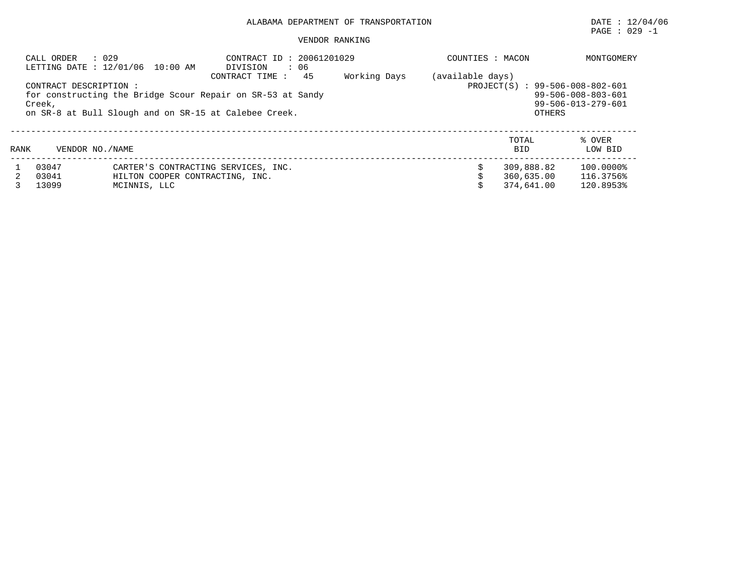## ALABAMA DEPARTMENT OF TRANSPORTATION DATE : 12/04/06

## VENDOR RANKING

| : 029<br>CALL ORDER<br>LETTING DATE : 12/01/06 10:00 AM                                                                                                                                        |                         | CONTRACT ID: 20061201029<br>: 06<br>DIVISION                                           | COUNTIES : MACON | MONTGOMERY |                                                                                                                            |                                        |                                     |
|------------------------------------------------------------------------------------------------------------------------------------------------------------------------------------------------|-------------------------|----------------------------------------------------------------------------------------|------------------|------------|----------------------------------------------------------------------------------------------------------------------------|----------------------------------------|-------------------------------------|
| 45<br>Working Days<br>CONTRACT TIME:<br>CONTRACT DESCRIPTION:<br>for constructing the Bridge Scour Repair on SR-53 at Sandy<br>Creek,<br>on SR-8 at Bull Slough and on SR-15 at Calebee Creek. |                         |                                                                                        |                  |            | (available days)<br>PROJECT(S) : 99-506-008-802-601<br>99-506-008-803-601<br>$99 - 506 - 013 - 279 - 601$<br><b>OTHERS</b> |                                        |                                     |
| RANK                                                                                                                                                                                           | VENDOR NO. / NAME       |                                                                                        |                  |            |                                                                                                                            | TOTAL<br><b>BID</b>                    | % OVER<br>LOW BID                   |
|                                                                                                                                                                                                | 03047<br>03041<br>13099 | CARTER'S CONTRACTING SERVICES, INC.<br>HILTON COOPER CONTRACTING, INC.<br>MCINNIS, LLC |                  |            |                                                                                                                            | 309,888.82<br>360,635.00<br>374,641,00 | 100.0000%<br>116.3756%<br>120.8953% |